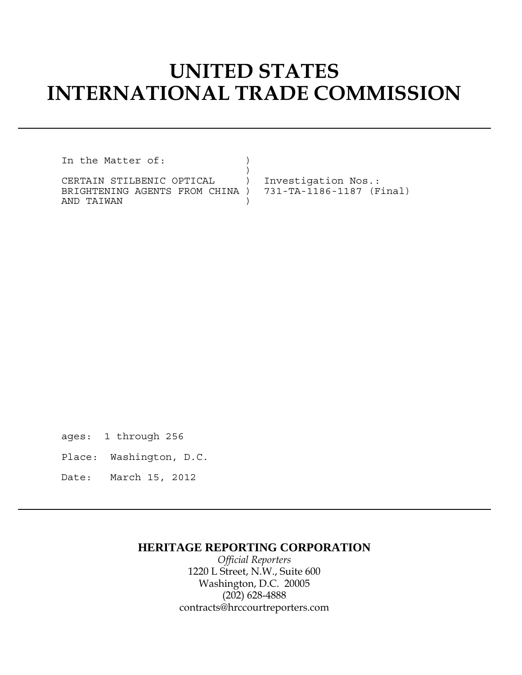# **UNITED STATES INTERNATIONAL TRADE COMMISSION**

In the Matter of:

CERTAIN STILBENIC OPTICAL ) Investigation Nos.: BRIGHTENING AGENTS FROM CHINA ) 731-TA-1186-1187 (Final) AND TAIWAN

 $)$ 

ages: 1 through 256

- Place: Washington, D.C.
- Date: March 15, 2012

### **HERITAGE REPORTING CORPORATION**

*Official Reporters* 1220 L Street, N.W., Suite 600 Washington, D.C. 20005 (202) 628-4888 contracts@hrccourtreporters.com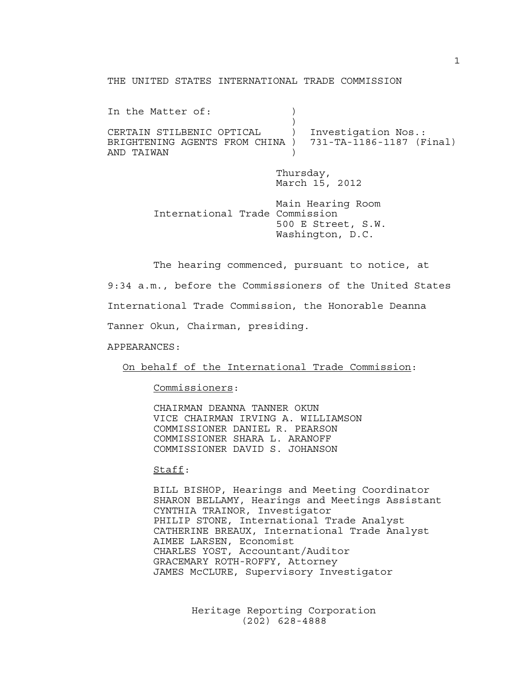#### THE UNITED STATES INTERNATIONAL TRADE COMMISSION

In the Matter of:  $)$ CERTAIN STILBENIC OPTICAL ) Investigation Nos.: BRIGHTENING AGENTS FROM CHINA ) 731-TA-1186-1187 (Final) AND TAIWAN )

> Thursday, March 15, 2012

 Main Hearing Room International Trade Commission 500 E Street, S.W. Washington, D.C.

The hearing commenced, pursuant to notice, at

9:34 a.m., before the Commissioners of the United States

International Trade Commission, the Honorable Deanna

Tanner Okun, Chairman, presiding.

APPEARANCES:

On behalf of the International Trade Commission:

Commissioners:

CHAIRMAN DEANNA TANNER OKUN VICE CHAIRMAN IRVING A. WILLIAMSON COMMISSIONER DANIEL R. PEARSON COMMISSIONER SHARA L. ARANOFF COMMISSIONER DAVID S. JOHANSON

Staff:

 BILL BISHOP, Hearings and Meeting Coordinator SHARON BELLAMY, Hearings and Meetings Assistant CYNTHIA TRAINOR, Investigator PHILIP STONE, International Trade Analyst CATHERINE BREAUX, International Trade Analyst AIMEE LARSEN, Economist CHARLES YOST, Accountant/Auditor GRACEMARY ROTH-ROFFY, Attorney JAMES McCLURE, Supervisory Investigator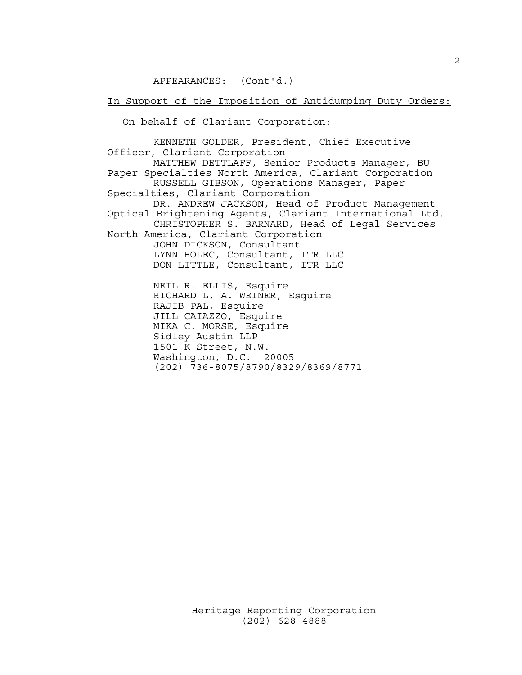APPEARANCES: (Cont'd.)

In Support of the Imposition of Antidumping Duty Orders:

On behalf of Clariant Corporation:

 KENNETH GOLDER, President, Chief Executive Officer, Clariant Corporation

 MATTHEW DETTLAFF, Senior Products Manager, BU Paper Specialties North America, Clariant Corporation RUSSELL GIBSON, Operations Manager, Paper Specialties, Clariant Corporation DR. ANDREW JACKSON, Head of Product Management Optical Brightening Agents, Clariant International Ltd. CHRISTOPHER S. BARNARD, Head of Legal Services North America, Clariant Corporation JOHN DICKSON, Consultant LYNN HOLEC, Consultant, ITR LLC DON LITTLE, Consultant, ITR LLC NEIL R. ELLIS, Esquire RICHARD L. A. WEINER, Esquire RAJIB PAL, Esquire JILL CAIAZZO, Esquire MIKA C. MORSE, Esquire Sidley Austin LLP

 1501 K Street, N.W. Washington, D.C. 20005 (202) 736-8075/8790/8329/8369/8771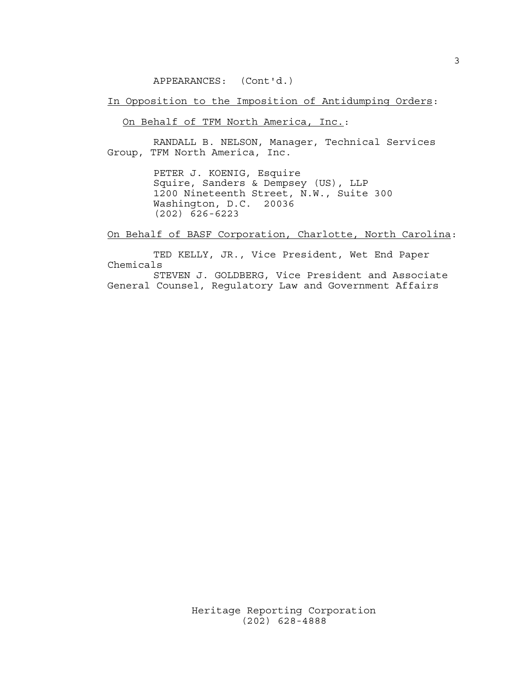APPEARANCES: (Cont'd.)

In Opposition to the Imposition of Antidumping Orders:

On Behalf of TFM North America, Inc.:

 RANDALL B. NELSON, Manager, Technical Services Group, TFM North America, Inc.

> PETER J. KOENIG, Esquire Squire, Sanders & Dempsey (US), LLP 1200 Nineteenth Street, N.W., Suite 300 Washington, D.C. 20036 (202) 626-6223

On Behalf of BASF Corporation, Charlotte, North Carolina:

 TED KELLY, JR., Vice President, Wet End Paper Chemicals STEVEN J. GOLDBERG, Vice President and Associate General Counsel, Regulatory Law and Government Affairs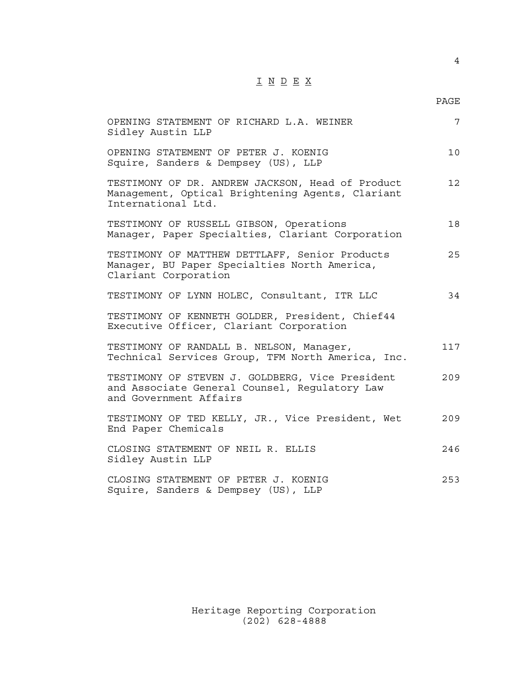## I N D E X

#### en de la provincia de la provincia de la provincia de la provincia de la provincia de la provincia de la provi

| OPENING STATEMENT OF RICHARD L.A. WEINER<br>Sidley Austin LLP                                                              | 7               |
|----------------------------------------------------------------------------------------------------------------------------|-----------------|
| OPENING STATEMENT OF PETER J. KOENIG<br>Squire, Sanders & Dempsey (US), LLP                                                | 10 <sup>°</sup> |
| TESTIMONY OF DR. ANDREW JACKSON, Head of Product<br>Management, Optical Brightening Agents, Clariant<br>International Ltd. | 12 <sup>°</sup> |
| TESTIMONY OF RUSSELL GIBSON, Operations<br>Manager, Paper Specialties, Clariant Corporation                                | 18              |
| TESTIMONY OF MATTHEW DETTLAFF, Senior Products<br>Manager, BU Paper Specialties North America,<br>Clariant Corporation     | 25              |
| TESTIMONY OF LYNN HOLEC, Consultant, ITR LLC                                                                               | 34              |
| TESTIMONY OF KENNETH GOLDER, President, Chief44<br>Executive Officer, Clariant Corporation                                 |                 |
| TESTIMONY OF RANDALL B. NELSON, Manager,<br>Technical Services Group, TFM North America, Inc.                              | 117             |
| TESTIMONY OF STEVEN J. GOLDBERG, Vice President<br>and Associate General Counsel, Requlatory Law<br>and Government Affairs | 209             |
| TESTIMONY OF TED KELLY, JR., Vice President, Wet<br>End Paper Chemicals                                                    | 209             |
| CLOSING STATEMENT OF NEIL R. ELLIS<br>Sidley Austin LLP                                                                    | 246             |
| CLOSING STATEMENT OF PETER J. KOENIG<br>Squire, Sanders & Dempsey (US), LLP                                                | 253             |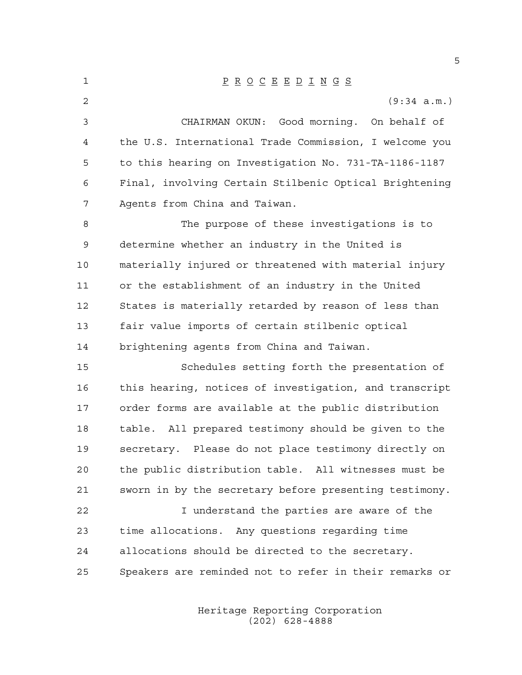1 P R O C E E D I N G S 2 (9:34 a.m.) 3 CHAIRMAN OKUN: Good morning. On behalf of 4 the U.S. International Trade Commission, I welcome you 5 to this hearing on Investigation No. 731-TA-1186-1187 6 Final, involving Certain Stilbenic Optical Brightening 7 Agents from China and Taiwan. 8 The purpose of these investigations is to 9 determine whether an industry in the United is 10 materially injured or threatened with material injury 11 or the establishment of an industry in the United 12 States is materially retarded by reason of less than 13 fair value imports of certain stilbenic optical 14 brightening agents from China and Taiwan. 15 Schedules setting forth the presentation of 16 this hearing, notices of investigation, and transcript 17 order forms are available at the public distribution 18 table. All prepared testimony should be given to the 19 secretary. Please do not place testimony directly on 20 the public distribution table. All witnesses must be 21 sworn in by the secretary before presenting testimony. 22 I understand the parties are aware of the 23 time allocations. Any questions regarding time 24 allocations should be directed to the secretary. 25 Speakers are reminded not to refer in their remarks or

> Heritage Reporting Corporation (202) 628-4888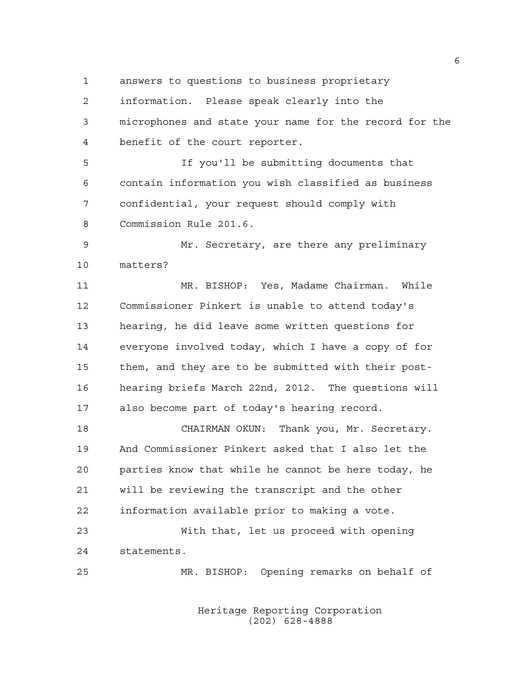1 answers to questions to business proprietary

2 information. Please speak clearly into the 3 microphones and state your name for the record for the 4 benefit of the court reporter.

5 If you'll be submitting documents that 6 contain information you wish classified as business 7 confidential, your request should comply with 8 Commission Rule 201.6.

9 Mr. Secretary, are there any preliminary 10 matters?

11 MR. BISHOP: Yes, Madame Chairman. While 12 Commissioner Pinkert is unable to attend today's 13 hearing, he did leave some written questions for 14 everyone involved today, which I have a copy of for 15 them, and they are to be submitted with their post-16 hearing briefs March 22nd, 2012. The questions will 17 also become part of today's hearing record.

18 CHAIRMAN OKUN: Thank you, Mr. Secretary. 19 And Commissioner Pinkert asked that I also let the 20 parties know that while he cannot be here today, he 21 will be reviewing the transcript and the other 22 information available prior to making a vote.

23 With that, let us proceed with opening 24 statements.

25 MR. BISHOP: Opening remarks on behalf of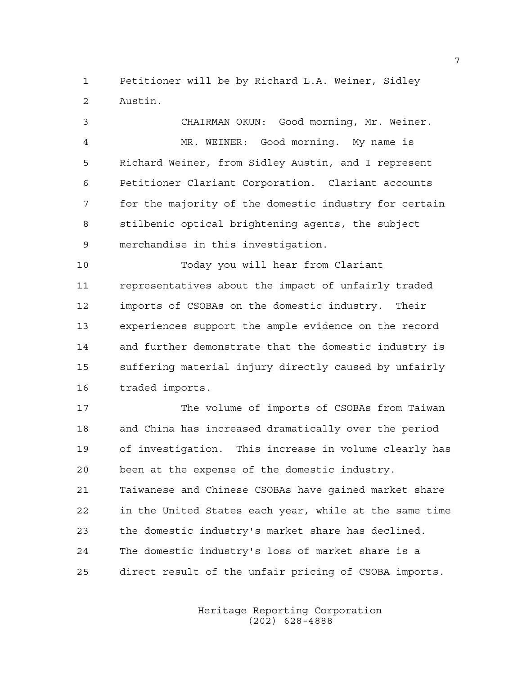1 Petitioner will be by Richard L.A. Weiner, Sidley 2 Austin.

3 CHAIRMAN OKUN: Good morning, Mr. Weiner. 4 MR. WEINER: Good morning. My name is 5 Richard Weiner, from Sidley Austin, and I represent 6 Petitioner Clariant Corporation. Clariant accounts 7 for the majority of the domestic industry for certain 8 stilbenic optical brightening agents, the subject 9 merchandise in this investigation.

10 Today you will hear from Clariant 11 representatives about the impact of unfairly traded 12 imports of CSOBAs on the domestic industry. Their 13 experiences support the ample evidence on the record 14 and further demonstrate that the domestic industry is 15 suffering material injury directly caused by unfairly 16 traded imports.

17 The volume of imports of CSOBAs from Taiwan 18 and China has increased dramatically over the period 19 of investigation. This increase in volume clearly has 20 been at the expense of the domestic industry. 21 Taiwanese and Chinese CSOBAs have gained market share 22 in the United States each year, while at the same time 23 the domestic industry's market share has declined. 24 The domestic industry's loss of market share is a 25 direct result of the unfair pricing of CSOBA imports.

> Heritage Reporting Corporation (202) 628-4888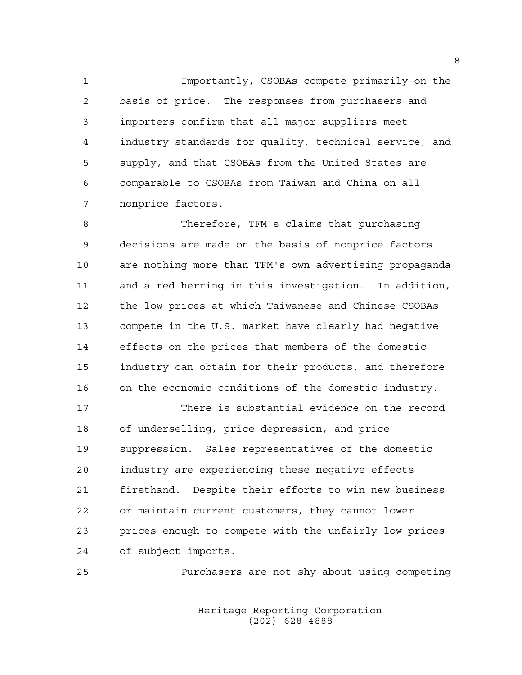1 Importantly, CSOBAs compete primarily on the 2 basis of price. The responses from purchasers and 3 importers confirm that all major suppliers meet 4 industry standards for quality, technical service, and 5 supply, and that CSOBAs from the United States are 6 comparable to CSOBAs from Taiwan and China on all 7 nonprice factors.

8 Therefore, TFM's claims that purchasing 9 decisions are made on the basis of nonprice factors 10 are nothing more than TFM's own advertising propaganda 11 and a red herring in this investigation. In addition, 12 the low prices at which Taiwanese and Chinese CSOBAs 13 compete in the U.S. market have clearly had negative 14 effects on the prices that members of the domestic 15 industry can obtain for their products, and therefore 16 on the economic conditions of the domestic industry.

17 There is substantial evidence on the record 18 of underselling, price depression, and price 19 suppression. Sales representatives of the domestic 20 industry are experiencing these negative effects 21 firsthand. Despite their efforts to win new business 22 or maintain current customers, they cannot lower 23 prices enough to compete with the unfairly low prices 24 of subject imports.

25 Purchasers are not shy about using competing

 Heritage Reporting Corporation (202) 628-4888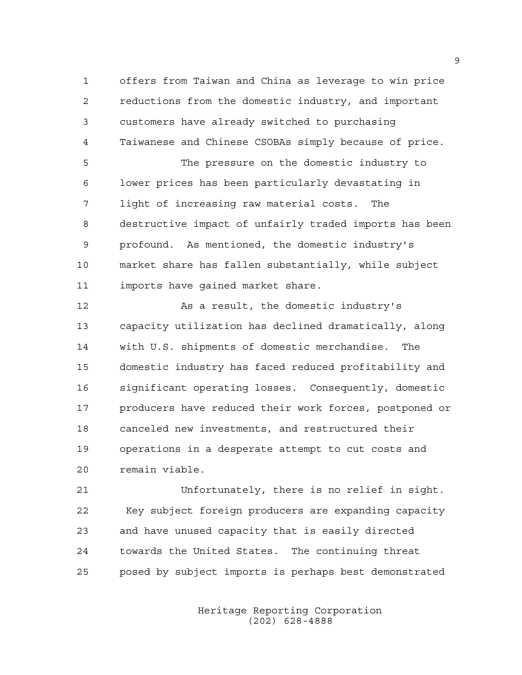1 offers from Taiwan and China as leverage to win price 2 reductions from the domestic industry, and important 3 customers have already switched to purchasing 4 Taiwanese and Chinese CSOBAs simply because of price.

5 The pressure on the domestic industry to 6 lower prices has been particularly devastating in 7 light of increasing raw material costs. The 8 destructive impact of unfairly traded imports has been 9 profound. As mentioned, the domestic industry's 10 market share has fallen substantially, while subject 11 imports have gained market share.

12 As a result, the domestic industry's 13 capacity utilization has declined dramatically, along 14 with U.S. shipments of domestic merchandise. The 15 domestic industry has faced reduced profitability and 16 significant operating losses. Consequently, domestic 17 producers have reduced their work forces, postponed or 18 canceled new investments, and restructured their 19 operations in a desperate attempt to cut costs and 20 remain viable.

21 Unfortunately, there is no relief in sight. 22 Key subject foreign producers are expanding capacity 23 and have unused capacity that is easily directed 24 towards the United States. The continuing threat 25 posed by subject imports is perhaps best demonstrated

> Heritage Reporting Corporation (202) 628-4888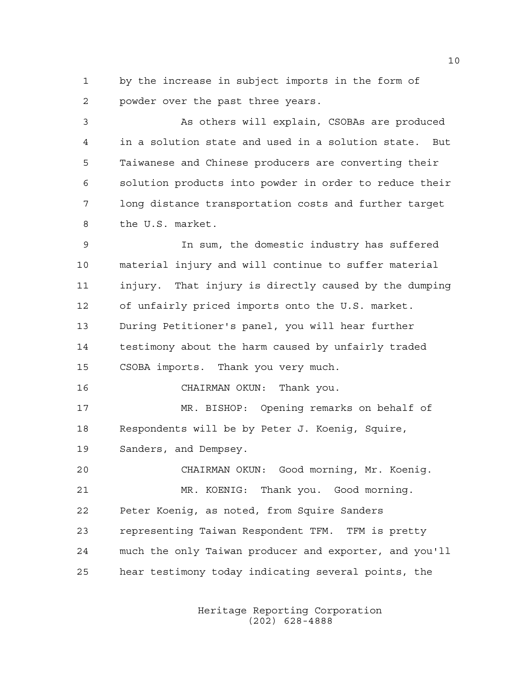1 by the increase in subject imports in the form of 2 powder over the past three years.

3 As others will explain, CSOBAs are produced 4 in a solution state and used in a solution state. But 5 Taiwanese and Chinese producers are converting their 6 solution products into powder in order to reduce their 7 long distance transportation costs and further target 8 the U.S. market.

9 In sum, the domestic industry has suffered 10 material injury and will continue to suffer material 11 injury. That injury is directly caused by the dumping 12 of unfairly priced imports onto the U.S. market. 13 During Petitioner's panel, you will hear further 14 testimony about the harm caused by unfairly traded 15 CSOBA imports. Thank you very much.

16 CHAIRMAN OKUN: Thank you.

17 MR. BISHOP: Opening remarks on behalf of 18 Respondents will be by Peter J. Koenig, Squire, 19 Sanders, and Dempsey.

20 CHAIRMAN OKUN: Good morning, Mr. Koenig. 21 MR. KOENIG: Thank you. Good morning. 22 Peter Koenig, as noted, from Squire Sanders 23 representing Taiwan Respondent TFM. TFM is pretty 24 much the only Taiwan producer and exporter, and you'll 25 hear testimony today indicating several points, the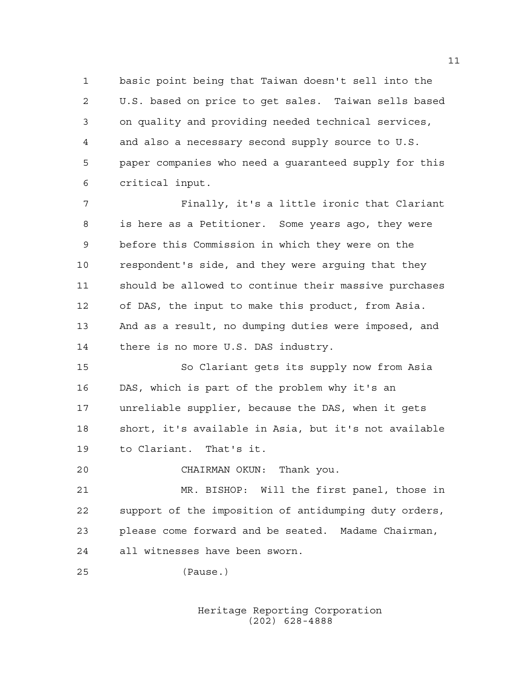1 basic point being that Taiwan doesn't sell into the 2 U.S. based on price to get sales. Taiwan sells based 3 on quality and providing needed technical services, 4 and also a necessary second supply source to U.S. 5 paper companies who need a guaranteed supply for this 6 critical input.

7 Finally, it's a little ironic that Clariant 8 is here as a Petitioner. Some years ago, they were 9 before this Commission in which they were on the 10 respondent's side, and they were arguing that they 11 should be allowed to continue their massive purchases 12 of DAS, the input to make this product, from Asia. 13 And as a result, no dumping duties were imposed, and 14 there is no more U.S. DAS industry.

15 So Clariant gets its supply now from Asia 16 DAS, which is part of the problem why it's an 17 unreliable supplier, because the DAS, when it gets 18 short, it's available in Asia, but it's not available 19 to Clariant. That's it.

20 CHAIRMAN OKUN: Thank you.

21 MR. BISHOP: Will the first panel, those in 22 support of the imposition of antidumping duty orders, 23 please come forward and be seated. Madame Chairman, 24 all witnesses have been sworn.

25 (Pause.)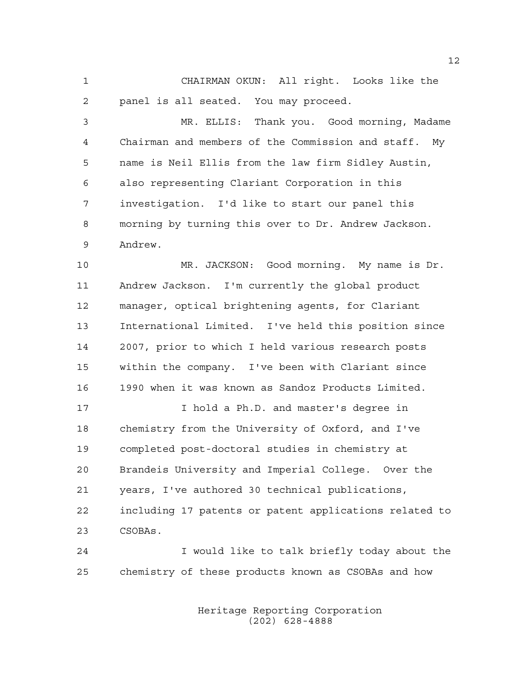1 CHAIRMAN OKUN: All right. Looks like the 2 panel is all seated. You may proceed.

3 MR. ELLIS: Thank you. Good morning, Madame 4 Chairman and members of the Commission and staff. My 5 name is Neil Ellis from the law firm Sidley Austin, 6 also representing Clariant Corporation in this 7 investigation. I'd like to start our panel this 8 morning by turning this over to Dr. Andrew Jackson. 9 Andrew.

10 MR. JACKSON: Good morning. My name is Dr. 11 Andrew Jackson. I'm currently the global product 12 manager, optical brightening agents, for Clariant 13 International Limited. I've held this position since 14 2007, prior to which I held various research posts 15 within the company. I've been with Clariant since 16 1990 when it was known as Sandoz Products Limited.

17 I hold a Ph.D. and master's degree in 18 chemistry from the University of Oxford, and I've 19 completed post-doctoral studies in chemistry at 20 Brandeis University and Imperial College. Over the 21 years, I've authored 30 technical publications, 22 including 17 patents or patent applications related to 23 CSOBAs.

24 I would like to talk briefly today about the 25 chemistry of these products known as CSOBAs and how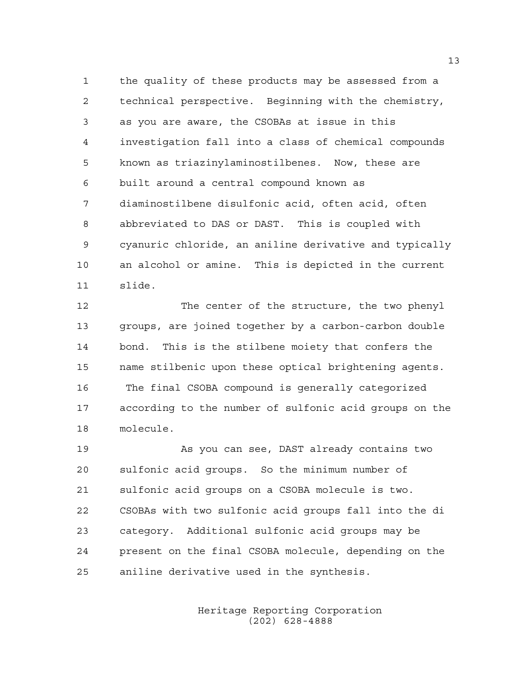1 the quality of these products may be assessed from a 2 technical perspective. Beginning with the chemistry, 3 as you are aware, the CSOBAs at issue in this 4 investigation fall into a class of chemical compounds 5 known as triazinylaminostilbenes. Now, these are 6 built around a central compound known as 7 diaminostilbene disulfonic acid, often acid, often 8 abbreviated to DAS or DAST. This is coupled with 9 cyanuric chloride, an aniline derivative and typically 10 an alcohol or amine. This is depicted in the current 11 slide.

12 The center of the structure, the two phenyl 13 groups, are joined together by a carbon-carbon double 14 bond. This is the stilbene moiety that confers the 15 name stilbenic upon these optical brightening agents. 16 The final CSOBA compound is generally categorized 17 according to the number of sulfonic acid groups on the 18 molecule.

19 As you can see, DAST already contains two 20 sulfonic acid groups. So the minimum number of 21 sulfonic acid groups on a CSOBA molecule is two. 22 CSOBAs with two sulfonic acid groups fall into the di 23 category. Additional sulfonic acid groups may be 24 present on the final CSOBA molecule, depending on the 25 aniline derivative used in the synthesis.

> Heritage Reporting Corporation (202) 628-4888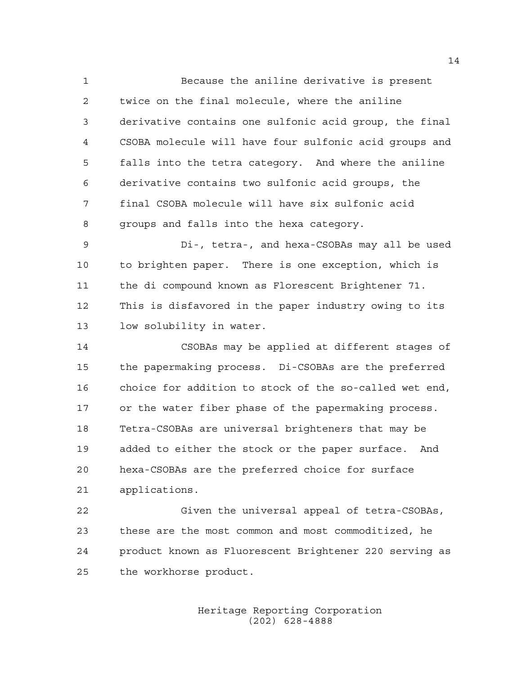1 Because the aniline derivative is present 2 twice on the final molecule, where the aniline 3 derivative contains one sulfonic acid group, the final 4 CSOBA molecule will have four sulfonic acid groups and 5 falls into the tetra category. And where the aniline 6 derivative contains two sulfonic acid groups, the 7 final CSOBA molecule will have six sulfonic acid 8 groups and falls into the hexa category.

9 Di-, tetra-, and hexa-CSOBAs may all be used 10 to brighten paper. There is one exception, which is 11 the di compound known as Florescent Brightener 71. 12 This is disfavored in the paper industry owing to its 13 low solubility in water.

14 CSOBAs may be applied at different stages of 15 the papermaking process. Di-CSOBAs are the preferred 16 choice for addition to stock of the so-called wet end, 17 or the water fiber phase of the papermaking process. 18 Tetra-CSOBAs are universal brighteners that may be 19 added to either the stock or the paper surface. And 20 hexa-CSOBAs are the preferred choice for surface 21 applications.

22 Given the universal appeal of tetra-CSOBAs, 23 these are the most common and most commoditized, he 24 product known as Fluorescent Brightener 220 serving as 25 the workhorse product.

> Heritage Reporting Corporation (202) 628-4888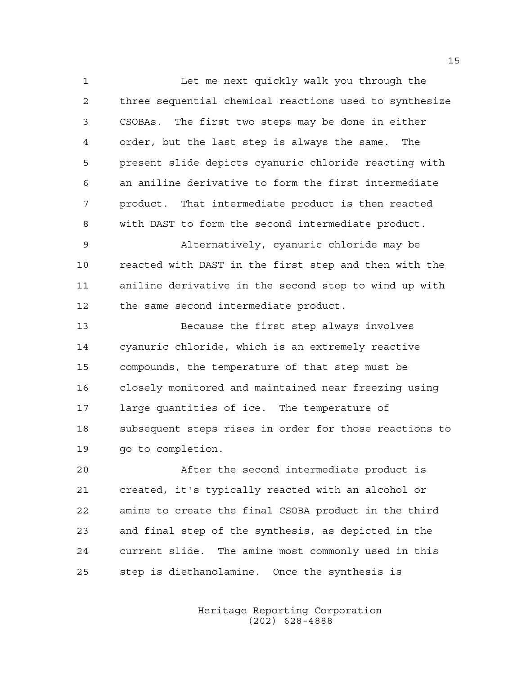1 Let me next quickly walk you through the 2 three sequential chemical reactions used to synthesize 3 CSOBAs. The first two steps may be done in either 4 order, but the last step is always the same. The 5 present slide depicts cyanuric chloride reacting with 6 an aniline derivative to form the first intermediate 7 product. That intermediate product is then reacted 8 with DAST to form the second intermediate product.

9 Alternatively, cyanuric chloride may be 10 reacted with DAST in the first step and then with the 11 aniline derivative in the second step to wind up with 12 the same second intermediate product.

13 Because the first step always involves 14 cyanuric chloride, which is an extremely reactive 15 compounds, the temperature of that step must be 16 closely monitored and maintained near freezing using 17 large quantities of ice. The temperature of 18 subsequent steps rises in order for those reactions to 19 go to completion.

20 After the second intermediate product is 21 created, it's typically reacted with an alcohol or 22 amine to create the final CSOBA product in the third 23 and final step of the synthesis, as depicted in the 24 current slide. The amine most commonly used in this 25 step is diethanolamine. Once the synthesis is

> Heritage Reporting Corporation (202) 628-4888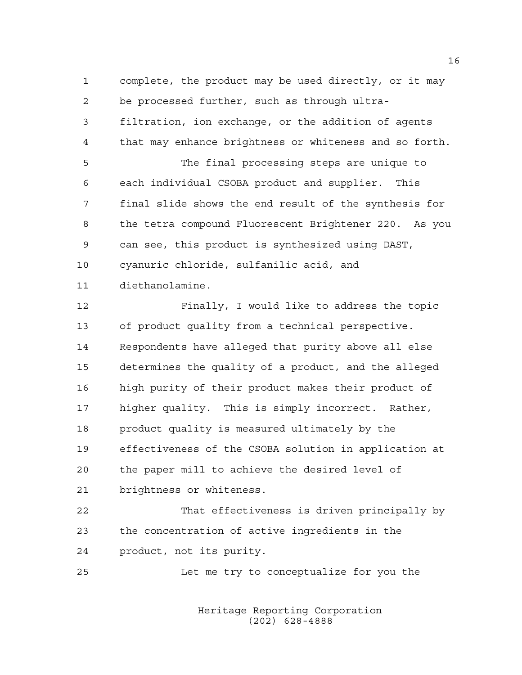1 complete, the product may be used directly, or it may 2 be processed further, such as through ultra-3 filtration, ion exchange, or the addition of agents 4 that may enhance brightness or whiteness and so forth. 5 The final processing steps are unique to 6 each individual CSOBA product and supplier. This 7 final slide shows the end result of the synthesis for 8 the tetra compound Fluorescent Brightener 220. As you 9 can see, this product is synthesized using DAST, 10 cyanuric chloride, sulfanilic acid, and 11 diethanolamine. 12 Finally, I would like to address the topic 13 of product quality from a technical perspective. 14 Respondents have alleged that purity above all else 15 determines the quality of a product, and the alleged 16 high purity of their product makes their product of 17 higher quality. This is simply incorrect. Rather, 18 product quality is measured ultimately by the 19 effectiveness of the CSOBA solution in application at 20 the paper mill to achieve the desired level of 21 brightness or whiteness. 22 That effectiveness is driven principally by 23 the concentration of active ingredients in the

24 product, not its purity.

25 Let me try to conceptualize for you the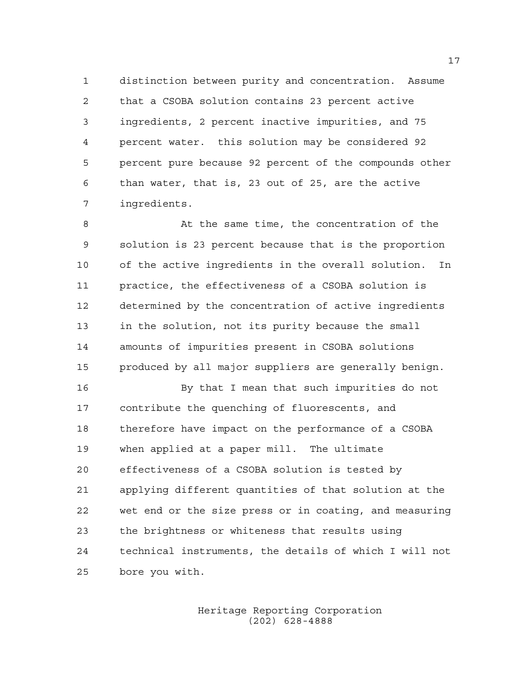1 distinction between purity and concentration. Assume 2 that a CSOBA solution contains 23 percent active 3 ingredients, 2 percent inactive impurities, and 75 4 percent water. this solution may be considered 92 5 percent pure because 92 percent of the compounds other 6 than water, that is, 23 out of 25, are the active 7 ingredients.

8 At the same time, the concentration of the 9 solution is 23 percent because that is the proportion 10 of the active ingredients in the overall solution. In 11 practice, the effectiveness of a CSOBA solution is 12 determined by the concentration of active ingredients 13 in the solution, not its purity because the small 14 amounts of impurities present in CSOBA solutions 15 produced by all major suppliers are generally benign.

16 By that I mean that such impurities do not 17 contribute the quenching of fluorescents, and 18 therefore have impact on the performance of a CSOBA 19 when applied at a paper mill. The ultimate 20 effectiveness of a CSOBA solution is tested by 21 applying different quantities of that solution at the 22 wet end or the size press or in coating, and measuring 23 the brightness or whiteness that results using 24 technical instruments, the details of which I will not 25 bore you with.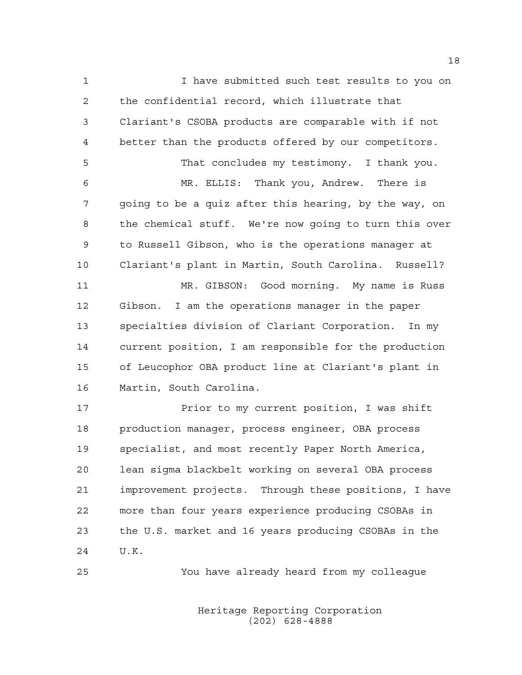1 I have submitted such test results to you on 2 the confidential record, which illustrate that 3 Clariant's CSOBA products are comparable with if not 4 better than the products offered by our competitors. 5 That concludes my testimony. I thank you. 6 MR. ELLIS: Thank you, Andrew. There is 7 going to be a quiz after this hearing, by the way, on 8 the chemical stuff. We're now going to turn this over 9 to Russell Gibson, who is the operations manager at 10 Clariant's plant in Martin, South Carolina. Russell? 11 MR. GIBSON: Good morning. My name is Russ 12 Gibson. I am the operations manager in the paper 13 specialties division of Clariant Corporation. In my 14 current position, I am responsible for the production 15 of Leucophor OBA product line at Clariant's plant in 16 Martin, South Carolina. 17 Prior to my current position, I was shift

18 production manager, process engineer, OBA process 19 specialist, and most recently Paper North America, 20 lean sigma blackbelt working on several OBA process 21 improvement projects. Through these positions, I have 22 more than four years experience producing CSOBAs in 23 the U.S. market and 16 years producing CSOBAs in the 24 U.K.

25 You have already heard from my colleague

 Heritage Reporting Corporation (202) 628-4888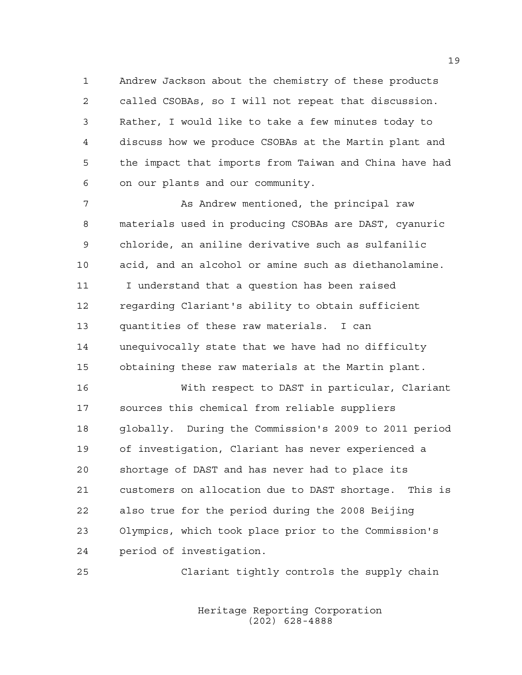1 Andrew Jackson about the chemistry of these products 2 called CSOBAs, so I will not repeat that discussion. 3 Rather, I would like to take a few minutes today to 4 discuss how we produce CSOBAs at the Martin plant and 5 the impact that imports from Taiwan and China have had 6 on our plants and our community.

7 As Andrew mentioned, the principal raw 8 materials used in producing CSOBAs are DAST, cyanuric 9 chloride, an aniline derivative such as sulfanilic 10 acid, and an alcohol or amine such as diethanolamine. 11 I understand that a question has been raised 12 regarding Clariant's ability to obtain sufficient 13 quantities of these raw materials. I can 14 unequivocally state that we have had no difficulty 15 obtaining these raw materials at the Martin plant.

16 With respect to DAST in particular, Clariant 17 sources this chemical from reliable suppliers 18 globally. During the Commission's 2009 to 2011 period 19 of investigation, Clariant has never experienced a 20 shortage of DAST and has never had to place its 21 customers on allocation due to DAST shortage. This is 22 also true for the period during the 2008 Beijing 23 Olympics, which took place prior to the Commission's 24 period of investigation.

25 Clariant tightly controls the supply chain

 Heritage Reporting Corporation (202) 628-4888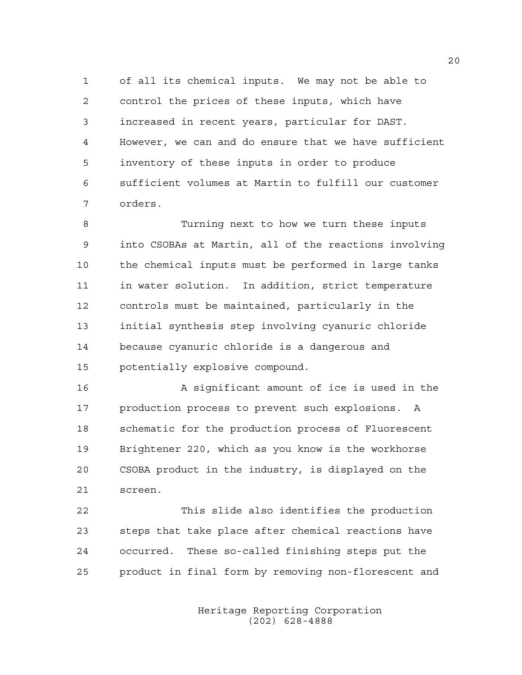1 of all its chemical inputs. We may not be able to 2 control the prices of these inputs, which have 3 increased in recent years, particular for DAST. 4 However, we can and do ensure that we have sufficient 5 inventory of these inputs in order to produce 6 sufficient volumes at Martin to fulfill our customer 7 orders.

8 Turning next to how we turn these inputs 9 into CSOBAs at Martin, all of the reactions involving 10 the chemical inputs must be performed in large tanks 11 in water solution. In addition, strict temperature 12 controls must be maintained, particularly in the 13 initial synthesis step involving cyanuric chloride 14 because cyanuric chloride is a dangerous and 15 potentially explosive compound.

16 A significant amount of ice is used in the 17 production process to prevent such explosions. A 18 schematic for the production process of Fluorescent 19 Brightener 220, which as you know is the workhorse 20 CSOBA product in the industry, is displayed on the 21 screen.

22 This slide also identifies the production 23 steps that take place after chemical reactions have 24 occurred. These so-called finishing steps put the 25 product in final form by removing non-florescent and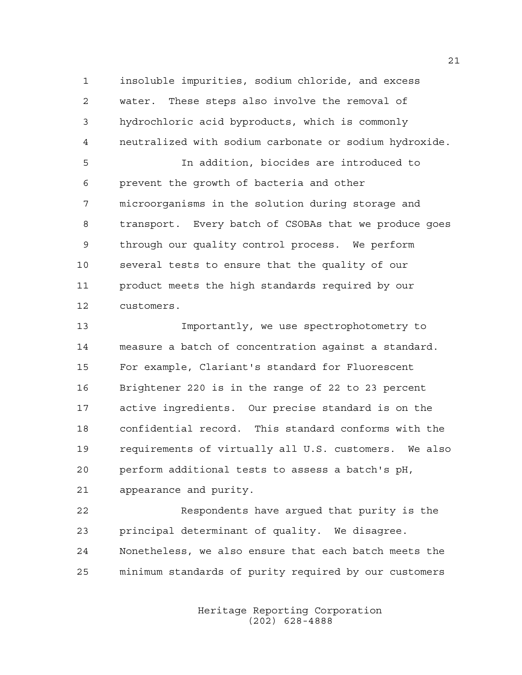1 insoluble impurities, sodium chloride, and excess 2 water. These steps also involve the removal of 3 hydrochloric acid byproducts, which is commonly 4 neutralized with sodium carbonate or sodium hydroxide. 5 In addition, biocides are introduced to 6 prevent the growth of bacteria and other 7 microorganisms in the solution during storage and 8 transport. Every batch of CSOBAs that we produce goes 9 through our quality control process. We perform 10 several tests to ensure that the quality of our 11 product meets the high standards required by our 12 customers.

13 Importantly, we use spectrophotometry to 14 measure a batch of concentration against a standard. 15 For example, Clariant's standard for Fluorescent 16 Brightener 220 is in the range of 22 to 23 percent 17 active ingredients. Our precise standard is on the 18 confidential record. This standard conforms with the 19 requirements of virtually all U.S. customers. We also 20 perform additional tests to assess a batch's pH, 21 appearance and purity.

22 Respondents have argued that purity is the 23 principal determinant of quality. We disagree. 24 Nonetheless, we also ensure that each batch meets the 25 minimum standards of purity required by our customers

> Heritage Reporting Corporation (202) 628-4888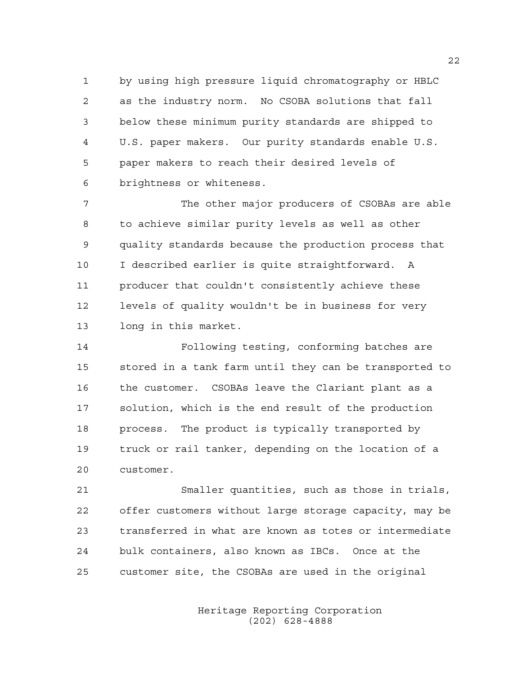1 by using high pressure liquid chromatography or HBLC 2 as the industry norm. No CSOBA solutions that fall 3 below these minimum purity standards are shipped to 4 U.S. paper makers. Our purity standards enable U.S. 5 paper makers to reach their desired levels of 6 brightness or whiteness.

7 The other major producers of CSOBAs are able 8 to achieve similar purity levels as well as other 9 quality standards because the production process that 10 I described earlier is quite straightforward. A 11 producer that couldn't consistently achieve these 12 levels of quality wouldn't be in business for very 13 long in this market.

14 Following testing, conforming batches are 15 stored in a tank farm until they can be transported to 16 the customer. CSOBAs leave the Clariant plant as a 17 solution, which is the end result of the production 18 process. The product is typically transported by 19 truck or rail tanker, depending on the location of a 20 customer.

21 Smaller quantities, such as those in trials, 22 offer customers without large storage capacity, may be 23 transferred in what are known as totes or intermediate 24 bulk containers, also known as IBCs. Once at the 25 customer site, the CSOBAs are used in the original

> Heritage Reporting Corporation (202) 628-4888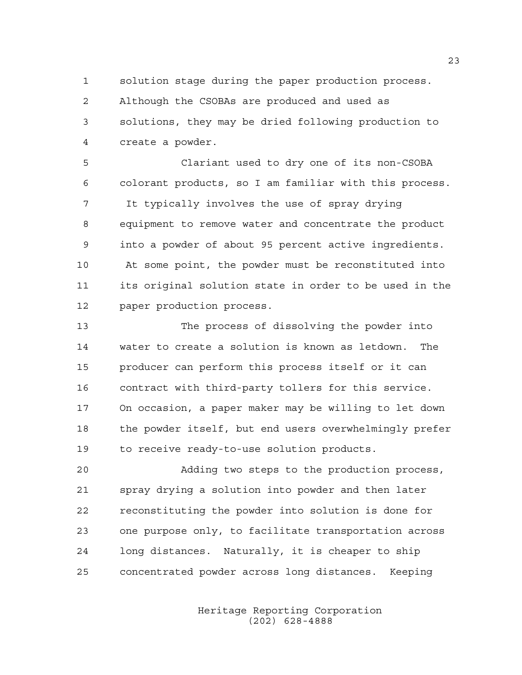1 solution stage during the paper production process.

2 Although the CSOBAs are produced and used as 3 solutions, they may be dried following production to 4 create a powder.

5 Clariant used to dry one of its non-CSOBA 6 colorant products, so I am familiar with this process. 7 It typically involves the use of spray drying 8 equipment to remove water and concentrate the product 9 into a powder of about 95 percent active ingredients. 10 At some point, the powder must be reconstituted into 11 its original solution state in order to be used in the 12 paper production process.

13 The process of dissolving the powder into 14 water to create a solution is known as letdown. The 15 producer can perform this process itself or it can 16 contract with third-party tollers for this service. 17 On occasion, a paper maker may be willing to let down 18 the powder itself, but end users overwhelmingly prefer 19 to receive ready-to-use solution products.

20 Adding two steps to the production process, 21 spray drying a solution into powder and then later 22 reconstituting the powder into solution is done for 23 one purpose only, to facilitate transportation across 24 long distances. Naturally, it is cheaper to ship 25 concentrated powder across long distances. Keeping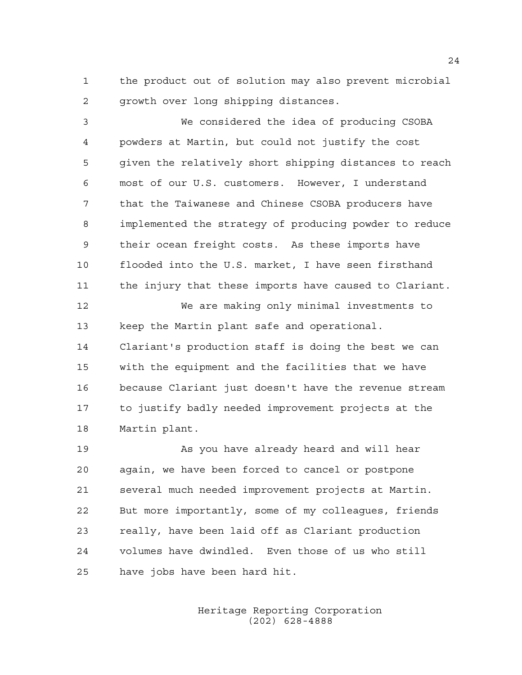1 the product out of solution may also prevent microbial 2 growth over long shipping distances.

3 We considered the idea of producing CSOBA 4 powders at Martin, but could not justify the cost 5 given the relatively short shipping distances to reach 6 most of our U.S. customers. However, I understand 7 that the Taiwanese and Chinese CSOBA producers have 8 implemented the strategy of producing powder to reduce 9 their ocean freight costs. As these imports have 10 flooded into the U.S. market, I have seen firsthand 11 the injury that these imports have caused to Clariant. 12 We are making only minimal investments to 13 keep the Martin plant safe and operational.

14 Clariant's production staff is doing the best we can 15 with the equipment and the facilities that we have 16 because Clariant just doesn't have the revenue stream 17 to justify badly needed improvement projects at the 18 Martin plant.

19 As you have already heard and will hear 20 again, we have been forced to cancel or postpone 21 several much needed improvement projects at Martin. 22 But more importantly, some of my colleagues, friends 23 really, have been laid off as Clariant production 24 volumes have dwindled. Even those of us who still 25 have jobs have been hard hit.

> Heritage Reporting Corporation (202) 628-4888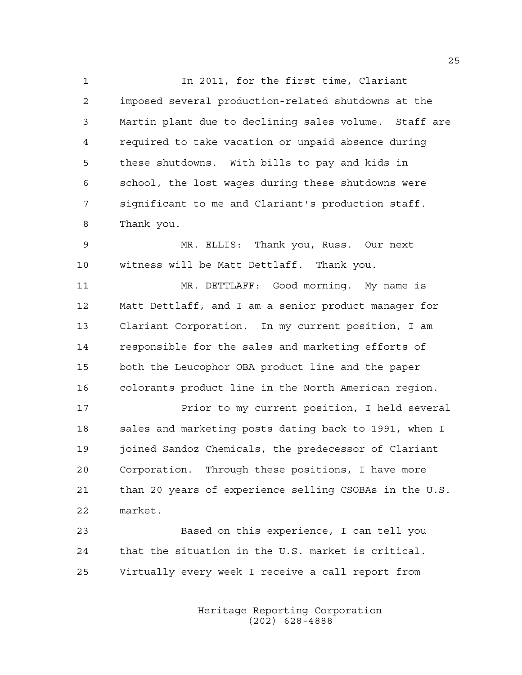1 In 2011, for the first time, Clariant 2 imposed several production-related shutdowns at the 3 Martin plant due to declining sales volume. Staff are 4 required to take vacation or unpaid absence during 5 these shutdowns. With bills to pay and kids in 6 school, the lost wages during these shutdowns were 7 significant to me and Clariant's production staff. 8 Thank you.

9 MR. ELLIS: Thank you, Russ. Our next 10 witness will be Matt Dettlaff. Thank you.

11 MR. DETTLAFF: Good morning. My name is 12 Matt Dettlaff, and I am a senior product manager for 13 Clariant Corporation. In my current position, I am 14 responsible for the sales and marketing efforts of 15 both the Leucophor OBA product line and the paper 16 colorants product line in the North American region.

17 Prior to my current position, I held several 18 sales and marketing posts dating back to 1991, when I 19 joined Sandoz Chemicals, the predecessor of Clariant 20 Corporation. Through these positions, I have more 21 than 20 years of experience selling CSOBAs in the U.S. 22 market.

23 Based on this experience, I can tell you 24 that the situation in the U.S. market is critical. 25 Virtually every week I receive a call report from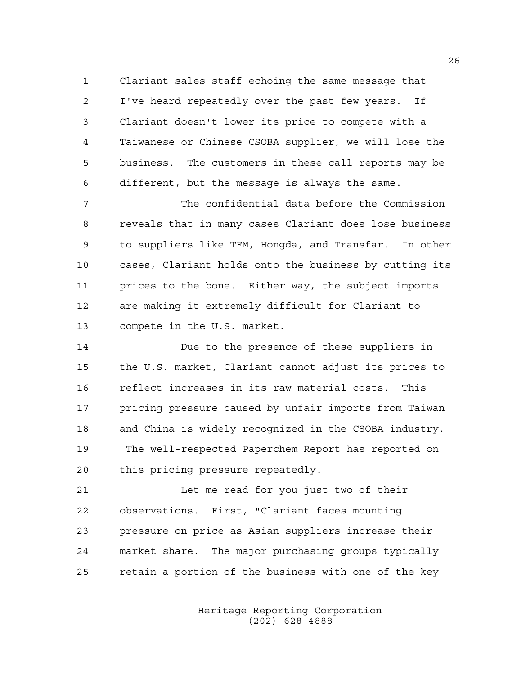1 Clariant sales staff echoing the same message that 2 I've heard repeatedly over the past few years. If 3 Clariant doesn't lower its price to compete with a 4 Taiwanese or Chinese CSOBA supplier, we will lose the 5 business. The customers in these call reports may be 6 different, but the message is always the same.

7 The confidential data before the Commission 8 reveals that in many cases Clariant does lose business 9 to suppliers like TFM, Hongda, and Transfar. In other 10 cases, Clariant holds onto the business by cutting its 11 prices to the bone. Either way, the subject imports 12 are making it extremely difficult for Clariant to 13 compete in the U.S. market.

14 Due to the presence of these suppliers in 15 the U.S. market, Clariant cannot adjust its prices to 16 reflect increases in its raw material costs. This 17 pricing pressure caused by unfair imports from Taiwan 18 and China is widely recognized in the CSOBA industry. 19 The well-respected Paperchem Report has reported on 20 this pricing pressure repeatedly.

21 Let me read for you just two of their 22 observations. First, "Clariant faces mounting 23 pressure on price as Asian suppliers increase their 24 market share. The major purchasing groups typically 25 retain a portion of the business with one of the key

> Heritage Reporting Corporation (202) 628-4888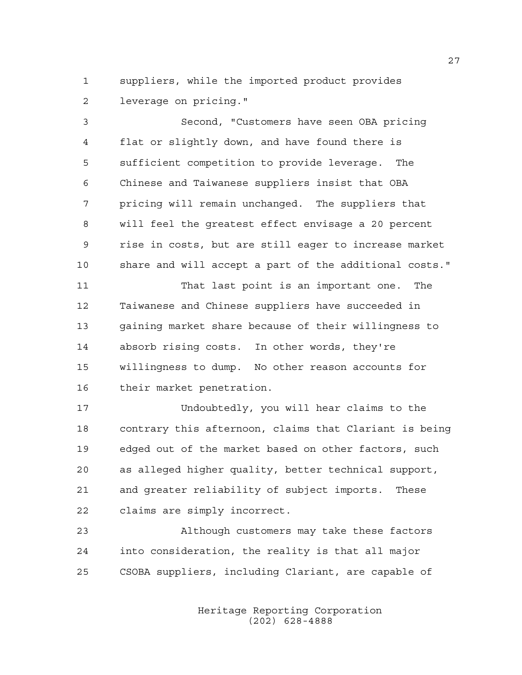1 suppliers, while the imported product provides 2 leverage on pricing."

3 Second, "Customers have seen OBA pricing 4 flat or slightly down, and have found there is 5 sufficient competition to provide leverage. The 6 Chinese and Taiwanese suppliers insist that OBA 7 pricing will remain unchanged. The suppliers that 8 will feel the greatest effect envisage a 20 percent 9 rise in costs, but are still eager to increase market 10 share and will accept a part of the additional costs."

11 That last point is an important one. The 12 Taiwanese and Chinese suppliers have succeeded in 13 gaining market share because of their willingness to 14 absorb rising costs. In other words, they're 15 willingness to dump. No other reason accounts for 16 their market penetration.

17 Undoubtedly, you will hear claims to the 18 contrary this afternoon, claims that Clariant is being 19 edged out of the market based on other factors, such 20 as alleged higher quality, better technical support, 21 and greater reliability of subject imports. These 22 claims are simply incorrect.

23 Although customers may take these factors 24 into consideration, the reality is that all major 25 CSOBA suppliers, including Clariant, are capable of

> Heritage Reporting Corporation (202) 628-4888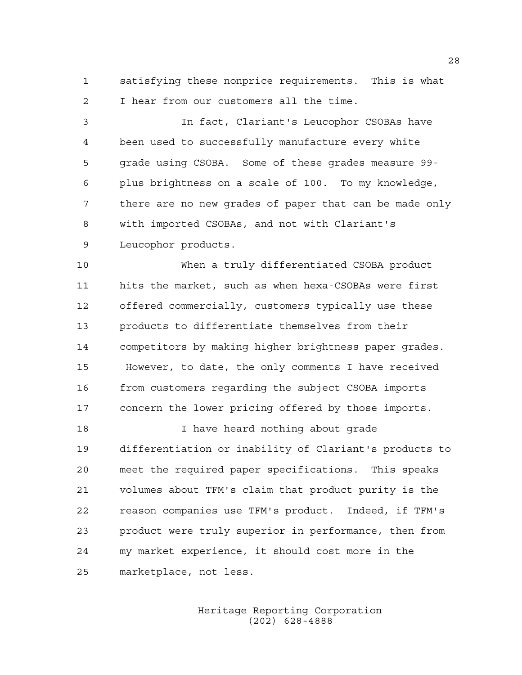1 satisfying these nonprice requirements. This is what 2 I hear from our customers all the time.

3 In fact, Clariant's Leucophor CSOBAs have 4 been used to successfully manufacture every white 5 grade using CSOBA. Some of these grades measure 99- 6 plus brightness on a scale of 100. To my knowledge, 7 there are no new grades of paper that can be made only 8 with imported CSOBAs, and not with Clariant's 9 Leucophor products.

10 When a truly differentiated CSOBA product 11 hits the market, such as when hexa-CSOBAs were first 12 offered commercially, customers typically use these 13 products to differentiate themselves from their 14 competitors by making higher brightness paper grades. 15 However, to date, the only comments I have received 16 from customers regarding the subject CSOBA imports 17 concern the lower pricing offered by those imports.

18 I have heard nothing about grade 19 differentiation or inability of Clariant's products to 20 meet the required paper specifications. This speaks 21 volumes about TFM's claim that product purity is the 22 reason companies use TFM's product. Indeed, if TFM's 23 product were truly superior in performance, then from 24 my market experience, it should cost more in the 25 marketplace, not less.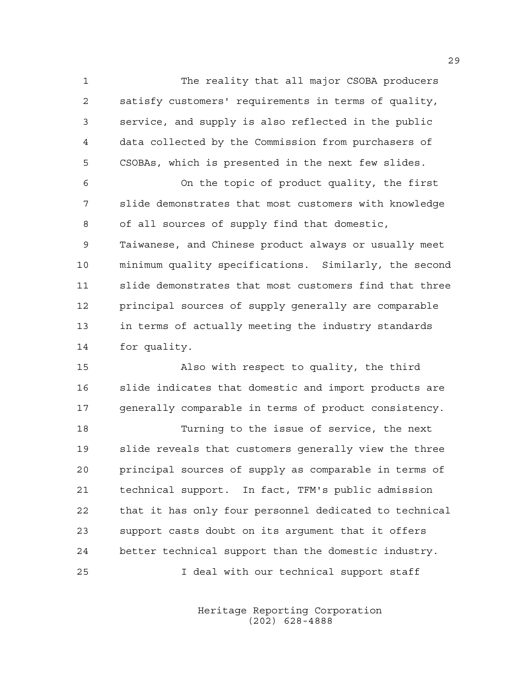1 The reality that all major CSOBA producers 2 satisfy customers' requirements in terms of quality, 3 service, and supply is also reflected in the public 4 data collected by the Commission from purchasers of 5 CSOBAs, which is presented in the next few slides.

6 On the topic of product quality, the first 7 slide demonstrates that most customers with knowledge 8 of all sources of supply find that domestic, 9 Taiwanese, and Chinese product always or usually meet 10 minimum quality specifications. Similarly, the second 11 slide demonstrates that most customers find that three 12 principal sources of supply generally are comparable 13 in terms of actually meeting the industry standards 14 for quality.

15 Also with respect to quality, the third 16 slide indicates that domestic and import products are 17 generally comparable in terms of product consistency.

18 Turning to the issue of service, the next 19 slide reveals that customers generally view the three 20 principal sources of supply as comparable in terms of 21 technical support. In fact, TFM's public admission 22 that it has only four personnel dedicated to technical 23 support casts doubt on its argument that it offers 24 better technical support than the domestic industry. 25 I deal with our technical support staff

> Heritage Reporting Corporation (202) 628-4888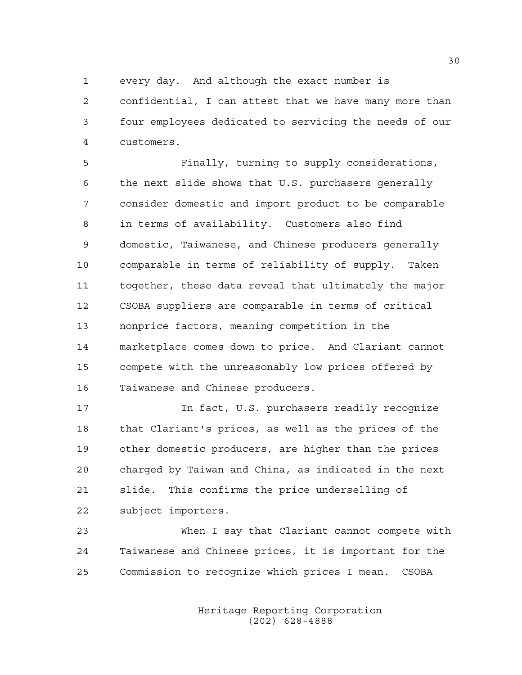1 every day. And although the exact number is

2 confidential, I can attest that we have many more than 3 four employees dedicated to servicing the needs of our 4 customers.

5 Finally, turning to supply considerations, 6 the next slide shows that U.S. purchasers generally 7 consider domestic and import product to be comparable 8 in terms of availability. Customers also find 9 domestic, Taiwanese, and Chinese producers generally 10 comparable in terms of reliability of supply. Taken 11 together, these data reveal that ultimately the major 12 CSOBA suppliers are comparable in terms of critical 13 nonprice factors, meaning competition in the 14 marketplace comes down to price. And Clariant cannot 15 compete with the unreasonably low prices offered by 16 Taiwanese and Chinese producers.

17 17 In fact, U.S. purchasers readily recognize 18 that Clariant's prices, as well as the prices of the 19 other domestic producers, are higher than the prices 20 charged by Taiwan and China, as indicated in the next 21 slide. This confirms the price underselling of 22 subject importers.

23 When I say that Clariant cannot compete with 24 Taiwanese and Chinese prices, it is important for the 25 Commission to recognize which prices I mean. CSOBA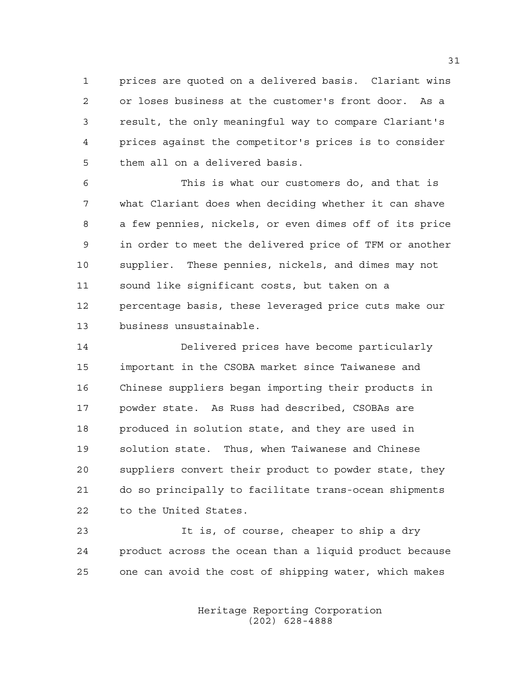1 prices are quoted on a delivered basis. Clariant wins 2 or loses business at the customer's front door. As a 3 result, the only meaningful way to compare Clariant's 4 prices against the competitor's prices is to consider 5 them all on a delivered basis.

6 This is what our customers do, and that is 7 what Clariant does when deciding whether it can shave 8 a few pennies, nickels, or even dimes off of its price 9 in order to meet the delivered price of TFM or another 10 supplier. These pennies, nickels, and dimes may not 11 sound like significant costs, but taken on a 12 percentage basis, these leveraged price cuts make our 13 business unsustainable.

14 Delivered prices have become particularly 15 important in the CSOBA market since Taiwanese and 16 Chinese suppliers began importing their products in 17 powder state. As Russ had described, CSOBAs are 18 produced in solution state, and they are used in 19 solution state. Thus, when Taiwanese and Chinese 20 suppliers convert their product to powder state, they 21 do so principally to facilitate trans-ocean shipments 22 to the United States.

23 It is, of course, cheaper to ship a dry 24 product across the ocean than a liquid product because 25 one can avoid the cost of shipping water, which makes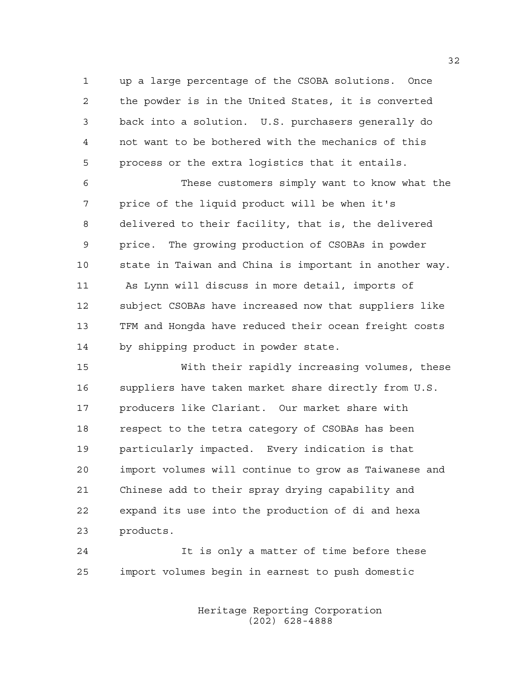1 up a large percentage of the CSOBA solutions. Once 2 the powder is in the United States, it is converted 3 back into a solution. U.S. purchasers generally do 4 not want to be bothered with the mechanics of this 5 process or the extra logistics that it entails.

6 These customers simply want to know what the 7 price of the liquid product will be when it's 8 delivered to their facility, that is, the delivered 9 price. The growing production of CSOBAs in powder 10 state in Taiwan and China is important in another way. 11 As Lynn will discuss in more detail, imports of 12 subject CSOBAs have increased now that suppliers like 13 TFM and Hongda have reduced their ocean freight costs 14 by shipping product in powder state.

15 With their rapidly increasing volumes, these 16 suppliers have taken market share directly from U.S. 17 producers like Clariant. Our market share with 18 respect to the tetra category of CSOBAs has been 19 particularly impacted. Every indication is that 20 import volumes will continue to grow as Taiwanese and 21 Chinese add to their spray drying capability and 22 expand its use into the production of di and hexa 23 products.

24 It is only a matter of time before these 25 import volumes begin in earnest to push domestic

> Heritage Reporting Corporation (202) 628-4888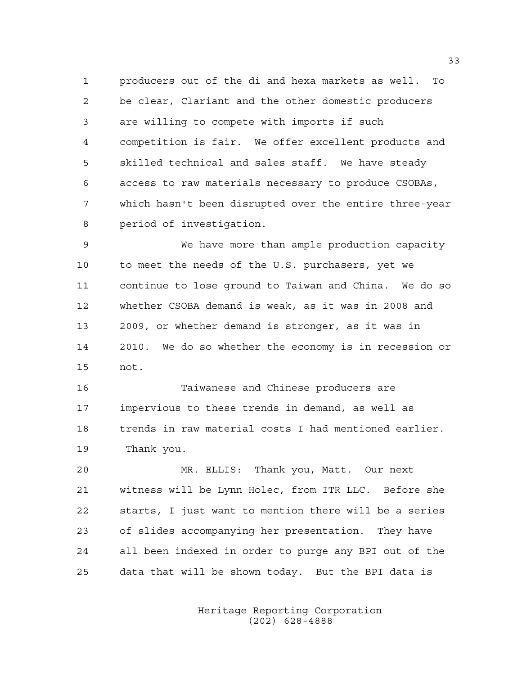1 producers out of the di and hexa markets as well. To 2 be clear, Clariant and the other domestic producers 3 are willing to compete with imports if such 4 competition is fair. We offer excellent products and 5 skilled technical and sales staff. We have steady 6 access to raw materials necessary to produce CSOBAs, 7 which hasn't been disrupted over the entire three-year 8 period of investigation.

9 We have more than ample production capacity 10 to meet the needs of the U.S. purchasers, yet we 11 continue to lose ground to Taiwan and China. We do so 12 whether CSOBA demand is weak, as it was in 2008 and 13 2009, or whether demand is stronger, as it was in 14 2010. We do so whether the economy is in recession or 15 not.

16 Taiwanese and Chinese producers are 17 impervious to these trends in demand, as well as 18 trends in raw material costs I had mentioned earlier. 19 Thank you.

20 MR. ELLIS: Thank you, Matt. Our next 21 witness will be Lynn Holec, from ITR LLC. Before she 22 starts, I just want to mention there will be a series 23 of slides accompanying her presentation. They have 24 all been indexed in order to purge any BPI out of the 25 data that will be shown today. But the BPI data is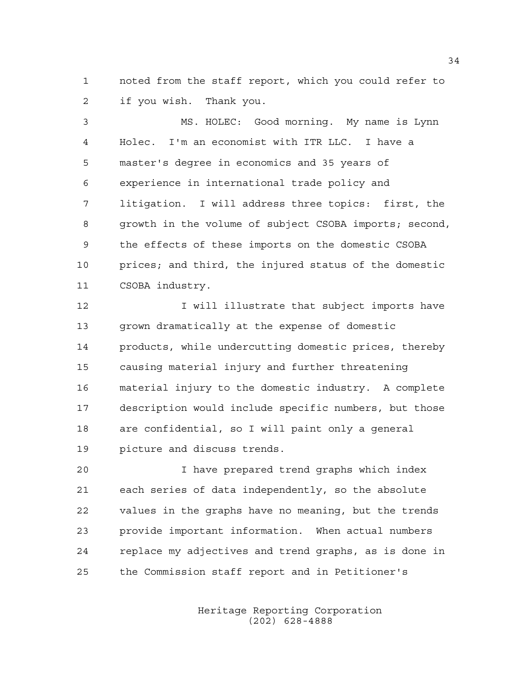1 noted from the staff report, which you could refer to 2 if you wish. Thank you.

3 MS. HOLEC: Good morning. My name is Lynn 4 Holec. I'm an economist with ITR LLC. I have a 5 master's degree in economics and 35 years of 6 experience in international trade policy and 7 litigation. I will address three topics: first, the 8 growth in the volume of subject CSOBA imports; second, 9 the effects of these imports on the domestic CSOBA 10 prices; and third, the injured status of the domestic 11 CSOBA industry.

12 12 I will illustrate that subject imports have 13 grown dramatically at the expense of domestic 14 products, while undercutting domestic prices, thereby 15 causing material injury and further threatening 16 material injury to the domestic industry. A complete 17 description would include specific numbers, but those 18 are confidential, so I will paint only a general 19 picture and discuss trends.

20 I have prepared trend graphs which index 21 each series of data independently, so the absolute 22 values in the graphs have no meaning, but the trends 23 provide important information. When actual numbers 24 replace my adjectives and trend graphs, as is done in 25 the Commission staff report and in Petitioner's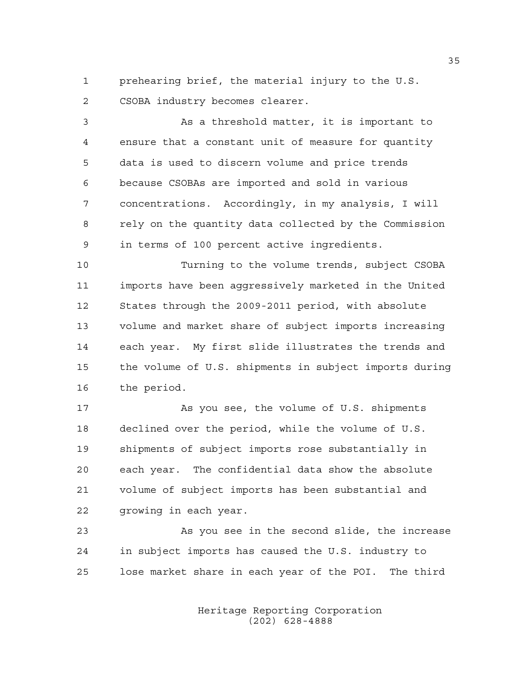1 prehearing brief, the material injury to the U.S. 2 CSOBA industry becomes clearer.

3 As a threshold matter, it is important to 4 ensure that a constant unit of measure for quantity 5 data is used to discern volume and price trends 6 because CSOBAs are imported and sold in various 7 concentrations. Accordingly, in my analysis, I will 8 rely on the quantity data collected by the Commission 9 in terms of 100 percent active ingredients.

10 Turning to the volume trends, subject CSOBA 11 imports have been aggressively marketed in the United 12 States through the 2009-2011 period, with absolute 13 volume and market share of subject imports increasing 14 each year. My first slide illustrates the trends and 15 the volume of U.S. shipments in subject imports during 16 the period.

17 As you see, the volume of U.S. shipments 18 declined over the period, while the volume of U.S. 19 shipments of subject imports rose substantially in 20 each year. The confidential data show the absolute 21 volume of subject imports has been substantial and 22 growing in each year.

23 As you see in the second slide, the increase 24 in subject imports has caused the U.S. industry to 25 lose market share in each year of the POI. The third

> Heritage Reporting Corporation (202) 628-4888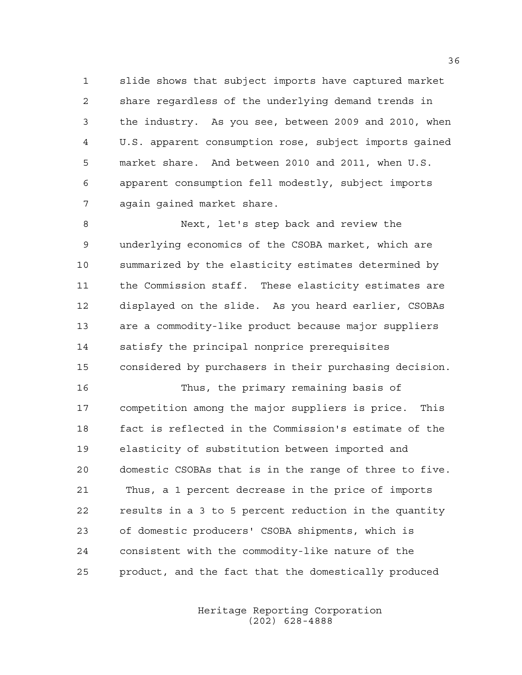1 slide shows that subject imports have captured market 2 share regardless of the underlying demand trends in 3 the industry. As you see, between 2009 and 2010, when 4 U.S. apparent consumption rose, subject imports gained 5 market share. And between 2010 and 2011, when U.S. 6 apparent consumption fell modestly, subject imports 7 again gained market share.

8 Next, let's step back and review the 9 underlying economics of the CSOBA market, which are 10 summarized by the elasticity estimates determined by 11 the Commission staff. These elasticity estimates are 12 displayed on the slide. As you heard earlier, CSOBAs 13 are a commodity-like product because major suppliers 14 satisfy the principal nonprice prerequisites 15 considered by purchasers in their purchasing decision.

16 Thus, the primary remaining basis of 17 competition among the major suppliers is price. This 18 fact is reflected in the Commission's estimate of the 19 elasticity of substitution between imported and 20 domestic CSOBAs that is in the range of three to five. 21 Thus, a 1 percent decrease in the price of imports 22 results in a 3 to 5 percent reduction in the quantity 23 of domestic producers' CSOBA shipments, which is 24 consistent with the commodity-like nature of the 25 product, and the fact that the domestically produced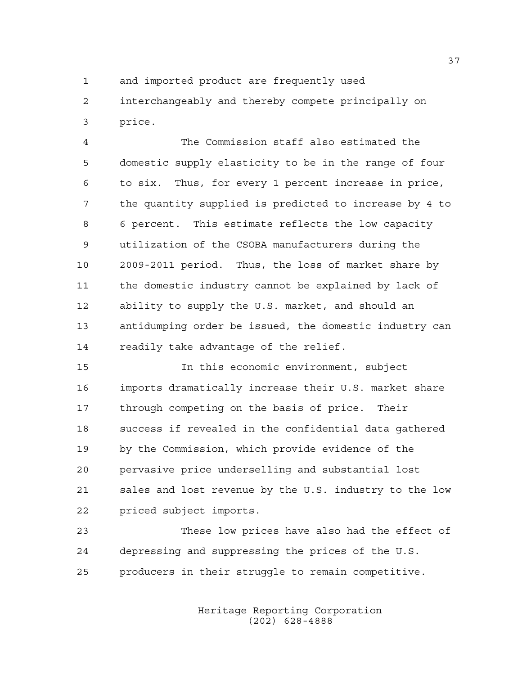1 and imported product are frequently used

2 interchangeably and thereby compete principally on 3 price.

4 The Commission staff also estimated the 5 domestic supply elasticity to be in the range of four 6 to six. Thus, for every 1 percent increase in price, 7 the quantity supplied is predicted to increase by 4 to 8 6 percent. This estimate reflects the low capacity 9 utilization of the CSOBA manufacturers during the 10 2009-2011 period. Thus, the loss of market share by 11 the domestic industry cannot be explained by lack of 12 ability to supply the U.S. market, and should an 13 antidumping order be issued, the domestic industry can 14 readily take advantage of the relief.

15 In this economic environment, subject 16 imports dramatically increase their U.S. market share 17 through competing on the basis of price. Their 18 success if revealed in the confidential data gathered 19 by the Commission, which provide evidence of the 20 pervasive price underselling and substantial lost 21 sales and lost revenue by the U.S. industry to the low 22 priced subject imports.

23 These low prices have also had the effect of 24 depressing and suppressing the prices of the U.S. 25 producers in their struggle to remain competitive.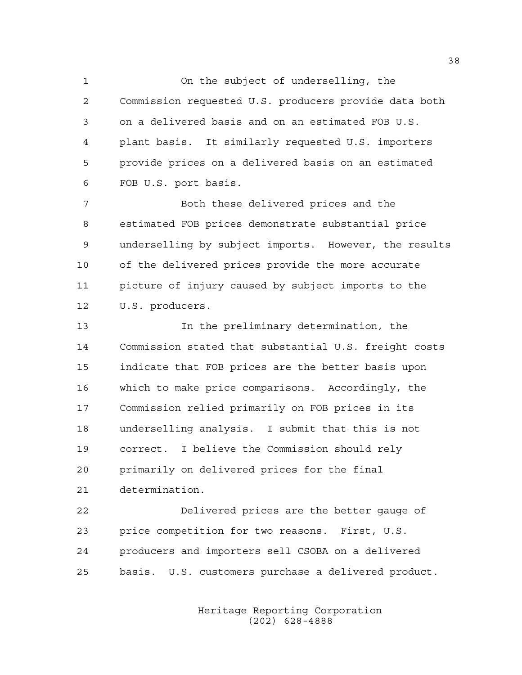1 On the subject of underselling, the 2 Commission requested U.S. producers provide data both 3 on a delivered basis and on an estimated FOB U.S. 4 plant basis. It similarly requested U.S. importers 5 provide prices on a delivered basis on an estimated 6 FOB U.S. port basis.

7 Both these delivered prices and the 8 estimated FOB prices demonstrate substantial price 9 underselling by subject imports. However, the results 10 of the delivered prices provide the more accurate 11 picture of injury caused by subject imports to the 12 U.S. producers.

13 In the preliminary determination, the 14 Commission stated that substantial U.S. freight costs 15 indicate that FOB prices are the better basis upon 16 which to make price comparisons. Accordingly, the 17 Commission relied primarily on FOB prices in its 18 underselling analysis. I submit that this is not 19 correct. I believe the Commission should rely 20 primarily on delivered prices for the final 21 determination.

22 Delivered prices are the better gauge of 23 price competition for two reasons. First, U.S. 24 producers and importers sell CSOBA on a delivered 25 basis. U.S. customers purchase a delivered product.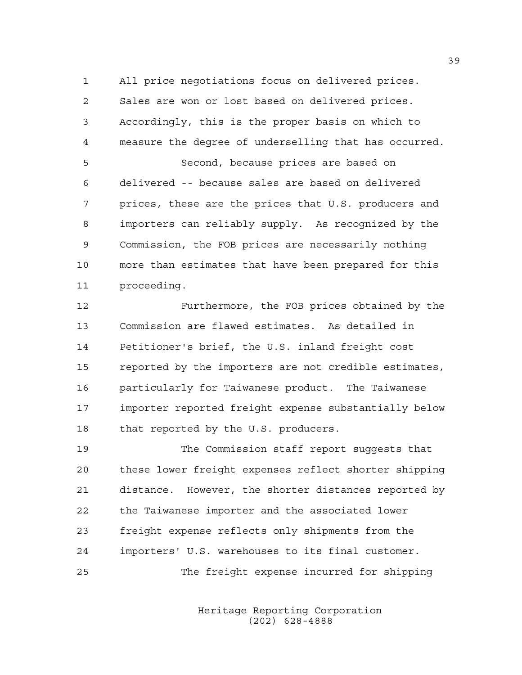1 All price negotiations focus on delivered prices. 2 Sales are won or lost based on delivered prices. 3 Accordingly, this is the proper basis on which to 4 measure the degree of underselling that has occurred.

5 Second, because prices are based on 6 delivered -- because sales are based on delivered 7 prices, these are the prices that U.S. producers and 8 importers can reliably supply. As recognized by the 9 Commission, the FOB prices are necessarily nothing 10 more than estimates that have been prepared for this 11 proceeding.

12 Furthermore, the FOB prices obtained by the 13 Commission are flawed estimates. As detailed in 14 Petitioner's brief, the U.S. inland freight cost 15 reported by the importers are not credible estimates, 16 particularly for Taiwanese product. The Taiwanese 17 importer reported freight expense substantially below 18 that reported by the U.S. producers.

19 The Commission staff report suggests that 20 these lower freight expenses reflect shorter shipping 21 distance. However, the shorter distances reported by 22 the Taiwanese importer and the associated lower 23 freight expense reflects only shipments from the 24 importers' U.S. warehouses to its final customer. 25 The freight expense incurred for shipping

> Heritage Reporting Corporation (202) 628-4888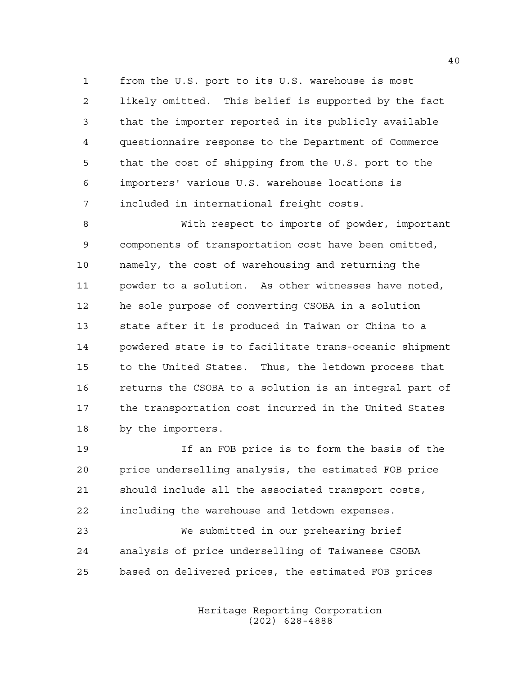1 from the U.S. port to its U.S. warehouse is most 2 likely omitted. This belief is supported by the fact 3 that the importer reported in its publicly available 4 questionnaire response to the Department of Commerce 5 that the cost of shipping from the U.S. port to the 6 importers' various U.S. warehouse locations is 7 included in international freight costs.

8 With respect to imports of powder, important 9 components of transportation cost have been omitted, 10 namely, the cost of warehousing and returning the 11 powder to a solution. As other witnesses have noted, 12 he sole purpose of converting CSOBA in a solution 13 state after it is produced in Taiwan or China to a 14 powdered state is to facilitate trans-oceanic shipment 15 to the United States. Thus, the letdown process that 16 returns the CSOBA to a solution is an integral part of 17 the transportation cost incurred in the United States 18 by the importers.

19 If an FOB price is to form the basis of the 20 price underselling analysis, the estimated FOB price 21 should include all the associated transport costs, 22 including the warehouse and letdown expenses.

23 We submitted in our prehearing brief 24 analysis of price underselling of Taiwanese CSOBA 25 based on delivered prices, the estimated FOB prices

> Heritage Reporting Corporation (202) 628-4888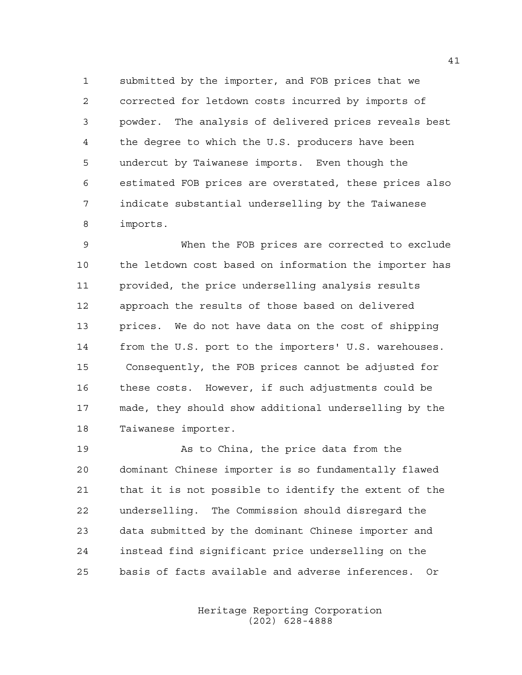1 submitted by the importer, and FOB prices that we 2 corrected for letdown costs incurred by imports of 3 powder. The analysis of delivered prices reveals best 4 the degree to which the U.S. producers have been 5 undercut by Taiwanese imports. Even though the 6 estimated FOB prices are overstated, these prices also 7 indicate substantial underselling by the Taiwanese 8 imports.

9 When the FOB prices are corrected to exclude 10 the letdown cost based on information the importer has 11 provided, the price underselling analysis results 12 approach the results of those based on delivered 13 prices. We do not have data on the cost of shipping 14 from the U.S. port to the importers' U.S. warehouses. 15 Consequently, the FOB prices cannot be adjusted for 16 these costs. However, if such adjustments could be 17 made, they should show additional underselling by the 18 Taiwanese importer.

19 As to China, the price data from the 20 dominant Chinese importer is so fundamentally flawed 21 that it is not possible to identify the extent of the 22 underselling. The Commission should disregard the 23 data submitted by the dominant Chinese importer and 24 instead find significant price underselling on the 25 basis of facts available and adverse inferences. Or

> Heritage Reporting Corporation (202) 628-4888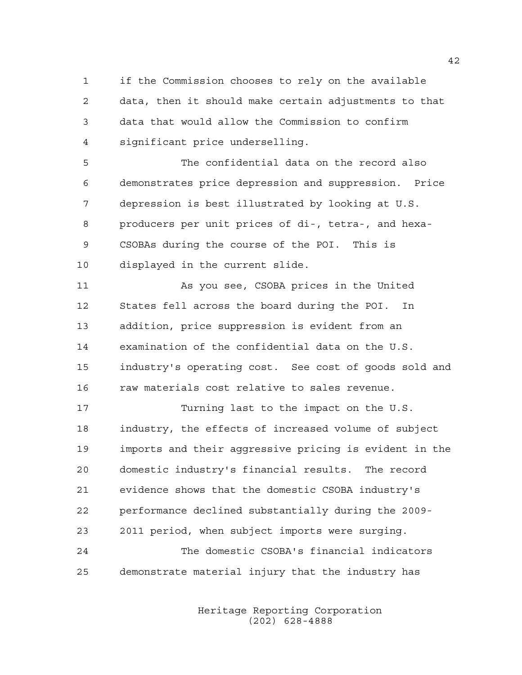1 if the Commission chooses to rely on the available 2 data, then it should make certain adjustments to that 3 data that would allow the Commission to confirm 4 significant price underselling.

5 The confidential data on the record also 6 demonstrates price depression and suppression. Price 7 depression is best illustrated by looking at U.S. 8 producers per unit prices of di-, tetra-, and hexa-9 CSOBAs during the course of the POI. This is 10 displayed in the current slide.

11 As you see, CSOBA prices in the United 12 States fell across the board during the POI. In 13 addition, price suppression is evident from an 14 examination of the confidential data on the U.S. 15 industry's operating cost. See cost of goods sold and 16 raw materials cost relative to sales revenue.

17 Turning last to the impact on the U.S. 18 industry, the effects of increased volume of subject 19 imports and their aggressive pricing is evident in the 20 domestic industry's financial results. The record 21 evidence shows that the domestic CSOBA industry's 22 performance declined substantially during the 2009- 23 2011 period, when subject imports were surging. 24 The domestic CSOBA's financial indicators

25 demonstrate material injury that the industry has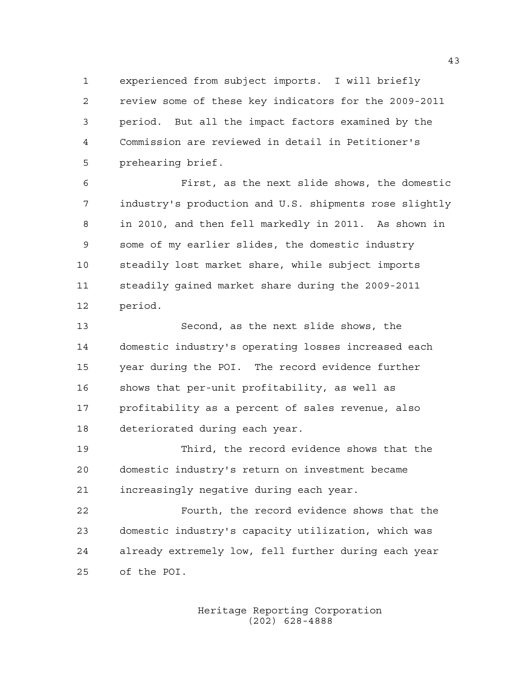1 experienced from subject imports. I will briefly 2 review some of these key indicators for the 2009-2011 3 period. But all the impact factors examined by the 4 Commission are reviewed in detail in Petitioner's 5 prehearing brief.

6 First, as the next slide shows, the domestic 7 industry's production and U.S. shipments rose slightly 8 in 2010, and then fell markedly in 2011. As shown in 9 some of my earlier slides, the domestic industry 10 steadily lost market share, while subject imports 11 steadily gained market share during the 2009-2011 12 period.

13 Second, as the next slide shows, the 14 domestic industry's operating losses increased each 15 year during the POI. The record evidence further 16 shows that per-unit profitability, as well as 17 profitability as a percent of sales revenue, also 18 deteriorated during each year.

19 Third, the record evidence shows that the 20 domestic industry's return on investment became 21 increasingly negative during each year.

22 Fourth, the record evidence shows that the 23 domestic industry's capacity utilization, which was 24 already extremely low, fell further during each year 25 of the POI.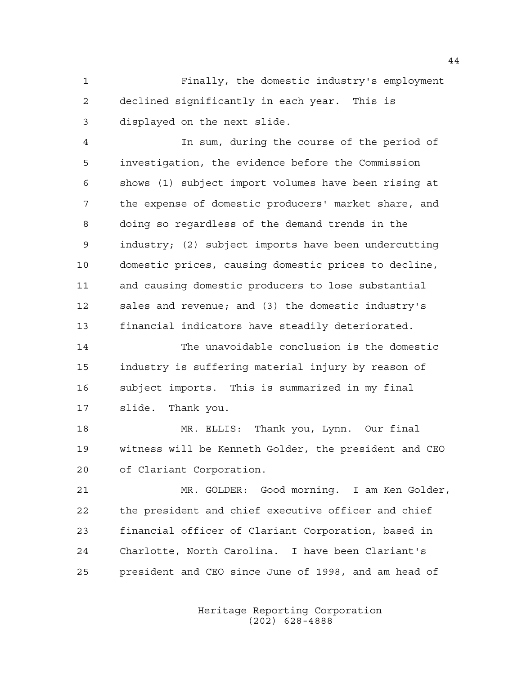1 Finally, the domestic industry's employment 2 declined significantly in each year. This is 3 displayed on the next slide.

4 In sum, during the course of the period of 5 investigation, the evidence before the Commission 6 shows (1) subject import volumes have been rising at 7 the expense of domestic producers' market share, and 8 doing so regardless of the demand trends in the 9 industry; (2) subject imports have been undercutting 10 domestic prices, causing domestic prices to decline, 11 and causing domestic producers to lose substantial 12 sales and revenue; and (3) the domestic industry's 13 financial indicators have steadily deteriorated.

14 The unavoidable conclusion is the domestic 15 industry is suffering material injury by reason of 16 subject imports. This is summarized in my final 17 slide. Thank you.

18 MR. ELLIS: Thank you, Lynn. Our final 19 witness will be Kenneth Golder, the president and CEO 20 of Clariant Corporation.

21 MR. GOLDER: Good morning. I am Ken Golder, 22 the president and chief executive officer and chief 23 financial officer of Clariant Corporation, based in 24 Charlotte, North Carolina. I have been Clariant's 25 president and CEO since June of 1998, and am head of

> Heritage Reporting Corporation (202) 628-4888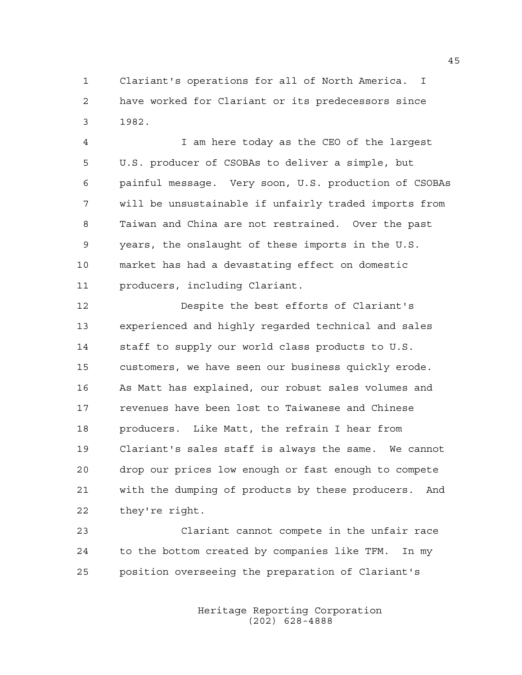1 Clariant's operations for all of North America. I 2 have worked for Clariant or its predecessors since 3 1982.

4 I am here today as the CEO of the largest 5 U.S. producer of CSOBAs to deliver a simple, but 6 painful message. Very soon, U.S. production of CSOBAs 7 will be unsustainable if unfairly traded imports from 8 Taiwan and China are not restrained. Over the past 9 years, the onslaught of these imports in the U.S. 10 market has had a devastating effect on domestic 11 producers, including Clariant.

12 Despite the best efforts of Clariant's 13 experienced and highly regarded technical and sales 14 staff to supply our world class products to U.S. 15 customers, we have seen our business quickly erode. 16 As Matt has explained, our robust sales volumes and 17 revenues have been lost to Taiwanese and Chinese 18 producers. Like Matt, the refrain I hear from 19 Clariant's sales staff is always the same. We cannot 20 drop our prices low enough or fast enough to compete 21 with the dumping of products by these producers. And 22 they're right.

23 Clariant cannot compete in the unfair race 24 to the bottom created by companies like TFM. In my 25 position overseeing the preparation of Clariant's

> Heritage Reporting Corporation (202) 628-4888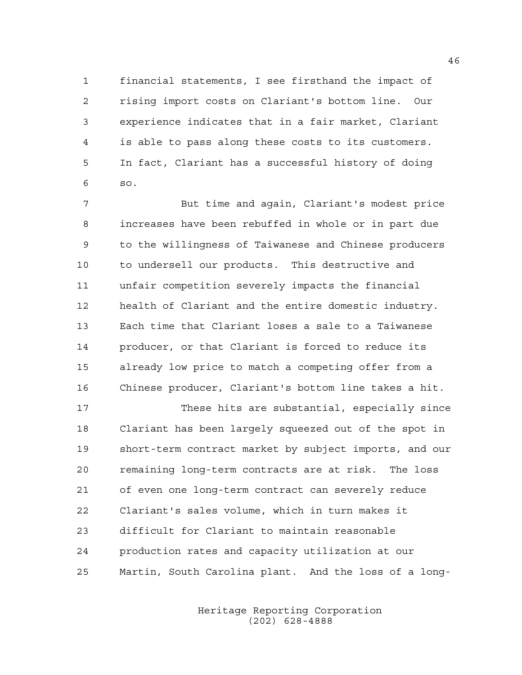1 financial statements, I see firsthand the impact of 2 rising import costs on Clariant's bottom line. Our 3 experience indicates that in a fair market, Clariant 4 is able to pass along these costs to its customers. 5 In fact, Clariant has a successful history of doing 6 so.

7 But time and again, Clariant's modest price 8 increases have been rebuffed in whole or in part due 9 to the willingness of Taiwanese and Chinese producers 10 to undersell our products. This destructive and 11 unfair competition severely impacts the financial 12 health of Clariant and the entire domestic industry. 13 Each time that Clariant loses a sale to a Taiwanese 14 producer, or that Clariant is forced to reduce its 15 already low price to match a competing offer from a 16 Chinese producer, Clariant's bottom line takes a hit.

17 These hits are substantial, especially since 18 Clariant has been largely squeezed out of the spot in 19 short-term contract market by subject imports, and our 20 remaining long-term contracts are at risk. The loss 21 of even one long-term contract can severely reduce 22 Clariant's sales volume, which in turn makes it 23 difficult for Clariant to maintain reasonable 24 production rates and capacity utilization at our 25 Martin, South Carolina plant. And the loss of a long-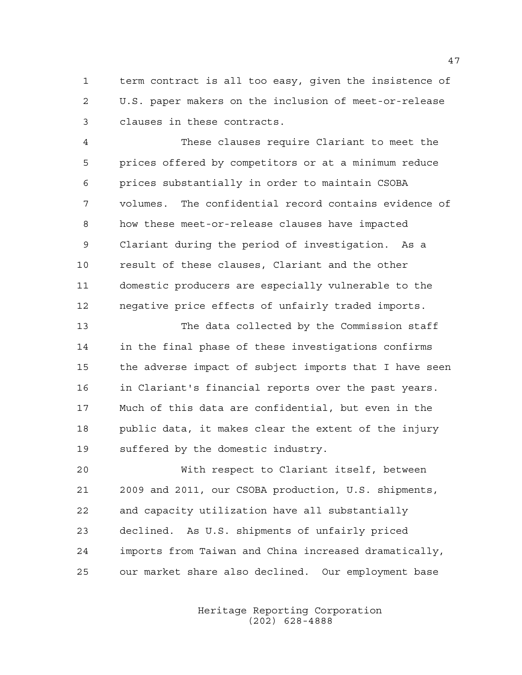1 term contract is all too easy, given the insistence of 2 U.S. paper makers on the inclusion of meet-or-release 3 clauses in these contracts.

4 These clauses require Clariant to meet the 5 prices offered by competitors or at a minimum reduce 6 prices substantially in order to maintain CSOBA 7 volumes. The confidential record contains evidence of 8 how these meet-or-release clauses have impacted 9 Clariant during the period of investigation. As a 10 result of these clauses, Clariant and the other 11 domestic producers are especially vulnerable to the 12 negative price effects of unfairly traded imports.

13 The data collected by the Commission staff 14 in the final phase of these investigations confirms 15 the adverse impact of subject imports that I have seen 16 in Clariant's financial reports over the past years. 17 Much of this data are confidential, but even in the 18 public data, it makes clear the extent of the injury 19 suffered by the domestic industry.

20 With respect to Clariant itself, between 21 2009 and 2011, our CSOBA production, U.S. shipments, 22 and capacity utilization have all substantially 23 declined. As U.S. shipments of unfairly priced 24 imports from Taiwan and China increased dramatically, 25 our market share also declined. Our employment base

> Heritage Reporting Corporation (202) 628-4888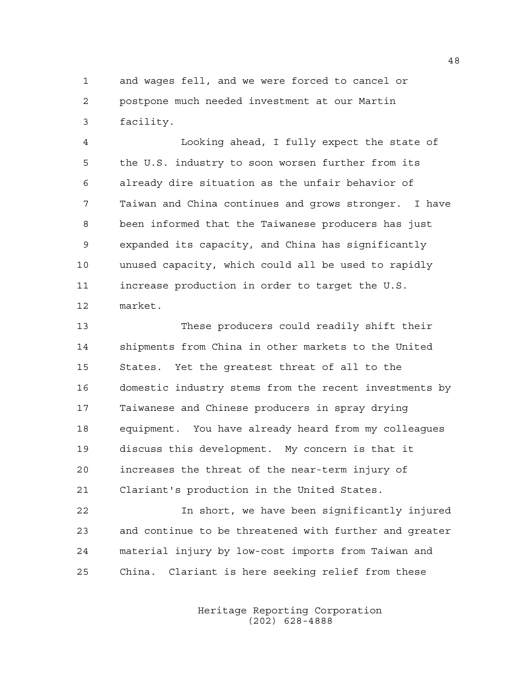1 and wages fell, and we were forced to cancel or 2 postpone much needed investment at our Martin 3 facility.

4 Looking ahead, I fully expect the state of 5 the U.S. industry to soon worsen further from its 6 already dire situation as the unfair behavior of 7 Taiwan and China continues and grows stronger. I have 8 been informed that the Taiwanese producers has just 9 expanded its capacity, and China has significantly 10 unused capacity, which could all be used to rapidly 11 increase production in order to target the U.S. 12 market.

13 These producers could readily shift their 14 shipments from China in other markets to the United 15 States. Yet the greatest threat of all to the 16 domestic industry stems from the recent investments by 17 Taiwanese and Chinese producers in spray drying 18 equipment. You have already heard from my colleagues 19 discuss this development. My concern is that it 20 increases the threat of the near-term injury of 21 Clariant's production in the United States.

22 In short, we have been significantly injured 23 and continue to be threatened with further and greater 24 material injury by low-cost imports from Taiwan and 25 China. Clariant is here seeking relief from these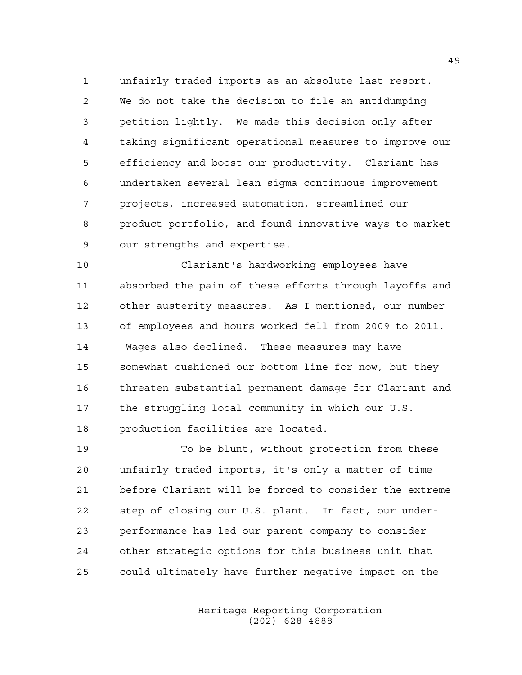1 unfairly traded imports as an absolute last resort. 2 We do not take the decision to file an antidumping 3 petition lightly. We made this decision only after 4 taking significant operational measures to improve our 5 efficiency and boost our productivity. Clariant has 6 undertaken several lean sigma continuous improvement 7 projects, increased automation, streamlined our 8 product portfolio, and found innovative ways to market 9 our strengths and expertise.

10 Clariant's hardworking employees have 11 absorbed the pain of these efforts through layoffs and 12 other austerity measures. As I mentioned, our number 13 of employees and hours worked fell from 2009 to 2011. 14 Wages also declined. These measures may have 15 somewhat cushioned our bottom line for now, but they 16 threaten substantial permanent damage for Clariant and 17 the struggling local community in which our U.S. 18 production facilities are located.

19 To be blunt, without protection from these 20 unfairly traded imports, it's only a matter of time 21 before Clariant will be forced to consider the extreme 22 step of closing our U.S. plant. In fact, our under-23 performance has led our parent company to consider 24 other strategic options for this business unit that 25 could ultimately have further negative impact on the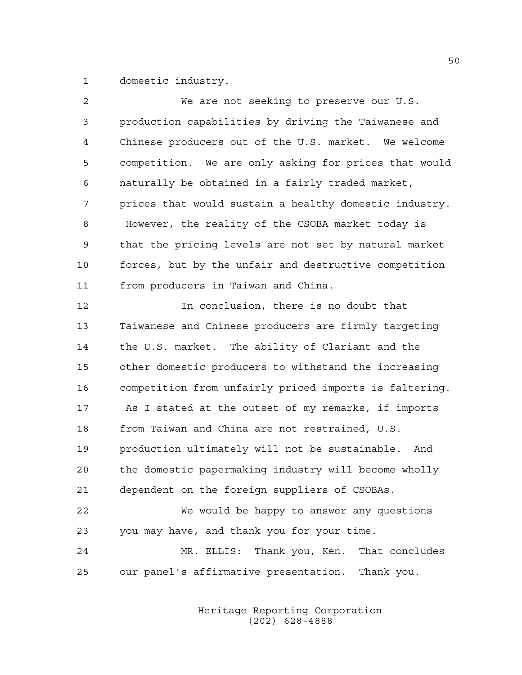1 domestic industry.

| 2  | We are not seeking to preserve our U.S.                |
|----|--------------------------------------------------------|
| 3  | production capabilities by driving the Taiwanese and   |
| 4  | Chinese producers out of the U.S. market. We welcome   |
| 5  | competition. We are only asking for prices that would  |
| 6  | naturally be obtained in a fairly traded market,       |
| 7  | prices that would sustain a healthy domestic industry. |
| 8  | However, the reality of the CSOBA market today is      |
| 9  | that the pricing levels are not set by natural market  |
| 10 | forces, but by the unfair and destructive competition  |
| 11 | from producers in Taiwan and China.                    |
| 12 | In conclusion, there is no doubt that                  |
| 13 | Taiwanese and Chinese producers are firmly targeting   |
| 14 | the U.S. market. The ability of Clariant and the       |
| 15 | other domestic producers to withstand the increasing   |
| 16 | competition from unfairly priced imports is faltering. |
| 17 | As I stated at the outset of my remarks, if imports    |
| 18 | from Taiwan and China are not restrained, U.S.         |
| 19 | production ultimately will not be sustainable. And     |
| 20 | the domestic papermaking industry will become wholly   |
| 21 | dependent on the foreign suppliers of CSOBAs.          |
| 22 | We would be happy to answer any questions              |
| 23 | you may have, and thank you for your time.             |
| 24 | MR. ELLIS: Thank you, Ken.<br>That concludes           |
| 25 | our panel's affirmative presentation.<br>Thank you.    |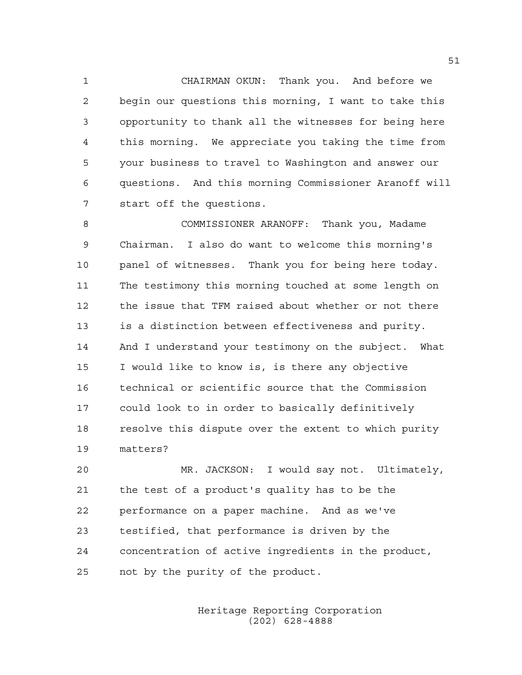1 CHAIRMAN OKUN: Thank you. And before we 2 begin our questions this morning, I want to take this 3 opportunity to thank all the witnesses for being here 4 this morning. We appreciate you taking the time from 5 your business to travel to Washington and answer our 6 questions. And this morning Commissioner Aranoff will 7 start off the questions.

8 COMMISSIONER ARANOFF: Thank you, Madame 9 Chairman. I also do want to welcome this morning's 10 panel of witnesses. Thank you for being here today. 11 The testimony this morning touched at some length on 12 the issue that TFM raised about whether or not there 13 is a distinction between effectiveness and purity. 14 And I understand your testimony on the subject. What 15 I would like to know is, is there any objective 16 technical or scientific source that the Commission 17 could look to in order to basically definitively 18 resolve this dispute over the extent to which purity 19 matters?

20 MR. JACKSON: I would say not. Ultimately, 21 the test of a product's quality has to be the 22 performance on a paper machine. And as we've 23 testified, that performance is driven by the 24 concentration of active ingredients in the product, 25 not by the purity of the product.

> Heritage Reporting Corporation (202) 628-4888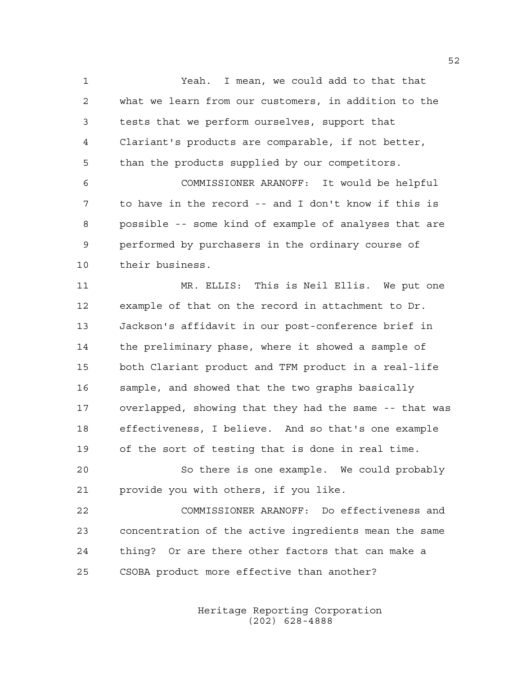1 Yeah. I mean, we could add to that that 2 what we learn from our customers, in addition to the 3 tests that we perform ourselves, support that 4 Clariant's products are comparable, if not better, 5 than the products supplied by our competitors.

6 COMMISSIONER ARANOFF: It would be helpful 7 to have in the record -- and I don't know if this is 8 possible -- some kind of example of analyses that are 9 performed by purchasers in the ordinary course of 10 their business.

11 MR. ELLIS: This is Neil Ellis. We put one 12 example of that on the record in attachment to Dr. 13 Jackson's affidavit in our post-conference brief in 14 the preliminary phase, where it showed a sample of 15 both Clariant product and TFM product in a real-life 16 sample, and showed that the two graphs basically 17 overlapped, showing that they had the same -- that was 18 effectiveness, I believe. And so that's one example 19 of the sort of testing that is done in real time.

20 So there is one example. We could probably 21 provide you with others, if you like.

22 COMMISSIONER ARANOFF: Do effectiveness and 23 concentration of the active ingredients mean the same 24 thing? Or are there other factors that can make a 25 CSOBA product more effective than another?

> Heritage Reporting Corporation (202) 628-4888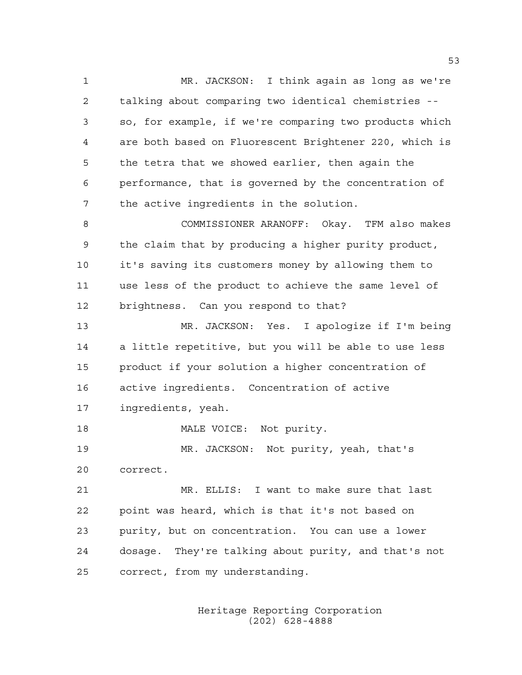1 MR. JACKSON: I think again as long as we're 2 talking about comparing two identical chemistries -- 3 so, for example, if we're comparing two products which 4 are both based on Fluorescent Brightener 220, which is 5 the tetra that we showed earlier, then again the 6 performance, that is governed by the concentration of 7 the active ingredients in the solution. 8 COMMISSIONER ARANOFF: Okay. TFM also makes 9 the claim that by producing a higher purity product, 10 it's saving its customers money by allowing them to 11 use less of the product to achieve the same level of 12 brightness. Can you respond to that? 13 MR. JACKSON: Yes. I apologize if I'm being 14 a little repetitive, but you will be able to use less 15 product if your solution a higher concentration of 16 active ingredients. Concentration of active 17 ingredients, yeah. 18 MALE VOICE: Not purity. 19 MR. JACKSON: Not purity, yeah, that's 20 correct. 21 MR. ELLIS: I want to make sure that last

22 point was heard, which is that it's not based on 23 purity, but on concentration. You can use a lower 24 dosage. They're talking about purity, and that's not 25 correct, from my understanding.

> Heritage Reporting Corporation (202) 628-4888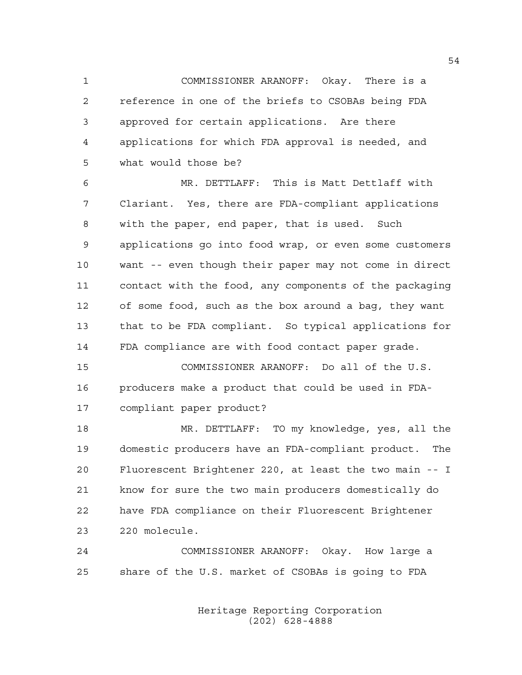1 COMMISSIONER ARANOFF: Okay. There is a 2 reference in one of the briefs to CSOBAs being FDA 3 approved for certain applications. Are there 4 applications for which FDA approval is needed, and 5 what would those be?

6 MR. DETTLAFF: This is Matt Dettlaff with 7 Clariant. Yes, there are FDA-compliant applications 8 with the paper, end paper, that is used. Such 9 applications go into food wrap, or even some customers 10 want -- even though their paper may not come in direct 11 contact with the food, any components of the packaging 12 of some food, such as the box around a bag, they want 13 that to be FDA compliant. So typical applications for 14 FDA compliance are with food contact paper grade.

15 COMMISSIONER ARANOFF: Do all of the U.S. 16 producers make a product that could be used in FDA-17 compliant paper product?

18 MR. DETTLAFF: TO my knowledge, yes, all the 19 domestic producers have an FDA-compliant product. The 20 Fluorescent Brightener 220, at least the two main -- I 21 know for sure the two main producers domestically do 22 have FDA compliance on their Fluorescent Brightener 23 220 molecule.

24 COMMISSIONER ARANOFF: Okay. How large a 25 share of the U.S. market of CSOBAs is going to FDA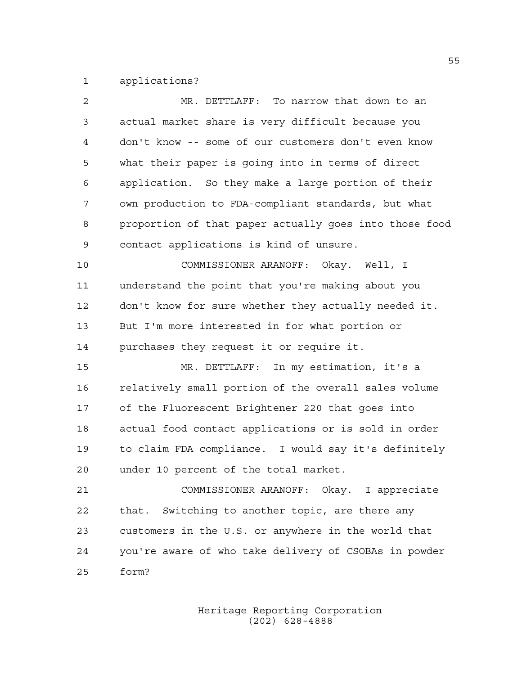1 applications?

| 2  | MR. DETTLAFF: To narrow that down to an                |
|----|--------------------------------------------------------|
| 3  | actual market share is very difficult because you      |
| 4  | don't know -- some of our customers don't even know    |
| 5  | what their paper is going into in terms of direct      |
| 6  | application. So they make a large portion of their     |
| 7  | own production to FDA-compliant standards, but what    |
| 8  | proportion of that paper actually goes into those food |
| 9  | contact applications is kind of unsure.                |
| 10 | COMMISSIONER ARANOFF: Okay. Well, I                    |
| 11 | understand the point that you're making about you      |
| 12 | don't know for sure whether they actually needed it.   |
| 13 | But I'm more interested in for what portion or         |
| 14 | purchases they request it or require it.               |
| 15 | MR. DETTLAFF: In my estimation, it's a                 |
| 16 | relatively small portion of the overall sales volume   |
| 17 | of the Fluorescent Brightener 220 that goes into       |
| 18 | actual food contact applications or is sold in order   |
| 19 | to claim FDA compliance. I would say it's definitely   |
| 20 | under 10 percent of the total market.                  |
| 21 | COMMISSIONER ARANOFF: Okay. I appreciate               |
| 22 | that. Switching to another topic, are there any        |
| 23 | customers in the U.S. or anywhere in the world that    |
| 24 | you're aware of who take delivery of CSOBAs in powder  |
| 25 | form?                                                  |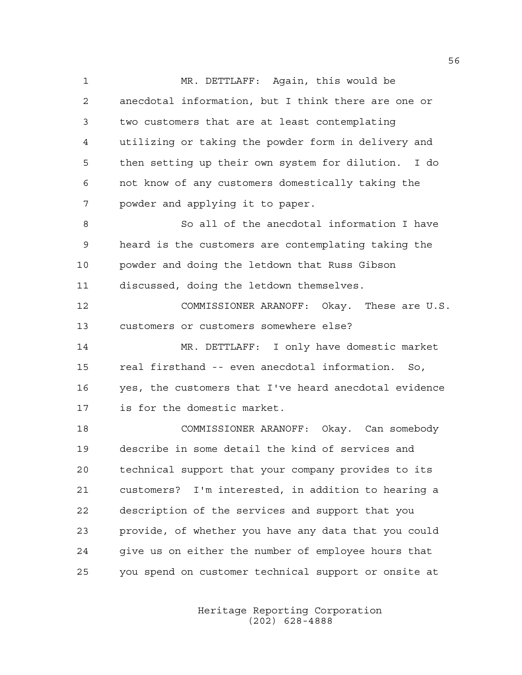1 MR. DETTLAFF: Again, this would be 2 anecdotal information, but I think there are one or 3 two customers that are at least contemplating 4 utilizing or taking the powder form in delivery and 5 then setting up their own system for dilution. I do 6 not know of any customers domestically taking the 7 powder and applying it to paper.

8 So all of the anecdotal information I have 9 heard is the customers are contemplating taking the 10 powder and doing the letdown that Russ Gibson 11 discussed, doing the letdown themselves.

12 COMMISSIONER ARANOFF: Okay. These are U.S. 13 customers or customers somewhere else?

14 MR. DETTLAFF: I only have domestic market 15 real firsthand -- even anecdotal information. So, 16 yes, the customers that I've heard anecdotal evidence 17 is for the domestic market.

18 COMMISSIONER ARANOFF: Okay. Can somebody 19 describe in some detail the kind of services and 20 technical support that your company provides to its 21 customers? I'm interested, in addition to hearing a 22 description of the services and support that you 23 provide, of whether you have any data that you could 24 give us on either the number of employee hours that 25 you spend on customer technical support or onsite at

> Heritage Reporting Corporation (202) 628-4888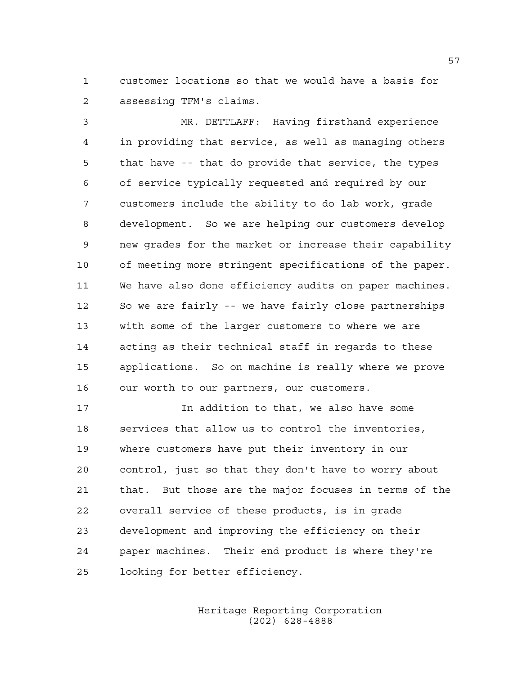1 customer locations so that we would have a basis for 2 assessing TFM's claims.

3 MR. DETTLAFF: Having firsthand experience 4 in providing that service, as well as managing others 5 that have -- that do provide that service, the types 6 of service typically requested and required by our 7 customers include the ability to do lab work, grade 8 development. So we are helping our customers develop 9 new grades for the market or increase their capability 10 of meeting more stringent specifications of the paper. 11 We have also done efficiency audits on paper machines. 12 So we are fairly -- we have fairly close partnerships 13 with some of the larger customers to where we are 14 acting as their technical staff in regards to these 15 applications. So on machine is really where we prove 16 our worth to our partners, our customers.

17 In addition to that, we also have some 18 services that allow us to control the inventories, 19 where customers have put their inventory in our 20 control, just so that they don't have to worry about 21 that. But those are the major focuses in terms of the 22 overall service of these products, is in grade 23 development and improving the efficiency on their 24 paper machines. Their end product is where they're 25 looking for better efficiency.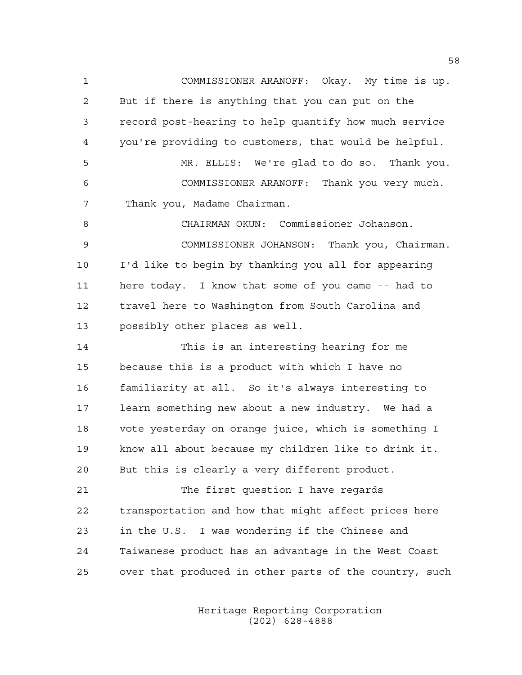1 COMMISSIONER ARANOFF: Okay. My time is up. 2 But if there is anything that you can put on the 3 record post-hearing to help quantify how much service 4 you're providing to customers, that would be helpful. 5 MR. ELLIS: We're glad to do so. Thank you. 6 COMMISSIONER ARANOFF: Thank you very much. 7 Thank you, Madame Chairman. 8 CHAIRMAN OKUN: Commissioner Johanson. 9 COMMISSIONER JOHANSON: Thank you, Chairman. 10 I'd like to begin by thanking you all for appearing 11 here today. I know that some of you came -- had to 12 travel here to Washington from South Carolina and 13 possibly other places as well. 14 This is an interesting hearing for me 15 because this is a product with which I have no 16 familiarity at all. So it's always interesting to 17 learn something new about a new industry. We had a 18 vote yesterday on orange juice, which is something I 19 know all about because my children like to drink it. 20 But this is clearly a very different product. 21 The first question I have regards 22 transportation and how that might affect prices here 23 in the U.S. I was wondering if the Chinese and 24 Taiwanese product has an advantage in the West Coast 25 over that produced in other parts of the country, such

> Heritage Reporting Corporation (202) 628-4888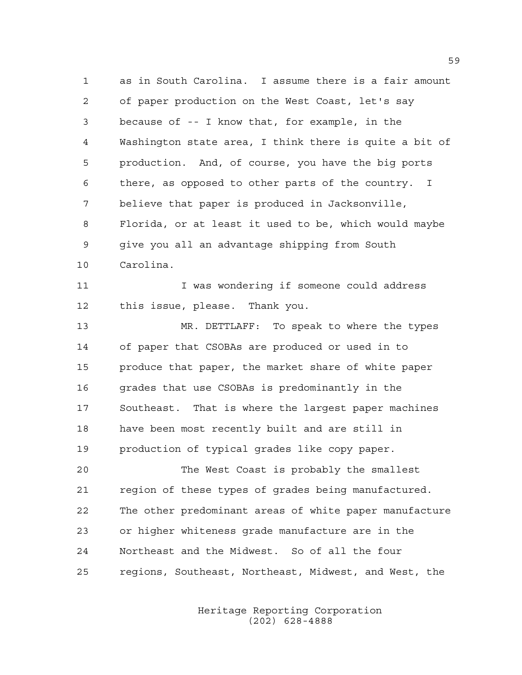1 as in South Carolina. I assume there is a fair amount 2 of paper production on the West Coast, let's say 3 because of -- I know that, for example, in the 4 Washington state area, I think there is quite a bit of 5 production. And, of course, you have the big ports 6 there, as opposed to other parts of the country. I 7 believe that paper is produced in Jacksonville, 8 Florida, or at least it used to be, which would maybe 9 give you all an advantage shipping from South 10 Carolina.

11 I was wondering if someone could address 12 this issue, please. Thank you.

13 MR. DETTLAFF: To speak to where the types 14 of paper that CSOBAs are produced or used in to 15 produce that paper, the market share of white paper 16 grades that use CSOBAs is predominantly in the 17 Southeast. That is where the largest paper machines 18 have been most recently built and are still in 19 production of typical grades like copy paper.

20 The West Coast is probably the smallest 21 region of these types of grades being manufactured. 22 The other predominant areas of white paper manufacture 23 or higher whiteness grade manufacture are in the 24 Northeast and the Midwest. So of all the four 25 regions, Southeast, Northeast, Midwest, and West, the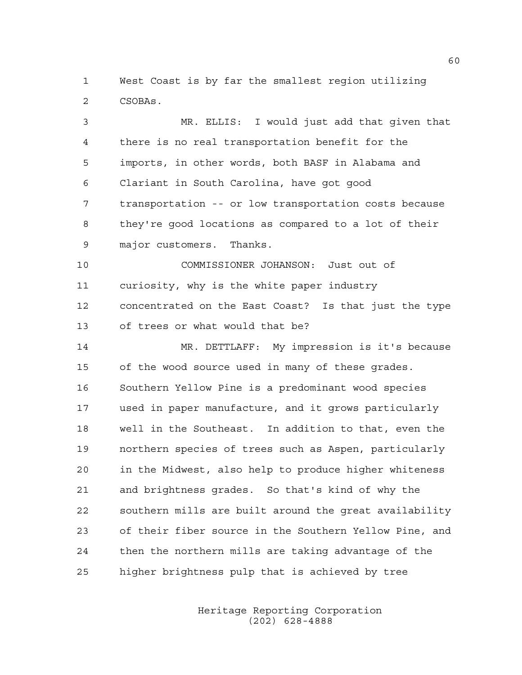1 West Coast is by far the smallest region utilizing 2 CSOBAs.

3 MR. ELLIS: I would just add that given that 4 there is no real transportation benefit for the 5 imports, in other words, both BASF in Alabama and 6 Clariant in South Carolina, have got good 7 transportation -- or low transportation costs because 8 they're good locations as compared to a lot of their 9 major customers. Thanks. 10 COMMISSIONER JOHANSON: Just out of 11 curiosity, why is the white paper industry 12 concentrated on the East Coast? Is that just the type 13 of trees or what would that be? 14 MR. DETTLAFF: My impression is it's because 15 of the wood source used in many of these grades. 16 Southern Yellow Pine is a predominant wood species 17 used in paper manufacture, and it grows particularly 18 well in the Southeast. In addition to that, even the 19 northern species of trees such as Aspen, particularly 20 in the Midwest, also help to produce higher whiteness 21 and brightness grades. So that's kind of why the 22 southern mills are built around the great availability 23 of their fiber source in the Southern Yellow Pine, and 24 then the northern mills are taking advantage of the 25 higher brightness pulp that is achieved by tree

> Heritage Reporting Corporation (202) 628-4888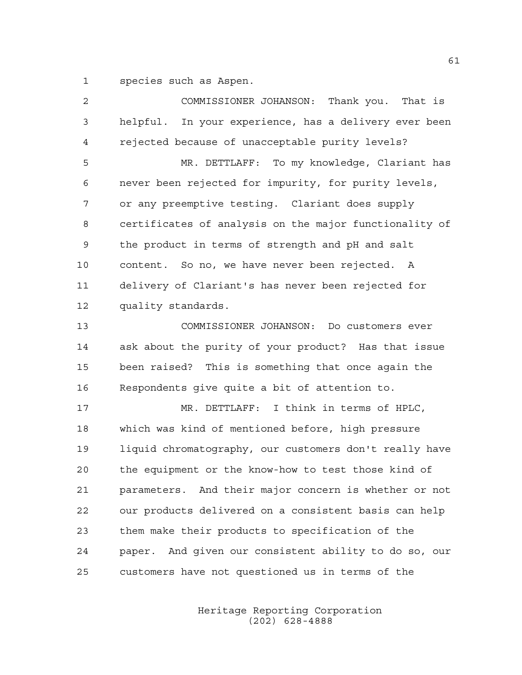1 species such as Aspen.

| $\overline{2}$ | COMMISSIONER JOHANSON: Thank you. That is                |
|----------------|----------------------------------------------------------|
| 3              | helpful. In your experience, has a delivery ever been    |
| $\overline{4}$ | rejected because of unacceptable purity levels?          |
| 5              | MR. DETTLAFF: To my knowledge, Clariant has              |
| 6              | never been rejected for impurity, for purity levels,     |
| 7              | or any preemptive testing. Clariant does supply          |
| 8              | certificates of analysis on the major functionality of   |
| 9              | the product in terms of strength and pH and salt         |
| 10             | content. So no, we have never been rejected. A           |
| 11             | delivery of Clariant's has never been rejected for       |
| 12             | quality standards.                                       |
| 13             | COMMISSIONER JOHANSON: Do customers ever                 |
| 14             | ask about the purity of your product? Has that issue     |
| 15             | been raised? This is something that once again the       |
| 16             | Respondents give quite a bit of attention to.            |
| 17             | MR. DETTLAFF: I think in terms of HPLC,                  |
| 18             | which was kind of mentioned before, high pressure        |
| 19             | liquid chromatography, our customers don't really have   |
| 20             | the equipment or the know-how to test those kind of      |
| 21             | parameters. And their major concern is whether or not    |
| 22             | our products delivered on a consistent basis can help    |
| 23             | them make their products to specification of the         |
| 24             | And given our consistent ability to do so, our<br>paper. |
| 25             | customers have not questioned us in terms of the         |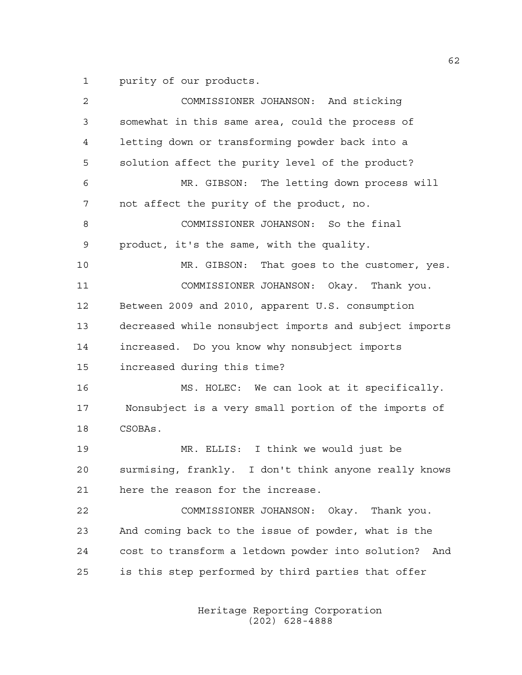1 purity of our products.

| 2  | COMMISSIONER JOHANSON: And sticking                    |
|----|--------------------------------------------------------|
| 3  | somewhat in this same area, could the process of       |
| 4  | letting down or transforming powder back into a        |
| 5  | solution affect the purity level of the product?       |
| 6  | MR. GIBSON: The letting down process will              |
| 7  | not affect the purity of the product, no.              |
| 8  | COMMISSIONER JOHANSON: So the final                    |
| 9  | product, it's the same, with the quality.              |
| 10 | MR. GIBSON: That goes to the customer, yes.            |
| 11 | COMMISSIONER JOHANSON: Okay. Thank you.                |
| 12 | Between 2009 and 2010, apparent U.S. consumption       |
| 13 | decreased while nonsubject imports and subject imports |
| 14 | increased. Do you know why nonsubject imports          |
| 15 | increased during this time?                            |
| 16 | MS. HOLEC: We can look at it specifically.             |
| 17 | Nonsubject is a very small portion of the imports of   |
| 18 | CSOBAs.                                                |
| 19 | MR. ELLIS: I think we would just be                    |
| 20 | surmising, frankly. I don't think anyone really knows  |
| 21 | here the reason for the increase.                      |
| 22 | COMMISSIONER JOHANSON: Okay. Thank you.                |
| 23 | And coming back to the issue of powder, what is the    |
| 24 | cost to transform a letdown powder into solution? And  |
| 25 | is this step performed by third parties that offer     |
|    |                                                        |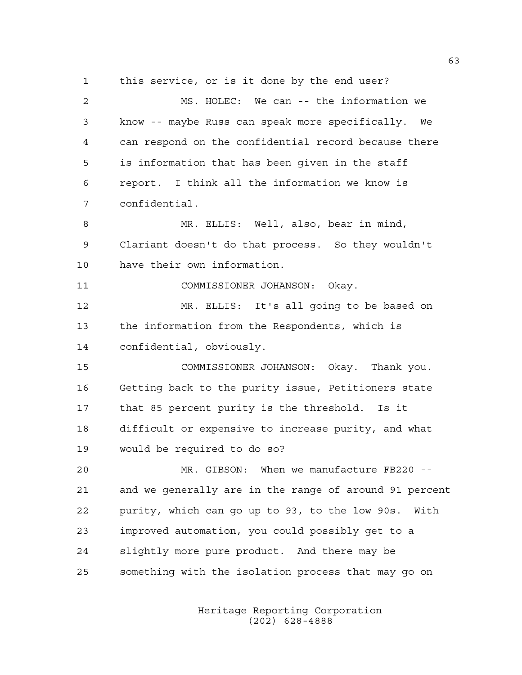2 MS. HOLEC: We can -- the information we 3 know -- maybe Russ can speak more specifically. We 4 can respond on the confidential record because there 5 is information that has been given in the staff 6 report. I think all the information we know is 7 confidential. 8 MR. ELLIS: Well, also, bear in mind, 9 Clariant doesn't do that process. So they wouldn't 10 have their own information. 11 COMMISSIONER JOHANSON: Okay. 12 MR. ELLIS: It's all going to be based on 13 the information from the Respondents, which is 14 confidential, obviously. 15 COMMISSIONER JOHANSON: Okay. Thank you. 16 Getting back to the purity issue, Petitioners state 17 that 85 percent purity is the threshold. Is it 18 difficult or expensive to increase purity, and what 19 would be required to do so?

1 this service, or is it done by the end user?

20 MR. GIBSON: When we manufacture FB220 -- 21 and we generally are in the range of around 91 percent 22 purity, which can go up to 93, to the low 90s. With 23 improved automation, you could possibly get to a 24 slightly more pure product. And there may be 25 something with the isolation process that may go on

> Heritage Reporting Corporation (202) 628-4888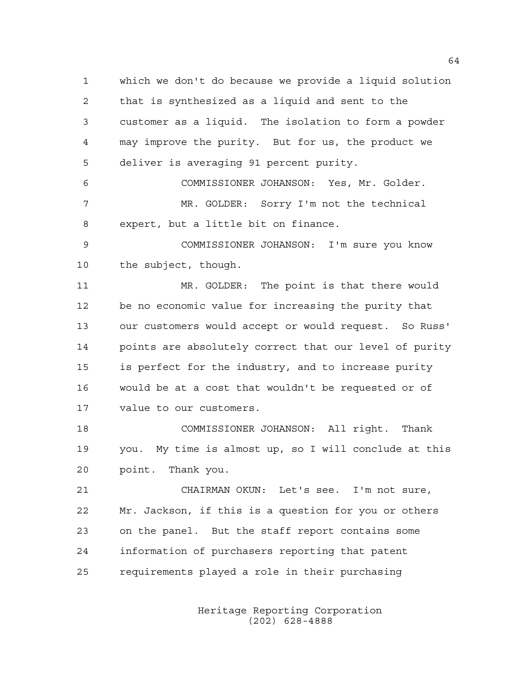1 which we don't do because we provide a liquid solution 2 that is synthesized as a liquid and sent to the 3 customer as a liquid. The isolation to form a powder 4 may improve the purity. But for us, the product we 5 deliver is averaging 91 percent purity.

6 COMMISSIONER JOHANSON: Yes, Mr. Golder. 7 MR. GOLDER: Sorry I'm not the technical 8 expert, but a little bit on finance.

9 COMMISSIONER JOHANSON: I'm sure you know 10 the subject, though.

11 MR. GOLDER: The point is that there would 12 be no economic value for increasing the purity that 13 our customers would accept or would request. So Russ' 14 points are absolutely correct that our level of purity 15 is perfect for the industry, and to increase purity 16 would be at a cost that wouldn't be requested or of 17 value to our customers.

18 COMMISSIONER JOHANSON: All right. Thank 19 you. My time is almost up, so I will conclude at this 20 point. Thank you.

21 CHAIRMAN OKUN: Let's see. I'm not sure, 22 Mr. Jackson, if this is a question for you or others 23 on the panel. But the staff report contains some 24 information of purchasers reporting that patent 25 requirements played a role in their purchasing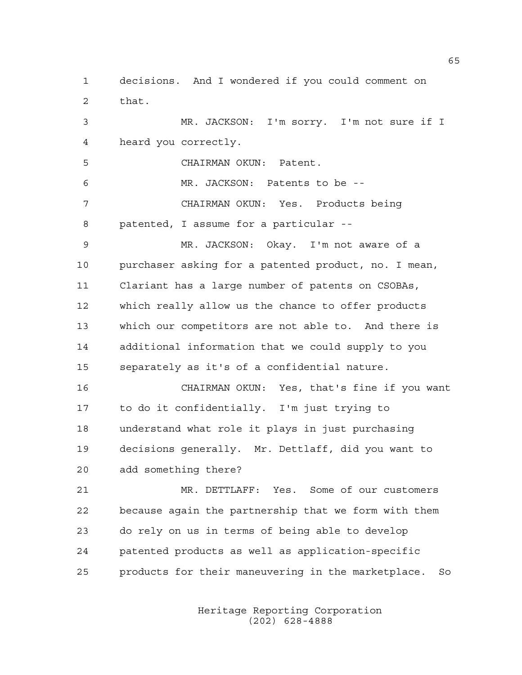1 decisions. And I wondered if you could comment on 2 that.

3 MR. JACKSON: I'm sorry. I'm not sure if I 4 heard you correctly.

5 CHAIRMAN OKUN: Patent.

6 MR. JACKSON: Patents to be -- 7 CHAIRMAN OKUN: Yes. Products being 8 patented, I assume for a particular --

9 MR. JACKSON: Okay. I'm not aware of a 10 purchaser asking for a patented product, no. I mean, 11 Clariant has a large number of patents on CSOBAs, 12 which really allow us the chance to offer products 13 which our competitors are not able to. And there is 14 additional information that we could supply to you 15 separately as it's of a confidential nature.

16 CHAIRMAN OKUN: Yes, that's fine if you want 17 to do it confidentially. I'm just trying to 18 understand what role it plays in just purchasing 19 decisions generally. Mr. Dettlaff, did you want to 20 add something there?

21 MR. DETTLAFF: Yes. Some of our customers 22 because again the partnership that we form with them 23 do rely on us in terms of being able to develop 24 patented products as well as application-specific 25 products for their maneuvering in the marketplace. So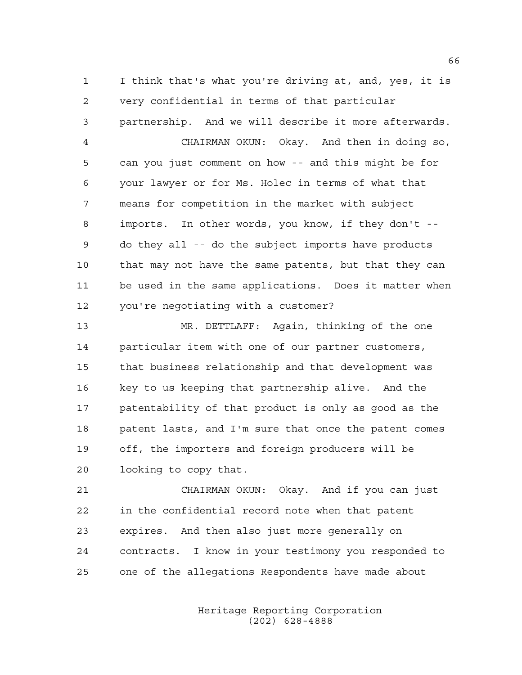1 I think that's what you're driving at, and, yes, it is 2 very confidential in terms of that particular 3 partnership. And we will describe it more afterwards.

4 CHAIRMAN OKUN: Okay. And then in doing so, 5 can you just comment on how -- and this might be for 6 your lawyer or for Ms. Holec in terms of what that 7 means for competition in the market with subject 8 imports. In other words, you know, if they don't -- 9 do they all -- do the subject imports have products 10 that may not have the same patents, but that they can 11 be used in the same applications. Does it matter when 12 you're negotiating with a customer?

13 MR. DETTLAFF: Again, thinking of the one 14 particular item with one of our partner customers, 15 that business relationship and that development was 16 key to us keeping that partnership alive. And the 17 patentability of that product is only as good as the 18 patent lasts, and I'm sure that once the patent comes 19 off, the importers and foreign producers will be 20 looking to copy that.

21 CHAIRMAN OKUN: Okay. And if you can just 22 in the confidential record note when that patent 23 expires. And then also just more generally on 24 contracts. I know in your testimony you responded to 25 one of the allegations Respondents have made about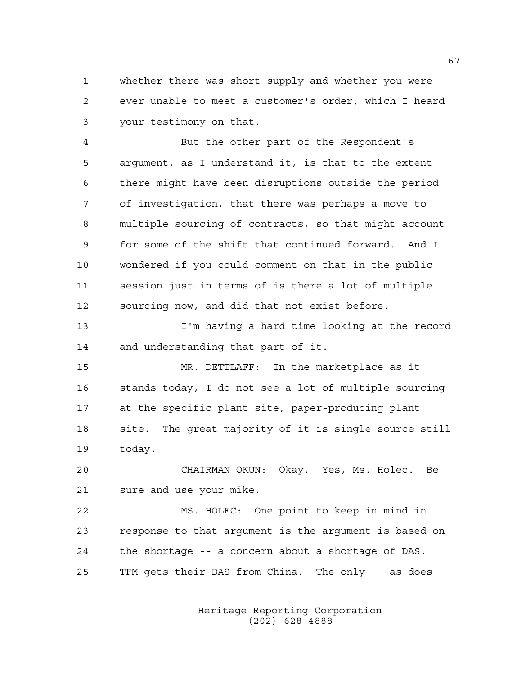1 whether there was short supply and whether you were 2 ever unable to meet a customer's order, which I heard 3 your testimony on that.

4 But the other part of the Respondent's 5 argument, as I understand it, is that to the extent 6 there might have been disruptions outside the period 7 of investigation, that there was perhaps a move to 8 multiple sourcing of contracts, so that might account 9 for some of the shift that continued forward. And I 10 wondered if you could comment on that in the public 11 session just in terms of is there a lot of multiple 12 sourcing now, and did that not exist before.

13 I'm having a hard time looking at the record 14 and understanding that part of it.

15 MR. DETTLAFF: In the marketplace as it 16 stands today, I do not see a lot of multiple sourcing 17 at the specific plant site, paper-producing plant 18 site. The great majority of it is single source still 19 today.

20 CHAIRMAN OKUN: Okay. Yes, Ms. Holec. Be 21 sure and use your mike.

22 MS. HOLEC: One point to keep in mind in 23 response to that argument is the argument is based on 24 the shortage -- a concern about a shortage of DAS. 25 TFM gets their DAS from China. The only -- as does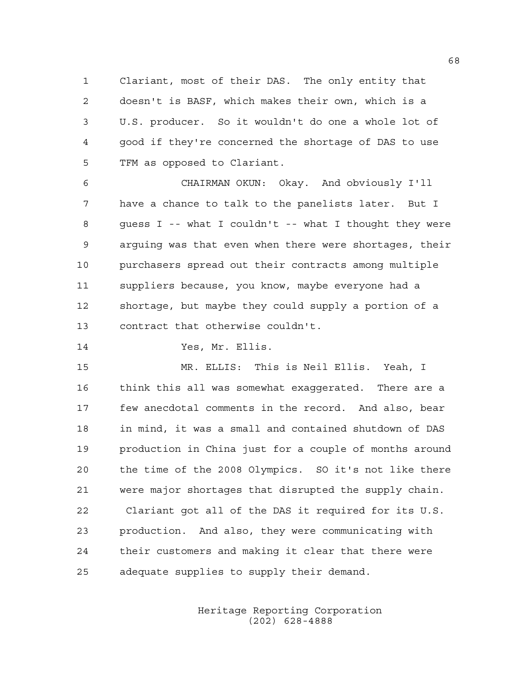1 Clariant, most of their DAS. The only entity that 2 doesn't is BASF, which makes their own, which is a 3 U.S. producer. So it wouldn't do one a whole lot of 4 good if they're concerned the shortage of DAS to use 5 TFM as opposed to Clariant.

6 CHAIRMAN OKUN: Okay. And obviously I'll 7 have a chance to talk to the panelists later. But I 8 guess I -- what I couldn't -- what I thought they were 9 arguing was that even when there were shortages, their 10 purchasers spread out their contracts among multiple 11 suppliers because, you know, maybe everyone had a 12 shortage, but maybe they could supply a portion of a 13 contract that otherwise couldn't.

14 Yes, Mr. Ellis.

15 MR. ELLIS: This is Neil Ellis. Yeah, I 16 think this all was somewhat exaggerated. There are a 17 few anecdotal comments in the record. And also, bear 18 in mind, it was a small and contained shutdown of DAS 19 production in China just for a couple of months around 20 the time of the 2008 Olympics. SO it's not like there 21 were major shortages that disrupted the supply chain. 22 Clariant got all of the DAS it required for its U.S. 23 production. And also, they were communicating with 24 their customers and making it clear that there were 25 adequate supplies to supply their demand.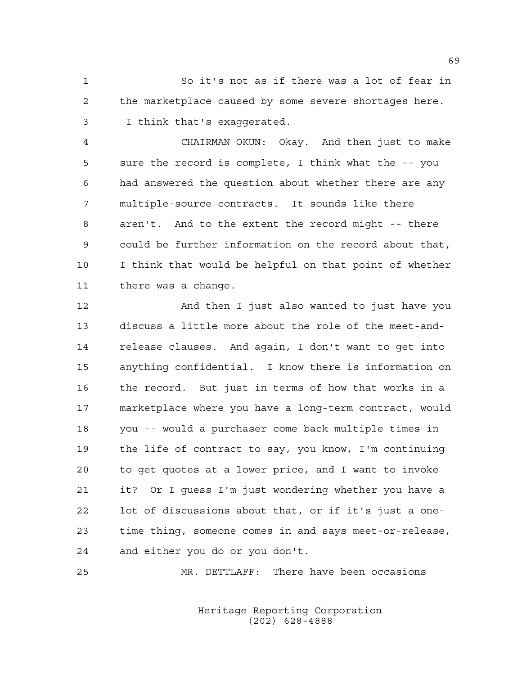1 So it's not as if there was a lot of fear in 2 the marketplace caused by some severe shortages here. 3 I think that's exaggerated.

4 CHAIRMAN OKUN: Okay. And then just to make 5 sure the record is complete, I think what the -- you 6 had answered the question about whether there are any 7 multiple-source contracts. It sounds like there 8 aren't. And to the extent the record might -- there 9 could be further information on the record about that, 10 I think that would be helpful on that point of whether 11 there was a change.

12 And then I just also wanted to just have you 13 discuss a little more about the role of the meet-and-14 release clauses. And again, I don't want to get into 15 anything confidential. I know there is information on 16 the record. But just in terms of how that works in a 17 marketplace where you have a long-term contract, would 18 you -- would a purchaser come back multiple times in 19 the life of contract to say, you know, I'm continuing 20 to get quotes at a lower price, and I want to invoke 21 it? Or I guess I'm just wondering whether you have a 22 lot of discussions about that, or if it's just a one-23 time thing, someone comes in and says meet-or-release, 24 and either you do or you don't.

25 MR. DETTLAFF: There have been occasions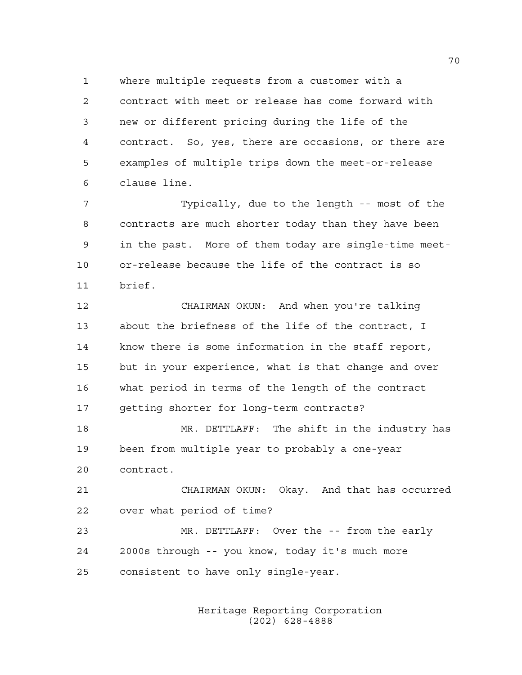1 where multiple requests from a customer with a 2 contract with meet or release has come forward with 3 new or different pricing during the life of the 4 contract. So, yes, there are occasions, or there are 5 examples of multiple trips down the meet-or-release 6 clause line.

7 Typically, due to the length -- most of the 8 contracts are much shorter today than they have been 9 in the past. More of them today are single-time meet-10 or-release because the life of the contract is so 11 brief.

12 CHAIRMAN OKUN: And when you're talking 13 about the briefness of the life of the contract, I 14 know there is some information in the staff report, 15 but in your experience, what is that change and over 16 what period in terms of the length of the contract 17 getting shorter for long-term contracts?

18 MR. DETTLAFF: The shift in the industry has 19 been from multiple year to probably a one-year 20 contract.

21 CHAIRMAN OKUN: Okay. And that has occurred 22 over what period of time?

23 MR. DETTLAFF: Over the -- from the early 24 2000s through -- you know, today it's much more 25 consistent to have only single-year.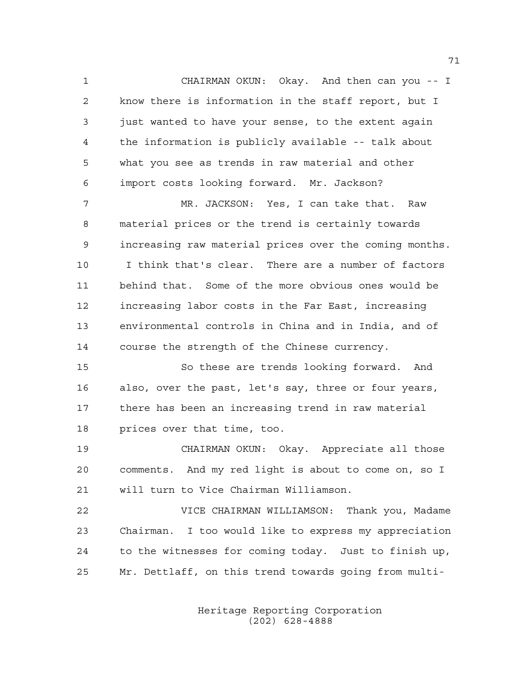1 CHAIRMAN OKUN: Okay. And then can you -- I 2 know there is information in the staff report, but I 3 just wanted to have your sense, to the extent again 4 the information is publicly available -- talk about 5 what you see as trends in raw material and other 6 import costs looking forward. Mr. Jackson?

7 MR. JACKSON: Yes, I can take that. Raw 8 material prices or the trend is certainly towards 9 increasing raw material prices over the coming months. 10 I think that's clear. There are a number of factors 11 behind that. Some of the more obvious ones would be 12 increasing labor costs in the Far East, increasing 13 environmental controls in China and in India, and of 14 course the strength of the Chinese currency.

15 So these are trends looking forward. And 16 also, over the past, let's say, three or four years, 17 there has been an increasing trend in raw material 18 prices over that time, too.

19 CHAIRMAN OKUN: Okay. Appreciate all those 20 comments. And my red light is about to come on, so I 21 will turn to Vice Chairman Williamson.

22 VICE CHAIRMAN WILLIAMSON: Thank you, Madame 23 Chairman. I too would like to express my appreciation 24 to the witnesses for coming today. Just to finish up, 25 Mr. Dettlaff, on this trend towards going from multi-

> Heritage Reporting Corporation (202) 628-4888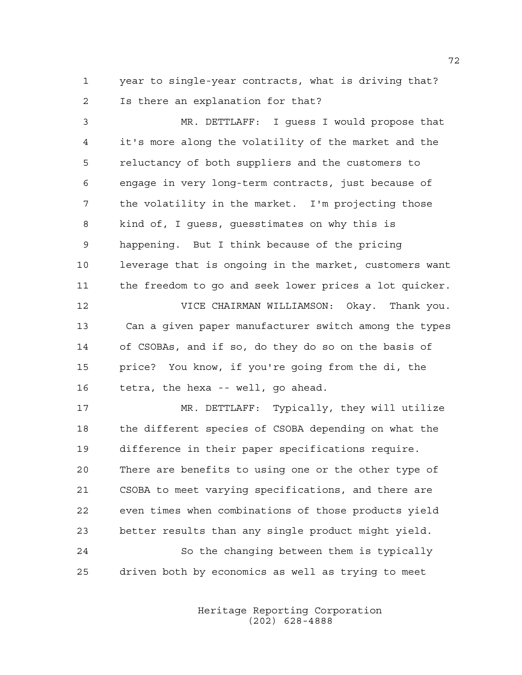1 year to single-year contracts, what is driving that? 2 Is there an explanation for that?

3 MR. DETTLAFF: I guess I would propose that 4 it's more along the volatility of the market and the 5 reluctancy of both suppliers and the customers to 6 engage in very long-term contracts, just because of 7 the volatility in the market. I'm projecting those 8 kind of, I guess, guesstimates on why this is 9 happening. But I think because of the pricing 10 leverage that is ongoing in the market, customers want 11 the freedom to go and seek lower prices a lot quicker. 12 VICE CHAIRMAN WILLIAMSON: Okay. Thank you. 13 Can a given paper manufacturer switch among the types 14 of CSOBAs, and if so, do they do so on the basis of 15 price? You know, if you're going from the di, the 16 tetra, the hexa -- well, go ahead. 17 MR. DETTLAFF: Typically, they will utilize

18 the different species of CSOBA depending on what the 19 difference in their paper specifications require. 20 There are benefits to using one or the other type of 21 CSOBA to meet varying specifications, and there are 22 even times when combinations of those products yield 23 better results than any single product might yield. 24 So the changing between them is typically 25 driven both by economics as well as trying to meet

> Heritage Reporting Corporation (202) 628-4888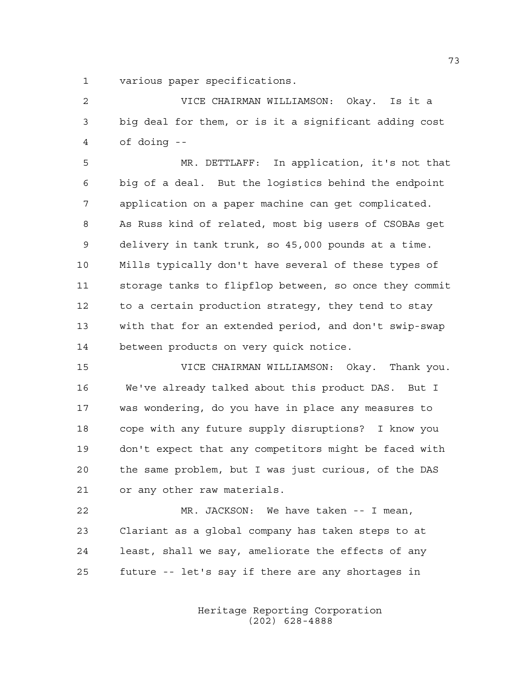1 various paper specifications.

2 VICE CHAIRMAN WILLIAMSON: Okay. Is it a 3 big deal for them, or is it a significant adding cost 4 of doing --

5 MR. DETTLAFF: In application, it's not that 6 big of a deal. But the logistics behind the endpoint 7 application on a paper machine can get complicated. 8 As Russ kind of related, most big users of CSOBAs get 9 delivery in tank trunk, so 45,000 pounds at a time. 10 Mills typically don't have several of these types of 11 storage tanks to flipflop between, so once they commit 12 to a certain production strategy, they tend to stay 13 with that for an extended period, and don't swip-swap 14 between products on very quick notice.

15 VICE CHAIRMAN WILLIAMSON: Okay. Thank you. 16 We've already talked about this product DAS. But I 17 was wondering, do you have in place any measures to 18 cope with any future supply disruptions? I know you 19 don't expect that any competitors might be faced with 20 the same problem, but I was just curious, of the DAS 21 or any other raw materials.

22 MR. JACKSON: We have taken -- I mean, 23 Clariant as a global company has taken steps to at 24 least, shall we say, ameliorate the effects of any 25 future -- let's say if there are any shortages in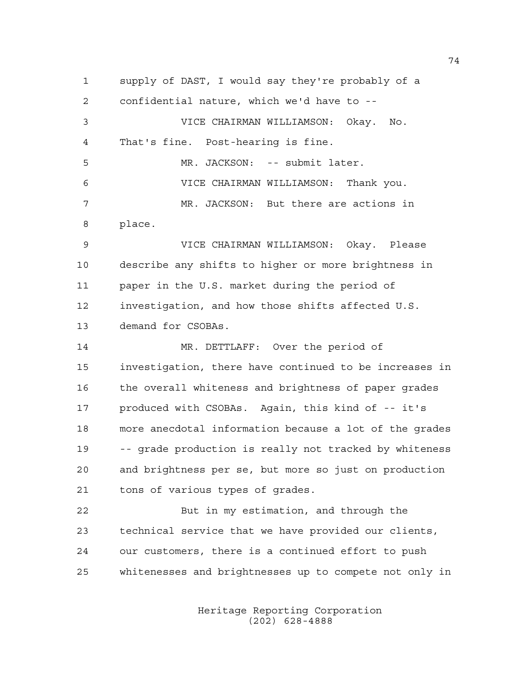1 supply of DAST, I would say they're probably of a 2 confidential nature, which we'd have to -- 3 VICE CHAIRMAN WILLIAMSON: Okay. No. 4 That's fine. Post-hearing is fine. 5 MR. JACKSON: -- submit later. 6 VICE CHAIRMAN WILLIAMSON: Thank you. 7 MR. JACKSON: But there are actions in 8 place. 9 VICE CHAIRMAN WILLIAMSON: Okay. Please 10 describe any shifts to higher or more brightness in 11 paper in the U.S. market during the period of 12 investigation, and how those shifts affected U.S. 13 demand for CSOBAs. 14 MR. DETTLAFF: Over the period of 15 investigation, there have continued to be increases in 16 the overall whiteness and brightness of paper grades 17 produced with CSOBAs. Again, this kind of -- it's 18 more anecdotal information because a lot of the grades 19 -- grade production is really not tracked by whiteness 20 and brightness per se, but more so just on production 21 tons of various types of grades. 22 But in my estimation, and through the 23 technical service that we have provided our clients, 24 our customers, there is a continued effort to push 25 whitenesses and brightnesses up to compete not only in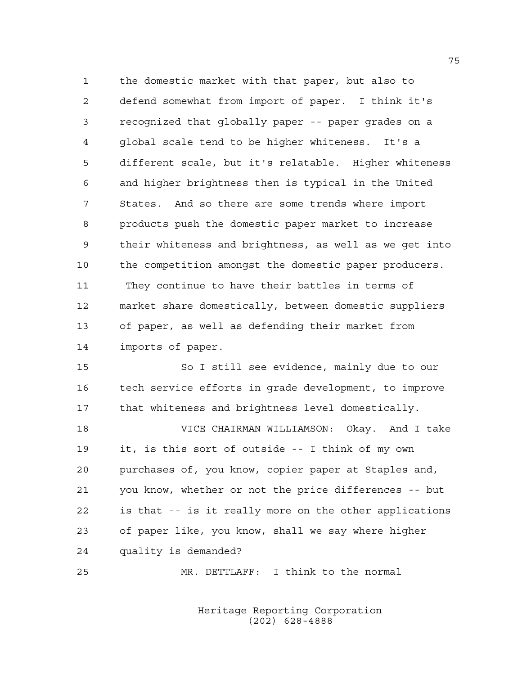1 the domestic market with that paper, but also to 2 defend somewhat from import of paper. I think it's 3 recognized that globally paper -- paper grades on a 4 global scale tend to be higher whiteness. It's a 5 different scale, but it's relatable. Higher whiteness 6 and higher brightness then is typical in the United 7 States. And so there are some trends where import 8 products push the domestic paper market to increase 9 their whiteness and brightness, as well as we get into 10 the competition amongst the domestic paper producers. 11 They continue to have their battles in terms of 12 market share domestically, between domestic suppliers 13 of paper, as well as defending their market from 14 imports of paper.

15 So I still see evidence, mainly due to our 16 tech service efforts in grade development, to improve 17 that whiteness and brightness level domestically.

18 VICE CHAIRMAN WILLIAMSON: Okay. And I take 19 it, is this sort of outside -- I think of my own 20 purchases of, you know, copier paper at Staples and, 21 you know, whether or not the price differences -- but 22 is that -- is it really more on the other applications 23 of paper like, you know, shall we say where higher 24 quality is demanded?

25 MR. DETTLAFF: I think to the normal

 Heritage Reporting Corporation (202) 628-4888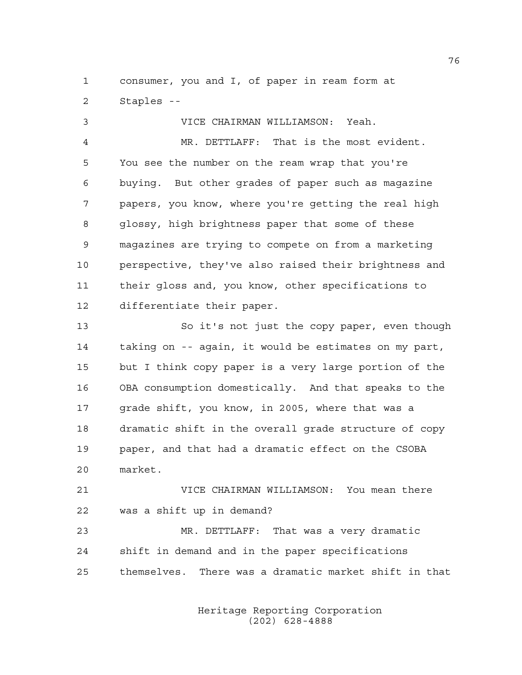1 consumer, you and I, of paper in ream form at 2 Staples --

3 VICE CHAIRMAN WILLIAMSON: Yeah. 4 MR. DETTLAFF: That is the most evident. 5 You see the number on the ream wrap that you're 6 buying. But other grades of paper such as magazine 7 papers, you know, where you're getting the real high 8 glossy, high brightness paper that some of these 9 magazines are trying to compete on from a marketing 10 perspective, they've also raised their brightness and 11 their gloss and, you know, other specifications to 12 differentiate their paper. 13 So it's not just the copy paper, even though

14 taking on -- again, it would be estimates on my part, 15 but I think copy paper is a very large portion of the 16 OBA consumption domestically. And that speaks to the 17 grade shift, you know, in 2005, where that was a 18 dramatic shift in the overall grade structure of copy 19 paper, and that had a dramatic effect on the CSOBA 20 market.

21 VICE CHAIRMAN WILLIAMSON: You mean there 22 was a shift up in demand?

23 MR. DETTLAFF: That was a very dramatic 24 shift in demand and in the paper specifications 25 themselves. There was a dramatic market shift in that

> Heritage Reporting Corporation (202) 628-4888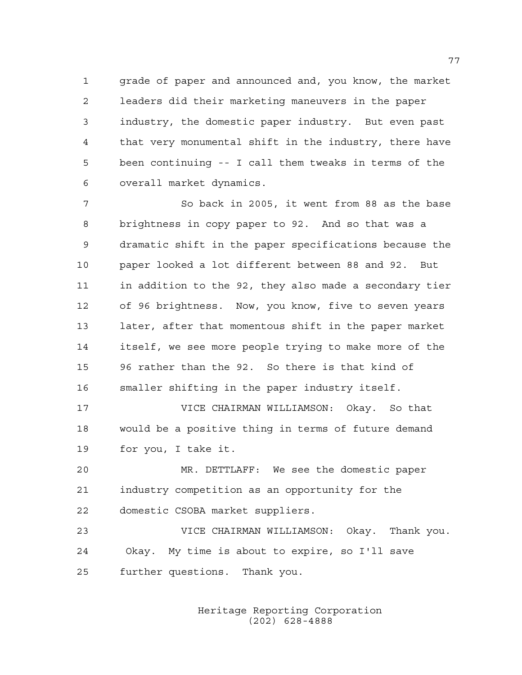1 grade of paper and announced and, you know, the market 2 leaders did their marketing maneuvers in the paper 3 industry, the domestic paper industry. But even past 4 that very monumental shift in the industry, there have 5 been continuing -- I call them tweaks in terms of the 6 overall market dynamics.

7 So back in 2005, it went from 88 as the base 8 brightness in copy paper to 92. And so that was a 9 dramatic shift in the paper specifications because the 10 paper looked a lot different between 88 and 92. But 11 in addition to the 92, they also made a secondary tier 12 of 96 brightness. Now, you know, five to seven years 13 later, after that momentous shift in the paper market 14 itself, we see more people trying to make more of the 15 96 rather than the 92. So there is that kind of 16 smaller shifting in the paper industry itself.

17 VICE CHAIRMAN WILLIAMSON: Okay. So that 18 would be a positive thing in terms of future demand 19 for you, I take it.

20 MR. DETTLAFF: We see the domestic paper 21 industry competition as an opportunity for the 22 domestic CSOBA market suppliers.

23 VICE CHAIRMAN WILLIAMSON: Okay. Thank you. 24 Okay. My time is about to expire, so I'll save 25 further questions. Thank you.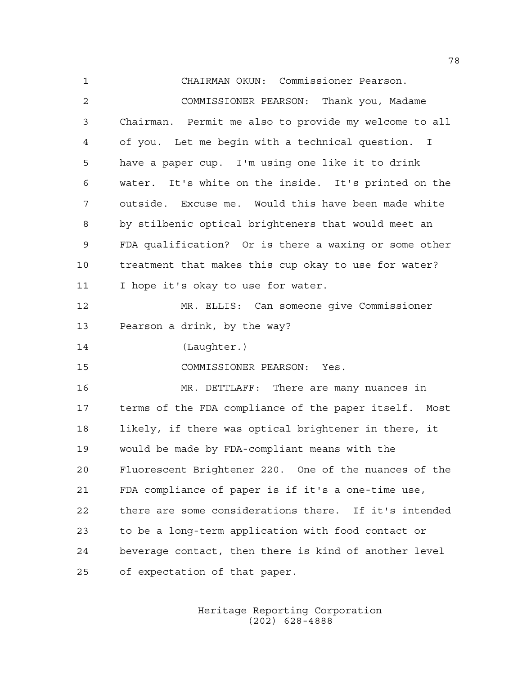1 CHAIRMAN OKUN: Commissioner Pearson. 2 COMMISSIONER PEARSON: Thank you, Madame 3 Chairman. Permit me also to provide my welcome to all 4 of you. Let me begin with a technical question. I 5 have a paper cup. I'm using one like it to drink 6 water. It's white on the inside. It's printed on the 7 outside. Excuse me. Would this have been made white 8 by stilbenic optical brighteners that would meet an 9 FDA qualification? Or is there a waxing or some other 10 treatment that makes this cup okay to use for water? 11 I hope it's okay to use for water. 12 MR. ELLIS: Can someone give Commissioner 13 Pearson a drink, by the way? 14 (Laughter.) 15 COMMISSIONER PEARSON: Yes. 16 MR. DETTLAFF: There are many nuances in 17 terms of the FDA compliance of the paper itself. Most 18 likely, if there was optical brightener in there, it 19 would be made by FDA-compliant means with the 20 Fluorescent Brightener 220. One of the nuances of the 21 FDA compliance of paper is if it's a one-time use, 22 there are some considerations there. If it's intended 23 to be a long-term application with food contact or 24 beverage contact, then there is kind of another level 25 of expectation of that paper.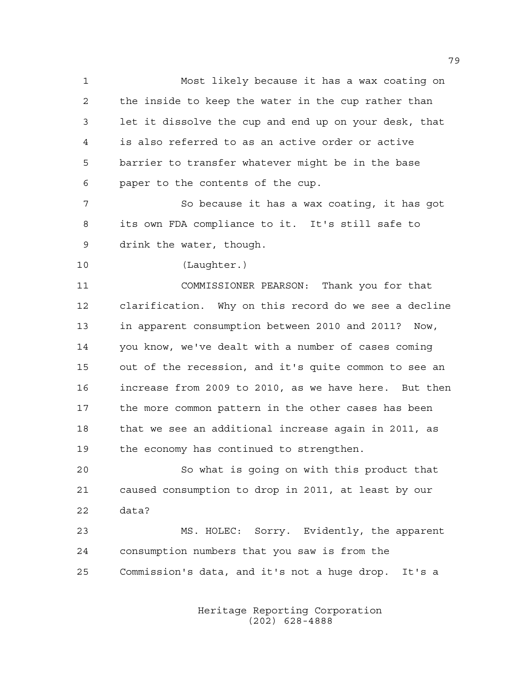1 Most likely because it has a wax coating on 2 the inside to keep the water in the cup rather than 3 let it dissolve the cup and end up on your desk, that 4 is also referred to as an active order or active 5 barrier to transfer whatever might be in the base 6 paper to the contents of the cup.

7 So because it has a wax coating, it has got 8 its own FDA compliance to it. It's still safe to 9 drink the water, though.

10 (Laughter.)

11 COMMISSIONER PEARSON: Thank you for that 12 clarification. Why on this record do we see a decline 13 in apparent consumption between 2010 and 2011? Now, 14 you know, we've dealt with a number of cases coming 15 out of the recession, and it's quite common to see an 16 increase from 2009 to 2010, as we have here. But then 17 the more common pattern in the other cases has been 18 that we see an additional increase again in 2011, as 19 the economy has continued to strengthen.

20 So what is going on with this product that 21 caused consumption to drop in 2011, at least by our 22 data?

23 MS. HOLEC: Sorry. Evidently, the apparent 24 consumption numbers that you saw is from the 25 Commission's data, and it's not a huge drop. It's a

> Heritage Reporting Corporation (202) 628-4888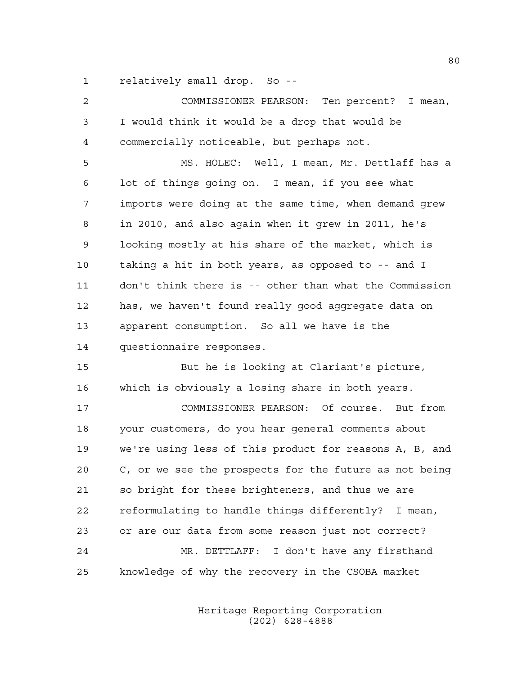1 relatively small drop. So --

| 2              | COMMISSIONER PEARSON: Ten percent? I mean,             |
|----------------|--------------------------------------------------------|
| 3              | I would think it would be a drop that would be         |
| $\overline{4}$ | commercially noticeable, but perhaps not.              |
| 5              | MS. HOLEC: Well, I mean, Mr. Dettlaff has a            |
| 6              | lot of things going on. I mean, if you see what        |
| 7              | imports were doing at the same time, when demand grew  |
| 8              | in 2010, and also again when it grew in 2011, he's     |
| 9              | looking mostly at his share of the market, which is    |
| 10             | taking a hit in both years, as opposed to -- and I     |
| 11             | don't think there is -- other than what the Commission |
| 12             | has, we haven't found really good aggregate data on    |
| 13             | apparent consumption. So all we have is the            |
| 14             | questionnaire responses.                               |
| 15             | But he is looking at Clariant's picture,               |
| 16             | which is obviously a losing share in both years.       |
| 17             | COMMISSIONER PEARSON: Of course. But from              |
| 18             | your customers, do you hear general comments about     |
| 19             | we're using less of this product for reasons A, B, and |
| 20             | C, or we see the prospects for the future as not being |
| 21             | so bright for these brighteners, and thus we are       |
| 22             | reformulating to handle things differently? I mean,    |
| 23             | or are our data from some reason just not correct?     |
| 24             | MR. DETTLAFF: I don't have any firsthand               |
| 25             | knowledge of why the recovery in the CSOBA market      |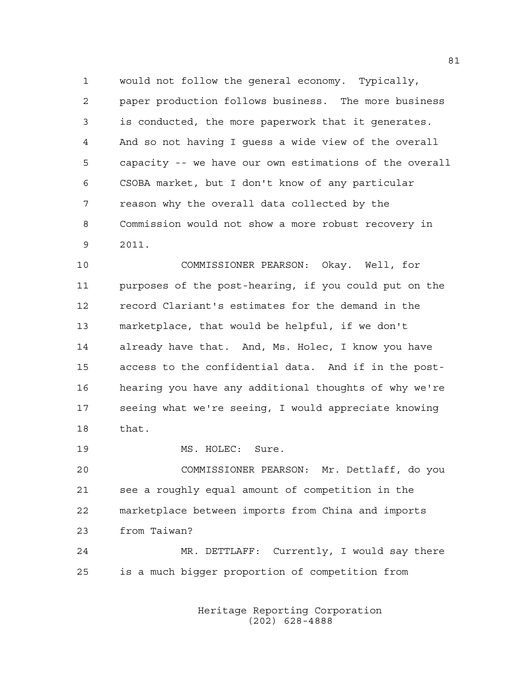1 would not follow the general economy. Typically, 2 paper production follows business. The more business 3 is conducted, the more paperwork that it generates. 4 And so not having I guess a wide view of the overall 5 capacity -- we have our own estimations of the overall 6 CSOBA market, but I don't know of any particular 7 reason why the overall data collected by the 8 Commission would not show a more robust recovery in 9 2011.

10 COMMISSIONER PEARSON: Okay. Well, for 11 purposes of the post-hearing, if you could put on the 12 record Clariant's estimates for the demand in the 13 marketplace, that would be helpful, if we don't 14 already have that. And, Ms. Holec, I know you have 15 access to the confidential data. And if in the post-16 hearing you have any additional thoughts of why we're 17 seeing what we're seeing, I would appreciate knowing 18 that.

19 MS. HOLEC: Sure.

20 COMMISSIONER PEARSON: Mr. Dettlaff, do you 21 see a roughly equal amount of competition in the 22 marketplace between imports from China and imports 23 from Taiwan?

24 MR. DETTLAFF: Currently, I would say there 25 is a much bigger proportion of competition from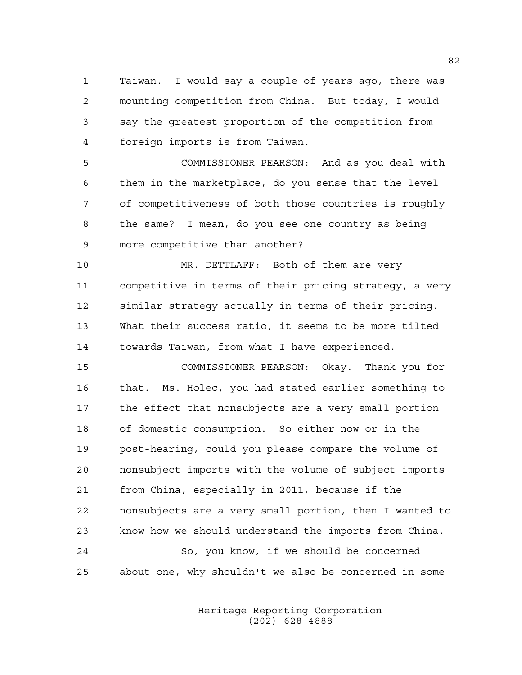1 Taiwan. I would say a couple of years ago, there was 2 mounting competition from China. But today, I would 3 say the greatest proportion of the competition from 4 foreign imports is from Taiwan.

5 COMMISSIONER PEARSON: And as you deal with 6 them in the marketplace, do you sense that the level 7 of competitiveness of both those countries is roughly 8 the same? I mean, do you see one country as being 9 more competitive than another?

10 MR. DETTLAFF: Both of them are very 11 competitive in terms of their pricing strategy, a very 12 similar strategy actually in terms of their pricing. 13 What their success ratio, it seems to be more tilted 14 towards Taiwan, from what I have experienced.

15 COMMISSIONER PEARSON: Okay. Thank you for 16 that. Ms. Holec, you had stated earlier something to 17 the effect that nonsubjects are a very small portion 18 of domestic consumption. So either now or in the 19 post-hearing, could you please compare the volume of 20 nonsubject imports with the volume of subject imports 21 from China, especially in 2011, because if the 22 nonsubjects are a very small portion, then I wanted to 23 know how we should understand the imports from China. 24 So, you know, if we should be concerned 25 about one, why shouldn't we also be concerned in some

> Heritage Reporting Corporation (202) 628-4888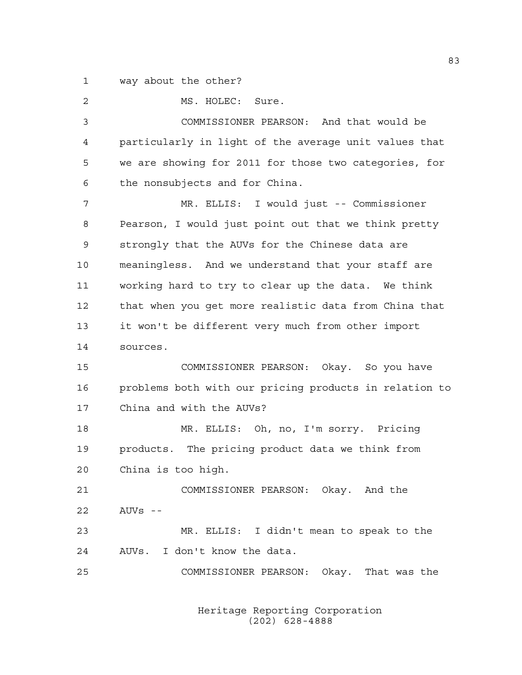1 way about the other?

2 MS. HOLEC: Sure. 3 COMMISSIONER PEARSON: And that would be 4 particularly in light of the average unit values that 5 we are showing for 2011 for those two categories, for 6 the nonsubjects and for China. 7 MR. ELLIS: I would just -- Commissioner 8 Pearson, I would just point out that we think pretty 9 strongly that the AUVs for the Chinese data are 10 meaningless. And we understand that your staff are 11 working hard to try to clear up the data. We think 12 that when you get more realistic data from China that 13 it won't be different very much from other import 14 sources. 15 COMMISSIONER PEARSON: Okay. So you have 16 problems both with our pricing products in relation to 17 China and with the AUVs? 18 MR. ELLIS: Oh, no, I'm sorry. Pricing 19 products. The pricing product data we think from 20 China is too high. 21 COMMISSIONER PEARSON: Okay. And the 22 AUVs -- 23 MR. ELLIS: I didn't mean to speak to the 24 AUVs. I don't know the data. 25 COMMISSIONER PEARSON: Okay. That was the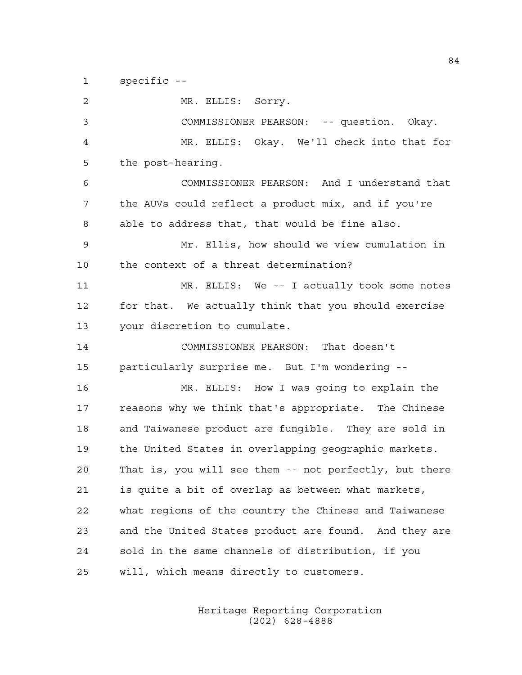1 specific --

2 MR. ELLIS: Sorry. 3 COMMISSIONER PEARSON: -- question. Okay. 4 MR. ELLIS: Okay. We'll check into that for 5 the post-hearing. 6 COMMISSIONER PEARSON: And I understand that 7 the AUVs could reflect a product mix, and if you're 8 able to address that, that would be fine also. 9 Mr. Ellis, how should we view cumulation in 10 the context of a threat determination? 11 MR. ELLIS: We -- I actually took some notes 12 for that. We actually think that you should exercise 13 your discretion to cumulate. 14 COMMISSIONER PEARSON: That doesn't 15 particularly surprise me. But I'm wondering -- 16 MR. ELLIS: How I was going to explain the 17 reasons why we think that's appropriate. The Chinese 18 and Taiwanese product are fungible. They are sold in 19 the United States in overlapping geographic markets. 20 That is, you will see them -- not perfectly, but there 21 is quite a bit of overlap as between what markets, 22 what regions of the country the Chinese and Taiwanese 23 and the United States product are found. And they are 24 sold in the same channels of distribution, if you 25 will, which means directly to customers.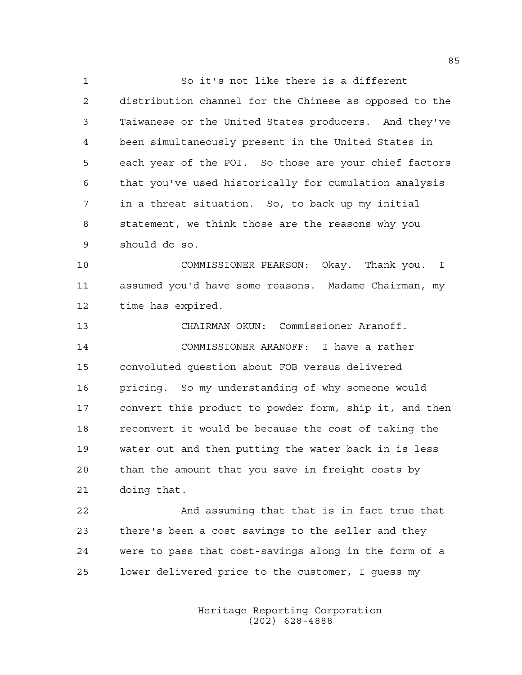1 So it's not like there is a different 2 distribution channel for the Chinese as opposed to the 3 Taiwanese or the United States producers. And they've 4 been simultaneously present in the United States in 5 each year of the POI. So those are your chief factors 6 that you've used historically for cumulation analysis 7 in a threat situation. So, to back up my initial 8 statement, we think those are the reasons why you 9 should do so.

10 COMMISSIONER PEARSON: Okay. Thank you. I 11 assumed you'd have some reasons. Madame Chairman, my 12 time has expired.

13 CHAIRMAN OKUN: Commissioner Aranoff. 14 COMMISSIONER ARANOFF: I have a rather 15 convoluted question about FOB versus delivered 16 pricing. So my understanding of why someone would 17 convert this product to powder form, ship it, and then 18 reconvert it would be because the cost of taking the 19 water out and then putting the water back in is less 20 than the amount that you save in freight costs by 21 doing that.

22 And assuming that that is in fact true that 23 there's been a cost savings to the seller and they 24 were to pass that cost-savings along in the form of a 25 lower delivered price to the customer, I guess my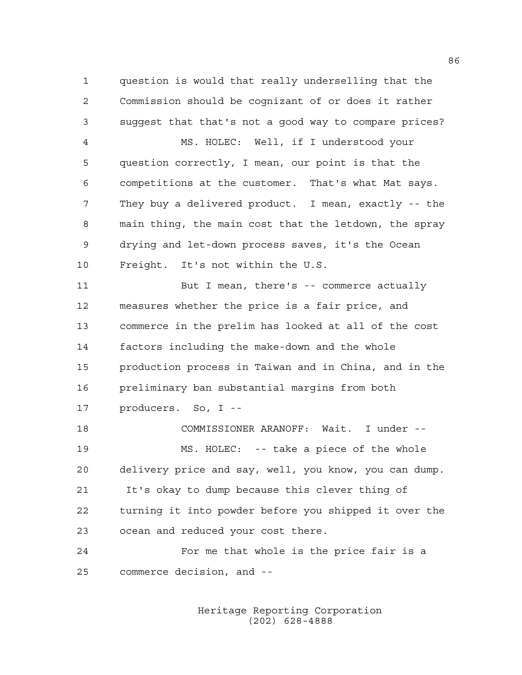1 question is would that really underselling that the 2 Commission should be cognizant of or does it rather 3 suggest that that's not a good way to compare prices?

4 MS. HOLEC: Well, if I understood your 5 question correctly, I mean, our point is that the 6 competitions at the customer. That's what Mat says. 7 They buy a delivered product. I mean, exactly -- the 8 main thing, the main cost that the letdown, the spray 9 drying and let-down process saves, it's the Ocean 10 Freight. It's not within the U.S.

11 But I mean, there's -- commerce actually 12 measures whether the price is a fair price, and 13 commerce in the prelim has looked at all of the cost 14 factors including the make-down and the whole 15 production process in Taiwan and in China, and in the 16 preliminary ban substantial margins from both 17 producers. So, I --

18 COMMISSIONER ARANOFF: Wait. I under -- 19 MS. HOLEC: -- take a piece of the whole 20 delivery price and say, well, you know, you can dump. 21 It's okay to dump because this clever thing of 22 turning it into powder before you shipped it over the 23 ocean and reduced your cost there.

24 For me that whole is the price fair is a 25 commerce decision, and --

> Heritage Reporting Corporation (202) 628-4888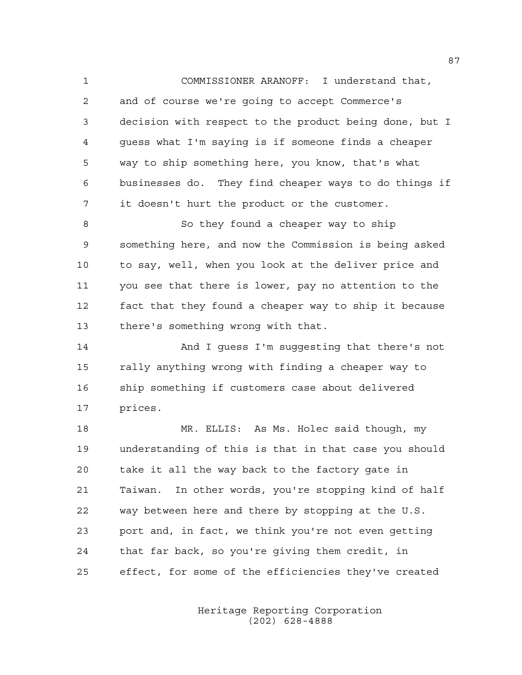1 COMMISSIONER ARANOFF: I understand that, 2 and of course we're going to accept Commerce's 3 decision with respect to the product being done, but I 4 guess what I'm saying is if someone finds a cheaper 5 way to ship something here, you know, that's what 6 businesses do. They find cheaper ways to do things if 7 it doesn't hurt the product or the customer.

8 So they found a cheaper way to ship 9 something here, and now the Commission is being asked 10 to say, well, when you look at the deliver price and 11 you see that there is lower, pay no attention to the 12 fact that they found a cheaper way to ship it because 13 there's something wrong with that.

14 And I guess I'm suggesting that there's not 15 rally anything wrong with finding a cheaper way to 16 ship something if customers case about delivered 17 prices.

18 MR. ELLIS: As Ms. Holec said though, my 19 understanding of this is that in that case you should 20 take it all the way back to the factory gate in 21 Taiwan. In other words, you're stopping kind of half 22 way between here and there by stopping at the U.S. 23 port and, in fact, we think you're not even getting 24 that far back, so you're giving them credit, in 25 effect, for some of the efficiencies they've created

> Heritage Reporting Corporation (202) 628-4888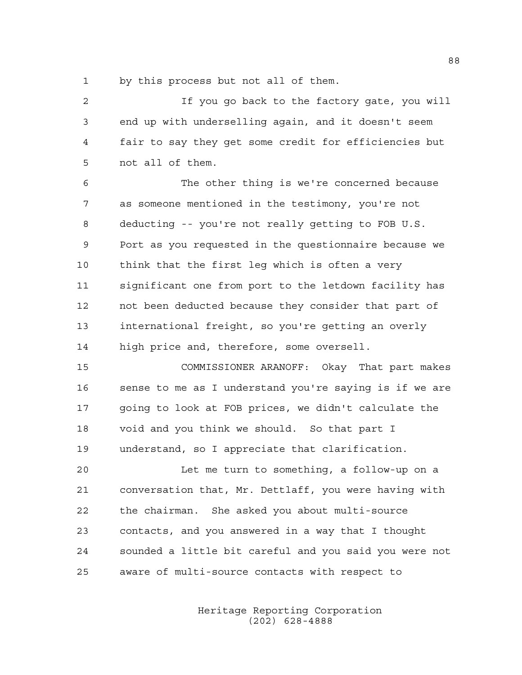1 by this process but not all of them.

2 If you go back to the factory gate, you will 3 end up with underselling again, and it doesn't seem 4 fair to say they get some credit for efficiencies but 5 not all of them.

6 The other thing is we're concerned because 7 as someone mentioned in the testimony, you're not 8 deducting -- you're not really getting to FOB U.S. 9 Port as you requested in the questionnaire because we 10 think that the first leg which is often a very 11 significant one from port to the letdown facility has 12 not been deducted because they consider that part of 13 international freight, so you're getting an overly 14 high price and, therefore, some oversell.

15 COMMISSIONER ARANOFF: Okay That part makes 16 sense to me as I understand you're saying is if we are 17 going to look at FOB prices, we didn't calculate the 18 void and you think we should. So that part I 19 understand, so I appreciate that clarification.

20 Let me turn to something, a follow-up on a 21 conversation that, Mr. Dettlaff, you were having with 22 the chairman. She asked you about multi-source 23 contacts, and you answered in a way that I thought 24 sounded a little bit careful and you said you were not 25 aware of multi-source contacts with respect to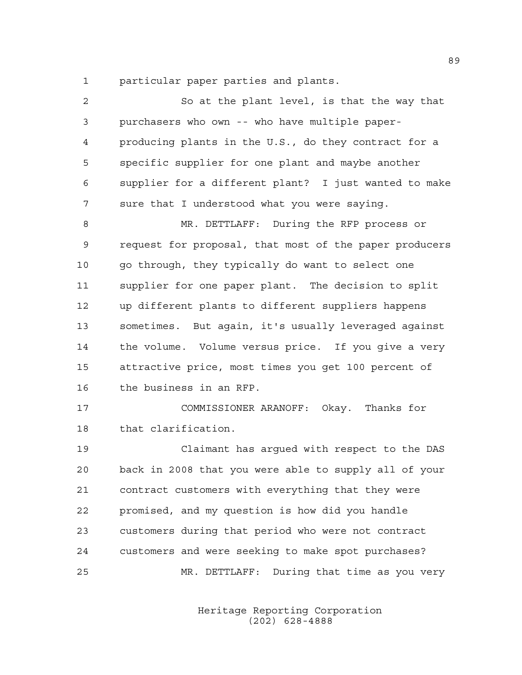1 particular paper parties and plants.

| 2  | So at the plant level, is that the way that            |
|----|--------------------------------------------------------|
| 3  | purchasers who own -- who have multiple paper-         |
| 4  | producing plants in the U.S., do they contract for a   |
| 5  | specific supplier for one plant and maybe another      |
| 6  | supplier for a different plant? I just wanted to make  |
| 7  | sure that I understood what you were saying.           |
| 8  | MR. DETTLAFF: During the RFP process or                |
| 9  | request for proposal, that most of the paper producers |
| 10 | go through, they typically do want to select one       |
| 11 | supplier for one paper plant. The decision to split    |
| 12 | up different plants to different suppliers happens     |
| 13 | sometimes. But again, it's usually leveraged against   |
| 14 | the volume. Volume versus price. If you give a very    |
| 15 | attractive price, most times you get 100 percent of    |
| 16 | the business in an RFP.                                |
| 17 | COMMISSIONER ARANOFF: Okay. Thanks for                 |
| 18 | that clarification.                                    |
| 19 | Claimant has argued with respect to the DAS            |
| 20 | back in 2008 that you were able to supply all of your  |
| 21 | contract customers with everything that they were      |
| 22 | promised, and my question is how did you handle        |
| 23 | customers during that period who were not contract     |
| 24 | customers and were seeking to make spot purchases?     |
| 25 | MR. DETTLAFF:<br>During that time as you very          |

 Heritage Reporting Corporation (202) 628-4888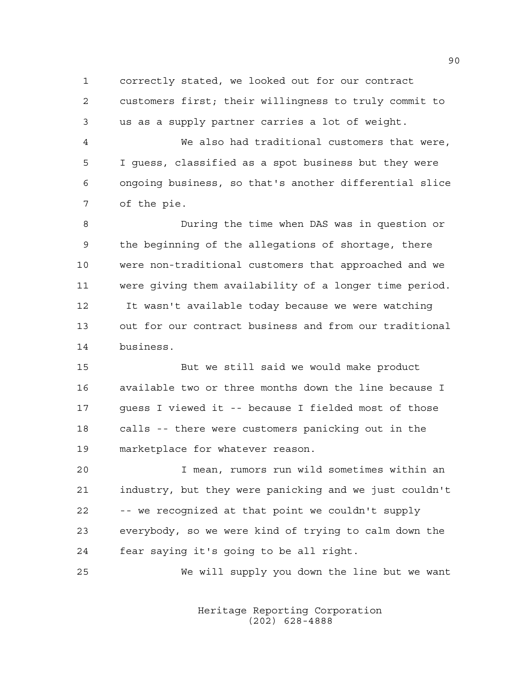1 correctly stated, we looked out for our contract 2 customers first; their willingness to truly commit to 3 us as a supply partner carries a lot of weight.

4 We also had traditional customers that were, 5 I guess, classified as a spot business but they were 6 ongoing business, so that's another differential slice 7 of the pie.

8 During the time when DAS was in question or 9 the beginning of the allegations of shortage, there 10 were non-traditional customers that approached and we 11 were giving them availability of a longer time period. 12 It wasn't available today because we were watching 13 out for our contract business and from our traditional 14 business.

15 But we still said we would make product 16 available two or three months down the line because I 17 guess I viewed it -- because I fielded most of those 18 calls -- there were customers panicking out in the 19 marketplace for whatever reason.

20 I mean, rumors run wild sometimes within an 21 industry, but they were panicking and we just couldn't 22 -- we recognized at that point we couldn't supply 23 everybody, so we were kind of trying to calm down the 24 fear saying it's going to be all right.

25 We will supply you down the line but we want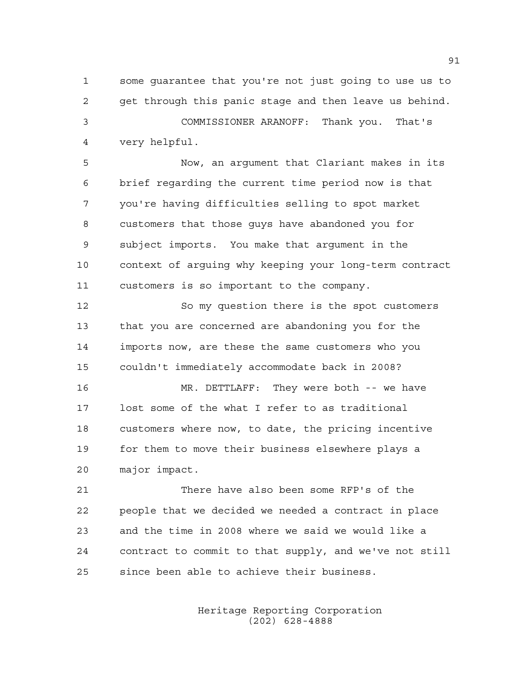1 some guarantee that you're not just going to use us to 2 get through this panic stage and then leave us behind.

3 COMMISSIONER ARANOFF: Thank you. That's 4 very helpful.

5 Now, an argument that Clariant makes in its 6 brief regarding the current time period now is that 7 you're having difficulties selling to spot market 8 customers that those guys have abandoned you for 9 subject imports. You make that argument in the 10 context of arguing why keeping your long-term contract 11 customers is so important to the company.

12 So my question there is the spot customers 13 that you are concerned are abandoning you for the 14 imports now, are these the same customers who you 15 couldn't immediately accommodate back in 2008?

16 MR. DETTLAFF: They were both -- we have 17 lost some of the what I refer to as traditional 18 customers where now, to date, the pricing incentive 19 for them to move their business elsewhere plays a 20 major impact.

21 There have also been some RFP's of the 22 people that we decided we needed a contract in place 23 and the time in 2008 where we said we would like a 24 contract to commit to that supply, and we've not still 25 since been able to achieve their business.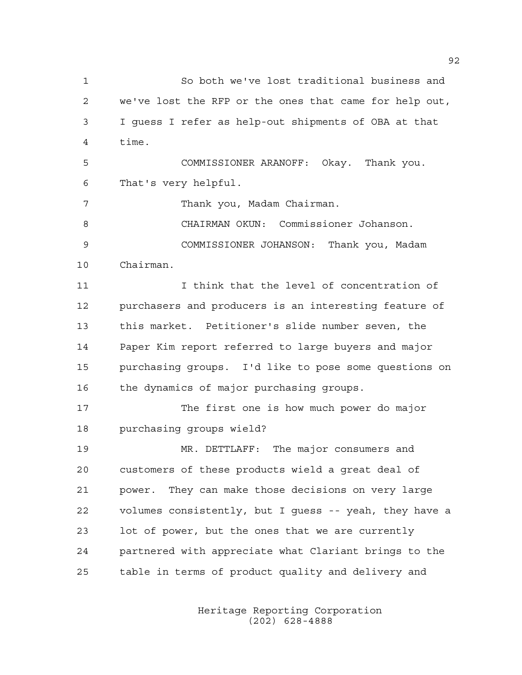1 So both we've lost traditional business and 2 we've lost the RFP or the ones that came for help out, 3 I guess I refer as help-out shipments of OBA at that 4 time. 5 COMMISSIONER ARANOFF: Okay. Thank you. 6 That's very helpful. 7 Thank you, Madam Chairman. 8 CHAIRMAN OKUN: Commissioner Johanson. 9 COMMISSIONER JOHANSON: Thank you, Madam 10 Chairman. 11 I think that the level of concentration of 12 purchasers and producers is an interesting feature of 13 this market. Petitioner's slide number seven, the 14 Paper Kim report referred to large buyers and major 15 purchasing groups. I'd like to pose some questions on 16 the dynamics of major purchasing groups. 17 The first one is how much power do major 18 purchasing groups wield? 19 MR. DETTLAFF: The major consumers and 20 customers of these products wield a great deal of 21 power. They can make those decisions on very large 22 volumes consistently, but I guess -- yeah, they have a 23 lot of power, but the ones that we are currently 24 partnered with appreciate what Clariant brings to the 25 table in terms of product quality and delivery and

> Heritage Reporting Corporation (202) 628-4888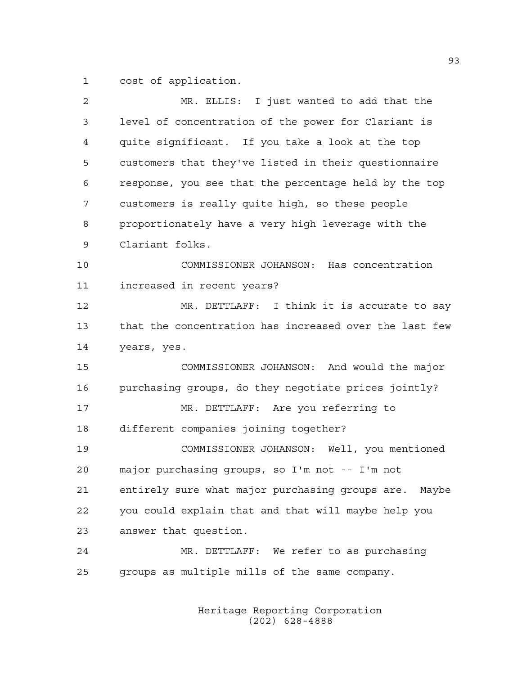1 cost of application.

| $\overline{c}$ | MR. ELLIS: I just wanted to add that the               |
|----------------|--------------------------------------------------------|
| 3              | level of concentration of the power for Clariant is    |
| 4              | quite significant. If you take a look at the top       |
| 5              | customers that they've listed in their questionnaire   |
| 6              | response, you see that the percentage held by the top  |
| 7              | customers is really quite high, so these people        |
| 8              | proportionately have a very high leverage with the     |
| 9              | Clariant folks.                                        |
| 10             | COMMISSIONER JOHANSON: Has concentration               |
| 11             | increased in recent years?                             |
| 12             | MR. DETTLAFF: I think it is accurate to say            |
| 13             | that the concentration has increased over the last few |
| 14             | years, yes.                                            |
| 15             | COMMISSIONER JOHANSON: And would the major             |
| 16             | purchasing groups, do they negotiate prices jointly?   |
| 17             | MR. DETTLAFF: Are you referring to                     |
| 18             | different companies joining together?                  |
| 19             | COMMISSIONER JOHANSON: Well, you mentioned             |
| 20             | major purchasing groups, so I'm not -- I'm not         |
| 21             | entirely sure what major purchasing groups are. Maybe  |
| 22             | you could explain that and that will maybe help you    |
| 23             | answer that question.                                  |
| 24             | MR. DETTLAFF: We refer to as purchasing                |
| 25             | groups as multiple mills of the same company.          |
|                |                                                        |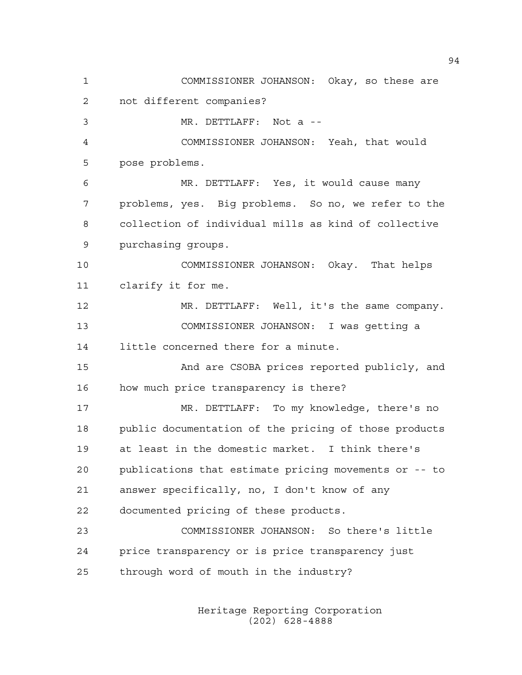1 COMMISSIONER JOHANSON: Okay, so these are 2 not different companies? 3 MR. DETTLAFF: Not a -- 4 COMMISSIONER JOHANSON: Yeah, that would 5 pose problems. 6 MR. DETTLAFF: Yes, it would cause many 7 problems, yes. Big problems. So no, we refer to the 8 collection of individual mills as kind of collective 9 purchasing groups. 10 COMMISSIONER JOHANSON: Okay. That helps 11 clarify it for me. 12 MR. DETTLAFF: Well, it's the same company. 13 COMMISSIONER JOHANSON: I was getting a 14 little concerned there for a minute. 15 And are CSOBA prices reported publicly, and 16 how much price transparency is there? 17 MR. DETTLAFF: To my knowledge, there's no 18 public documentation of the pricing of those products 19 at least in the domestic market. I think there's 20 publications that estimate pricing movements or -- to 21 answer specifically, no, I don't know of any 22 documented pricing of these products. 23 COMMISSIONER JOHANSON: So there's little 24 price transparency or is price transparency just 25 through word of mouth in the industry?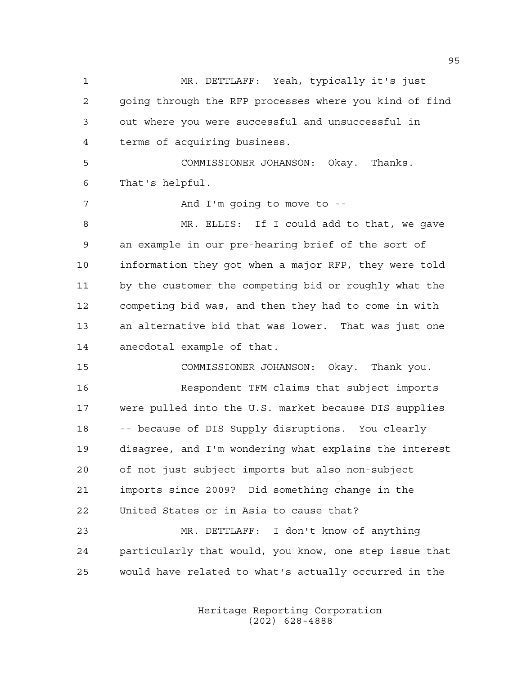1 MR. DETTLAFF: Yeah, typically it's just 2 going through the RFP processes where you kind of find 3 out where you were successful and unsuccessful in 4 terms of acquiring business. 5 COMMISSIONER JOHANSON: Okay. Thanks. 6 That's helpful. 7 And I'm going to move to --8 MR. ELLIS: If I could add to that, we gave 9 an example in our pre-hearing brief of the sort of 10 information they got when a major RFP, they were told 11 by the customer the competing bid or roughly what the 12 competing bid was, and then they had to come in with 13 an alternative bid that was lower. That was just one 14 anecdotal example of that. 15 COMMISSIONER JOHANSON: Okay. Thank you. 16 Respondent TFM claims that subject imports 17 were pulled into the U.S. market because DIS supplies 18 -- because of DIS Supply disruptions. You clearly 19 disagree, and I'm wondering what explains the interest 20 of not just subject imports but also non-subject 21 imports since 2009? Did something change in the 22 United States or in Asia to cause that? 23 MR. DETTLAFF: I don't know of anything 24 particularly that would, you know, one step issue that 25 would have related to what's actually occurred in the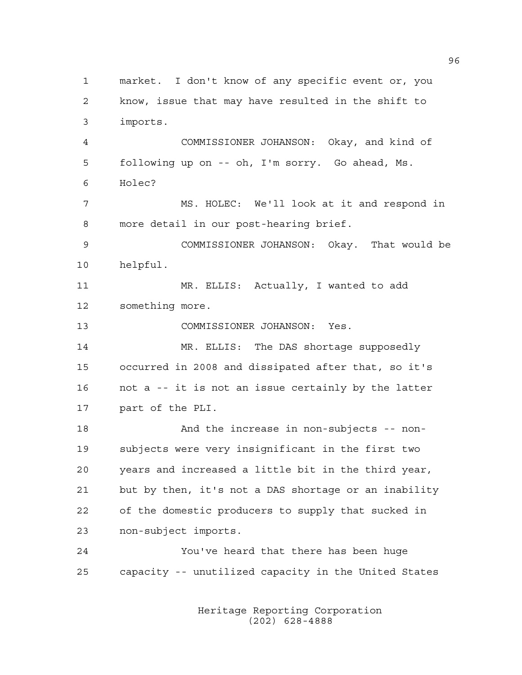1 market. I don't know of any specific event or, you 2 know, issue that may have resulted in the shift to 3 imports. 4 COMMISSIONER JOHANSON: Okay, and kind of 5 following up on -- oh, I'm sorry. Go ahead, Ms. 6 Holec? 7 MS. HOLEC: We'll look at it and respond in 8 more detail in our post-hearing brief. 9 COMMISSIONER JOHANSON: Okay. That would be 10 helpful. 11 MR. ELLIS: Actually, I wanted to add 12 something more. 13 COMMISSIONER JOHANSON: Yes. 14 MR. ELLIS: The DAS shortage supposedly 15 occurred in 2008 and dissipated after that, so it's 16 not a -- it is not an issue certainly by the latter 17 part of the PLI. 18 And the increase in non-subjects -- non-19 subjects were very insignificant in the first two 20 years and increased a little bit in the third year, 21 but by then, it's not a DAS shortage or an inability 22 of the domestic producers to supply that sucked in 23 non-subject imports. 24 You've heard that there has been huge 25 capacity -- unutilized capacity in the United States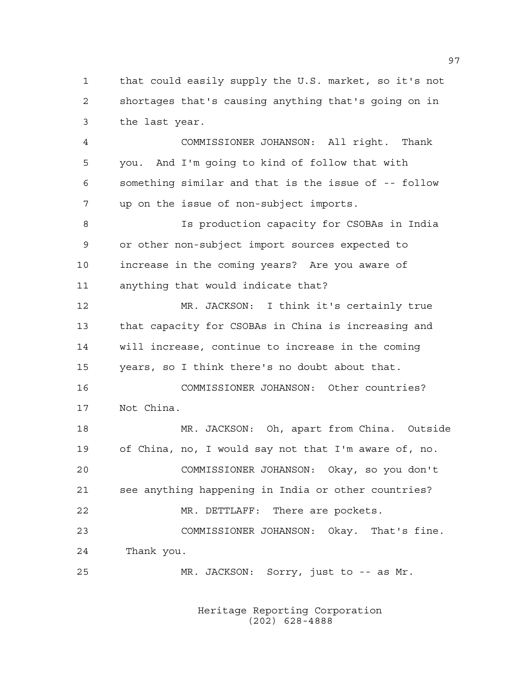1 that could easily supply the U.S. market, so it's not 2 shortages that's causing anything that's going on in 3 the last year.

4 COMMISSIONER JOHANSON: All right. Thank 5 you. And I'm going to kind of follow that with 6 something similar and that is the issue of -- follow 7 up on the issue of non-subject imports.

8 Is production capacity for CSOBAs in India 9 or other non-subject import sources expected to 10 increase in the coming years? Are you aware of 11 anything that would indicate that?

12 MR. JACKSON: I think it's certainly true 13 that capacity for CSOBAs in China is increasing and 14 will increase, continue to increase in the coming 15 years, so I think there's no doubt about that.

16 COMMISSIONER JOHANSON: Other countries? 17 Not China.

18 MR. JACKSON: Oh, apart from China. Outside 19 of China, no, I would say not that I'm aware of, no. 20 COMMISSIONER JOHANSON: Okay, so you don't 21 see anything happening in India or other countries? 22 MR. DETTLAFF: There are pockets. 23 COMMISSIONER JOHANSON: Okay. That's fine. 24 Thank you. 25 MR. JACKSON: Sorry, just to -- as Mr.

> Heritage Reporting Corporation (202) 628-4888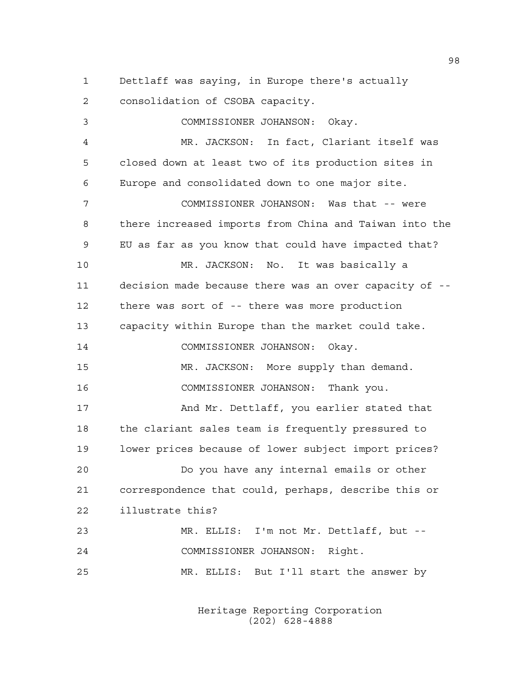1 Dettlaff was saying, in Europe there's actually 2 consolidation of CSOBA capacity.

3 COMMISSIONER JOHANSON: Okay. 4 MR. JACKSON: In fact, Clariant itself was 5 closed down at least two of its production sites in 6 Europe and consolidated down to one major site. 7 COMMISSIONER JOHANSON: Was that -- were 8 there increased imports from China and Taiwan into the 9 EU as far as you know that could have impacted that? 10 MR. JACKSON: No. It was basically a 11 decision made because there was an over capacity of -- 12 there was sort of -- there was more production 13 capacity within Europe than the market could take. 14 COMMISSIONER JOHANSON: Okay. 15 MR. JACKSON: More supply than demand. 16 COMMISSIONER JOHANSON: Thank you. 17 And Mr. Dettlaff, you earlier stated that 18 the clariant sales team is frequently pressured to 19 lower prices because of lower subject import prices? 20 Do you have any internal emails or other 21 correspondence that could, perhaps, describe this or 22 illustrate this? 23 MR. ELLIS: I'm not Mr. Dettlaff, but -- 24 COMMISSIONER JOHANSON: Right. 25 MR. ELLIS: But I'll start the answer by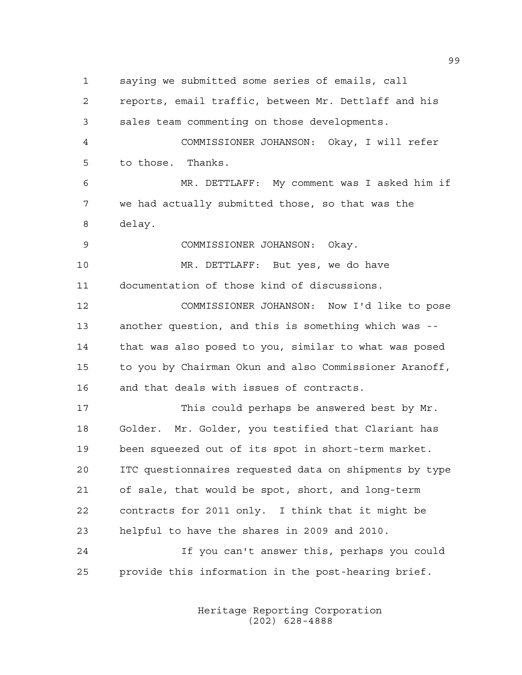1 saying we submitted some series of emails, call 2 reports, email traffic, between Mr. Dettlaff and his 3 sales team commenting on those developments. 4 COMMISSIONER JOHANSON: Okay, I will refer 5 to those. Thanks. 6 MR. DETTLAFF: My comment was I asked him if 7 we had actually submitted those, so that was the 8 delay. 9 COMMISSIONER JOHANSON: Okay. 10 MR. DETTLAFF: But yes, we do have 11 documentation of those kind of discussions. 12 COMMISSIONER JOHANSON: Now I'd like to pose 13 another question, and this is something which was -- 14 that was also posed to you, similar to what was posed 15 to you by Chairman Okun and also Commissioner Aranoff, 16 and that deals with issues of contracts. 17 This could perhaps be answered best by Mr. 18 Golder. Mr. Golder, you testified that Clariant has 19 been squeezed out of its spot in short-term market. 20 ITC questionnaires requested data on shipments by type 21 of sale, that would be spot, short, and long-term 22 contracts for 2011 only. I think that it might be 23 helpful to have the shares in 2009 and 2010.

24 If you can't answer this, perhaps you could 25 provide this information in the post-hearing brief.

> Heritage Reporting Corporation (202) 628-4888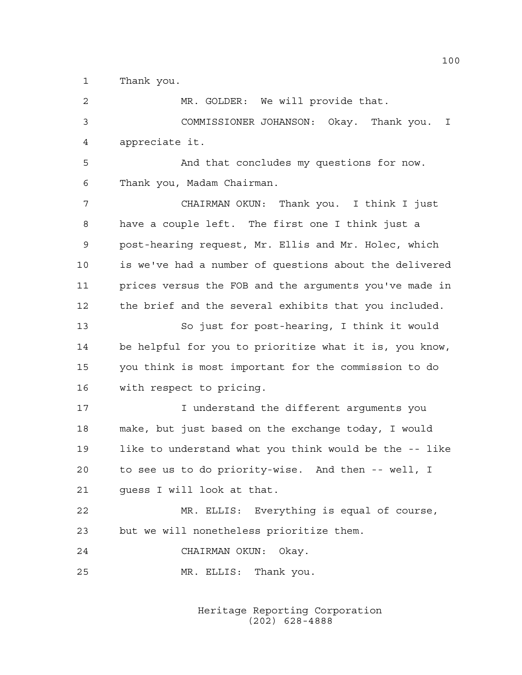1 Thank you.

2 MR. GOLDER: We will provide that. 3 COMMISSIONER JOHANSON: Okay. Thank you. I 4 appreciate it. 5 And that concludes my questions for now. 6 Thank you, Madam Chairman. 7 CHAIRMAN OKUN: Thank you. I think I just 8 have a couple left. The first one I think just a 9 post-hearing request, Mr. Ellis and Mr. Holec, which 10 is we've had a number of questions about the delivered 11 prices versus the FOB and the arguments you've made in 12 the brief and the several exhibits that you included. 13 So just for post-hearing, I think it would 14 be helpful for you to prioritize what it is, you know, 15 you think is most important for the commission to do 16 with respect to pricing. 17 **I understand the different arguments you** 18 make, but just based on the exchange today, I would 19 like to understand what you think would be the -- like 20 to see us to do priority-wise. And then -- well, I 21 guess I will look at that. 22 MR. ELLIS: Everything is equal of course, 23 but we will nonetheless prioritize them. 24 CHAIRMAN OKUN: Okay. 25 MR. ELLIS: Thank you.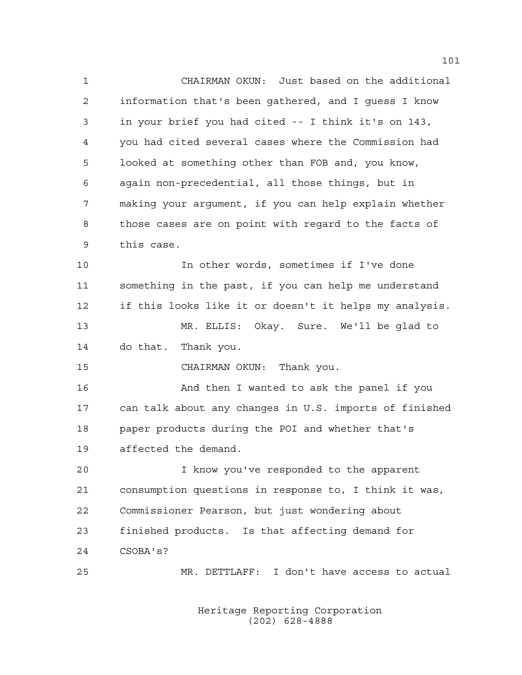1 CHAIRMAN OKUN: Just based on the additional 2 information that's been gathered, and I guess I know 3 in your brief you had cited -- I think it's on 143, 4 you had cited several cases where the Commission had 5 looked at something other than FOB and, you know, 6 again non-precedential, all those things, but in 7 making your argument, if you can help explain whether 8 those cases are on point with regard to the facts of 9 this case. 10 In other words, sometimes if I've done 11 something in the past, if you can help me understand 12 if this looks like it or doesn't it helps my analysis. 13 MR. ELLIS: Okay. Sure. We'll be glad to 14 do that. Thank you. 15 CHAIRMAN OKUN: Thank you. 16 And then I wanted to ask the panel if you 17 can talk about any changes in U.S. imports of finished 18 paper products during the POI and whether that's 19 affected the demand. 20 I know you've responded to the apparent 21 consumption questions in response to, I think it was, 22 Commissioner Pearson, but just wondering about 23 finished products. Is that affecting demand for 24 CSOBA's? 25 MR. DETTLAFF: I don't have access to actual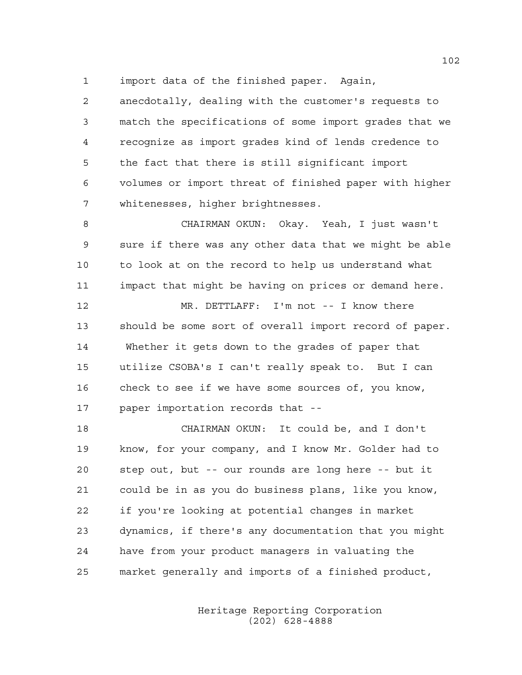1 import data of the finished paper. Again,

2 anecdotally, dealing with the customer's requests to 3 match the specifications of some import grades that we 4 recognize as import grades kind of lends credence to 5 the fact that there is still significant import 6 volumes or import threat of finished paper with higher 7 whitenesses, higher brightnesses.

8 CHAIRMAN OKUN: Okay. Yeah, I just wasn't 9 sure if there was any other data that we might be able 10 to look at on the record to help us understand what 11 impact that might be having on prices or demand here.

12 MR. DETTLAFF: I'm not -- I know there 13 should be some sort of overall import record of paper. 14 Whether it gets down to the grades of paper that 15 utilize CSOBA's I can't really speak to. But I can 16 check to see if we have some sources of, you know, 17 paper importation records that --

18 CHAIRMAN OKUN: It could be, and I don't 19 know, for your company, and I know Mr. Golder had to 20 step out, but -- our rounds are long here -- but it 21 could be in as you do business plans, like you know, 22 if you're looking at potential changes in market 23 dynamics, if there's any documentation that you might 24 have from your product managers in valuating the 25 market generally and imports of a finished product,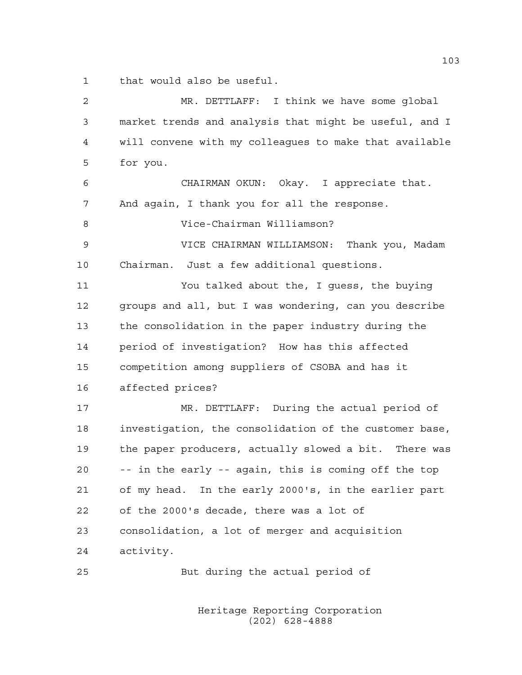1 that would also be useful.

| 2  | MR. DETTLAFF: I think we have some global              |
|----|--------------------------------------------------------|
| 3  | market trends and analysis that might be useful, and I |
| 4  | will convene with my colleagues to make that available |
| 5  | for you.                                               |
| 6  | CHAIRMAN OKUN: Okay. I appreciate that.                |
| 7  | And again, I thank you for all the response.           |
| 8  | Vice-Chairman Williamson?                              |
| 9  | VICE CHAIRMAN WILLIAMSON: Thank you, Madam             |
| 10 | Chairman. Just a few additional questions.             |
| 11 | You talked about the, I guess, the buying              |
| 12 | groups and all, but I was wondering, can you describe  |
| 13 | the consolidation in the paper industry during the     |
| 14 | period of investigation? How has this affected         |
| 15 | competition among suppliers of CSOBA and has it        |
| 16 | affected prices?                                       |
| 17 | MR. DETTLAFF: During the actual period of              |
| 18 | investigation, the consolidation of the customer base, |
| 19 | the paper producers, actually slowed a bit. There was  |
| 20 | -- in the early -- again, this is coming off the top   |
| 21 | of my head. In the early 2000's, in the earlier part   |
| 22 | of the 2000's decade, there was a lot of               |
| 23 | consolidation, a lot of merger and acquisition         |
| 24 | activity.                                              |
| 25 | But during the actual period of                        |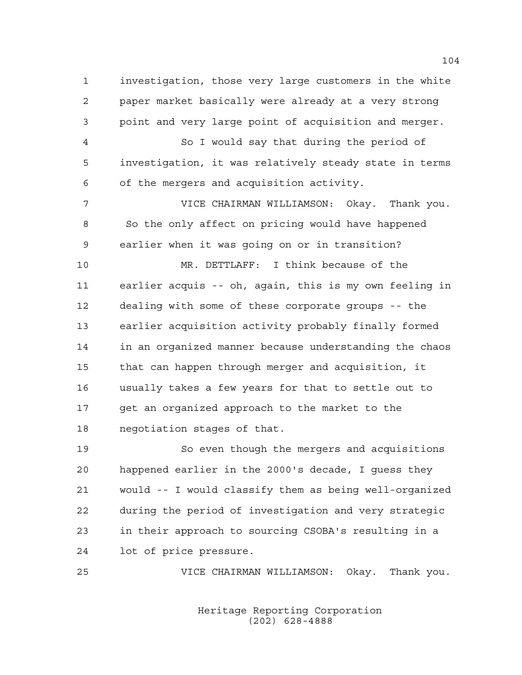1 investigation, those very large customers in the white 2 paper market basically were already at a very strong 3 point and very large point of acquisition and merger.

4 So I would say that during the period of 5 investigation, it was relatively steady state in terms 6 of the mergers and acquisition activity.

7 VICE CHAIRMAN WILLIAMSON: Okay. Thank you. 8 So the only affect on pricing would have happened 9 earlier when it was going on or in transition?

10 MR. DETTLAFF: I think because of the 11 earlier acquis -- oh, again, this is my own feeling in 12 dealing with some of these corporate groups -- the 13 earlier acquisition activity probably finally formed 14 in an organized manner because understanding the chaos 15 that can happen through merger and acquisition, it 16 usually takes a few years for that to settle out to 17 get an organized approach to the market to the 18 negotiation stages of that.

19 So even though the mergers and acquisitions 20 happened earlier in the 2000's decade, I guess they 21 would -- I would classify them as being well-organized 22 during the period of investigation and very strategic 23 in their approach to sourcing CSOBA's resulting in a 24 lot of price pressure.

25 VICE CHAIRMAN WILLIAMSON: Okay. Thank you.

 Heritage Reporting Corporation (202) 628-4888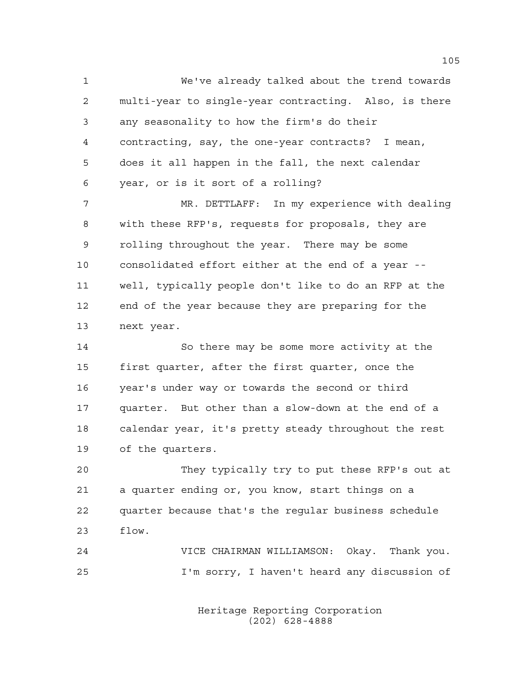1 We've already talked about the trend towards 2 multi-year to single-year contracting. Also, is there 3 any seasonality to how the firm's do their 4 contracting, say, the one-year contracts? I mean, 5 does it all happen in the fall, the next calendar 6 year, or is it sort of a rolling?

7 MR. DETTLAFF: In my experience with dealing 8 with these RFP's, requests for proposals, they are 9 rolling throughout the year. There may be some 10 consolidated effort either at the end of a year -- 11 well, typically people don't like to do an RFP at the 12 end of the year because they are preparing for the 13 next year.

14 So there may be some more activity at the 15 first quarter, after the first quarter, once the 16 year's under way or towards the second or third 17 quarter. But other than a slow-down at the end of a 18 calendar year, it's pretty steady throughout the rest 19 of the quarters.

20 They typically try to put these RFP's out at 21 a quarter ending or, you know, start things on a 22 quarter because that's the regular business schedule 23 flow.

24 VICE CHAIRMAN WILLIAMSON: Okay. Thank you. 25 I'm sorry, I haven't heard any discussion of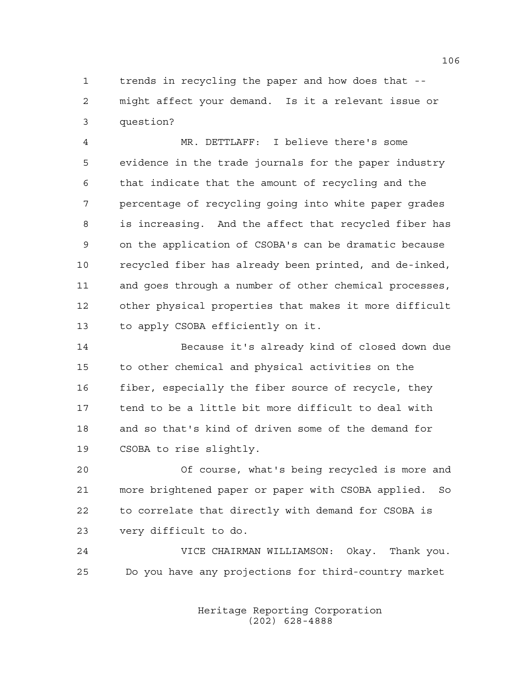1 trends in recycling the paper and how does that -- 2 might affect your demand. Is it a relevant issue or 3 question?

4 MR. DETTLAFF: I believe there's some 5 evidence in the trade journals for the paper industry 6 that indicate that the amount of recycling and the 7 percentage of recycling going into white paper grades 8 is increasing. And the affect that recycled fiber has 9 on the application of CSOBA's can be dramatic because 10 recycled fiber has already been printed, and de-inked, 11 and goes through a number of other chemical processes, 12 other physical properties that makes it more difficult 13 to apply CSOBA efficiently on it.

14 Because it's already kind of closed down due 15 to other chemical and physical activities on the 16 fiber, especially the fiber source of recycle, they 17 tend to be a little bit more difficult to deal with 18 and so that's kind of driven some of the demand for 19 CSOBA to rise slightly.

20 Of course, what's being recycled is more and 21 more brightened paper or paper with CSOBA applied. So 22 to correlate that directly with demand for CSOBA is 23 very difficult to do.

24 VICE CHAIRMAN WILLIAMSON: Okay. Thank you. 25 Do you have any projections for third-country market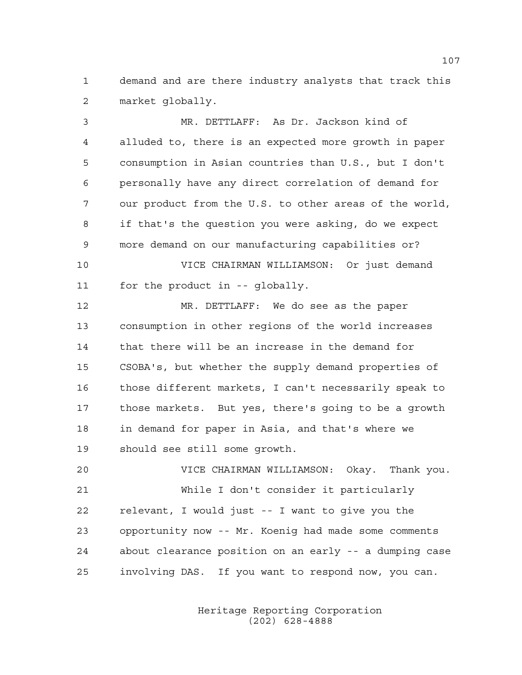1 demand and are there industry analysts that track this 2 market globally.

3 MR. DETTLAFF: As Dr. Jackson kind of 4 alluded to, there is an expected more growth in paper 5 consumption in Asian countries than U.S., but I don't 6 personally have any direct correlation of demand for 7 our product from the U.S. to other areas of the world, 8 if that's the question you were asking, do we expect 9 more demand on our manufacturing capabilities or? 10 VICE CHAIRMAN WILLIAMSON: Or just demand 11 for the product in -- globally. 12 MR. DETTLAFF: We do see as the paper 13 consumption in other regions of the world increases 14 that there will be an increase in the demand for 15 CSOBA's, but whether the supply demand properties of 16 those different markets, I can't necessarily speak to 17 those markets. But yes, there's going to be a growth 18 in demand for paper in Asia, and that's where we 19 should see still some growth. 20 VICE CHAIRMAN WILLIAMSON: Okay. Thank you. 21 While I don't consider it particularly 22 relevant, I would just -- I want to give you the 23 opportunity now -- Mr. Koenig had made some comments 24 about clearance position on an early -- a dumping case

> Heritage Reporting Corporation (202) 628-4888

25 involving DAS. If you want to respond now, you can.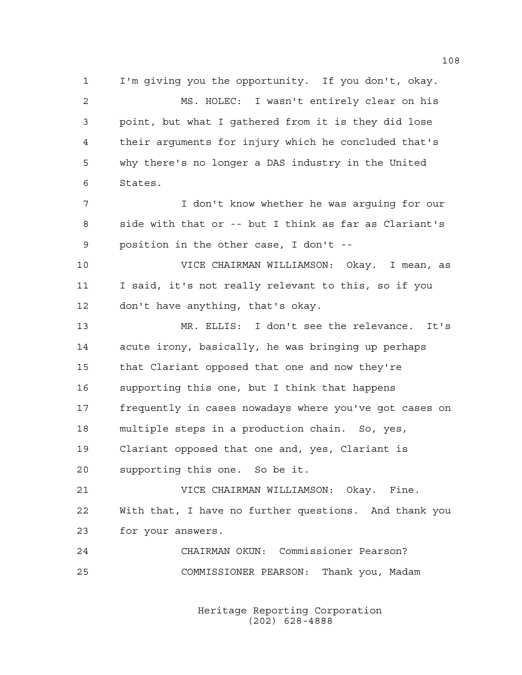1 I'm giving you the opportunity. If you don't, okay. 2 MS. HOLEC: I wasn't entirely clear on his 3 point, but what I gathered from it is they did lose 4 their arguments for injury which he concluded that's 5 why there's no longer a DAS industry in the United 6 States. 7 I don't know whether he was arguing for our 8 side with that or -- but I think as far as Clariant's 9 position in the other case, I don't -- 10 VICE CHAIRMAN WILLIAMSON: Okay. I mean, as 11 I said, it's not really relevant to this, so if you 12 don't have anything, that's okay. 13 MR. ELLIS: I don't see the relevance. It's 14 acute irony, basically, he was bringing up perhaps 15 that Clariant opposed that one and now they're 16 supporting this one, but I think that happens 17 frequently in cases nowadays where you've got cases on 18 multiple steps in a production chain. So, yes, 19 Clariant opposed that one and, yes, Clariant is 20 supporting this one. So be it. 21 VICE CHAIRMAN WILLIAMSON: Okay. Fine. 22 With that, I have no further questions. And thank you 23 for your answers. 24 CHAIRMAN OKUN: Commissioner Pearson? 25 COMMISSIONER PEARSON: Thank you, Madam

> Heritage Reporting Corporation (202) 628-4888

108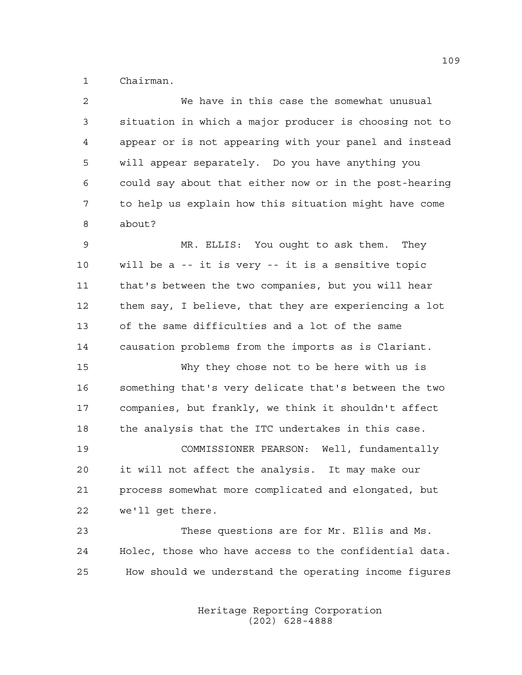1 Chairman.

| 2  | We have in this case the somewhat unusual              |
|----|--------------------------------------------------------|
| 3  | situation in which a major producer is choosing not to |
| 4  | appear or is not appearing with your panel and instead |
| 5  | will appear separately. Do you have anything you       |
| 6  | could say about that either now or in the post-hearing |
| 7  | to help us explain how this situation might have come  |
| 8  | about?                                                 |
| 9  | MR. ELLIS: You ought to ask them. They                 |
| 10 | will be a -- it is very -- it is a sensitive topic     |
| 11 | that's between the two companies, but you will hear    |
| 12 | them say, I believe, that they are experiencing a lot  |
| 13 | of the same difficulties and a lot of the same         |
| 14 | causation problems from the imports as is Clariant.    |
| 15 | Why they chose not to be here with us is               |
| 16 | something that's very delicate that's between the two  |
| 17 | companies, but frankly, we think it shouldn't affect   |
| 18 | the analysis that the ITC undertakes in this case.     |
| 19 | COMMISSIONER PEARSON: Well, fundamentally              |
| 20 | it will not affect the analysis. It may make our       |
| 21 | process somewhat more complicated and elongated, but   |
| 22 | we'll get there.                                       |
| 23 | These questions are for Mr. Ellis and Ms.              |
|    |                                                        |

24 Holec, those who have access to the confidential data. 25 How should we understand the operating income figures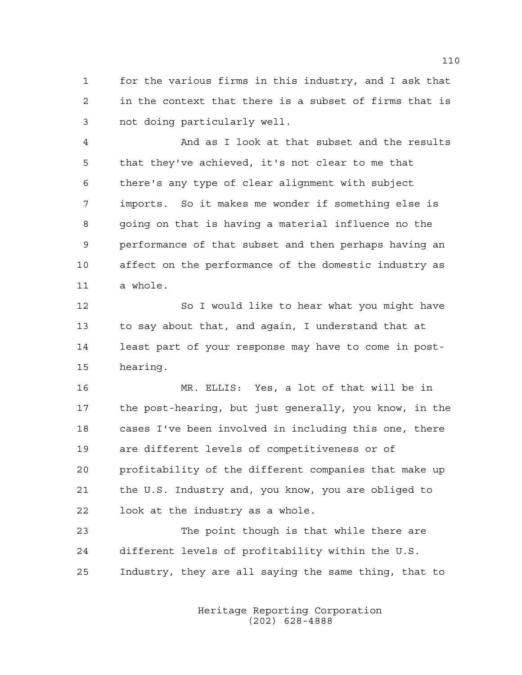1 for the various firms in this industry, and I ask that 2 in the context that there is a subset of firms that is 3 not doing particularly well.

4 And as I look at that subset and the results 5 that they've achieved, it's not clear to me that 6 there's any type of clear alignment with subject 7 imports. So it makes me wonder if something else is 8 going on that is having a material influence no the 9 performance of that subset and then perhaps having an 10 affect on the performance of the domestic industry as 11 a whole.

12 So I would like to hear what you might have 13 to say about that, and again, I understand that at 14 least part of your response may have to come in post-15 hearing.

16 MR. ELLIS: Yes, a lot of that will be in 17 the post-hearing, but just generally, you know, in the 18 cases I've been involved in including this one, there 19 are different levels of competitiveness or of 20 profitability of the different companies that make up 21 the U.S. Industry and, you know, you are obliged to 22 look at the industry as a whole.

23 The point though is that while there are 24 different levels of profitability within the U.S. 25 Industry, they are all saying the same thing, that to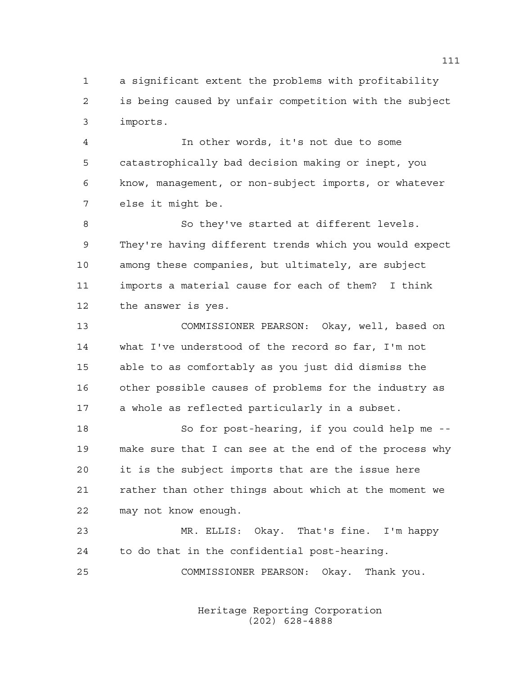1 a significant extent the problems with profitability 2 is being caused by unfair competition with the subject 3 imports.

4 In other words, it's not due to some 5 catastrophically bad decision making or inept, you 6 know, management, or non-subject imports, or whatever 7 else it might be.

8 So they've started at different levels. 9 They're having different trends which you would expect 10 among these companies, but ultimately, are subject 11 imports a material cause for each of them? I think 12 the answer is yes.

13 COMMISSIONER PEARSON: Okay, well, based on 14 what I've understood of the record so far, I'm not 15 able to as comfortably as you just did dismiss the 16 other possible causes of problems for the industry as 17 a whole as reflected particularly in a subset.

18 So for post-hearing, if you could help me -- 19 make sure that I can see at the end of the process why 20 it is the subject imports that are the issue here 21 rather than other things about which at the moment we 22 may not know enough.

23 MR. ELLIS: Okay. That's fine. I'm happy 24 to do that in the confidential post-hearing.

25 COMMISSIONER PEARSON: Okay. Thank you.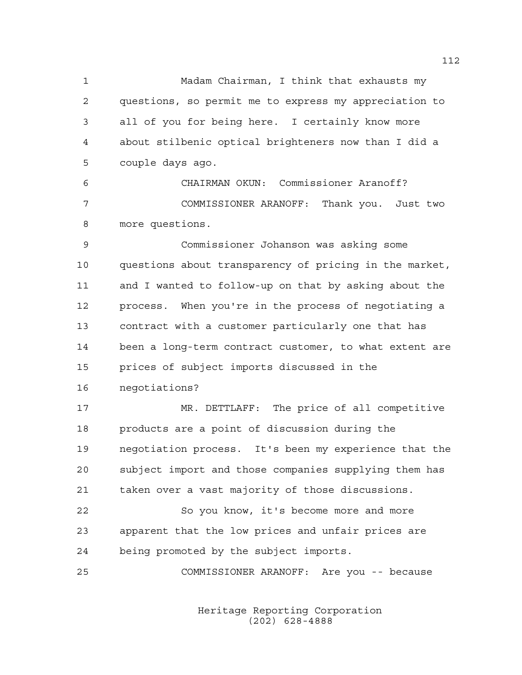1 Madam Chairman, I think that exhausts my 2 questions, so permit me to express my appreciation to 3 all of you for being here. I certainly know more 4 about stilbenic optical brighteners now than I did a 5 couple days ago.

6 CHAIRMAN OKUN: Commissioner Aranoff? 7 COMMISSIONER ARANOFF: Thank you. Just two 8 more questions.

9 Commissioner Johanson was asking some 10 questions about transparency of pricing in the market, 11 and I wanted to follow-up on that by asking about the 12 process. When you're in the process of negotiating a 13 contract with a customer particularly one that has 14 been a long-term contract customer, to what extent are 15 prices of subject imports discussed in the 16 negotiations?

17 MR. DETTLAFF: The price of all competitive 18 products are a point of discussion during the 19 negotiation process. It's been my experience that the 20 subject import and those companies supplying them has 21 taken over a vast majority of those discussions.

22 So you know, it's become more and more 23 apparent that the low prices and unfair prices are 24 being promoted by the subject imports.

25 COMMISSIONER ARANOFF: Are you -- because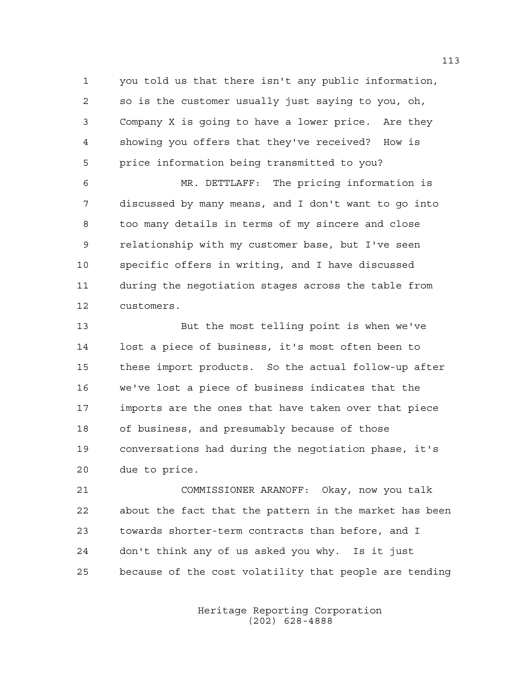1 you told us that there isn't any public information, 2 so is the customer usually just saying to you, oh, 3 Company X is going to have a lower price. Are they 4 showing you offers that they've received? How is 5 price information being transmitted to you?

6 MR. DETTLAFF: The pricing information is 7 discussed by many means, and I don't want to go into 8 too many details in terms of my sincere and close 9 relationship with my customer base, but I've seen 10 specific offers in writing, and I have discussed 11 during the negotiation stages across the table from 12 customers.

13 But the most telling point is when we've 14 lost a piece of business, it's most often been to 15 these import products. So the actual follow-up after 16 we've lost a piece of business indicates that the 17 imports are the ones that have taken over that piece 18 of business, and presumably because of those 19 conversations had during the negotiation phase, it's 20 due to price.

21 COMMISSIONER ARANOFF: Okay, now you talk 22 about the fact that the pattern in the market has been 23 towards shorter-term contracts than before, and I 24 don't think any of us asked you why. Is it just 25 because of the cost volatility that people are tending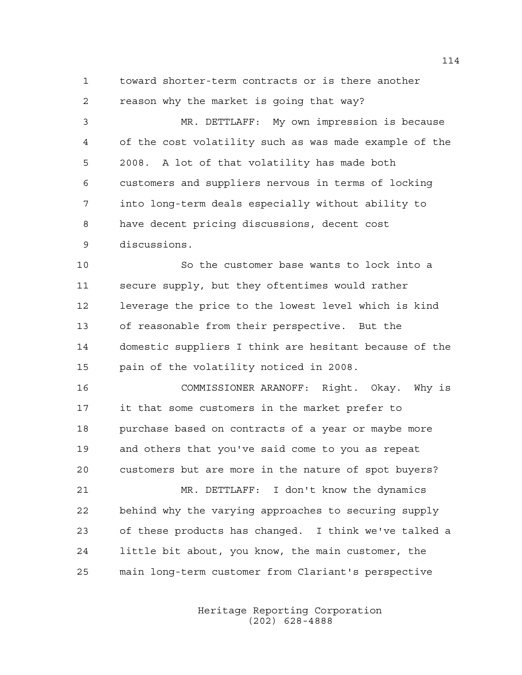1 toward shorter-term contracts or is there another 2 reason why the market is going that way?

3 MR. DETTLAFF: My own impression is because 4 of the cost volatility such as was made example of the 5 2008. A lot of that volatility has made both 6 customers and suppliers nervous in terms of locking 7 into long-term deals especially without ability to 8 have decent pricing discussions, decent cost 9 discussions.

10 So the customer base wants to lock into a 11 secure supply, but they oftentimes would rather 12 leverage the price to the lowest level which is kind 13 of reasonable from their perspective. But the 14 domestic suppliers I think are hesitant because of the 15 pain of the volatility noticed in 2008.

16 COMMISSIONER ARANOFF: Right. Okay. Why is 17 it that some customers in the market prefer to 18 purchase based on contracts of a year or maybe more 19 and others that you've said come to you as repeat 20 customers but are more in the nature of spot buyers?

21 MR. DETTLAFF: I don't know the dynamics 22 behind why the varying approaches to securing supply 23 of these products has changed. I think we've talked a 24 little bit about, you know, the main customer, the 25 main long-term customer from Clariant's perspective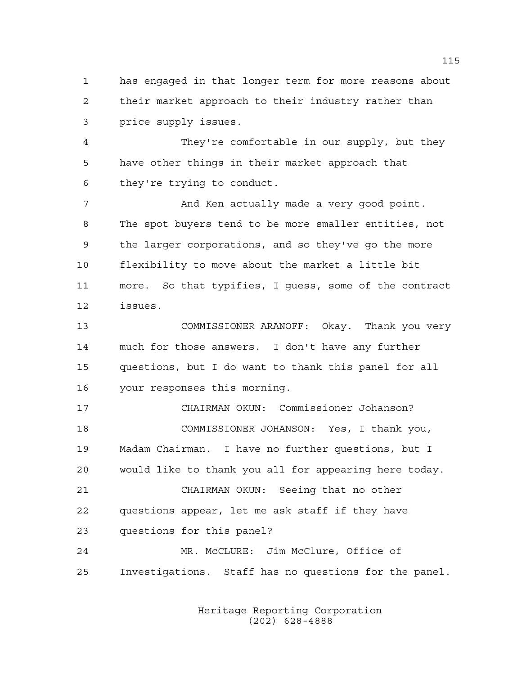1 has engaged in that longer term for more reasons about 2 their market approach to their industry rather than 3 price supply issues.

4 They're comfortable in our supply, but they 5 have other things in their market approach that 6 they're trying to conduct.

7 And Ken actually made a very good point. 8 The spot buyers tend to be more smaller entities, not 9 the larger corporations, and so they've go the more 10 flexibility to move about the market a little bit 11 more. So that typifies, I guess, some of the contract 12 issues.

13 COMMISSIONER ARANOFF: Okay. Thank you very 14 much for those answers. I don't have any further 15 questions, but I do want to thank this panel for all 16 your responses this morning.

17 CHAIRMAN OKUN: Commissioner Johanson? 18 COMMISSIONER JOHANSON: Yes, I thank you, 19 Madam Chairman. I have no further questions, but I 20 would like to thank you all for appearing here today. 21 CHAIRMAN OKUN: Seeing that no other 22 questions appear, let me ask staff if they have 23 questions for this panel? 24 MR. McCLURE: Jim McClure, Office of

25 Investigations. Staff has no questions for the panel.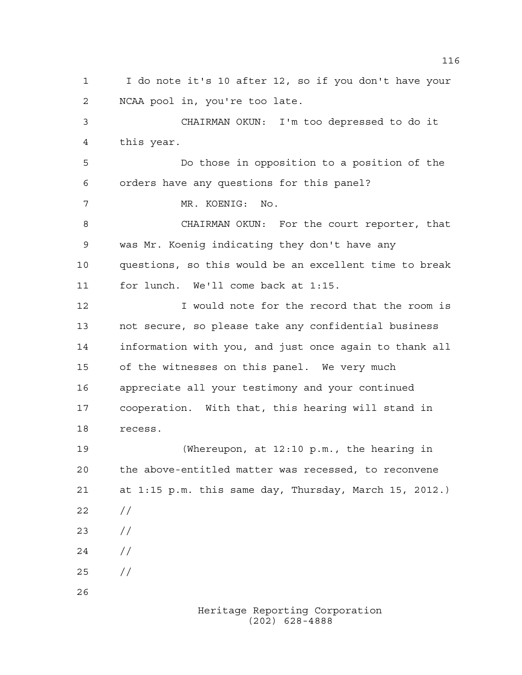1 I do note it's 10 after 12, so if you don't have your 2 NCAA pool in, you're too late. 3 CHAIRMAN OKUN: I'm too depressed to do it 4 this year. 5 Do those in opposition to a position of the 6 orders have any questions for this panel? 7 MR. KOENIG: No. 8 CHAIRMAN OKUN: For the court reporter, that 9 was Mr. Koenig indicating they don't have any 10 questions, so this would be an excellent time to break 11 for lunch. We'll come back at 1:15. 12 I would note for the record that the room is 13 not secure, so please take any confidential business 14 information with you, and just once again to thank all 15 of the witnesses on this panel. We very much 16 appreciate all your testimony and your continued 17 cooperation. With that, this hearing will stand in 18 recess. 19 (Whereupon, at 12:10 p.m., the hearing in 20 the above-entitled matter was recessed, to reconvene 21 at 1:15 p.m. this same day, Thursday, March 15, 2012.) 22 // 23 //  $24 /$ 25 // 26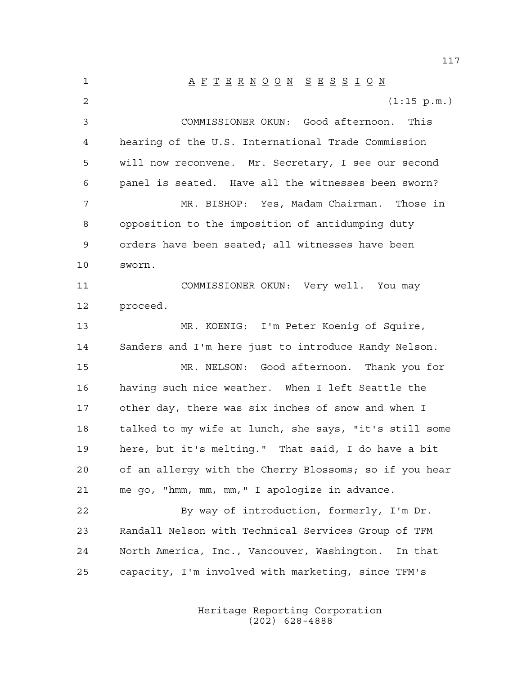1 A F T E R N O O N S E S S I O N 2 (1:15 p.m.) 3 COMMISSIONER OKUN: Good afternoon. This 4 hearing of the U.S. International Trade Commission 5 will now reconvene. Mr. Secretary, I see our second 6 panel is seated. Have all the witnesses been sworn? 7 MR. BISHOP: Yes, Madam Chairman. Those in 8 opposition to the imposition of antidumping duty 9 orders have been seated; all witnesses have been 10 sworn. 11 COMMISSIONER OKUN: Very well. You may 12 proceed. 13 MR. KOENIG: I'm Peter Koenig of Squire, 14 Sanders and I'm here just to introduce Randy Nelson. 15 MR. NELSON: Good afternoon. Thank you for 16 having such nice weather. When I left Seattle the 17 other day, there was six inches of snow and when I 18 talked to my wife at lunch, she says, "it's still some 19 here, but it's melting." That said, I do have a bit 20 of an allergy with the Cherry Blossoms; so if you hear 21 me go, "hmm, mm, mm," I apologize in advance. 22 By way of introduction, formerly, I'm Dr. 23 Randall Nelson with Technical Services Group of TFM 24 North America, Inc., Vancouver, Washington. In that 25 capacity, I'm involved with marketing, since TFM's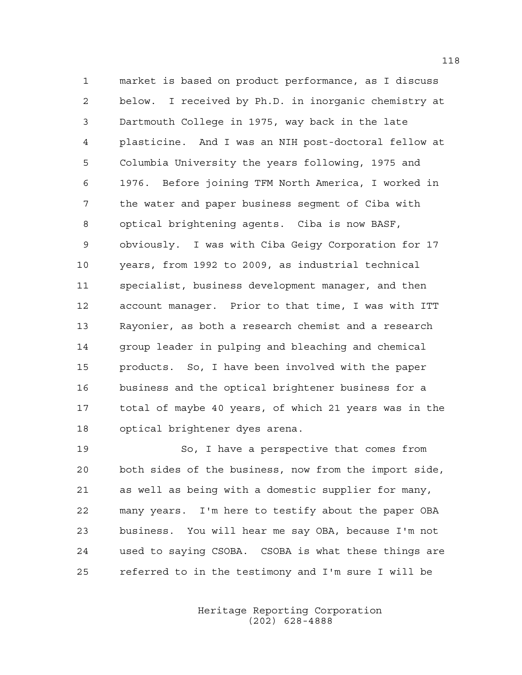1 market is based on product performance, as I discuss 2 below. I received by Ph.D. in inorganic chemistry at 3 Dartmouth College in 1975, way back in the late 4 plasticine. And I was an NIH post-doctoral fellow at 5 Columbia University the years following, 1975 and 6 1976. Before joining TFM North America, I worked in 7 the water and paper business segment of Ciba with 8 optical brightening agents. Ciba is now BASF, 9 obviously. I was with Ciba Geigy Corporation for 17 10 years, from 1992 to 2009, as industrial technical 11 specialist, business development manager, and then 12 account manager. Prior to that time, I was with ITT 13 Rayonier, as both a research chemist and a research 14 group leader in pulping and bleaching and chemical 15 products. So, I have been involved with the paper 16 business and the optical brightener business for a 17 total of maybe 40 years, of which 21 years was in the 18 optical brightener dyes arena.

19 So, I have a perspective that comes from 20 both sides of the business, now from the import side, 21 as well as being with a domestic supplier for many, 22 many years. I'm here to testify about the paper OBA 23 business. You will hear me say OBA, because I'm not 24 used to saying CSOBA. CSOBA is what these things are 25 referred to in the testimony and I'm sure I will be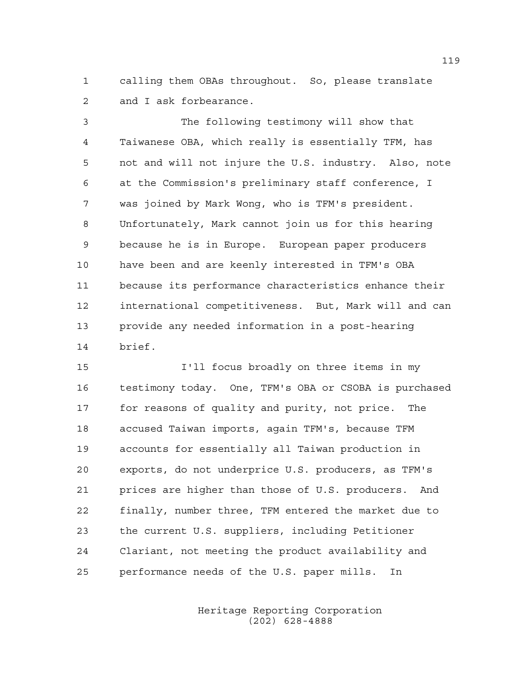1 calling them OBAs throughout. So, please translate 2 and I ask forbearance.

3 The following testimony will show that 4 Taiwanese OBA, which really is essentially TFM, has 5 not and will not injure the U.S. industry. Also, note 6 at the Commission's preliminary staff conference, I 7 was joined by Mark Wong, who is TFM's president. 8 Unfortunately, Mark cannot join us for this hearing 9 because he is in Europe. European paper producers 10 have been and are keenly interested in TFM's OBA 11 because its performance characteristics enhance their 12 international competitiveness. But, Mark will and can 13 provide any needed information in a post-hearing 14 brief.

15 I'll focus broadly on three items in my 16 testimony today. One, TFM's OBA or CSOBA is purchased 17 for reasons of quality and purity, not price. The 18 accused Taiwan imports, again TFM's, because TFM 19 accounts for essentially all Taiwan production in 20 exports, do not underprice U.S. producers, as TFM's 21 prices are higher than those of U.S. producers. And 22 finally, number three, TFM entered the market due to 23 the current U.S. suppliers, including Petitioner 24 Clariant, not meeting the product availability and 25 performance needs of the U.S. paper mills. In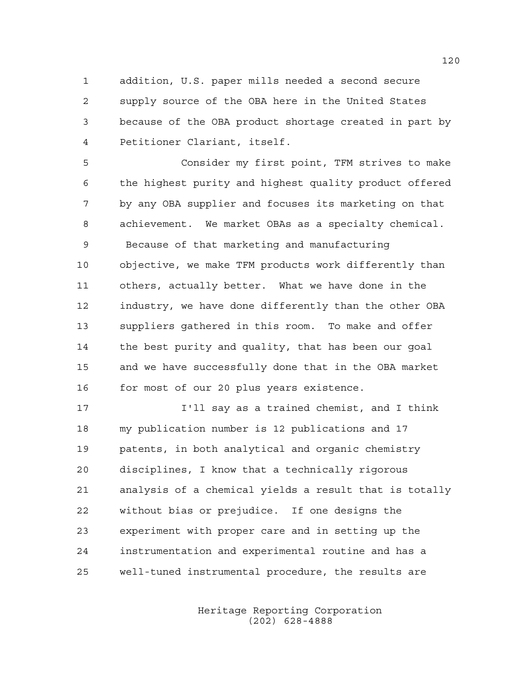1 addition, U.S. paper mills needed a second secure 2 supply source of the OBA here in the United States 3 because of the OBA product shortage created in part by 4 Petitioner Clariant, itself.

5 Consider my first point, TFM strives to make 6 the highest purity and highest quality product offered 7 by any OBA supplier and focuses its marketing on that 8 achievement. We market OBAs as a specialty chemical. 9 Because of that marketing and manufacturing 10 objective, we make TFM products work differently than 11 others, actually better. What we have done in the 12 industry, we have done differently than the other OBA 13 suppliers gathered in this room. To make and offer 14 the best purity and quality, that has been our goal 15 and we have successfully done that in the OBA market 16 for most of our 20 plus years existence.

17 I'll say as a trained chemist, and I think 18 my publication number is 12 publications and 17 19 patents, in both analytical and organic chemistry 20 disciplines, I know that a technically rigorous 21 analysis of a chemical yields a result that is totally 22 without bias or prejudice. If one designs the 23 experiment with proper care and in setting up the 24 instrumentation and experimental routine and has a 25 well-tuned instrumental procedure, the results are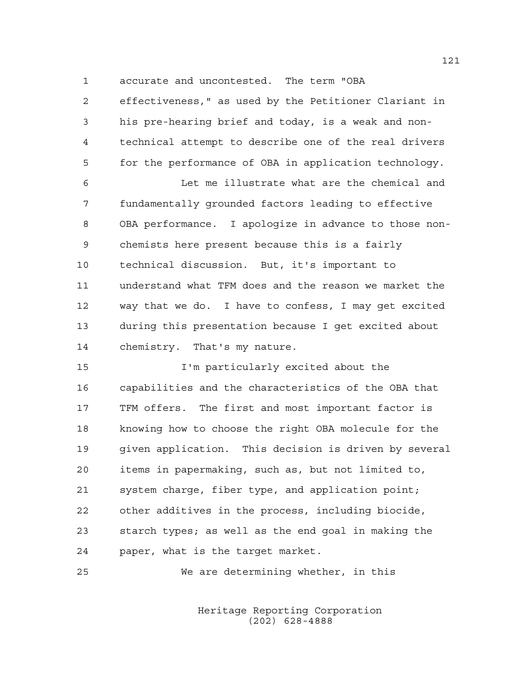1 accurate and uncontested. The term "OBA

2 effectiveness," as used by the Petitioner Clariant in 3 his pre-hearing brief and today, is a weak and non-4 technical attempt to describe one of the real drivers 5 for the performance of OBA in application technology.

6 Let me illustrate what are the chemical and 7 fundamentally grounded factors leading to effective 8 OBA performance. I apologize in advance to those non-9 chemists here present because this is a fairly 10 technical discussion. But, it's important to 11 understand what TFM does and the reason we market the 12 way that we do. I have to confess, I may get excited 13 during this presentation because I get excited about 14 chemistry. That's my nature.

15 I'm particularly excited about the 16 capabilities and the characteristics of the OBA that 17 TFM offers. The first and most important factor is 18 knowing how to choose the right OBA molecule for the 19 given application. This decision is driven by several 20 items in papermaking, such as, but not limited to, 21 system charge, fiber type, and application point; 22 other additives in the process, including biocide, 23 starch types; as well as the end goal in making the 24 paper, what is the target market.

25 We are determining whether, in this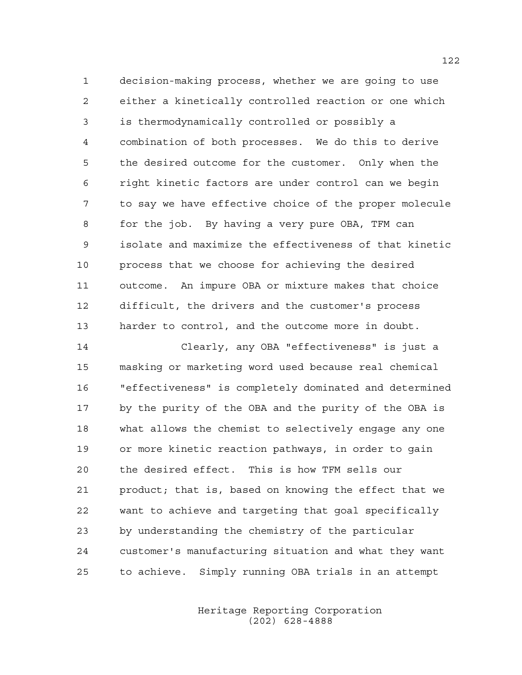1 decision-making process, whether we are going to use 2 either a kinetically controlled reaction or one which 3 is thermodynamically controlled or possibly a 4 combination of both processes. We do this to derive 5 the desired outcome for the customer. Only when the 6 right kinetic factors are under control can we begin 7 to say we have effective choice of the proper molecule 8 for the job. By having a very pure OBA, TFM can 9 isolate and maximize the effectiveness of that kinetic 10 process that we choose for achieving the desired 11 outcome. An impure OBA or mixture makes that choice 12 difficult, the drivers and the customer's process 13 harder to control, and the outcome more in doubt.

14 Clearly, any OBA "effectiveness" is just a 15 masking or marketing word used because real chemical 16 "effectiveness" is completely dominated and determined 17 by the purity of the OBA and the purity of the OBA is 18 what allows the chemist to selectively engage any one 19 or more kinetic reaction pathways, in order to gain 20 the desired effect. This is how TFM sells our 21 product; that is, based on knowing the effect that we 22 want to achieve and targeting that goal specifically 23 by understanding the chemistry of the particular 24 customer's manufacturing situation and what they want 25 to achieve. Simply running OBA trials in an attempt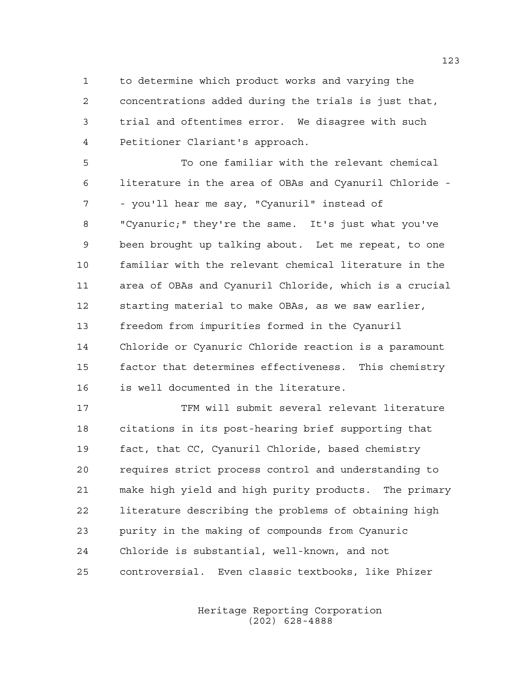1 to determine which product works and varying the 2 concentrations added during the trials is just that, 3 trial and oftentimes error. We disagree with such 4 Petitioner Clariant's approach.

5 To one familiar with the relevant chemical 6 literature in the area of OBAs and Cyanuril Chloride - 7 - you'll hear me say, "Cyanuril" instead of 8 "Cyanuric;" they're the same. It's just what you've 9 been brought up talking about. Let me repeat, to one 10 familiar with the relevant chemical literature in the 11 area of OBAs and Cyanuril Chloride, which is a crucial 12 starting material to make OBAs, as we saw earlier, 13 freedom from impurities formed in the Cyanuril 14 Chloride or Cyanuric Chloride reaction is a paramount 15 factor that determines effectiveness. This chemistry 16 is well documented in the literature.

17 TFM will submit several relevant literature 18 citations in its post-hearing brief supporting that 19 fact, that CC, Cyanuril Chloride, based chemistry 20 requires strict process control and understanding to 21 make high yield and high purity products. The primary 22 literature describing the problems of obtaining high 23 purity in the making of compounds from Cyanuric 24 Chloride is substantial, well-known, and not 25 controversial. Even classic textbooks, like Phizer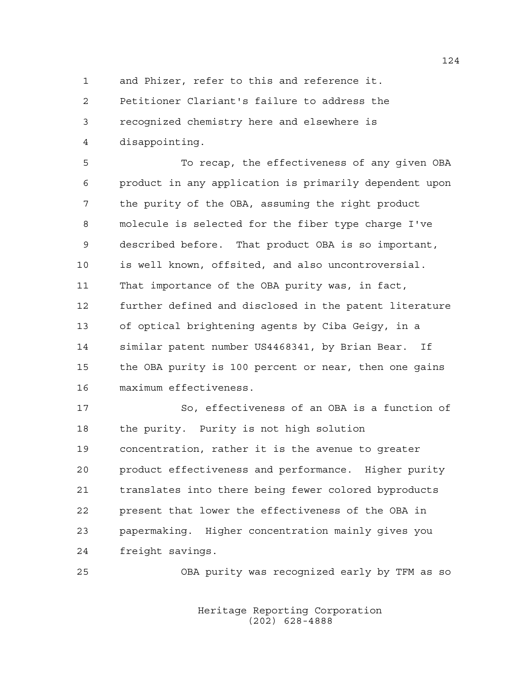1 and Phizer, refer to this and reference it.

2 Petitioner Clariant's failure to address the 3 recognized chemistry here and elsewhere is 4 disappointing.

5 To recap, the effectiveness of any given OBA 6 product in any application is primarily dependent upon 7 the purity of the OBA, assuming the right product 8 molecule is selected for the fiber type charge I've 9 described before. That product OBA is so important, 10 is well known, offsited, and also uncontroversial. 11 That importance of the OBA purity was, in fact, 12 further defined and disclosed in the patent literature 13 of optical brightening agents by Ciba Geigy, in a 14 similar patent number US4468341, by Brian Bear. If 15 the OBA purity is 100 percent or near, then one gains 16 maximum effectiveness.

17 So, effectiveness of an OBA is a function of 18 the purity. Purity is not high solution 19 concentration, rather it is the avenue to greater 20 product effectiveness and performance. Higher purity 21 translates into there being fewer colored byproducts 22 present that lower the effectiveness of the OBA in 23 papermaking. Higher concentration mainly gives you 24 freight savings.

25 OBA purity was recognized early by TFM as so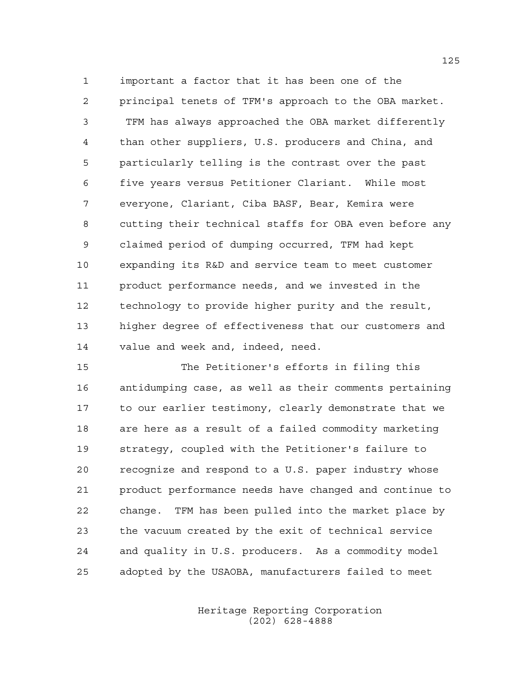1 important a factor that it has been one of the 2 principal tenets of TFM's approach to the OBA market. 3 TFM has always approached the OBA market differently 4 than other suppliers, U.S. producers and China, and 5 particularly telling is the contrast over the past 6 five years versus Petitioner Clariant. While most 7 everyone, Clariant, Ciba BASF, Bear, Kemira were 8 cutting their technical staffs for OBA even before any 9 claimed period of dumping occurred, TFM had kept 10 expanding its R&D and service team to meet customer 11 product performance needs, and we invested in the 12 technology to provide higher purity and the result, 13 higher degree of effectiveness that our customers and 14 value and week and, indeed, need.

15 The Petitioner's efforts in filing this 16 antidumping case, as well as their comments pertaining 17 to our earlier testimony, clearly demonstrate that we 18 are here as a result of a failed commodity marketing 19 strategy, coupled with the Petitioner's failure to 20 recognize and respond to a U.S. paper industry whose 21 product performance needs have changed and continue to 22 change. TFM has been pulled into the market place by 23 the vacuum created by the exit of technical service 24 and quality in U.S. producers. As a commodity model 25 adopted by the USAOBA, manufacturers failed to meet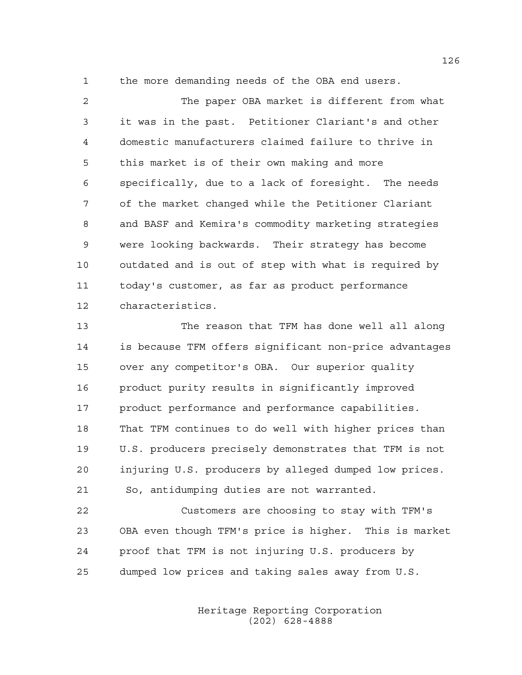1 the more demanding needs of the OBA end users.

2 The paper OBA market is different from what 3 it was in the past. Petitioner Clariant's and other 4 domestic manufacturers claimed failure to thrive in 5 this market is of their own making and more 6 specifically, due to a lack of foresight. The needs 7 of the market changed while the Petitioner Clariant 8 and BASF and Kemira's commodity marketing strategies 9 were looking backwards. Their strategy has become 10 outdated and is out of step with what is required by 11 today's customer, as far as product performance 12 characteristics.

13 The reason that TFM has done well all along 14 is because TFM offers significant non-price advantages 15 over any competitor's OBA. Our superior quality 16 product purity results in significantly improved 17 product performance and performance capabilities. 18 That TFM continues to do well with higher prices than 19 U.S. producers precisely demonstrates that TFM is not 20 injuring U.S. producers by alleged dumped low prices. 21 So, antidumping duties are not warranted.

22 Customers are choosing to stay with TFM's 23 OBA even though TFM's price is higher. This is market 24 proof that TFM is not injuring U.S. producers by 25 dumped low prices and taking sales away from U.S.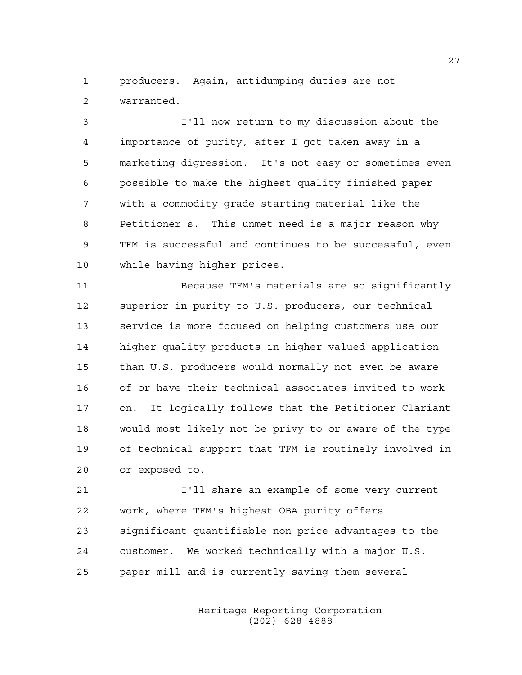1 producers. Again, antidumping duties are not 2 warranted.

3 I'll now return to my discussion about the 4 importance of purity, after I got taken away in a 5 marketing digression. It's not easy or sometimes even 6 possible to make the highest quality finished paper 7 with a commodity grade starting material like the 8 Petitioner's. This unmet need is a major reason why 9 TFM is successful and continues to be successful, even 10 while having higher prices.

11 Because TFM's materials are so significantly 12 superior in purity to U.S. producers, our technical 13 service is more focused on helping customers use our 14 higher quality products in higher-valued application 15 than U.S. producers would normally not even be aware 16 of or have their technical associates invited to work 17 on. It logically follows that the Petitioner Clariant 18 would most likely not be privy to or aware of the type 19 of technical support that TFM is routinely involved in 20 or exposed to.

21 I'll share an example of some very current 22 work, where TFM's highest OBA purity offers 23 significant quantifiable non-price advantages to the 24 customer. We worked technically with a major U.S. 25 paper mill and is currently saving them several

> Heritage Reporting Corporation (202) 628-4888

127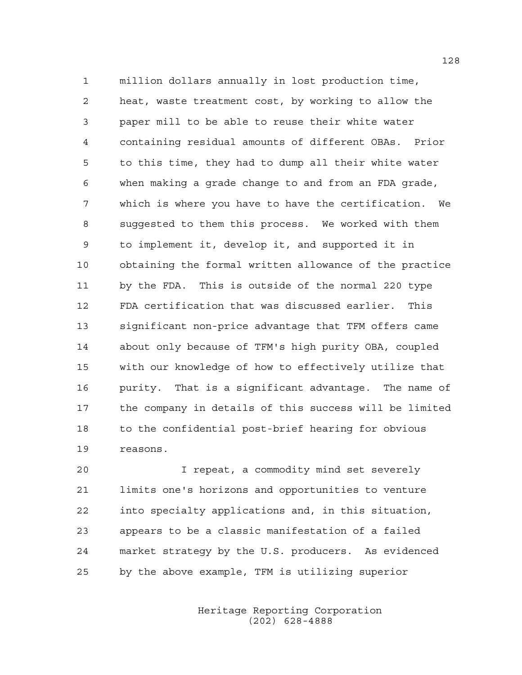1 million dollars annually in lost production time, 2 heat, waste treatment cost, by working to allow the 3 paper mill to be able to reuse their white water 4 containing residual amounts of different OBAs. Prior 5 to this time, they had to dump all their white water 6 when making a grade change to and from an FDA grade, 7 which is where you have to have the certification. We 8 suggested to them this process. We worked with them 9 to implement it, develop it, and supported it in 10 obtaining the formal written allowance of the practice 11 by the FDA. This is outside of the normal 220 type 12 FDA certification that was discussed earlier. This 13 significant non-price advantage that TFM offers came 14 about only because of TFM's high purity OBA, coupled 15 with our knowledge of how to effectively utilize that 16 purity. That is a significant advantage. The name of 17 the company in details of this success will be limited 18 to the confidential post-brief hearing for obvious 19 reasons.

20 I repeat, a commodity mind set severely 21 limits one's horizons and opportunities to venture 22 into specialty applications and, in this situation, 23 appears to be a classic manifestation of a failed 24 market strategy by the U.S. producers. As evidenced 25 by the above example, TFM is utilizing superior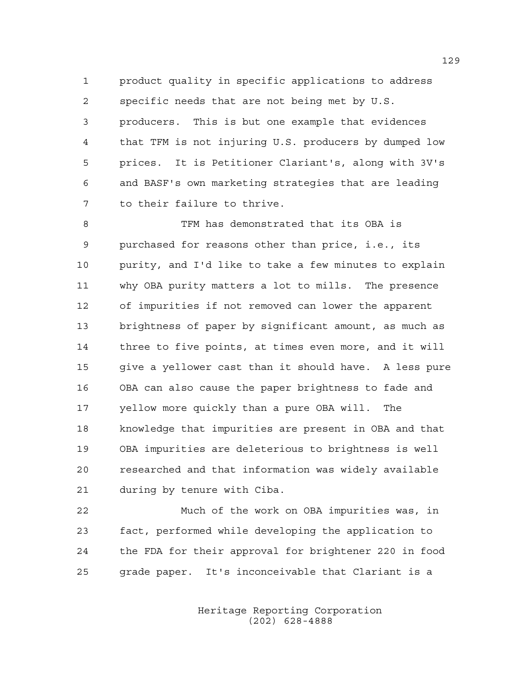1 product quality in specific applications to address 2 specific needs that are not being met by U.S. 3 producers. This is but one example that evidences 4 that TFM is not injuring U.S. producers by dumped low 5 prices. It is Petitioner Clariant's, along with 3V's 6 and BASF's own marketing strategies that are leading 7 to their failure to thrive.

8 TFM has demonstrated that its OBA is 9 purchased for reasons other than price, i.e., its 10 purity, and I'd like to take a few minutes to explain 11 why OBA purity matters a lot to mills. The presence 12 of impurities if not removed can lower the apparent 13 brightness of paper by significant amount, as much as 14 three to five points, at times even more, and it will 15 give a yellower cast than it should have. A less pure 16 OBA can also cause the paper brightness to fade and 17 yellow more quickly than a pure OBA will. The 18 knowledge that impurities are present in OBA and that 19 OBA impurities are deleterious to brightness is well 20 researched and that information was widely available 21 during by tenure with Ciba.

22 Much of the work on OBA impurities was, in 23 fact, performed while developing the application to 24 the FDA for their approval for brightener 220 in food 25 grade paper. It's inconceivable that Clariant is a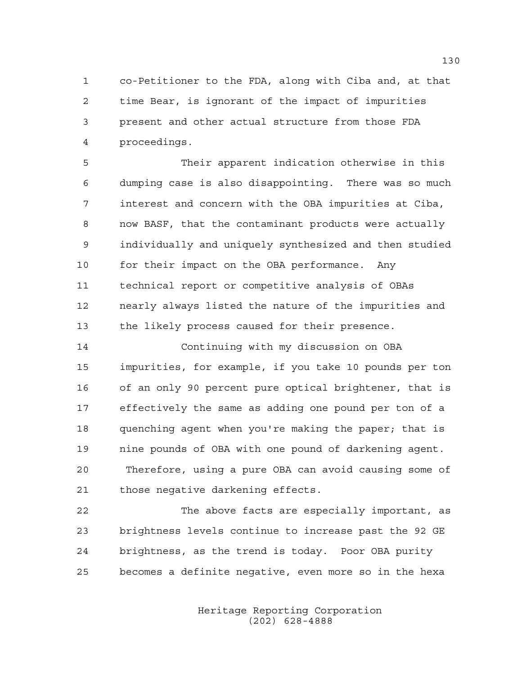1 co-Petitioner to the FDA, along with Ciba and, at that 2 time Bear, is ignorant of the impact of impurities 3 present and other actual structure from those FDA 4 proceedings.

5 Their apparent indication otherwise in this 6 dumping case is also disappointing. There was so much 7 interest and concern with the OBA impurities at Ciba, 8 now BASF, that the contaminant products were actually 9 individually and uniquely synthesized and then studied 10 for their impact on the OBA performance. Any 11 technical report or competitive analysis of OBAs 12 nearly always listed the nature of the impurities and 13 the likely process caused for their presence.

14 Continuing with my discussion on OBA 15 impurities, for example, if you take 10 pounds per ton 16 of an only 90 percent pure optical brightener, that is 17 effectively the same as adding one pound per ton of a 18 quenching agent when you're making the paper; that is 19 nine pounds of OBA with one pound of darkening agent. 20 Therefore, using a pure OBA can avoid causing some of 21 those negative darkening effects.

22 The above facts are especially important, as 23 brightness levels continue to increase past the 92 GE 24 brightness, as the trend is today. Poor OBA purity 25 becomes a definite negative, even more so in the hexa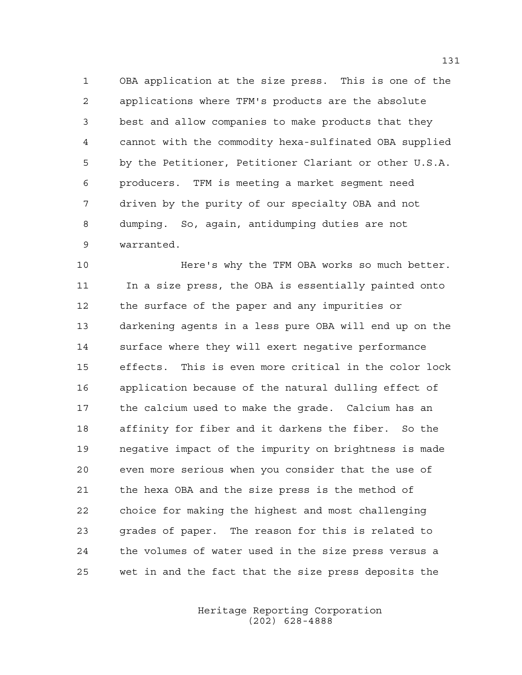1 OBA application at the size press. This is one of the 2 applications where TFM's products are the absolute 3 best and allow companies to make products that they 4 cannot with the commodity hexa-sulfinated OBA supplied 5 by the Petitioner, Petitioner Clariant or other U.S.A. 6 producers. TFM is meeting a market segment need 7 driven by the purity of our specialty OBA and not 8 dumping. So, again, antidumping duties are not 9 warranted.

10 Here's why the TFM OBA works so much better. 11 In a size press, the OBA is essentially painted onto 12 the surface of the paper and any impurities or 13 darkening agents in a less pure OBA will end up on the 14 surface where they will exert negative performance 15 effects. This is even more critical in the color lock 16 application because of the natural dulling effect of 17 the calcium used to make the grade. Calcium has an 18 affinity for fiber and it darkens the fiber. So the 19 negative impact of the impurity on brightness is made 20 even more serious when you consider that the use of 21 the hexa OBA and the size press is the method of 22 choice for making the highest and most challenging 23 grades of paper. The reason for this is related to 24 the volumes of water used in the size press versus a 25 wet in and the fact that the size press deposits the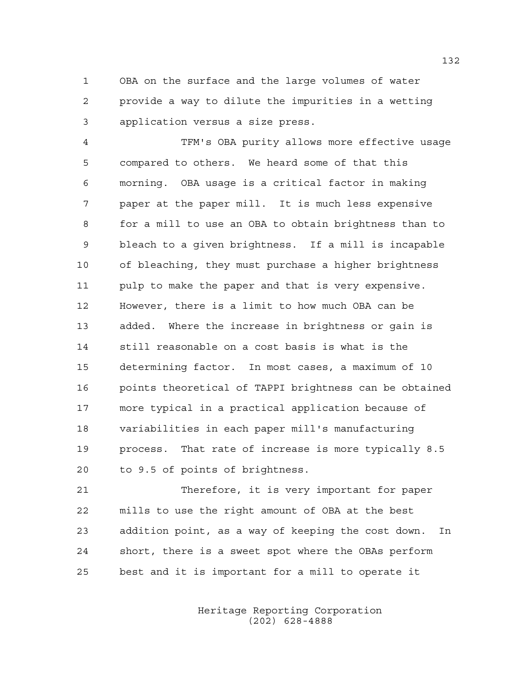1 OBA on the surface and the large volumes of water 2 provide a way to dilute the impurities in a wetting 3 application versus a size press.

4 TFM's OBA purity allows more effective usage 5 compared to others. We heard some of that this 6 morning. OBA usage is a critical factor in making 7 paper at the paper mill. It is much less expensive 8 for a mill to use an OBA to obtain brightness than to 9 bleach to a given brightness. If a mill is incapable 10 of bleaching, they must purchase a higher brightness 11 pulp to make the paper and that is very expensive. 12 However, there is a limit to how much OBA can be 13 added. Where the increase in brightness or gain is 14 still reasonable on a cost basis is what is the 15 determining factor. In most cases, a maximum of 10 16 points theoretical of TAPPI brightness can be obtained 17 more typical in a practical application because of 18 variabilities in each paper mill's manufacturing 19 process. That rate of increase is more typically 8.5 20 to 9.5 of points of brightness.

21 Therefore, it is very important for paper 22 mills to use the right amount of OBA at the best 23 addition point, as a way of keeping the cost down. In 24 short, there is a sweet spot where the OBAs perform 25 best and it is important for a mill to operate it

> Heritage Reporting Corporation (202) 628-4888

132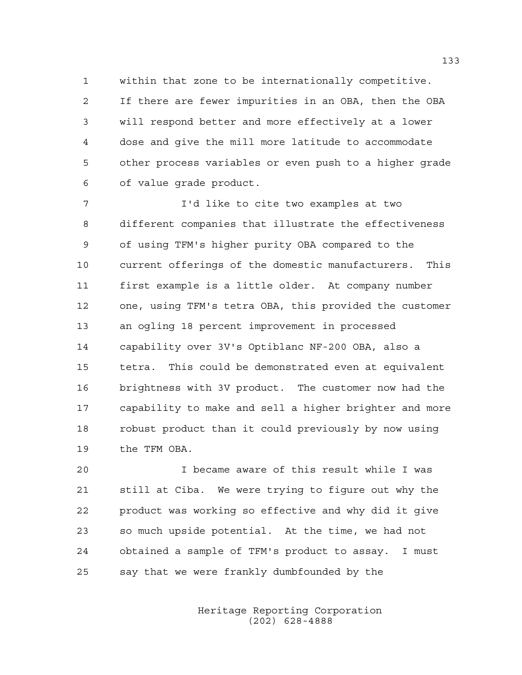1 within that zone to be internationally competitive. 2 If there are fewer impurities in an OBA, then the OBA 3 will respond better and more effectively at a lower 4 dose and give the mill more latitude to accommodate 5 other process variables or even push to a higher grade 6 of value grade product.

7 I'd like to cite two examples at two 8 different companies that illustrate the effectiveness 9 of using TFM's higher purity OBA compared to the 10 current offerings of the domestic manufacturers. This 11 first example is a little older. At company number 12 one, using TFM's tetra OBA, this provided the customer 13 an ogling 18 percent improvement in processed 14 capability over 3V's Optiblanc NF-200 OBA, also a 15 tetra. This could be demonstrated even at equivalent 16 brightness with 3V product. The customer now had the 17 capability to make and sell a higher brighter and more 18 robust product than it could previously by now using 19 the TFM OBA.

20 I became aware of this result while I was 21 still at Ciba. We were trying to figure out why the 22 product was working so effective and why did it give 23 so much upside potential. At the time, we had not 24 obtained a sample of TFM's product to assay. I must 25 say that we were frankly dumbfounded by the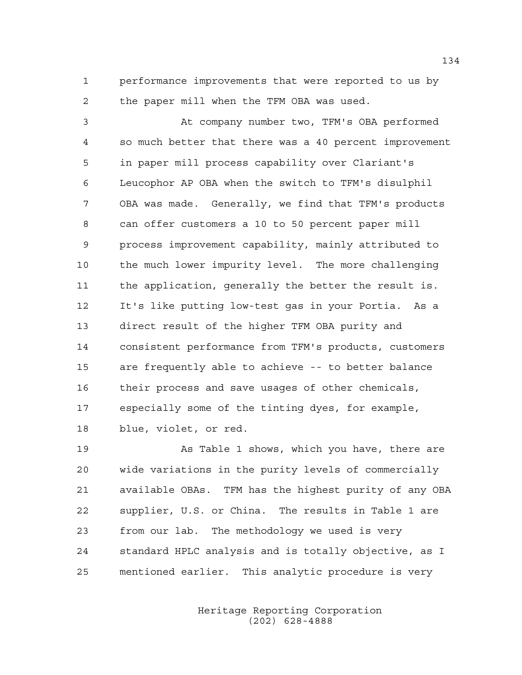1 performance improvements that were reported to us by 2 the paper mill when the TFM OBA was used.

3 At company number two, TFM's OBA performed 4 so much better that there was a 40 percent improvement 5 in paper mill process capability over Clariant's 6 Leucophor AP OBA when the switch to TFM's disulphil 7 OBA was made. Generally, we find that TFM's products 8 can offer customers a 10 to 50 percent paper mill 9 process improvement capability, mainly attributed to 10 the much lower impurity level. The more challenging 11 the application, generally the better the result is. 12 It's like putting low-test gas in your Portia. As a 13 direct result of the higher TFM OBA purity and 14 consistent performance from TFM's products, customers 15 are frequently able to achieve -- to better balance 16 their process and save usages of other chemicals, 17 especially some of the tinting dyes, for example, 18 blue, violet, or red.

19 As Table 1 shows, which you have, there are 20 wide variations in the purity levels of commercially 21 available OBAs. TFM has the highest purity of any OBA 22 supplier, U.S. or China. The results in Table 1 are 23 from our lab. The methodology we used is very 24 standard HPLC analysis and is totally objective, as I 25 mentioned earlier. This analytic procedure is very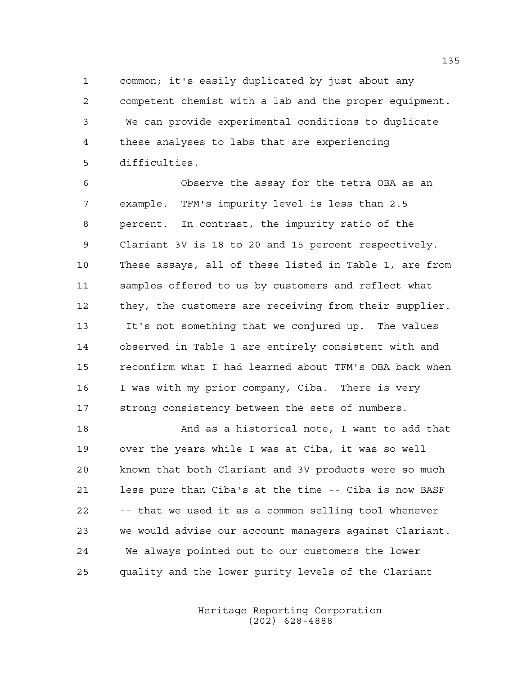1 common; it's easily duplicated by just about any 2 competent chemist with a lab and the proper equipment. 3 We can provide experimental conditions to duplicate 4 these analyses to labs that are experiencing 5 difficulties.

6 Observe the assay for the tetra OBA as an 7 example. TFM's impurity level is less than 2.5 8 percent. In contrast, the impurity ratio of the 9 Clariant 3V is 18 to 20 and 15 percent respectively. 10 These assays, all of these listed in Table 1, are from 11 samples offered to us by customers and reflect what 12 they, the customers are receiving from their supplier. 13 It's not something that we conjured up. The values 14 observed in Table 1 are entirely consistent with and 15 reconfirm what I had learned about TFM's OBA back when 16 I was with my prior company, Ciba. There is very 17 strong consistency between the sets of numbers.

18 And as a historical note, I want to add that 19 over the years while I was at Ciba, it was so well 20 known that both Clariant and 3V products were so much 21 less pure than Ciba's at the time -- Ciba is now BASF 22 -- that we used it as a common selling tool whenever 23 we would advise our account managers against Clariant. 24 We always pointed out to our customers the lower 25 quality and the lower purity levels of the Clariant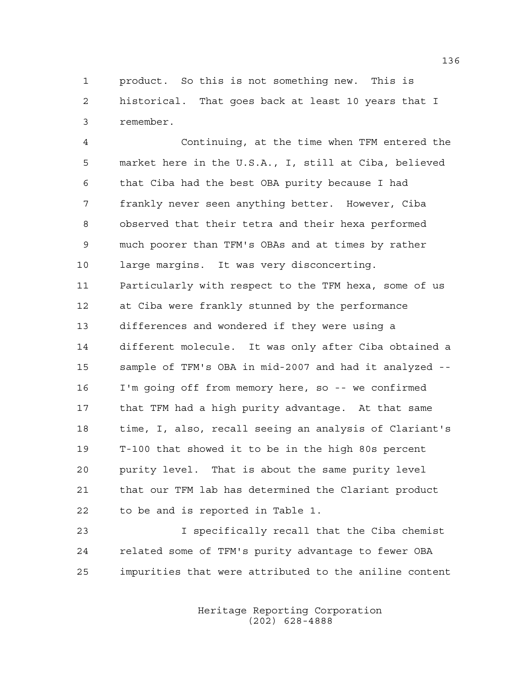1 product. So this is not something new. This is 2 historical. That goes back at least 10 years that I 3 remember.

4 Continuing, at the time when TFM entered the 5 market here in the U.S.A., I, still at Ciba, believed 6 that Ciba had the best OBA purity because I had 7 frankly never seen anything better. However, Ciba 8 observed that their tetra and their hexa performed 9 much poorer than TFM's OBAs and at times by rather 10 large margins. It was very disconcerting. 11 Particularly with respect to the TFM hexa, some of us 12 at Ciba were frankly stunned by the performance 13 differences and wondered if they were using a 14 different molecule. It was only after Ciba obtained a 15 sample of TFM's OBA in mid-2007 and had it analyzed -- 16 I'm going off from memory here, so -- we confirmed 17 that TFM had a high purity advantage. At that same 18 time, I, also, recall seeing an analysis of Clariant's 19 T-100 that showed it to be in the high 80s percent 20 purity level. That is about the same purity level 21 that our TFM lab has determined the Clariant product 22 to be and is reported in Table 1.

23 I specifically recall that the Ciba chemist 24 related some of TFM's purity advantage to fewer OBA 25 impurities that were attributed to the aniline content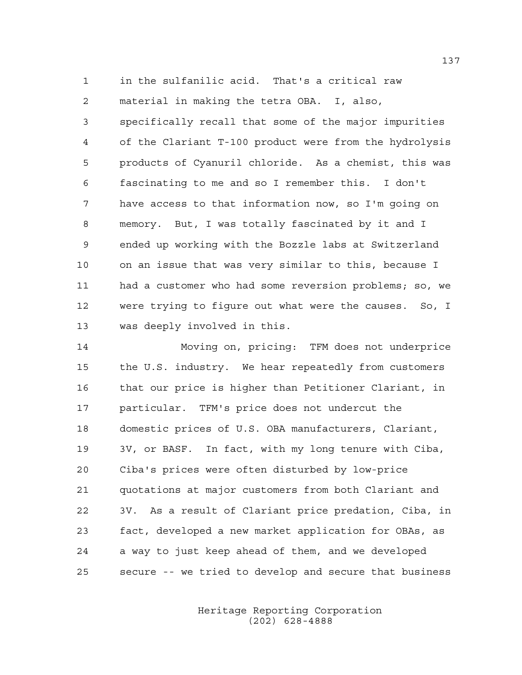1 in the sulfanilic acid. That's a critical raw 2 material in making the tetra OBA. I, also, 3 specifically recall that some of the major impurities 4 of the Clariant T-100 product were from the hydrolysis 5 products of Cyanuril chloride. As a chemist, this was 6 fascinating to me and so I remember this. I don't 7 have access to that information now, so I'm going on 8 memory. But, I was totally fascinated by it and I 9 ended up working with the Bozzle labs at Switzerland 10 on an issue that was very similar to this, because I 11 had a customer who had some reversion problems; so, we 12 were trying to figure out what were the causes. So, I 13 was deeply involved in this.

14 Moving on, pricing: TFM does not underprice 15 the U.S. industry. We hear repeatedly from customers 16 that our price is higher than Petitioner Clariant, in 17 particular. TFM's price does not undercut the 18 domestic prices of U.S. OBA manufacturers, Clariant, 19 3V, or BASF. In fact, with my long tenure with Ciba, 20 Ciba's prices were often disturbed by low-price 21 quotations at major customers from both Clariant and 22 3V. As a result of Clariant price predation, Ciba, in 23 fact, developed a new market application for OBAs, as 24 a way to just keep ahead of them, and we developed 25 secure -- we tried to develop and secure that business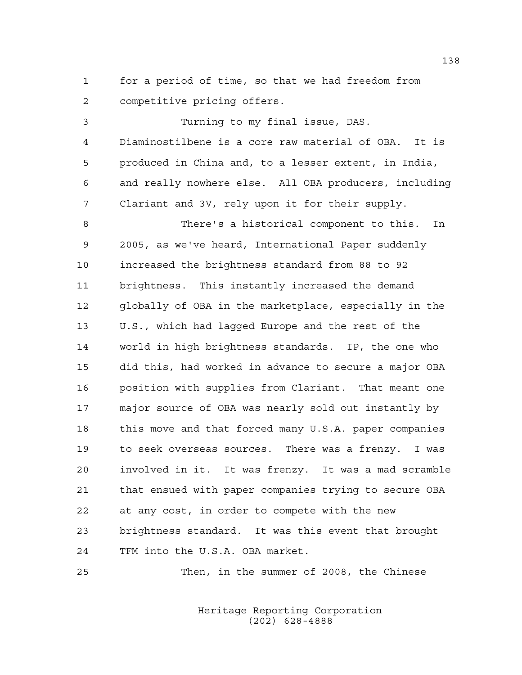1 for a period of time, so that we had freedom from 2 competitive pricing offers.

3 Turning to my final issue, DAS. 4 Diaminostilbene is a core raw material of OBA. It is 5 produced in China and, to a lesser extent, in India, 6 and really nowhere else. All OBA producers, including 7 Clariant and 3V, rely upon it for their supply. 8 There's a historical component to this. In 9 2005, as we've heard, International Paper suddenly 10 increased the brightness standard from 88 to 92 11 brightness. This instantly increased the demand 12 globally of OBA in the marketplace, especially in the 13 U.S., which had lagged Europe and the rest of the 14 world in high brightness standards. IP, the one who 15 did this, had worked in advance to secure a major OBA 16 position with supplies from Clariant. That meant one 17 major source of OBA was nearly sold out instantly by 18 this move and that forced many U.S.A. paper companies 19 to seek overseas sources. There was a frenzy. I was 20 involved in it. It was frenzy. It was a mad scramble 21 that ensued with paper companies trying to secure OBA 22 at any cost, in order to compete with the new 23 brightness standard. It was this event that brought

24 TFM into the U.S.A. OBA market.

25 Then, in the summer of 2008, the Chinese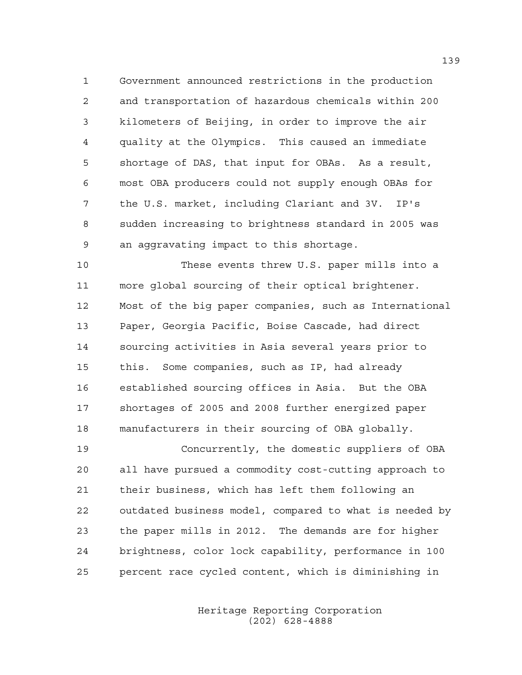1 Government announced restrictions in the production 2 and transportation of hazardous chemicals within 200 3 kilometers of Beijing, in order to improve the air 4 quality at the Olympics. This caused an immediate 5 shortage of DAS, that input for OBAs. As a result, 6 most OBA producers could not supply enough OBAs for 7 the U.S. market, including Clariant and 3V. IP's 8 sudden increasing to brightness standard in 2005 was 9 an aggravating impact to this shortage.

10 These events threw U.S. paper mills into a 11 more global sourcing of their optical brightener. 12 Most of the big paper companies, such as International 13 Paper, Georgia Pacific, Boise Cascade, had direct 14 sourcing activities in Asia several years prior to 15 this. Some companies, such as IP, had already 16 established sourcing offices in Asia. But the OBA 17 shortages of 2005 and 2008 further energized paper 18 manufacturers in their sourcing of OBA globally.

19 Concurrently, the domestic suppliers of OBA 20 all have pursued a commodity cost-cutting approach to 21 their business, which has left them following an 22 outdated business model, compared to what is needed by 23 the paper mills in 2012. The demands are for higher 24 brightness, color lock capability, performance in 100 25 percent race cycled content, which is diminishing in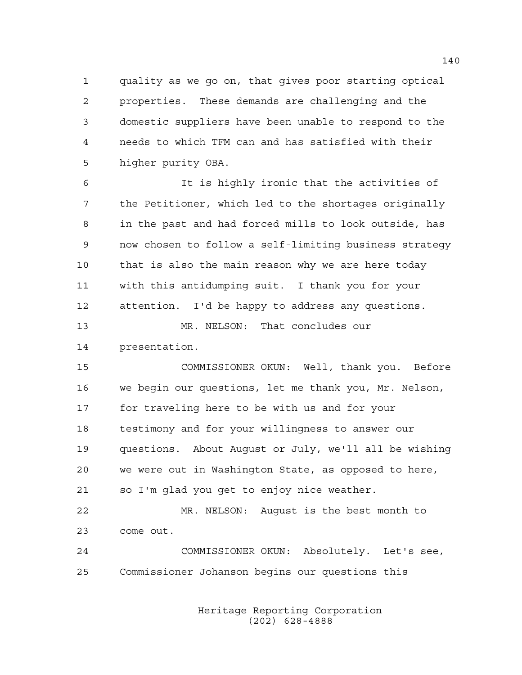1 quality as we go on, that gives poor starting optical 2 properties. These demands are challenging and the 3 domestic suppliers have been unable to respond to the 4 needs to which TFM can and has satisfied with their 5 higher purity OBA.

6 It is highly ironic that the activities of 7 the Petitioner, which led to the shortages originally 8 in the past and had forced mills to look outside, has 9 now chosen to follow a self-limiting business strategy 10 that is also the main reason why we are here today 11 with this antidumping suit. I thank you for your 12 attention. I'd be happy to address any questions.

13 MR. NELSON: That concludes our 14 presentation.

15 COMMISSIONER OKUN: Well, thank you. Before 16 we begin our questions, let me thank you, Mr. Nelson, 17 for traveling here to be with us and for your 18 testimony and for your willingness to answer our 19 questions. About August or July, we'll all be wishing 20 we were out in Washington State, as opposed to here, 21 so I'm glad you get to enjoy nice weather.

22 MR. NELSON: August is the best month to 23 come out.

24 COMMISSIONER OKUN: Absolutely. Let's see, 25 Commissioner Johanson begins our questions this

> Heritage Reporting Corporation (202) 628-4888

140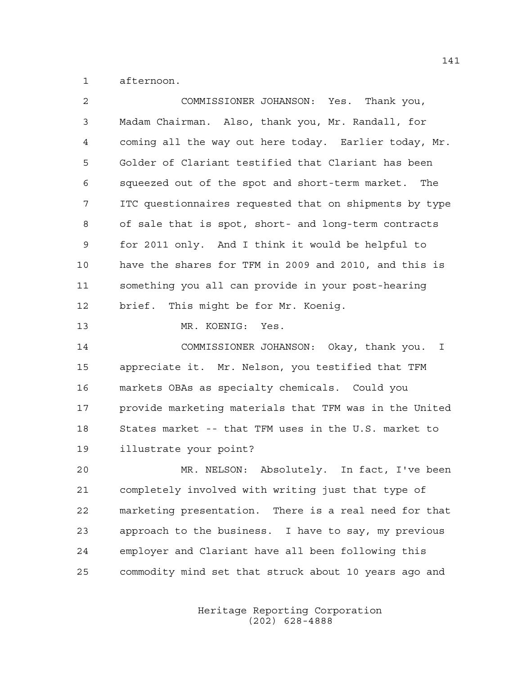1 afternoon.

| 2  | COMMISSIONER JOHANSON: Yes. Thank you,                  |
|----|---------------------------------------------------------|
| 3  | Madam Chairman. Also, thank you, Mr. Randall, for       |
| 4  | coming all the way out here today. Earlier today, Mr.   |
| 5  | Golder of Clariant testified that Clariant has been     |
| 6  | squeezed out of the spot and short-term market. The     |
| 7  | ITC questionnaires requested that on shipments by type  |
| 8  | of sale that is spot, short- and long-term contracts    |
| 9  | for 2011 only. And I think it would be helpful to       |
| 10 | have the shares for TFM in 2009 and 2010, and this is   |
| 11 | something you all can provide in your post-hearing      |
| 12 | brief. This might be for Mr. Koenig.                    |
| 13 | MR. KOENIG: Yes.                                        |
| 14 | COMMISSIONER JOHANSON: Okay, thank you.<br>$\mathbf{I}$ |
| 15 | appreciate it. Mr. Nelson, you testified that TFM       |
| 16 | markets OBAs as specialty chemicals. Could you          |
| 17 | provide marketing materials that TFM was in the United  |
| 18 | States market -- that TFM uses in the U.S. market to    |
| 19 | illustrate your point?                                  |
| 20 | MR. NELSON: Absolutely. In fact, I've been              |
| 21 | completely involved with writing just that type of      |
| 22 | marketing presentation. There is a real need for that   |
| 23 | approach to the business. I have to say, my previous    |
| 24 | employer and Clariant have all been following this      |
| 25 | commodity mind set that struck about 10 years ago and   |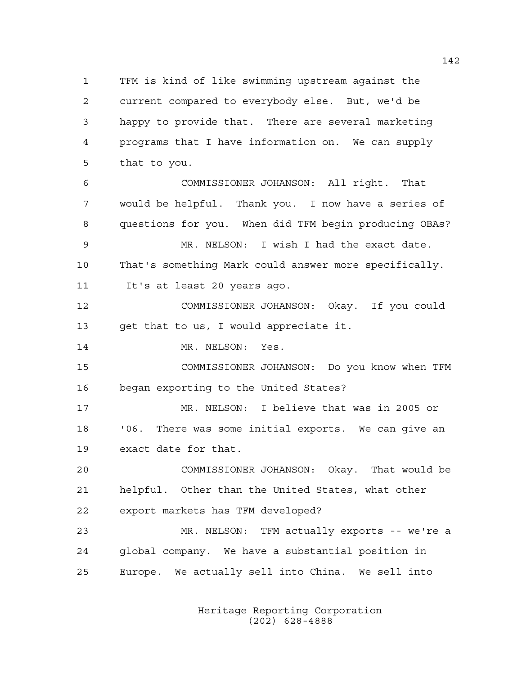1 TFM is kind of like swimming upstream against the 2 current compared to everybody else. But, we'd be 3 happy to provide that. There are several marketing 4 programs that I have information on. We can supply 5 that to you. 6 COMMISSIONER JOHANSON: All right. That

7 would be helpful. Thank you. I now have a series of 8 questions for you. When did TFM begin producing OBAs? 9 MR. NELSON: I wish I had the exact date. 10 That's something Mark could answer more specifically. 11 It's at least 20 years ago.

12 COMMISSIONER JOHANSON: Okay. If you could 13 get that to us, I would appreciate it.

14 MR. NELSON: Yes.

15 COMMISSIONER JOHANSON: Do you know when TFM 16 began exporting to the United States?

17 MR. NELSON: I believe that was in 2005 or 18 '06. There was some initial exports. We can give an 19 exact date for that.

20 COMMISSIONER JOHANSON: Okay. That would be 21 helpful. Other than the United States, what other 22 export markets has TFM developed?

23 MR. NELSON: TFM actually exports -- we're a 24 global company. We have a substantial position in 25 Europe. We actually sell into China. We sell into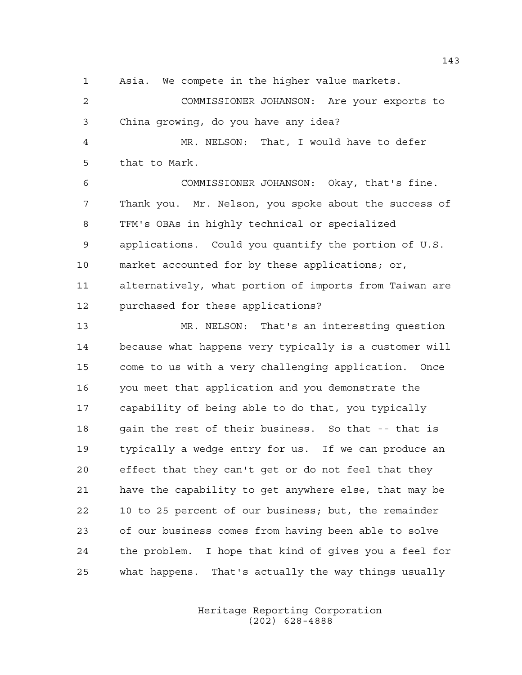1 Asia. We compete in the higher value markets.

2 COMMISSIONER JOHANSON: Are your exports to 3 China growing, do you have any idea?

4 MR. NELSON: That, I would have to defer 5 that to Mark.

6 COMMISSIONER JOHANSON: Okay, that's fine. 7 Thank you. Mr. Nelson, you spoke about the success of 8 TFM's OBAs in highly technical or specialized 9 applications. Could you quantify the portion of U.S. 10 market accounted for by these applications; or, 11 alternatively, what portion of imports from Taiwan are 12 purchased for these applications?

13 MR. NELSON: That's an interesting question 14 because what happens very typically is a customer will 15 come to us with a very challenging application. Once 16 you meet that application and you demonstrate the 17 capability of being able to do that, you typically 18 gain the rest of their business. So that -- that is 19 typically a wedge entry for us. If we can produce an 20 effect that they can't get or do not feel that they 21 have the capability to get anywhere else, that may be 22 10 to 25 percent of our business; but, the remainder 23 of our business comes from having been able to solve 24 the problem. I hope that kind of gives you a feel for 25 what happens. That's actually the way things usually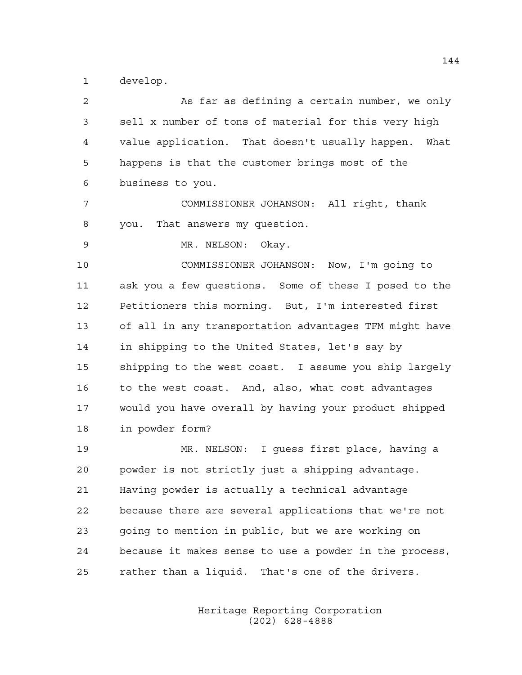1 develop.

| 2  | As far as defining a certain number, we only           |
|----|--------------------------------------------------------|
| 3  | sell x number of tons of material for this very high   |
| 4  | value application. That doesn't usually happen. What   |
| 5  | happens is that the customer brings most of the        |
| 6  | business to you.                                       |
| 7  | COMMISSIONER JOHANSON: All right, thank                |
| 8  | you. That answers my question.                         |
| 9  | MR. NELSON: Okay.                                      |
| 10 | COMMISSIONER JOHANSON: Now, I'm going to               |
| 11 | ask you a few questions. Some of these I posed to the  |
| 12 | Petitioners this morning. But, I'm interested first    |
| 13 | of all in any transportation advantages TFM might have |
| 14 | in shipping to the United States, let's say by         |
| 15 | shipping to the west coast. I assume you ship largely  |
| 16 | to the west coast. And, also, what cost advantages     |
| 17 | would you have overall by having your product shipped  |
| 18 | in powder form?                                        |
| 19 | MR. NELSON: I guess first place, having a              |
| 20 | powder is not strictly just a shipping advantage.      |
| 21 | Having powder is actually a technical advantage        |
| 22 | because there are several applications that we're not  |
| 23 | going to mention in public, but we are working on      |
| 24 | because it makes sense to use a powder in the process, |
| 25 | rather than a liquid. That's one of the drivers.       |
|    |                                                        |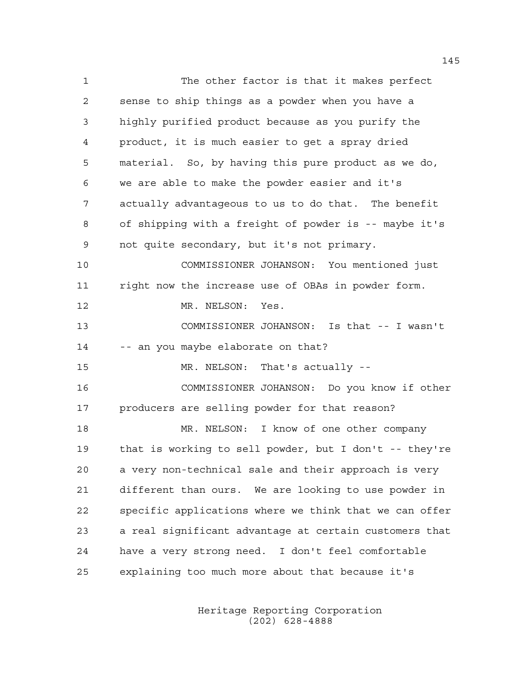1 The other factor is that it makes perfect 2 sense to ship things as a powder when you have a 3 highly purified product because as you purify the 4 product, it is much easier to get a spray dried 5 material. So, by having this pure product as we do, 6 we are able to make the powder easier and it's 7 actually advantageous to us to do that. The benefit 8 of shipping with a freight of powder is -- maybe it's 9 not quite secondary, but it's not primary. 10 COMMISSIONER JOHANSON: You mentioned just 11 right now the increase use of OBAs in powder form. 12 MR. NELSON: Yes. 13 COMMISSIONER JOHANSON: Is that -- I wasn't 14 -- an you maybe elaborate on that? 15 MR. NELSON: That's actually -- 16 COMMISSIONER JOHANSON: Do you know if other 17 producers are selling powder for that reason? 18 MR. NELSON: I know of one other company 19 that is working to sell powder, but I don't -- they're 20 a very non-technical sale and their approach is very 21 different than ours. We are looking to use powder in 22 specific applications where we think that we can offer 23 a real significant advantage at certain customers that 24 have a very strong need. I don't feel comfortable 25 explaining too much more about that because it's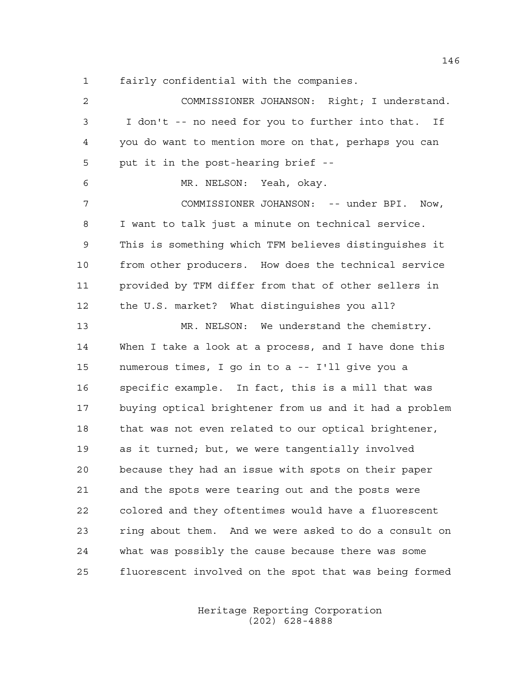1 fairly confidential with the companies.

2 COMMISSIONER JOHANSON: Right; I understand. 3 I don't -- no need for you to further into that. If 4 you do want to mention more on that, perhaps you can 5 put it in the post-hearing brief -- 6 MR. NELSON: Yeah, okay. 7 COMMISSIONER JOHANSON: -- under BPI. Now, 8 I want to talk just a minute on technical service. 9 This is something which TFM believes distinguishes it 10 from other producers. How does the technical service 11 provided by TFM differ from that of other sellers in 12 the U.S. market? What distinguishes you all? 13 MR. NELSON: We understand the chemistry. 14 When I take a look at a process, and I have done this 15 numerous times, I go in to a -- I'll give you a 16 specific example. In fact, this is a mill that was 17 buying optical brightener from us and it had a problem 18 that was not even related to our optical brightener, 19 as it turned; but, we were tangentially involved 20 because they had an issue with spots on their paper 21 and the spots were tearing out and the posts were 22 colored and they oftentimes would have a fluorescent 23 ring about them. And we were asked to do a consult on 24 what was possibly the cause because there was some 25 fluorescent involved on the spot that was being formed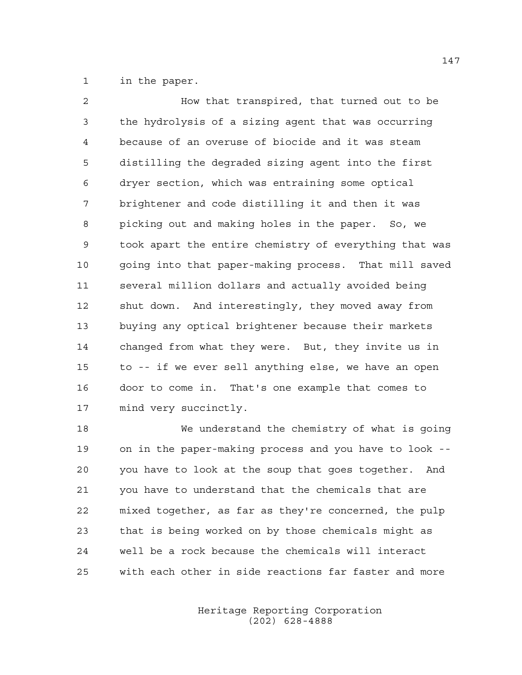1 in the paper.

| 2           | How that transpired, that turned out to be             |
|-------------|--------------------------------------------------------|
| 3           | the hydrolysis of a sizing agent that was occurring    |
| 4           | because of an overuse of biocide and it was steam      |
| 5           | distilling the degraded sizing agent into the first    |
| 6           | dryer section, which was entraining some optical       |
| 7           | brightener and code distilling it and then it was      |
| 8           | picking out and making holes in the paper. So, we      |
| $\mathsf 9$ | took apart the entire chemistry of everything that was |
| 10          | going into that paper-making process. That mill saved  |
| 11          | several million dollars and actually avoided being     |
| 12          | shut down. And interestingly, they moved away from     |
| 13          | buying any optical brightener because their markets    |
| 14          | changed from what they were. But, they invite us in    |
| 15          | to -- if we ever sell anything else, we have an open   |
| 16          | door to come in. That's one example that comes to      |
| 17          | mind very succinctly.                                  |
|             |                                                        |

18 We understand the chemistry of what is going 19 on in the paper-making process and you have to look -- 20 you have to look at the soup that goes together. And 21 you have to understand that the chemicals that are 22 mixed together, as far as they're concerned, the pulp 23 that is being worked on by those chemicals might as 24 well be a rock because the chemicals will interact 25 with each other in side reactions far faster and more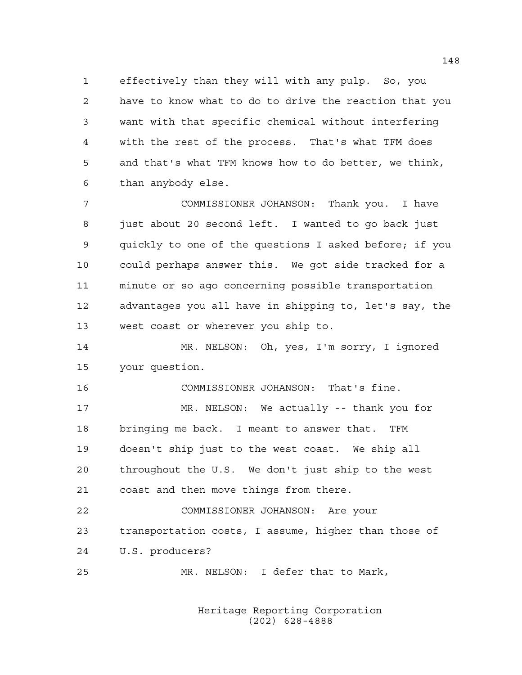1 effectively than they will with any pulp. So, you 2 have to know what to do to drive the reaction that you 3 want with that specific chemical without interfering 4 with the rest of the process. That's what TFM does 5 and that's what TFM knows how to do better, we think, 6 than anybody else.

7 COMMISSIONER JOHANSON: Thank you. I have 8 just about 20 second left. I wanted to go back just 9 quickly to one of the questions I asked before; if you 10 could perhaps answer this. We got side tracked for a 11 minute or so ago concerning possible transportation 12 advantages you all have in shipping to, let's say, the 13 west coast or wherever you ship to.

14 MR. NELSON: Oh, yes, I'm sorry, I ignored 15 your question.

16 COMMISSIONER JOHANSON: That's fine. 17 MR. NELSON: We actually -- thank you for 18 bringing me back. I meant to answer that. TFM 19 doesn't ship just to the west coast. We ship all 20 throughout the U.S. We don't just ship to the west 21 coast and then move things from there.

22 COMMISSIONER JOHANSON: Are your 23 transportation costs, I assume, higher than those of 24 U.S. producers?

25 MR. NELSON: I defer that to Mark,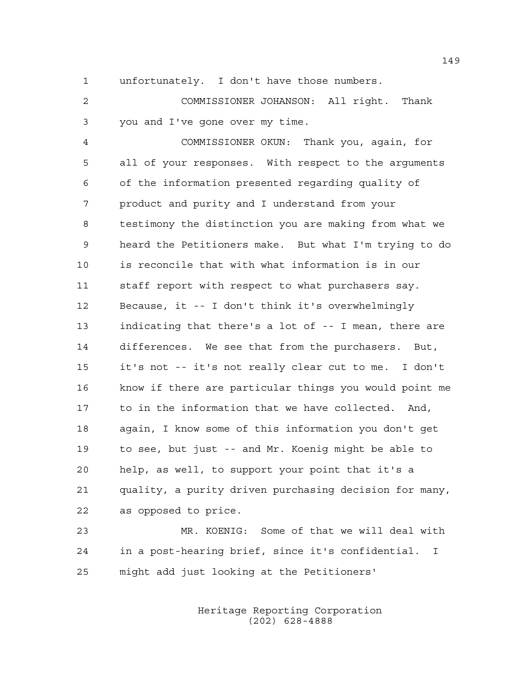1 unfortunately. I don't have those numbers.

2 COMMISSIONER JOHANSON: All right. Thank 3 you and I've gone over my time.

4 COMMISSIONER OKUN: Thank you, again, for 5 all of your responses. With respect to the arguments 6 of the information presented regarding quality of 7 product and purity and I understand from your 8 testimony the distinction you are making from what we 9 heard the Petitioners make. But what I'm trying to do 10 is reconcile that with what information is in our 11 staff report with respect to what purchasers say. 12 Because, it -- I don't think it's overwhelmingly 13 indicating that there's a lot of -- I mean, there are 14 differences. We see that from the purchasers. But, 15 it's not -- it's not really clear cut to me. I don't 16 know if there are particular things you would point me 17 to in the information that we have collected. And, 18 again, I know some of this information you don't get 19 to see, but just -- and Mr. Koenig might be able to 20 help, as well, to support your point that it's a 21 quality, a purity driven purchasing decision for many, 22 as opposed to price.

23 MR. KOENIG: Some of that we will deal with 24 in a post-hearing brief, since it's confidential. I 25 might add just looking at the Petitioners'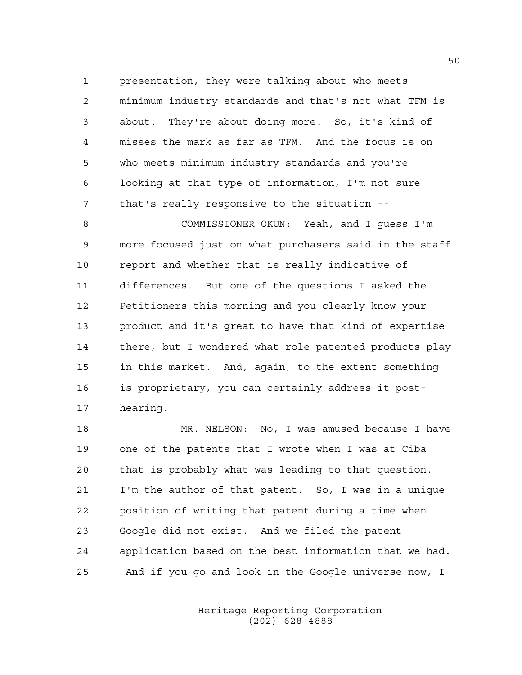1 presentation, they were talking about who meets 2 minimum industry standards and that's not what TFM is 3 about. They're about doing more. So, it's kind of 4 misses the mark as far as TFM. And the focus is on 5 who meets minimum industry standards and you're 6 looking at that type of information, I'm not sure 7 that's really responsive to the situation --

8 COMMISSIONER OKUN: Yeah, and I guess I'm 9 more focused just on what purchasers said in the staff 10 report and whether that is really indicative of 11 differences. But one of the questions I asked the 12 Petitioners this morning and you clearly know your 13 product and it's great to have that kind of expertise 14 there, but I wondered what role patented products play 15 in this market. And, again, to the extent something 16 is proprietary, you can certainly address it post-17 hearing.

18 MR. NELSON: No, I was amused because I have 19 one of the patents that I wrote when I was at Ciba 20 that is probably what was leading to that question. 21 I'm the author of that patent. So, I was in a unique 22 position of writing that patent during a time when 23 Google did not exist. And we filed the patent 24 application based on the best information that we had. 25 And if you go and look in the Google universe now, I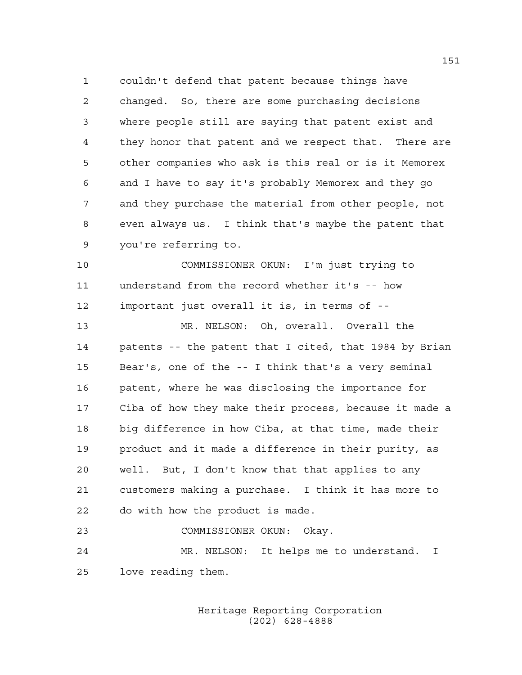1 couldn't defend that patent because things have 2 changed. So, there are some purchasing decisions 3 where people still are saying that patent exist and 4 they honor that patent and we respect that. There are 5 other companies who ask is this real or is it Memorex 6 and I have to say it's probably Memorex and they go 7 and they purchase the material from other people, not 8 even always us. I think that's maybe the patent that 9 you're referring to.

10 COMMISSIONER OKUN: I'm just trying to 11 understand from the record whether it's -- how 12 important just overall it is, in terms of --

13 MR. NELSON: Oh, overall. Overall the 14 patents -- the patent that I cited, that 1984 by Brian 15 Bear's, one of the -- I think that's a very seminal 16 patent, where he was disclosing the importance for 17 Ciba of how they make their process, because it made a 18 big difference in how Ciba, at that time, made their 19 product and it made a difference in their purity, as 20 well. But, I don't know that that applies to any 21 customers making a purchase. I think it has more to 22 do with how the product is made.

23 COMMISSIONER OKUN: Okay. 24 MR. NELSON: It helps me to understand. I 25 love reading them.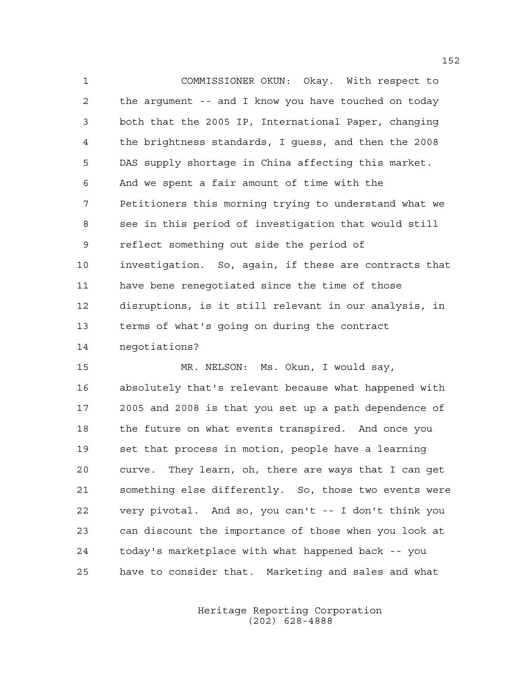1 COMMISSIONER OKUN: Okay. With respect to 2 the argument -- and I know you have touched on today 3 both that the 2005 IP, International Paper, changing 4 the brightness standards, I guess, and then the 2008 5 DAS supply shortage in China affecting this market. 6 And we spent a fair amount of time with the 7 Petitioners this morning trying to understand what we 8 see in this period of investigation that would still 9 reflect something out side the period of 10 investigation. So, again, if these are contracts that 11 have bene renegotiated since the time of those 12 disruptions, is it still relevant in our analysis, in 13 terms of what's going on during the contract 14 negotiations?

15 MR. NELSON: Ms. Okun, I would say, 16 absolutely that's relevant because what happened with 17 2005 and 2008 is that you set up a path dependence of 18 the future on what events transpired. And once you 19 set that process in motion, people have a learning 20 curve. They learn, oh, there are ways that I can get 21 something else differently. So, those two events were 22 very pivotal. And so, you can't -- I don't think you 23 can discount the importance of those when you look at 24 today's marketplace with what happened back -- you 25 have to consider that. Marketing and sales and what

> Heritage Reporting Corporation (202) 628-4888

152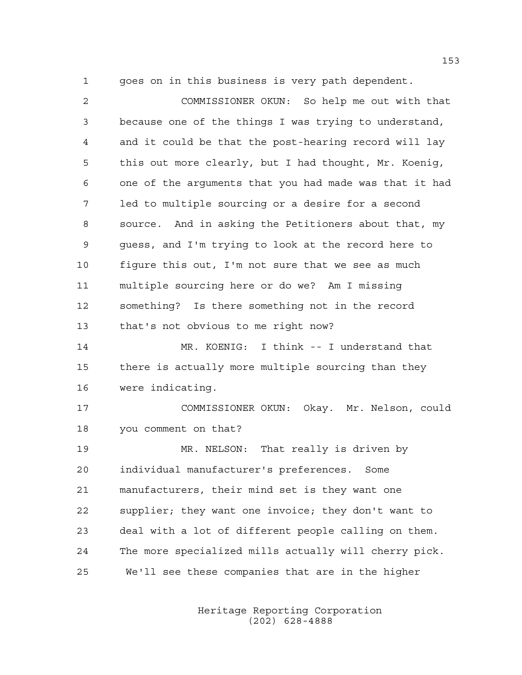1 goes on in this business is very path dependent.

| $\mathbf{2}$ | COMMISSIONER OKUN: So help me out with that            |
|--------------|--------------------------------------------------------|
| 3            | because one of the things I was trying to understand,  |
| 4            | and it could be that the post-hearing record will lay  |
| 5            | this out more clearly, but I had thought, Mr. Koenig,  |
| 6            | one of the arguments that you had made was that it had |
| 7            | led to multiple sourcing or a desire for a second      |
| 8            | source. And in asking the Petitioners about that, my   |
| 9            | quess, and I'm trying to look at the record here to    |
| 10           | figure this out, I'm not sure that we see as much      |
| 11           | multiple sourcing here or do we? Am I missing          |
| 12           | something? Is there something not in the record        |
| 13           | that's not obvious to me right now?                    |
| 14           |                                                        |
|              | MR. KOENIG: I think -- I understand that               |
| 15           | there is actually more multiple sourcing than they     |
| 16           | were indicating.                                       |
| 17           | COMMISSIONER OKUN: Okay. Mr. Nelson, could             |
| 18           | you comment on that?                                   |
| 19           | MR. NELSON: That really is driven by                   |
| 20           | individual manufacturer's preferences.<br>Some         |
| 21           | manufacturers, their mind set is they want one         |
| 22           | supplier; they want one invoice; they don't want to    |
| 23           | deal with a lot of different people calling on them.   |
| 24           | The more specialized mills actually will cherry pick.  |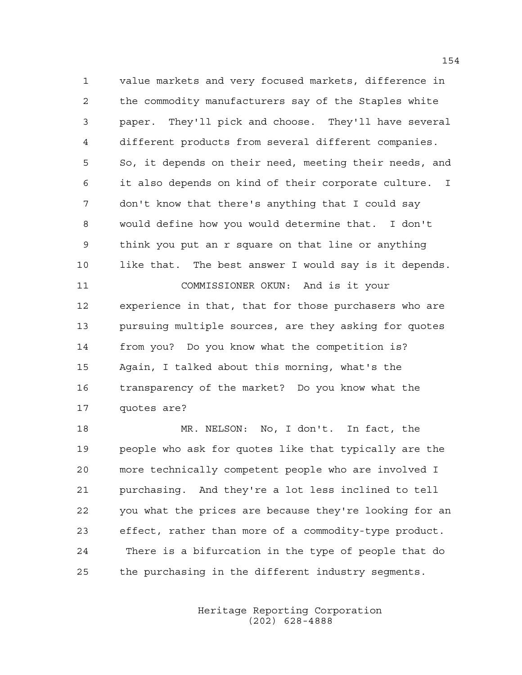1 value markets and very focused markets, difference in 2 the commodity manufacturers say of the Staples white 3 paper. They'll pick and choose. They'll have several 4 different products from several different companies. 5 So, it depends on their need, meeting their needs, and 6 it also depends on kind of their corporate culture. I 7 don't know that there's anything that I could say 8 would define how you would determine that. I don't 9 think you put an r square on that line or anything 10 like that. The best answer I would say is it depends. 11 COMMISSIONER OKUN: And is it your 12 experience in that, that for those purchasers who are 13 pursuing multiple sources, are they asking for quotes 14 from you? Do you know what the competition is? 15 Again, I talked about this morning, what's the

16 transparency of the market? Do you know what the 17 quotes are?

18 MR. NELSON: No, I don't. In fact, the 19 people who ask for quotes like that typically are the 20 more technically competent people who are involved I 21 purchasing. And they're a lot less inclined to tell 22 you what the prices are because they're looking for an 23 effect, rather than more of a commodity-type product. 24 There is a bifurcation in the type of people that do 25 the purchasing in the different industry segments.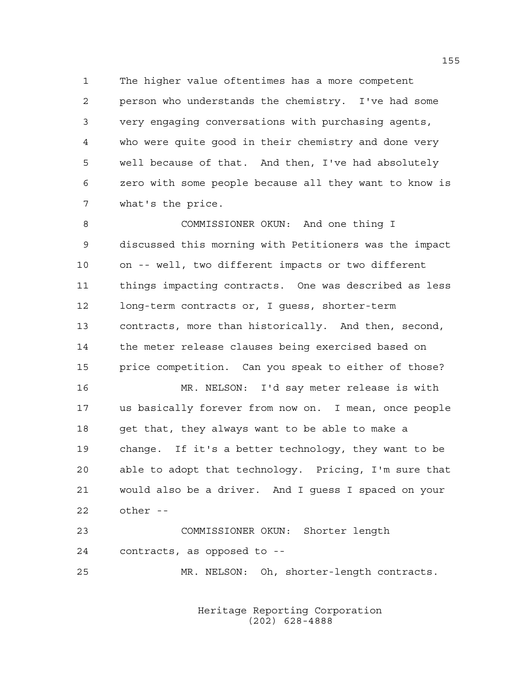1 The higher value oftentimes has a more competent 2 person who understands the chemistry. I've had some 3 very engaging conversations with purchasing agents, 4 who were quite good in their chemistry and done very 5 well because of that. And then, I've had absolutely 6 zero with some people because all they want to know is 7 what's the price.

8 COMMISSIONER OKUN: And one thing I 9 discussed this morning with Petitioners was the impact 10 on -- well, two different impacts or two different 11 things impacting contracts. One was described as less 12 long-term contracts or, I guess, shorter-term 13 contracts, more than historically. And then, second, 14 the meter release clauses being exercised based on 15 price competition. Can you speak to either of those? 16 MR. NELSON: I'd say meter release is with

17 us basically forever from now on. I mean, once people 18 get that, they always want to be able to make a 19 change. If it's a better technology, they want to be 20 able to adopt that technology. Pricing, I'm sure that 21 would also be a driver. And I guess I spaced on your 22 other --

23 COMMISSIONER OKUN: Shorter length 24 contracts, as opposed to --

25 MR. NELSON: Oh, shorter-length contracts.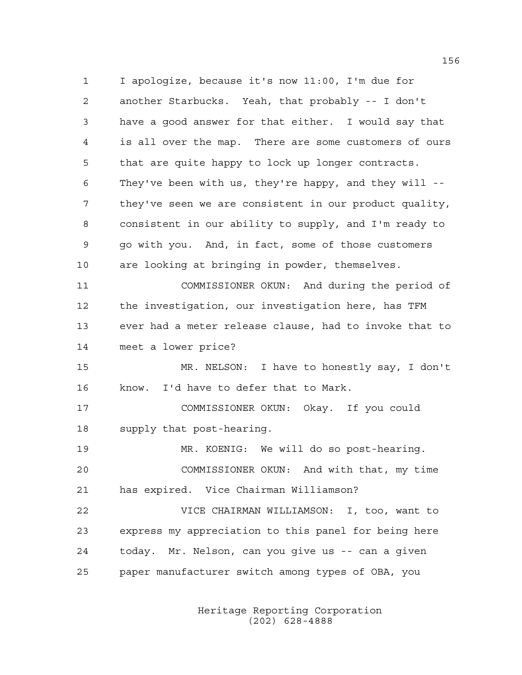1 I apologize, because it's now 11:00, I'm due for 2 another Starbucks. Yeah, that probably -- I don't 3 have a good answer for that either. I would say that 4 is all over the map. There are some customers of ours 5 that are quite happy to lock up longer contracts. 6 They've been with us, they're happy, and they will -- 7 they've seen we are consistent in our product quality, 8 consistent in our ability to supply, and I'm ready to 9 go with you. And, in fact, some of those customers 10 are looking at bringing in powder, themselves. 11 COMMISSIONER OKUN: And during the period of 12 the investigation, our investigation here, has TFM 13 ever had a meter release clause, had to invoke that to 14 meet a lower price? 15 MR. NELSON: I have to honestly say, I don't 16 know. I'd have to defer that to Mark. 17 COMMISSIONER OKUN: Okay. If you could 18 supply that post-hearing. 19 MR. KOENIG: We will do so post-hearing. 20 COMMISSIONER OKUN: And with that, my time 21 has expired. Vice Chairman Williamson? 22 VICE CHAIRMAN WILLIAMSON: I, too, want to 23 express my appreciation to this panel for being here 24 today. Mr. Nelson, can you give us -- can a given 25 paper manufacturer switch among types of OBA, you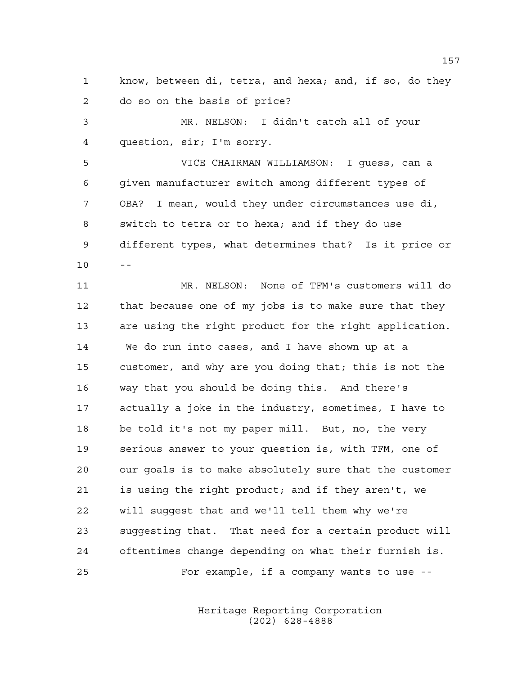1 know, between di, tetra, and hexa; and, if so, do they 2 do so on the basis of price?

3 MR. NELSON: I didn't catch all of your 4 question, sir; I'm sorry.

5 VICE CHAIRMAN WILLIAMSON: I guess, can a 6 given manufacturer switch among different types of 7 OBA? I mean, would they under circumstances use di, 8 switch to tetra or to hexa; and if they do use 9 different types, what determines that? Is it price or  $10 - -$ 

11 MR. NELSON: None of TFM's customers will do 12 that because one of my jobs is to make sure that they 13 are using the right product for the right application. 14 We do run into cases, and I have shown up at a 15 customer, and why are you doing that; this is not the 16 way that you should be doing this. And there's 17 actually a joke in the industry, sometimes, I have to 18 be told it's not my paper mill. But, no, the very 19 serious answer to your question is, with TFM, one of 20 our goals is to make absolutely sure that the customer 21 is using the right product; and if they aren't, we 22 will suggest that and we'll tell them why we're 23 suggesting that. That need for a certain product will 24 oftentimes change depending on what their furnish is. 25 For example, if a company wants to use --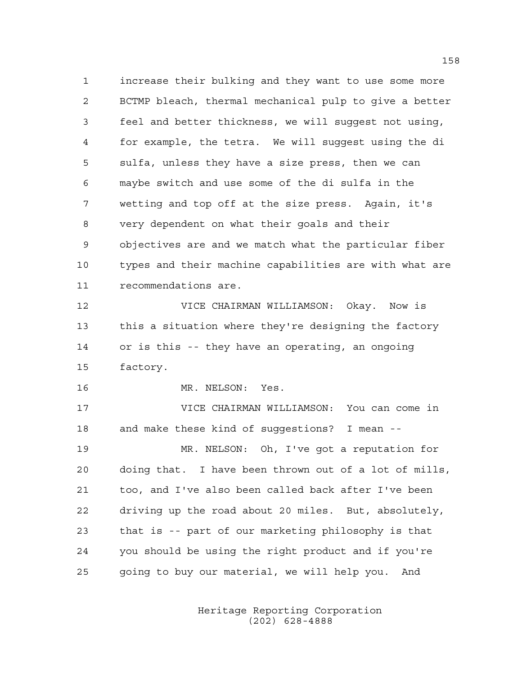1 increase their bulking and they want to use some more 2 BCTMP bleach, thermal mechanical pulp to give a better 3 feel and better thickness, we will suggest not using, 4 for example, the tetra. We will suggest using the di 5 sulfa, unless they have a size press, then we can 6 maybe switch and use some of the di sulfa in the 7 wetting and top off at the size press. Again, it's 8 very dependent on what their goals and their 9 objectives are and we match what the particular fiber 10 types and their machine capabilities are with what are 11 recommendations are.

12 VICE CHAIRMAN WILLIAMSON: Okay. Now is 13 this a situation where they're designing the factory 14 or is this -- they have an operating, an ongoing 15 factory.

16 MR. NELSON: Yes.

17 VICE CHAIRMAN WILLIAMSON: You can come in 18 and make these kind of suggestions? I mean --

19 MR. NELSON: Oh, I've got a reputation for 20 doing that. I have been thrown out of a lot of mills, 21 too, and I've also been called back after I've been 22 driving up the road about 20 miles. But, absolutely, 23 that is -- part of our marketing philosophy is that 24 you should be using the right product and if you're 25 going to buy our material, we will help you. And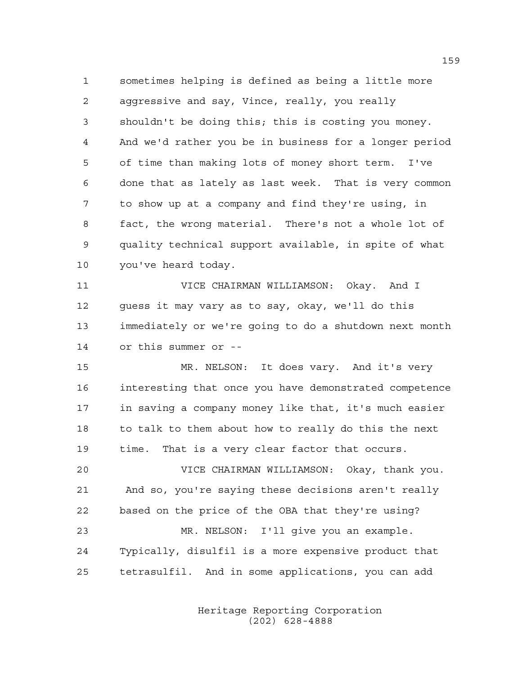1 sometimes helping is defined as being a little more 2 aggressive and say, Vince, really, you really 3 shouldn't be doing this; this is costing you money. 4 And we'd rather you be in business for a longer period 5 of time than making lots of money short term. I've 6 done that as lately as last week. That is very common 7 to show up at a company and find they're using, in 8 fact, the wrong material. There's not a whole lot of 9 quality technical support available, in spite of what 10 you've heard today.

11 VICE CHAIRMAN WILLIAMSON: Okay. And I 12 guess it may vary as to say, okay, we'll do this 13 immediately or we're going to do a shutdown next month 14 or this summer or --

15 MR. NELSON: It does vary. And it's very 16 interesting that once you have demonstrated competence 17 in saving a company money like that, it's much easier 18 to talk to them about how to really do this the next 19 time. That is a very clear factor that occurs.

20 VICE CHAIRMAN WILLIAMSON: Okay, thank you. 21 And so, you're saying these decisions aren't really 22 based on the price of the OBA that they're using? 23 MR. NELSON: I'll give you an example. 24 Typically, disulfil is a more expensive product that 25 tetrasulfil. And in some applications, you can add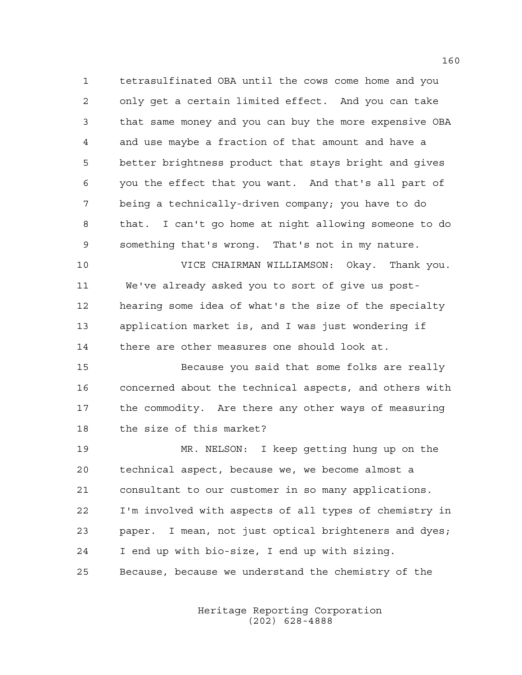1 tetrasulfinated OBA until the cows come home and you 2 only get a certain limited effect. And you can take 3 that same money and you can buy the more expensive OBA 4 and use maybe a fraction of that amount and have a 5 better brightness product that stays bright and gives 6 you the effect that you want. And that's all part of 7 being a technically-driven company; you have to do 8 that. I can't go home at night allowing someone to do 9 something that's wrong. That's not in my nature.

10 VICE CHAIRMAN WILLIAMSON: Okay. Thank you. 11 We've already asked you to sort of give us post-12 hearing some idea of what's the size of the specialty 13 application market is, and I was just wondering if 14 there are other measures one should look at.

15 Because you said that some folks are really 16 concerned about the technical aspects, and others with 17 the commodity. Are there any other ways of measuring 18 the size of this market?

19 MR. NELSON: I keep getting hung up on the 20 technical aspect, because we, we become almost a 21 consultant to our customer in so many applications. 22 I'm involved with aspects of all types of chemistry in 23 paper. I mean, not just optical brighteners and dyes; 24 I end up with bio-size, I end up with sizing. 25 Because, because we understand the chemistry of the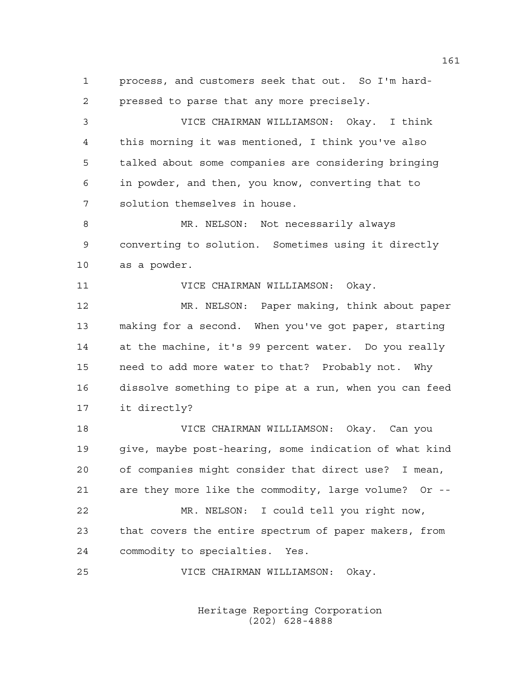1 process, and customers seek that out. So I'm hard-2 pressed to parse that any more precisely.

3 VICE CHAIRMAN WILLIAMSON: Okay. I think 4 this morning it was mentioned, I think you've also 5 talked about some companies are considering bringing 6 in powder, and then, you know, converting that to 7 solution themselves in house.

8 MR. NELSON: Not necessarily always 9 converting to solution. Sometimes using it directly 10 as a powder.

11 VICE CHAIRMAN WILLIAMSON: Okay.

12 MR. NELSON: Paper making, think about paper 13 making for a second. When you've got paper, starting 14 at the machine, it's 99 percent water. Do you really 15 need to add more water to that? Probably not. Why 16 dissolve something to pipe at a run, when you can feed 17 it directly?

18 VICE CHAIRMAN WILLIAMSON: Okay. Can you 19 give, maybe post-hearing, some indication of what kind 20 of companies might consider that direct use? I mean, 21 are they more like the commodity, large volume? Or -- 22 MR. NELSON: I could tell you right now, 23 that covers the entire spectrum of paper makers, from 24 commodity to specialties. Yes.

25 VICE CHAIRMAN WILLIAMSON: Okay.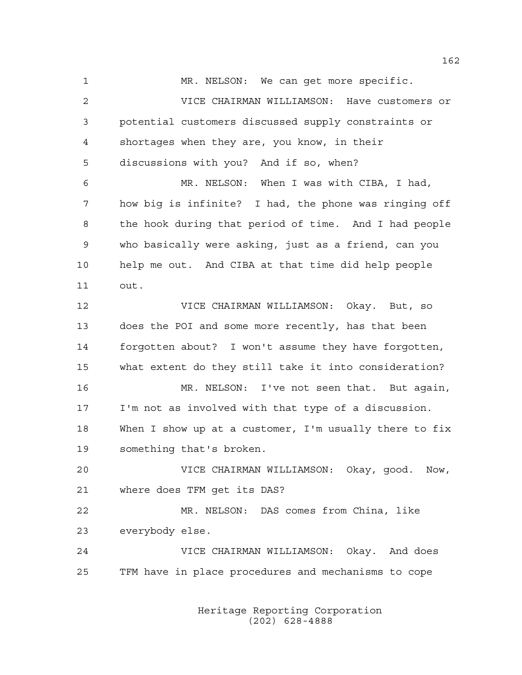1 MR. NELSON: We can get more specific. 2 VICE CHAIRMAN WILLIAMSON: Have customers or 3 potential customers discussed supply constraints or 4 shortages when they are, you know, in their

5 discussions with you? And if so, when?

6 MR. NELSON: When I was with CIBA, I had, 7 how big is infinite? I had, the phone was ringing off 8 the hook during that period of time. And I had people 9 who basically were asking, just as a friend, can you 10 help me out. And CIBA at that time did help people 11 out.

12 VICE CHAIRMAN WILLIAMSON: Okay. But, so 13 does the POI and some more recently, has that been 14 forgotten about? I won't assume they have forgotten, 15 what extent do they still take it into consideration? 16 MR. NELSON: I've not seen that. But again,

17 I'm not as involved with that type of a discussion. 18 When I show up at a customer, I'm usually there to fix 19 something that's broken.

20 VICE CHAIRMAN WILLIAMSON: Okay, good. Now, 21 where does TFM get its DAS?

22 MR. NELSON: DAS comes from China, like 23 everybody else.

24 VICE CHAIRMAN WILLIAMSON: Okay. And does 25 TFM have in place procedures and mechanisms to cope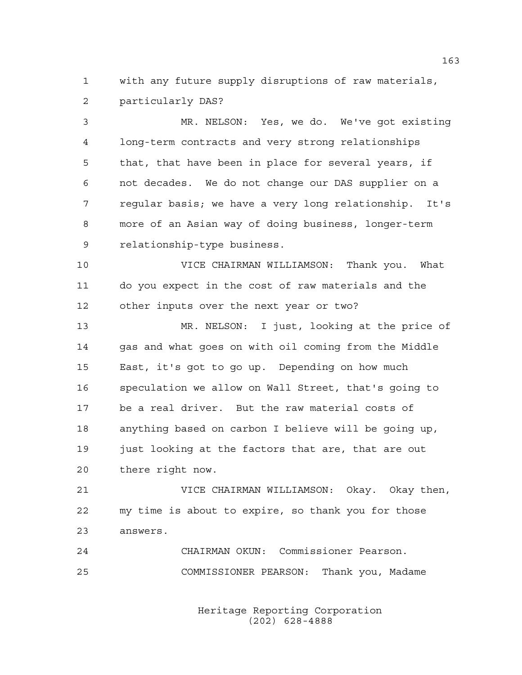1 with any future supply disruptions of raw materials, 2 particularly DAS?

3 MR. NELSON: Yes, we do. We've got existing 4 long-term contracts and very strong relationships 5 that, that have been in place for several years, if 6 not decades. We do not change our DAS supplier on a 7 regular basis; we have a very long relationship. It's 8 more of an Asian way of doing business, longer-term 9 relationship-type business.

10 VICE CHAIRMAN WILLIAMSON: Thank you. What 11 do you expect in the cost of raw materials and the 12 other inputs over the next year or two?

13 MR. NELSON: I just, looking at the price of 14 gas and what goes on with oil coming from the Middle 15 East, it's got to go up. Depending on how much 16 speculation we allow on Wall Street, that's going to 17 be a real driver. But the raw material costs of 18 anything based on carbon I believe will be going up, 19 just looking at the factors that are, that are out 20 there right now.

21 VICE CHAIRMAN WILLIAMSON: Okay. Okay then, 22 my time is about to expire, so thank you for those 23 answers.

24 CHAIRMAN OKUN: Commissioner Pearson. 25 COMMISSIONER PEARSON: Thank you, Madame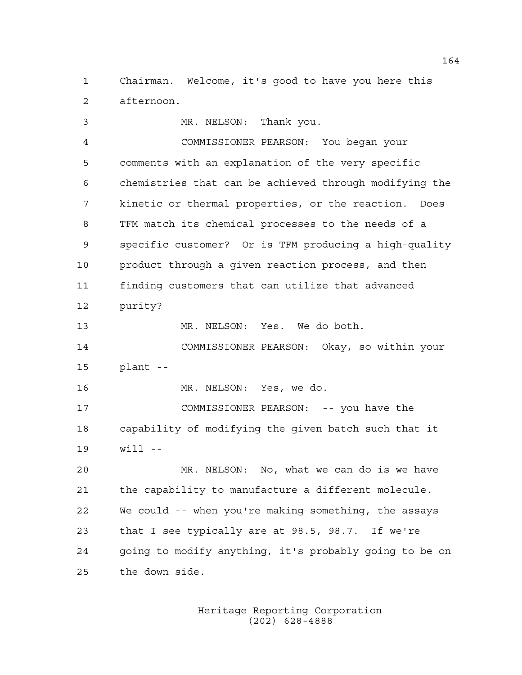1 Chairman. Welcome, it's good to have you here this 2 afternoon.

3 MR. NELSON: Thank you. 4 COMMISSIONER PEARSON: You began your 5 comments with an explanation of the very specific 6 chemistries that can be achieved through modifying the 7 kinetic or thermal properties, or the reaction. Does 8 TFM match its chemical processes to the needs of a 9 specific customer? Or is TFM producing a high-quality 10 product through a given reaction process, and then 11 finding customers that can utilize that advanced 12 purity? 13 MR. NELSON: Yes. We do both. 14 COMMISSIONER PEARSON: Okay, so within your 15 plant -- 16 MR. NELSON: Yes, we do. 17 COMMISSIONER PEARSON: -- you have the 18 capability of modifying the given batch such that it 19 will -- 20 MR. NELSON: No, what we can do is we have 21 the capability to manufacture a different molecule. 22 We could -- when you're making something, the assays 23 that I see typically are at 98.5, 98.7. If we're 24 going to modify anything, it's probably going to be on 25 the down side.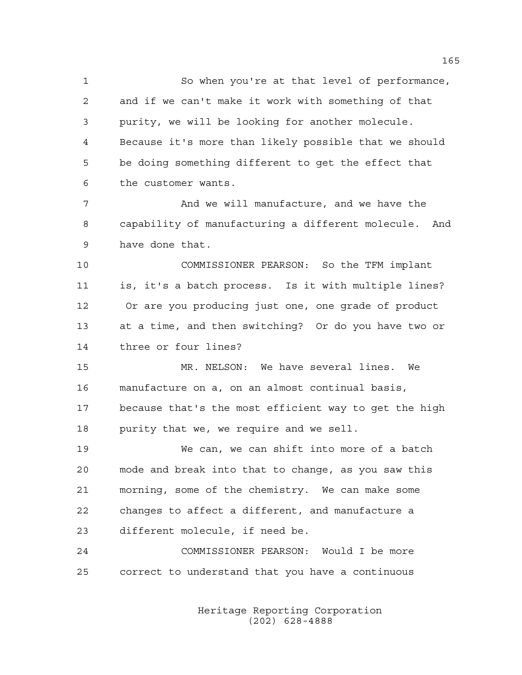1 So when you're at that level of performance, 2 and if we can't make it work with something of that 3 purity, we will be looking for another molecule. 4 Because it's more than likely possible that we should 5 be doing something different to get the effect that 6 the customer wants.

7 And we will manufacture, and we have the 8 capability of manufacturing a different molecule. And 9 have done that.

10 COMMISSIONER PEARSON: So the TFM implant 11 is, it's a batch process. Is it with multiple lines? 12 Or are you producing just one, one grade of product 13 at a time, and then switching? Or do you have two or 14 three or four lines?

15 MR. NELSON: We have several lines. We 16 manufacture on a, on an almost continual basis, 17 because that's the most efficient way to get the high 18 purity that we, we require and we sell.

19 We can, we can shift into more of a batch 20 mode and break into that to change, as you saw this 21 morning, some of the chemistry. We can make some 22 changes to affect a different, and manufacture a 23 different molecule, if need be.

24 COMMISSIONER PEARSON: Would I be more 25 correct to understand that you have a continuous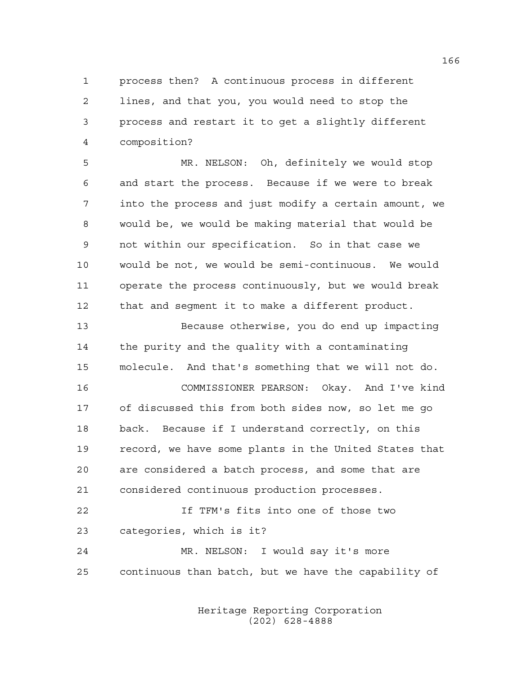1 process then? A continuous process in different 2 lines, and that you, you would need to stop the 3 process and restart it to get a slightly different 4 composition?

5 MR. NELSON: Oh, definitely we would stop 6 and start the process. Because if we were to break 7 into the process and just modify a certain amount, we 8 would be, we would be making material that would be 9 not within our specification. So in that case we 10 would be not, we would be semi-continuous. We would 11 operate the process continuously, but we would break 12 that and segment it to make a different product.

13 Because otherwise, you do end up impacting 14 the purity and the quality with a contaminating 15 molecule. And that's something that we will not do. 16 COMMISSIONER PEARSON: Okay. And I've kind 17 of discussed this from both sides now, so let me go 18 back. Because if I understand correctly, on this 19 record, we have some plants in the United States that 20 are considered a batch process, and some that are 21 considered continuous production processes.

22 If TFM's fits into one of those two 23 categories, which is it?

24 MR. NELSON: I would say it's more 25 continuous than batch, but we have the capability of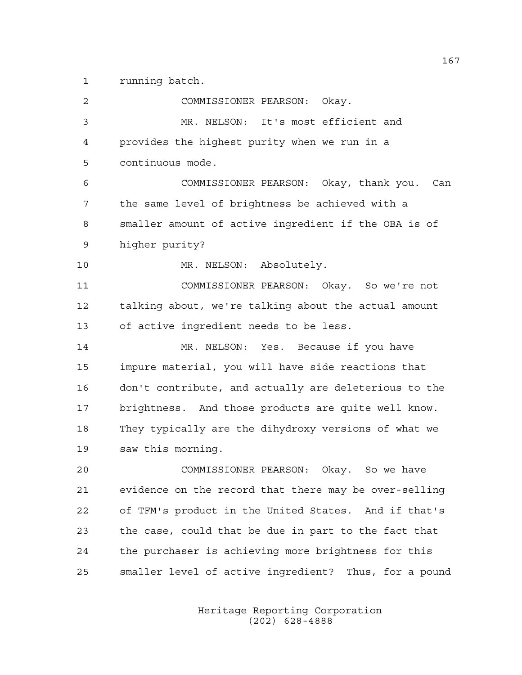1 running batch.

2 COMMISSIONER PEARSON: Okay. 3 MR. NELSON: It's most efficient and 4 provides the highest purity when we run in a 5 continuous mode. 6 COMMISSIONER PEARSON: Okay, thank you. Can 7 the same level of brightness be achieved with a 8 smaller amount of active ingredient if the OBA is of 9 higher purity? 10 MR. NELSON: Absolutely. 11 COMMISSIONER PEARSON: Okay. So we're not 12 talking about, we're talking about the actual amount 13 of active ingredient needs to be less. 14 MR. NELSON: Yes. Because if you have 15 impure material, you will have side reactions that 16 don't contribute, and actually are deleterious to the 17 brightness. And those products are quite well know. 18 They typically are the dihydroxy versions of what we 19 saw this morning. 20 COMMISSIONER PEARSON: Okay. So we have 21 evidence on the record that there may be over-selling 22 of TFM's product in the United States. And if that's 23 the case, could that be due in part to the fact that 24 the purchaser is achieving more brightness for this 25 smaller level of active ingredient? Thus, for a pound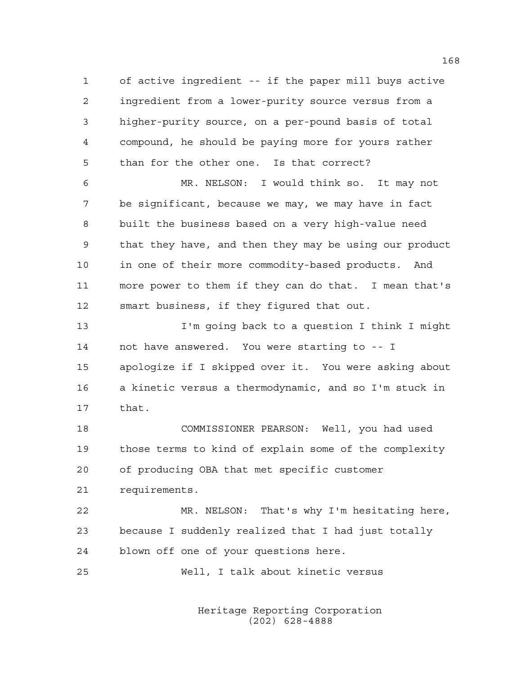1 of active ingredient -- if the paper mill buys active 2 ingredient from a lower-purity source versus from a 3 higher-purity source, on a per-pound basis of total 4 compound, he should be paying more for yours rather 5 than for the other one. Is that correct?

6 MR. NELSON: I would think so. It may not 7 be significant, because we may, we may have in fact 8 built the business based on a very high-value need 9 that they have, and then they may be using our product 10 in one of their more commodity-based products. And 11 more power to them if they can do that. I mean that's 12 smart business, if they figured that out.

13 I'm going back to a question I think I might 14 not have answered. You were starting to -- I 15 apologize if I skipped over it. You were asking about 16 a kinetic versus a thermodynamic, and so I'm stuck in 17 that.

18 COMMISSIONER PEARSON: Well, you had used 19 those terms to kind of explain some of the complexity 20 of producing OBA that met specific customer 21 requirements.

22 MR. NELSON: That's why I'm hesitating here, 23 because I suddenly realized that I had just totally 24 blown off one of your questions here.

25 Well, I talk about kinetic versus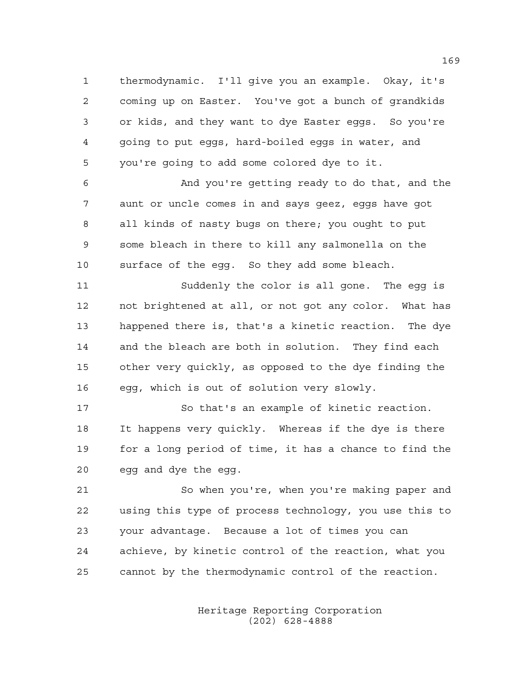1 thermodynamic. I'll give you an example. Okay, it's 2 coming up on Easter. You've got a bunch of grandkids 3 or kids, and they want to dye Easter eggs. So you're 4 going to put eggs, hard-boiled eggs in water, and 5 you're going to add some colored dye to it.

6 And you're getting ready to do that, and the 7 aunt or uncle comes in and says geez, eggs have got 8 all kinds of nasty bugs on there; you ought to put 9 some bleach in there to kill any salmonella on the 10 surface of the egg. So they add some bleach.

11 Suddenly the color is all gone. The egg is 12 not brightened at all, or not got any color. What has 13 happened there is, that's a kinetic reaction. The dye 14 and the bleach are both in solution. They find each 15 other very quickly, as opposed to the dye finding the 16 egg, which is out of solution very slowly.

17 So that's an example of kinetic reaction. 18 It happens very quickly. Whereas if the dye is there 19 for a long period of time, it has a chance to find the 20 egg and dye the egg.

21 So when you're, when you're making paper and 22 using this type of process technology, you use this to 23 your advantage. Because a lot of times you can 24 achieve, by kinetic control of the reaction, what you 25 cannot by the thermodynamic control of the reaction.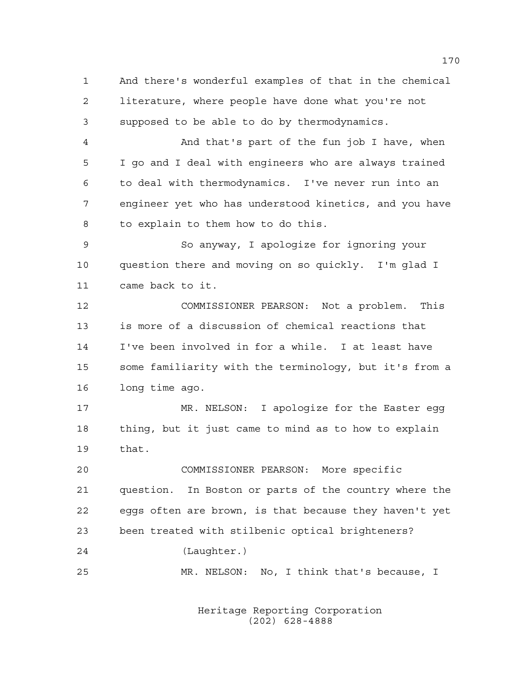1 And there's wonderful examples of that in the chemical 2 literature, where people have done what you're not 3 supposed to be able to do by thermodynamics.

4 And that's part of the fun job I have, when 5 I go and I deal with engineers who are always trained 6 to deal with thermodynamics. I've never run into an 7 engineer yet who has understood kinetics, and you have 8 to explain to them how to do this.

9 So anyway, I apologize for ignoring your 10 question there and moving on so quickly. I'm glad I 11 came back to it.

12 COMMISSIONER PEARSON: Not a problem. This 13 is more of a discussion of chemical reactions that 14 I've been involved in for a while. I at least have 15 some familiarity with the terminology, but it's from a 16 long time ago.

17 MR. NELSON: I apologize for the Easter egg 18 thing, but it just came to mind as to how to explain 19 that.

20 COMMISSIONER PEARSON: More specific 21 question. In Boston or parts of the country where the 22 eggs often are brown, is that because they haven't yet 23 been treated with stilbenic optical brighteners?

24 (Laughter.)

25 MR. NELSON: No, I think that's because, I

 Heritage Reporting Corporation (202) 628-4888

170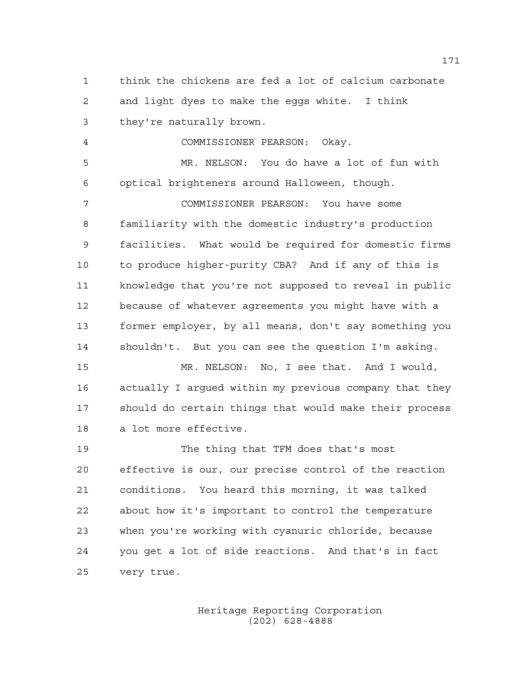1 think the chickens are fed a lot of calcium carbonate 2 and light dyes to make the eggs white. I think 3 they're naturally brown.

4 COMMISSIONER PEARSON: Okay.

5 MR. NELSON: You do have a lot of fun with 6 optical brighteners around Halloween, though.

7 COMMISSIONER PEARSON: You have some 8 familiarity with the domestic industry's production 9 facilities. What would be required for domestic firms 10 to produce higher-purity CBA? And if any of this is 11 knowledge that you're not supposed to reveal in public 12 because of whatever agreements you might have with a 13 former employer, by all means, don't say something you 14 shouldn't. But you can see the question I'm asking.

15 MR. NELSON: No, I see that. And I would, 16 actually I argued within my previous company that they 17 should do certain things that would make their process 18 a lot more effective.

19 The thing that TFM does that's most 20 effective is our, our precise control of the reaction 21 conditions. You heard this morning, it was talked 22 about how it's important to control the temperature 23 when you're working with cyanuric chloride, because 24 you get a lot of side reactions. And that's in fact 25 very true.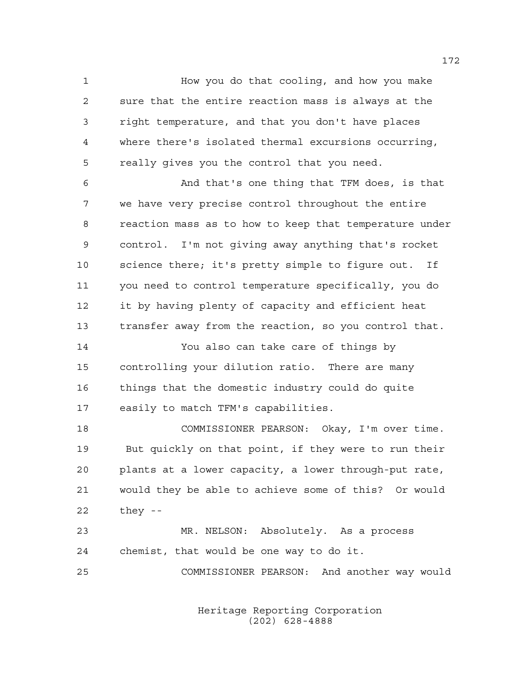1 How you do that cooling, and how you make 2 sure that the entire reaction mass is always at the 3 right temperature, and that you don't have places 4 where there's isolated thermal excursions occurring, 5 really gives you the control that you need.

6 And that's one thing that TFM does, is that 7 we have very precise control throughout the entire 8 reaction mass as to how to keep that temperature under 9 control. I'm not giving away anything that's rocket 10 science there; it's pretty simple to figure out. If 11 you need to control temperature specifically, you do 12 it by having plenty of capacity and efficient heat 13 transfer away from the reaction, so you control that.

14 You also can take care of things by 15 controlling your dilution ratio. There are many 16 things that the domestic industry could do quite 17 easily to match TFM's capabilities.

18 COMMISSIONER PEARSON: Okay, I'm over time. 19 But quickly on that point, if they were to run their 20 plants at a lower capacity, a lower through-put rate, 21 would they be able to achieve some of this? Or would 22 they --

23 MR. NELSON: Absolutely. As a process 24 chemist, that would be one way to do it.

25 COMMISSIONER PEARSON: And another way would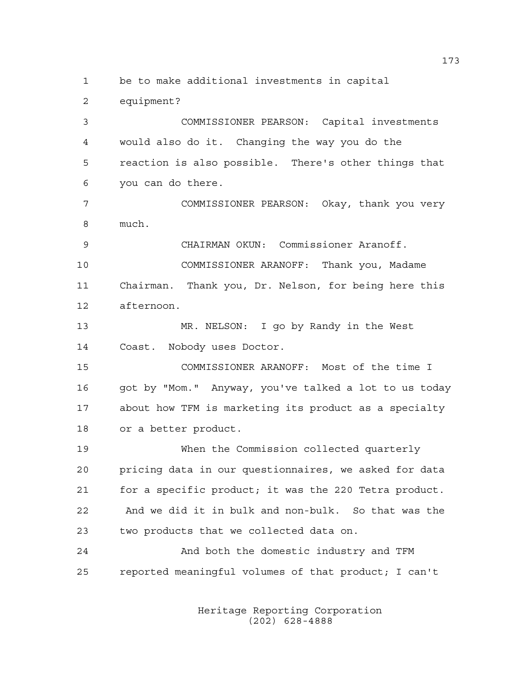1 be to make additional investments in capital 2 equipment?

3 COMMISSIONER PEARSON: Capital investments 4 would also do it. Changing the way you do the 5 reaction is also possible. There's other things that 6 you can do there.

7 COMMISSIONER PEARSON: Okay, thank you very 8 much.

9 CHAIRMAN OKUN: Commissioner Aranoff. 10 COMMISSIONER ARANOFF: Thank you, Madame 11 Chairman. Thank you, Dr. Nelson, for being here this 12 afternoon.

13 MR. NELSON: I go by Randy in the West 14 Coast. Nobody uses Doctor.

15 COMMISSIONER ARANOFF: Most of the time I 16 got by "Mom." Anyway, you've talked a lot to us today 17 about how TFM is marketing its product as a specialty 18 or a better product.

19 When the Commission collected quarterly 20 pricing data in our questionnaires, we asked for data 21 for a specific product; it was the 220 Tetra product. 22 And we did it in bulk and non-bulk. So that was the 23 two products that we collected data on.

24 And both the domestic industry and TFM 25 reported meaningful volumes of that product; I can't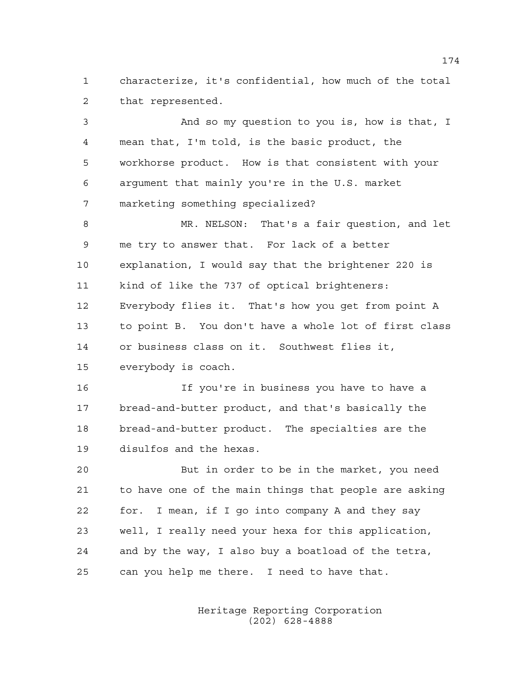1 characterize, it's confidential, how much of the total 2 that represented.

3 And so my question to you is, how is that, I 4 mean that, I'm told, is the basic product, the 5 workhorse product. How is that consistent with your 6 argument that mainly you're in the U.S. market 7 marketing something specialized?

8 MR. NELSON: That's a fair question, and let 9 me try to answer that. For lack of a better 10 explanation, I would say that the brightener 220 is 11 kind of like the 737 of optical brighteners: 12 Everybody flies it. That's how you get from point A 13 to point B. You don't have a whole lot of first class 14 or business class on it. Southwest flies it, 15 everybody is coach.

16 If you're in business you have to have a 17 bread-and-butter product, and that's basically the 18 bread-and-butter product. The specialties are the 19 disulfos and the hexas.

20 But in order to be in the market, you need 21 to have one of the main things that people are asking 22 for. I mean, if I go into company A and they say 23 well, I really need your hexa for this application, 24 and by the way, I also buy a boatload of the tetra, 25 can you help me there. I need to have that.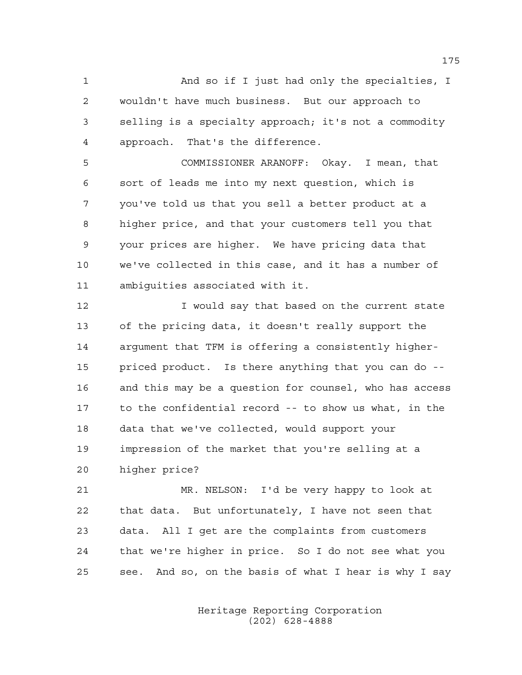1 And so if I just had only the specialties, I 2 wouldn't have much business. But our approach to 3 selling is a specialty approach; it's not a commodity 4 approach. That's the difference.

5 COMMISSIONER ARANOFF: Okay. I mean, that 6 sort of leads me into my next question, which is 7 you've told us that you sell a better product at a 8 higher price, and that your customers tell you that 9 your prices are higher. We have pricing data that 10 we've collected in this case, and it has a number of 11 ambiguities associated with it.

12 **I** would say that based on the current state 13 of the pricing data, it doesn't really support the 14 argument that TFM is offering a consistently higher-15 priced product. Is there anything that you can do -- 16 and this may be a question for counsel, who has access 17 to the confidential record -- to show us what, in the 18 data that we've collected, would support your 19 impression of the market that you're selling at a 20 higher price?

21 MR. NELSON: I'd be very happy to look at 22 that data. But unfortunately, I have not seen that 23 data. All I get are the complaints from customers 24 that we're higher in price. So I do not see what you 25 see. And so, on the basis of what I hear is why I say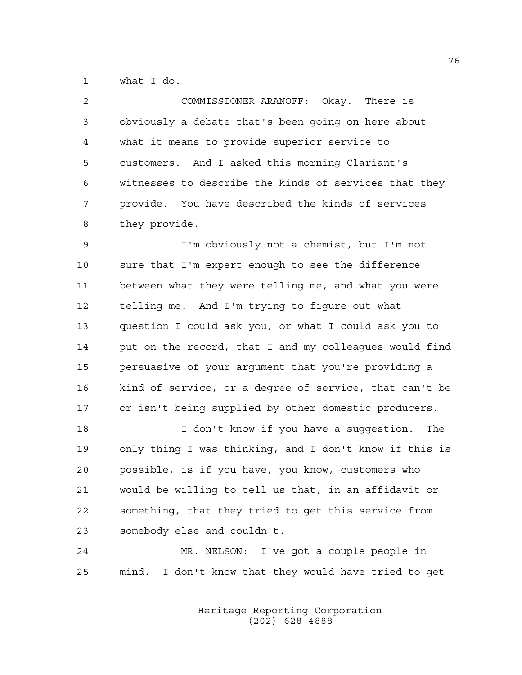1 what I do.

| $\mathcal{L}$  | COMMISSIONER ARANOFF: Okay. There is                  |
|----------------|-------------------------------------------------------|
| 3              | obviously a debate that's been going on here about    |
| $\overline{4}$ | what it means to provide superior service to          |
| 5              | customers. And I asked this morning Clariant's        |
| 6              | witnesses to describe the kinds of services that they |
| 7              | provide. You have described the kinds of services     |
| 8              | they provide.                                         |

9 I'm obviously not a chemist, but I'm not 10 sure that I'm expert enough to see the difference 11 between what they were telling me, and what you were 12 telling me. And I'm trying to figure out what 13 question I could ask you, or what I could ask you to 14 put on the record, that I and my colleagues would find 15 persuasive of your argument that you're providing a 16 kind of service, or a degree of service, that can't be 17 or isn't being supplied by other domestic producers.

18 I don't know if you have a suggestion. The 19 only thing I was thinking, and I don't know if this is 20 possible, is if you have, you know, customers who 21 would be willing to tell us that, in an affidavit or 22 something, that they tried to get this service from 23 somebody else and couldn't.

24 MR. NELSON: I've got a couple people in 25 mind. I don't know that they would have tried to get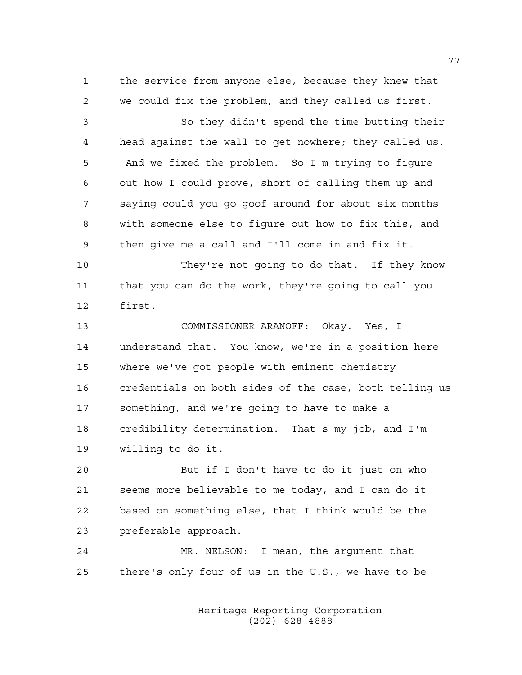1 the service from anyone else, because they knew that 2 we could fix the problem, and they called us first.

3 So they didn't spend the time butting their 4 head against the wall to get nowhere; they called us. 5 And we fixed the problem. So I'm trying to figure 6 out how I could prove, short of calling them up and 7 saying could you go goof around for about six months 8 with someone else to figure out how to fix this, and 9 then give me a call and I'll come in and fix it.

10 They're not going to do that. If they know 11 that you can do the work, they're going to call you 12 first.

13 COMMISSIONER ARANOFF: Okay. Yes, I 14 understand that. You know, we're in a position here 15 where we've got people with eminent chemistry 16 credentials on both sides of the case, both telling us 17 something, and we're going to have to make a 18 credibility determination. That's my job, and I'm 19 willing to do it.

20 But if I don't have to do it just on who 21 seems more believable to me today, and I can do it 22 based on something else, that I think would be the 23 preferable approach.

24 MR. NELSON: I mean, the argument that 25 there's only four of us in the U.S., we have to be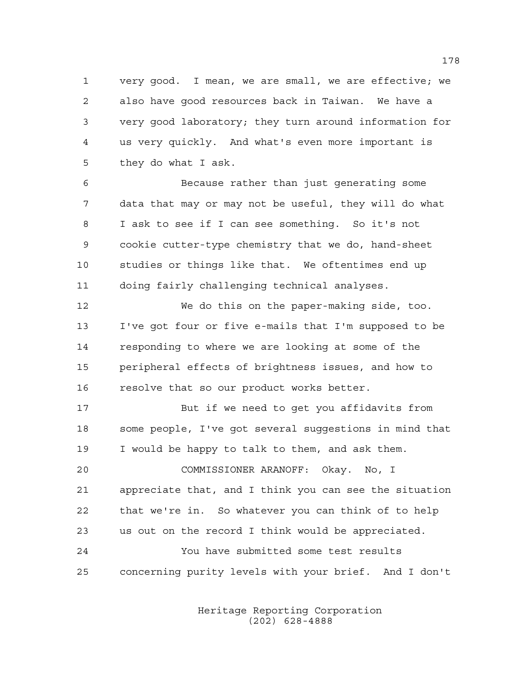1 very good. I mean, we are small, we are effective; we 2 also have good resources back in Taiwan. We have a 3 very good laboratory; they turn around information for 4 us very quickly. And what's even more important is 5 they do what I ask.

6 Because rather than just generating some 7 data that may or may not be useful, they will do what 8 I ask to see if I can see something. So it's not 9 cookie cutter-type chemistry that we do, hand-sheet 10 studies or things like that. We oftentimes end up 11 doing fairly challenging technical analyses.

12 We do this on the paper-making side, too. 13 I've got four or five e-mails that I'm supposed to be 14 responding to where we are looking at some of the 15 peripheral effects of brightness issues, and how to 16 resolve that so our product works better.

17 But if we need to get you affidavits from 18 some people, I've got several suggestions in mind that 19 I would be happy to talk to them, and ask them.

20 COMMISSIONER ARANOFF: Okay. No, I 21 appreciate that, and I think you can see the situation 22 that we're in. So whatever you can think of to help 23 us out on the record I think would be appreciated. 24 You have submitted some test results

25 concerning purity levels with your brief. And I don't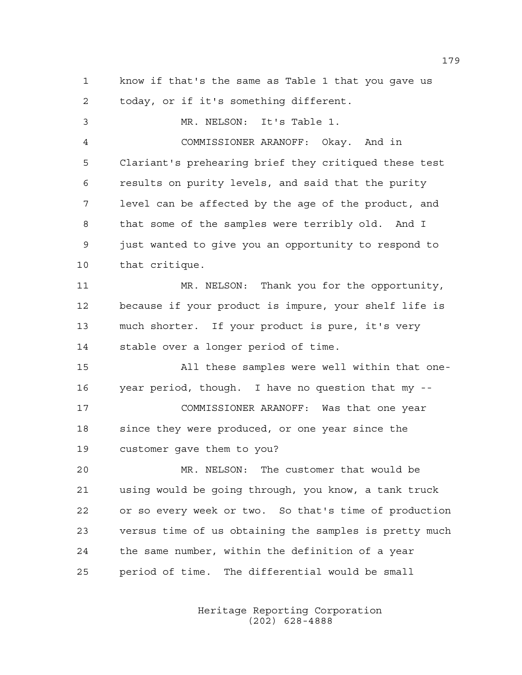1 know if that's the same as Table 1 that you gave us 2 today, or if it's something different.

3 MR. NELSON: It's Table 1. 4 COMMISSIONER ARANOFF: Okay. And in 5 Clariant's prehearing brief they critiqued these test 6 results on purity levels, and said that the purity 7 level can be affected by the age of the product, and 8 that some of the samples were terribly old. And I 9 just wanted to give you an opportunity to respond to 10 that critique. 11 MR. NELSON: Thank you for the opportunity, 12 because if your product is impure, your shelf life is 13 much shorter. If your product is pure, it's very 14 stable over a longer period of time. 15 All these samples were well within that one-16 year period, though. I have no question that my -- 17 COMMISSIONER ARANOFF: Was that one year 18 since they were produced, or one year since the 19 customer gave them to you? 20 MR. NELSON: The customer that would be 21 using would be going through, you know, a tank truck 22 or so every week or two. So that's time of production 23 versus time of us obtaining the samples is pretty much 24 the same number, within the definition of a year 25 period of time. The differential would be small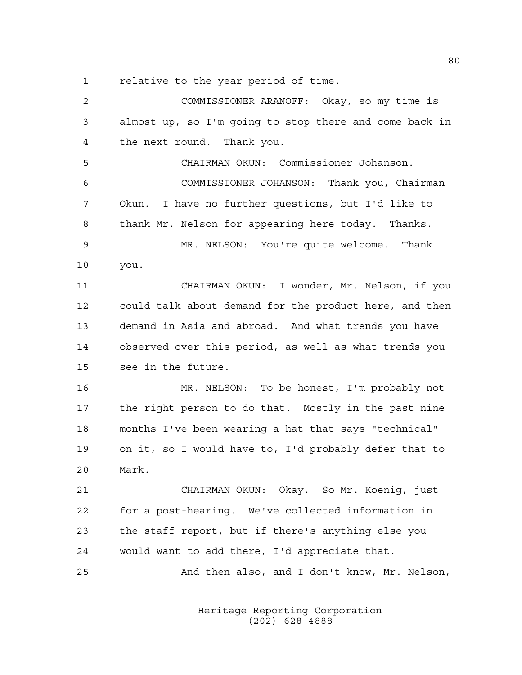1 relative to the year period of time.

2 COMMISSIONER ARANOFF: Okay, so my time is 3 almost up, so I'm going to stop there and come back in 4 the next round. Thank you. 5 CHAIRMAN OKUN: Commissioner Johanson. 6 COMMISSIONER JOHANSON: Thank you, Chairman 7 Okun. I have no further questions, but I'd like to 8 thank Mr. Nelson for appearing here today. Thanks. 9 MR. NELSON: You're quite welcome. Thank 10 you. 11 CHAIRMAN OKUN: I wonder, Mr. Nelson, if you 12 could talk about demand for the product here, and then 13 demand in Asia and abroad. And what trends you have 14 observed over this period, as well as what trends you 15 see in the future. 16 MR. NELSON: To be honest, I'm probably not 17 the right person to do that. Mostly in the past nine 18 months I've been wearing a hat that says "technical" 19 on it, so I would have to, I'd probably defer that to 20 Mark. 21 CHAIRMAN OKUN: Okay. So Mr. Koenig, just 22 for a post-hearing. We've collected information in 23 the staff report, but if there's anything else you 24 would want to add there, I'd appreciate that. 25 And then also, and I don't know, Mr. Nelson,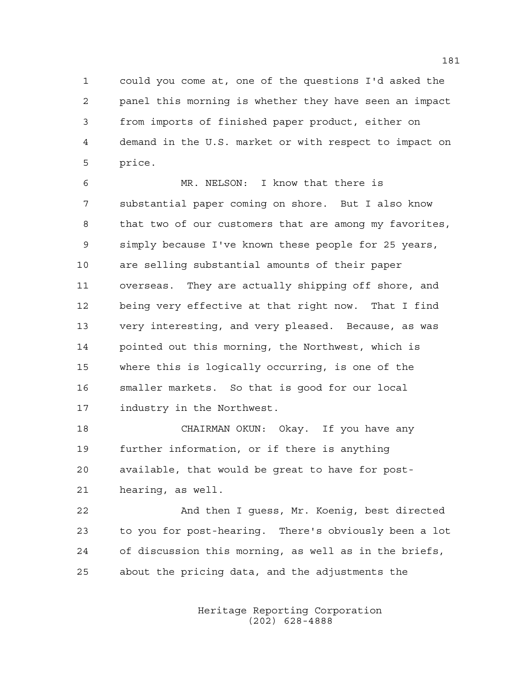1 could you come at, one of the questions I'd asked the 2 panel this morning is whether they have seen an impact 3 from imports of finished paper product, either on 4 demand in the U.S. market or with respect to impact on 5 price.

6 MR. NELSON: I know that there is 7 substantial paper coming on shore. But I also know 8 that two of our customers that are among my favorites, 9 simply because I've known these people for 25 years, 10 are selling substantial amounts of their paper 11 overseas. They are actually shipping off shore, and 12 being very effective at that right now. That I find 13 very interesting, and very pleased. Because, as was 14 pointed out this morning, the Northwest, which is 15 where this is logically occurring, is one of the 16 smaller markets. So that is good for our local 17 industry in the Northwest.

18 CHAIRMAN OKUN: Okay. If you have any 19 further information, or if there is anything 20 available, that would be great to have for post-21 hearing, as well.

22 And then I guess, Mr. Koenig, best directed 23 to you for post-hearing. There's obviously been a lot 24 of discussion this morning, as well as in the briefs, 25 about the pricing data, and the adjustments the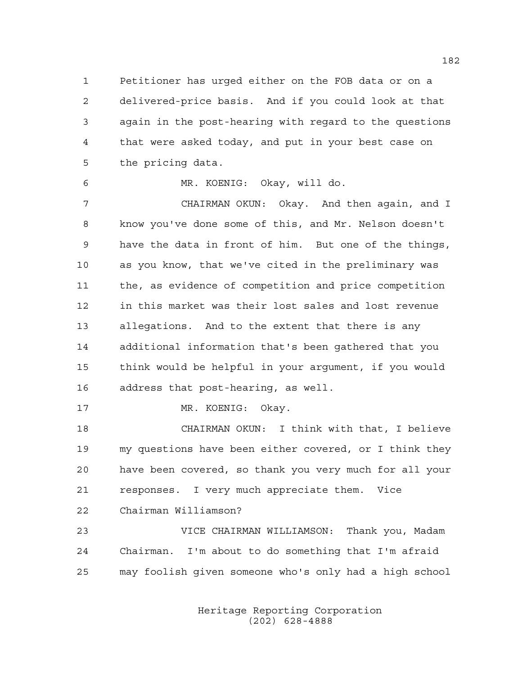1 Petitioner has urged either on the FOB data or on a 2 delivered-price basis. And if you could look at that 3 again in the post-hearing with regard to the questions 4 that were asked today, and put in your best case on 5 the pricing data.

6 MR. KOENIG: Okay, will do.

7 CHAIRMAN OKUN: Okay. And then again, and I 8 know you've done some of this, and Mr. Nelson doesn't 9 have the data in front of him. But one of the things, 10 as you know, that we've cited in the preliminary was 11 the, as evidence of competition and price competition 12 in this market was their lost sales and lost revenue 13 allegations. And to the extent that there is any 14 additional information that's been gathered that you 15 think would be helpful in your argument, if you would 16 address that post-hearing, as well.

17 MR. KOENIG: Okay.

18 CHAIRMAN OKUN: I think with that, I believe 19 my questions have been either covered, or I think they 20 have been covered, so thank you very much for all your 21 responses. I very much appreciate them. Vice

22 Chairman Williamson?

23 VICE CHAIRMAN WILLIAMSON: Thank you, Madam 24 Chairman. I'm about to do something that I'm afraid 25 may foolish given someone who's only had a high school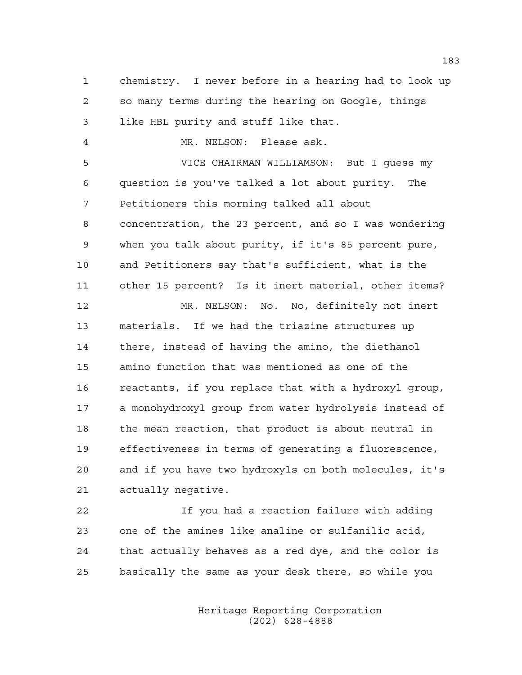1 chemistry. I never before in a hearing had to look up 2 so many terms during the hearing on Google, things 3 like HBL purity and stuff like that.

4 MR. NELSON: Please ask.

5 VICE CHAIRMAN WILLIAMSON: But I guess my 6 question is you've talked a lot about purity. The 7 Petitioners this morning talked all about 8 concentration, the 23 percent, and so I was wondering 9 when you talk about purity, if it's 85 percent pure, 10 and Petitioners say that's sufficient, what is the 11 other 15 percent? Is it inert material, other items?

12 MR. NELSON: No. No, definitely not inert 13 materials. If we had the triazine structures up 14 there, instead of having the amino, the diethanol 15 amino function that was mentioned as one of the 16 reactants, if you replace that with a hydroxyl group, 17 a monohydroxyl group from water hydrolysis instead of 18 the mean reaction, that product is about neutral in 19 effectiveness in terms of generating a fluorescence, 20 and if you have two hydroxyls on both molecules, it's 21 actually negative.

22 If you had a reaction failure with adding 23 one of the amines like analine or sulfanilic acid, 24 that actually behaves as a red dye, and the color is 25 basically the same as your desk there, so while you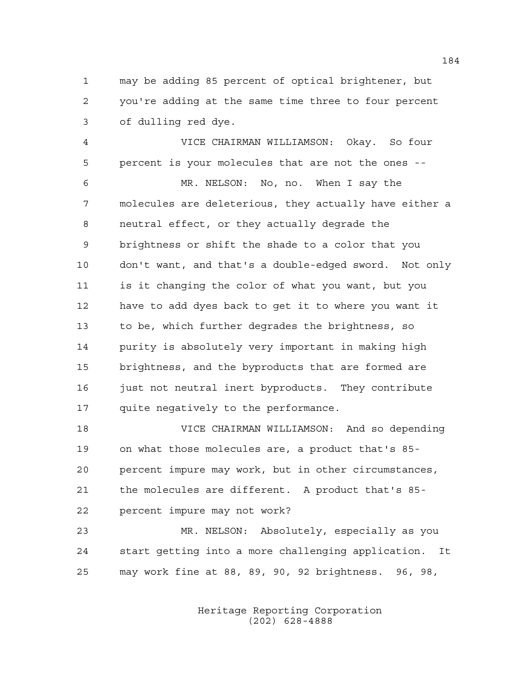1 may be adding 85 percent of optical brightener, but 2 you're adding at the same time three to four percent 3 of dulling red dye.

4 VICE CHAIRMAN WILLIAMSON: Okay. So four 5 percent is your molecules that are not the ones --

6 MR. NELSON: No, no. When I say the 7 molecules are deleterious, they actually have either a 8 neutral effect, or they actually degrade the 9 brightness or shift the shade to a color that you 10 don't want, and that's a double-edged sword. Not only 11 is it changing the color of what you want, but you 12 have to add dyes back to get it to where you want it 13 to be, which further degrades the brightness, so 14 purity is absolutely very important in making high 15 brightness, and the byproducts that are formed are 16 just not neutral inert byproducts. They contribute 17 quite negatively to the performance.

18 VICE CHAIRMAN WILLIAMSON: And so depending 19 on what those molecules are, a product that's 85- 20 percent impure may work, but in other circumstances, 21 the molecules are different. A product that's 85- 22 percent impure may not work?

23 MR. NELSON: Absolutely, especially as you 24 start getting into a more challenging application. It 25 may work fine at 88, 89, 90, 92 brightness. 96, 98,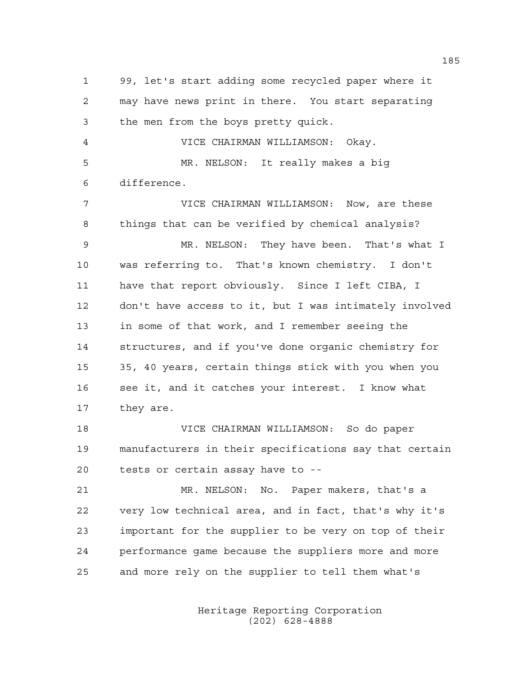1 99, let's start adding some recycled paper where it 2 may have news print in there. You start separating 3 the men from the boys pretty quick. 4 VICE CHAIRMAN WILLIAMSON: Okay. 5 MR. NELSON: It really makes a big 6 difference. 7 VICE CHAIRMAN WILLIAMSON: Now, are these 8 things that can be verified by chemical analysis? 9 MR. NELSON: They have been. That's what I 10 was referring to. That's known chemistry. I don't 11 have that report obviously. Since I left CIBA, I 12 don't have access to it, but I was intimately involved 13 in some of that work, and I remember seeing the 14 structures, and if you've done organic chemistry for 15 35, 40 years, certain things stick with you when you 16 see it, and it catches your interest. I know what 17 they are. 18 VICE CHAIRMAN WILLIAMSON: So do paper 19 manufacturers in their specifications say that certain 20 tests or certain assay have to --

21 MR. NELSON: No. Paper makers, that's a 22 very low technical area, and in fact, that's why it's 23 important for the supplier to be very on top of their 24 performance game because the suppliers more and more 25 and more rely on the supplier to tell them what's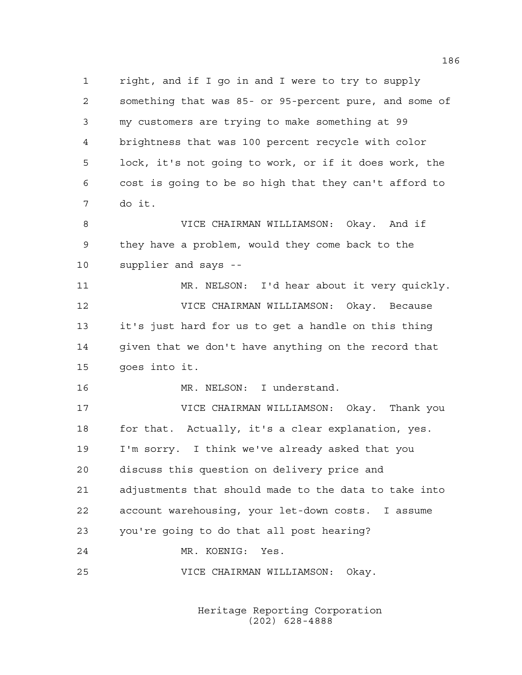1 right, and if I go in and I were to try to supply 2 something that was 85- or 95-percent pure, and some of 3 my customers are trying to make something at 99 4 brightness that was 100 percent recycle with color 5 lock, it's not going to work, or if it does work, the 6 cost is going to be so high that they can't afford to 7 do it. 8 VICE CHAIRMAN WILLIAMSON: Okay. And if 9 they have a problem, would they come back to the 10 supplier and says -- 11 MR. NELSON: I'd hear about it very quickly.

12 VICE CHAIRMAN WILLIAMSON: Okay. Because 13 it's just hard for us to get a handle on this thing 14 given that we don't have anything on the record that 15 goes into it.

16 MR. NELSON: I understand.

17 VICE CHAIRMAN WILLIAMSON: Okay. Thank you 18 for that. Actually, it's a clear explanation, yes. 19 I'm sorry. I think we've already asked that you 20 discuss this question on delivery price and 21 adjustments that should made to the data to take into 22 account warehousing, your let-down costs. I assume 23 you're going to do that all post hearing? 24 MR. KOENIG: Yes.

25 VICE CHAIRMAN WILLIAMSON: Okay.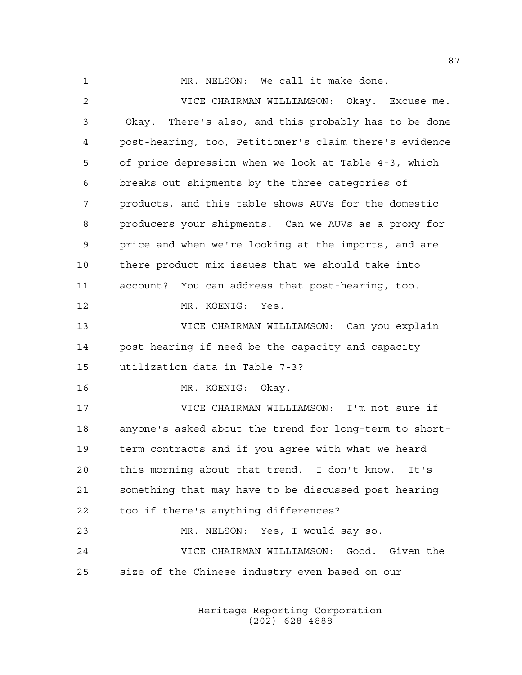1 MR. NELSON: We call it make done.

2 VICE CHAIRMAN WILLIAMSON: Okay. Excuse me. 3 Okay. There's also, and this probably has to be done 4 post-hearing, too, Petitioner's claim there's evidence 5 of price depression when we look at Table 4-3, which 6 breaks out shipments by the three categories of 7 products, and this table shows AUVs for the domestic 8 producers your shipments. Can we AUVs as a proxy for 9 price and when we're looking at the imports, and are 10 there product mix issues that we should take into 11 account? You can address that post-hearing, too. 12 MR. KOENIG: Yes. 13 VICE CHAIRMAN WILLIAMSON: Can you explain 14 post hearing if need be the capacity and capacity 15 utilization data in Table 7-3? 16 MR. KOENIG: Okay. 17 VICE CHAIRMAN WILLIAMSON: I'm not sure if 18 anyone's asked about the trend for long-term to short-19 term contracts and if you agree with what we heard 20 this morning about that trend. I don't know. It's 21 something that may have to be discussed post hearing 22 too if there's anything differences? 23 MR. NELSON: Yes, I would say so. 24 VICE CHAIRMAN WILLIAMSON: Good. Given the 25 size of the Chinese industry even based on our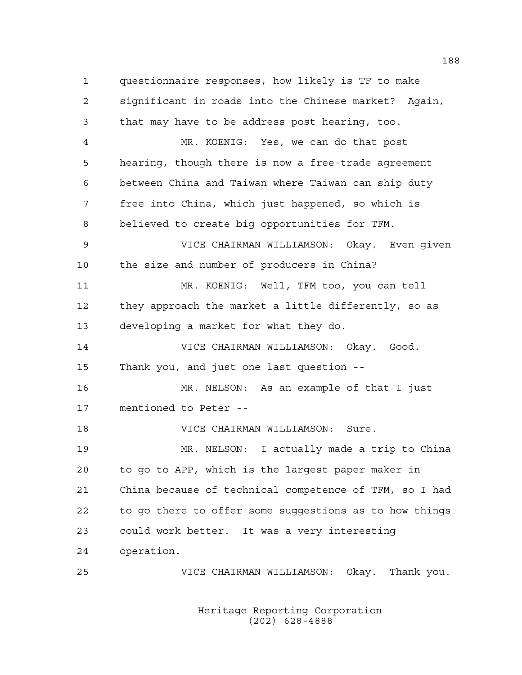1 questionnaire responses, how likely is TF to make 2 significant in roads into the Chinese market? Again, 3 that may have to be address post hearing, too. 4 MR. KOENIG: Yes, we can do that post 5 hearing, though there is now a free-trade agreement 6 between China and Taiwan where Taiwan can ship duty 7 free into China, which just happened, so which is 8 believed to create big opportunities for TFM. 9 VICE CHAIRMAN WILLIAMSON: Okay. Even given 10 the size and number of producers in China? 11 MR. KOENIG: Well, TFM too, you can tell 12 they approach the market a little differently, so as 13 developing a market for what they do. 14 VICE CHAIRMAN WILLIAMSON: Okay. Good. 15 Thank you, and just one last question -- 16 MR. NELSON: As an example of that I just 17 mentioned to Peter -- 18 VICE CHAIRMAN WILLIAMSON: Sure. 19 MR. NELSON: I actually made a trip to China 20 to go to APP, which is the largest paper maker in 21 China because of technical competence of TFM, so I had 22 to go there to offer some suggestions as to how things 23 could work better. It was a very interesting 24 operation.

25 VICE CHAIRMAN WILLIAMSON: Okay. Thank you.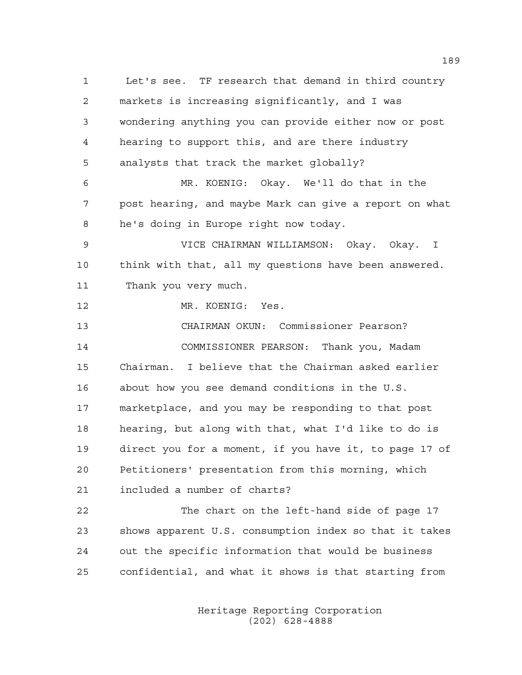1 Let's see. TF research that demand in third country 2 markets is increasing significantly, and I was 3 wondering anything you can provide either now or post 4 hearing to support this, and are there industry 5 analysts that track the market globally? 6 MR. KOENIG: Okay. We'll do that in the 7 post hearing, and maybe Mark can give a report on what 8 he's doing in Europe right now today. 9 VICE CHAIRMAN WILLIAMSON: Okay. Okay. I 10 think with that, all my questions have been answered. 11 Thank you very much. 12 MR. KOENIG: Yes. 13 CHAIRMAN OKUN: Commissioner Pearson? 14 COMMISSIONER PEARSON: Thank you, Madam 15 Chairman. I believe that the Chairman asked earlier 16 about how you see demand conditions in the U.S. 17 marketplace, and you may be responding to that post 18 hearing, but along with that, what I'd like to do is 19 direct you for a moment, if you have it, to page 17 of 20 Petitioners' presentation from this morning, which 21 included a number of charts? 22 The chart on the left-hand side of page 17 23 shows apparent U.S. consumption index so that it takes

25 confidential, and what it shows is that starting from

24 out the specific information that would be business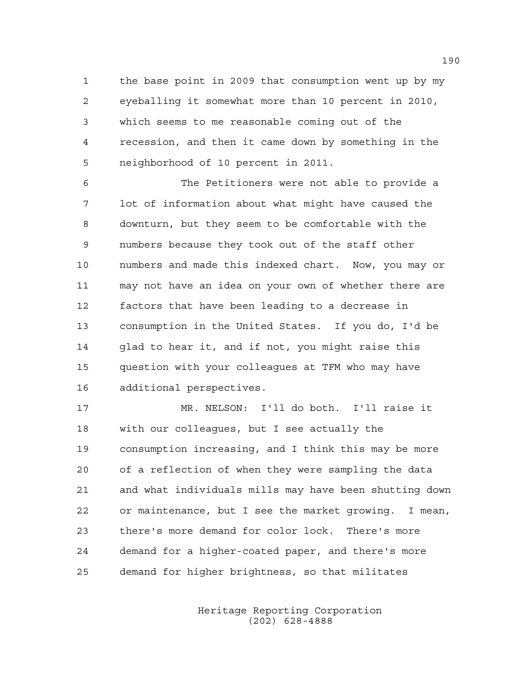1 the base point in 2009 that consumption went up by my 2 eyeballing it somewhat more than 10 percent in 2010, 3 which seems to me reasonable coming out of the 4 recession, and then it came down by something in the 5 neighborhood of 10 percent in 2011.

6 The Petitioners were not able to provide a 7 lot of information about what might have caused the 8 downturn, but they seem to be comfortable with the 9 numbers because they took out of the staff other 10 numbers and made this indexed chart. Now, you may or 11 may not have an idea on your own of whether there are 12 factors that have been leading to a decrease in 13 consumption in the United States. If you do, I'd be 14 glad to hear it, and if not, you might raise this 15 question with your colleagues at TFM who may have 16 additional perspectives.

17 MR. NELSON: I'll do both. I'll raise it 18 with our colleagues, but I see actually the 19 consumption increasing, and I think this may be more 20 of a reflection of when they were sampling the data 21 and what individuals mills may have been shutting down 22 or maintenance, but I see the market growing. I mean, 23 there's more demand for color lock. There's more 24 demand for a higher-coated paper, and there's more 25 demand for higher brightness, so that militates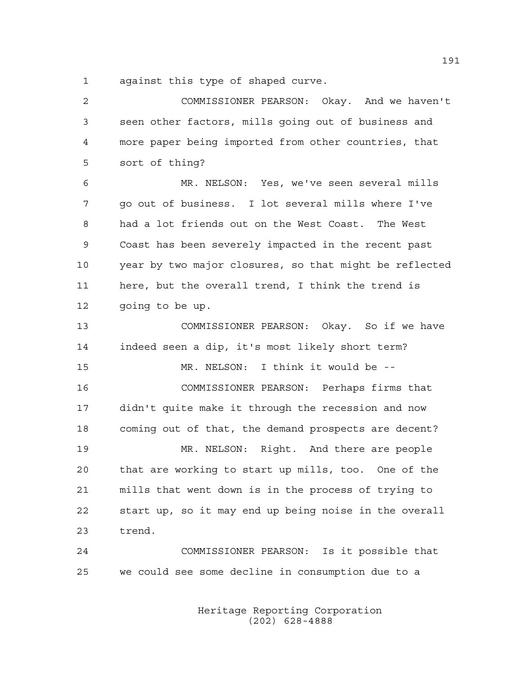1 against this type of shaped curve.

| 2  | COMMISSIONER PEARSON: Okay. And we haven't             |
|----|--------------------------------------------------------|
| 3  | seen other factors, mills going out of business and    |
| 4  | more paper being imported from other countries, that   |
| 5  | sort of thing?                                         |
| 6  | MR. NELSON: Yes, we've seen several mills              |
| 7  | go out of business. I lot several mills where I've     |
| 8  | had a lot friends out on the West Coast. The West      |
| 9  | Coast has been severely impacted in the recent past    |
| 10 | year by two major closures, so that might be reflected |
| 11 | here, but the overall trend, I think the trend is      |
| 12 | going to be up.                                        |
| 13 | COMMISSIONER PEARSON: Okay. So if we have              |
| 14 | indeed seen a dip, it's most likely short term?        |
| 15 | MR. NELSON: I think it would be --                     |
| 16 | COMMISSIONER PEARSON: Perhaps firms that               |
| 17 | didn't quite make it through the recession and now     |
| 18 | coming out of that, the demand prospects are decent?   |
| 19 | MR. NELSON: Right. And there are people                |
| 20 | that are working to start up mills, too. One of the    |
| 21 | mills that went down is in the process of trying to    |
| 22 | start up, so it may end up being noise in the overall  |
| 23 | trend.                                                 |
| 24 | COMMISSIONER PEARSON: Is it possible that              |
| 25 | we could see some decline in consumption due to a      |
|    |                                                        |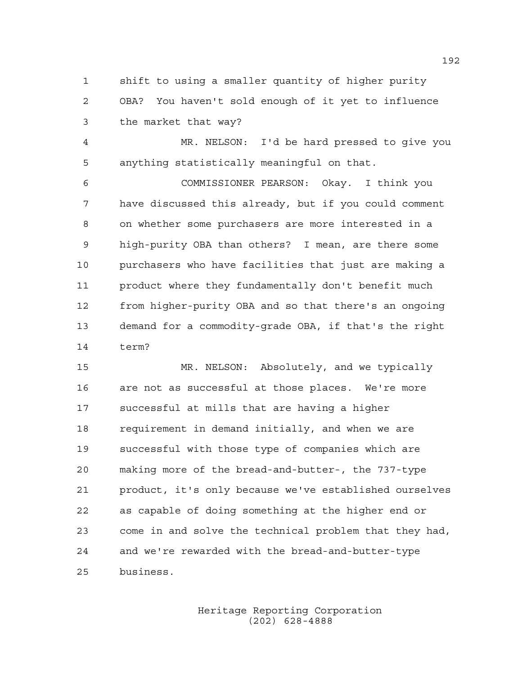1 shift to using a smaller quantity of higher purity 2 OBA? You haven't sold enough of it yet to influence 3 the market that way?

4 MR. NELSON: I'd be hard pressed to give you 5 anything statistically meaningful on that.

6 COMMISSIONER PEARSON: Okay. I think you 7 have discussed this already, but if you could comment 8 on whether some purchasers are more interested in a 9 high-purity OBA than others? I mean, are there some 10 purchasers who have facilities that just are making a 11 product where they fundamentally don't benefit much 12 from higher-purity OBA and so that there's an ongoing 13 demand for a commodity-grade OBA, if that's the right 14 term?

15 MR. NELSON: Absolutely, and we typically 16 are not as successful at those places. We're more 17 successful at mills that are having a higher 18 requirement in demand initially, and when we are 19 successful with those type of companies which are 20 making more of the bread-and-butter-, the 737-type 21 product, it's only because we've established ourselves 22 as capable of doing something at the higher end or 23 come in and solve the technical problem that they had, 24 and we're rewarded with the bread-and-butter-type 25 business.

> Heritage Reporting Corporation (202) 628-4888

192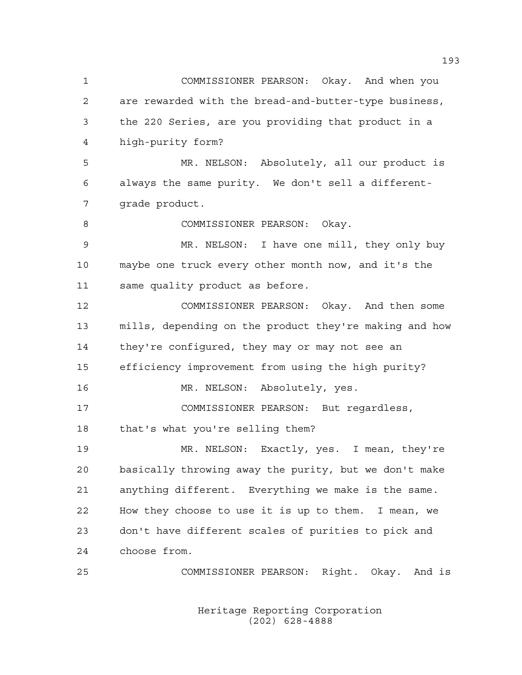1 COMMISSIONER PEARSON: Okay. And when you 2 are rewarded with the bread-and-butter-type business, 3 the 220 Series, are you providing that product in a 4 high-purity form? 5 MR. NELSON: Absolutely, all our product is 6 always the same purity. We don't sell a different-7 grade product. 8 COMMISSIONER PEARSON: Okay. 9 MR. NELSON: I have one mill, they only buy 10 maybe one truck every other month now, and it's the 11 same quality product as before. 12 COMMISSIONER PEARSON: Okay. And then some 13 mills, depending on the product they're making and how 14 they're configured, they may or may not see an 15 efficiency improvement from using the high purity? 16 MR. NELSON: Absolutely, yes. 17 COMMISSIONER PEARSON: But regardless, 18 that's what you're selling them? 19 MR. NELSON: Exactly, yes. I mean, they're 20 basically throwing away the purity, but we don't make 21 anything different. Everything we make is the same. 22 How they choose to use it is up to them. I mean, we 23 don't have different scales of purities to pick and 24 choose from. 25 COMMISSIONER PEARSON: Right. Okay. And is

> Heritage Reporting Corporation (202) 628-4888

193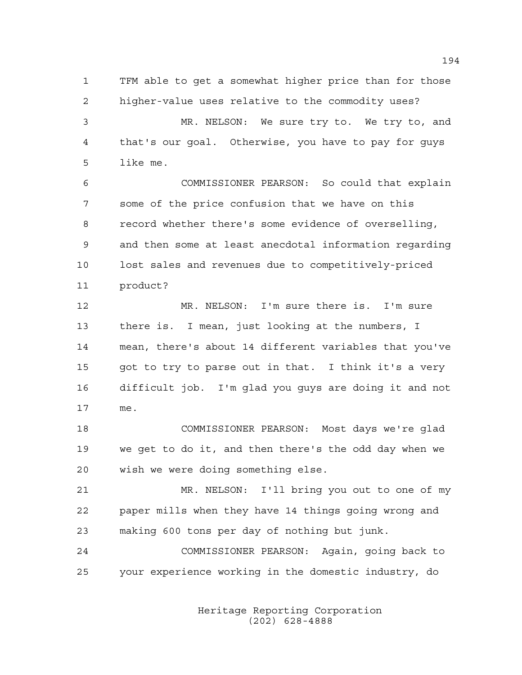1 TFM able to get a somewhat higher price than for those 2 higher-value uses relative to the commodity uses?

3 MR. NELSON: We sure try to. We try to, and 4 that's our goal. Otherwise, you have to pay for guys 5 like me.

6 COMMISSIONER PEARSON: So could that explain 7 some of the price confusion that we have on this 8 record whether there's some evidence of overselling, 9 and then some at least anecdotal information regarding 10 lost sales and revenues due to competitively-priced 11 product?

12 MR. NELSON: I'm sure there is. I'm sure 13 there is. I mean, just looking at the numbers, I 14 mean, there's about 14 different variables that you've 15 got to try to parse out in that. I think it's a very 16 difficult job. I'm glad you guys are doing it and not 17 me.

18 COMMISSIONER PEARSON: Most days we're glad 19 we get to do it, and then there's the odd day when we 20 wish we were doing something else.

21 MR. NELSON: I'll bring you out to one of my 22 paper mills when they have 14 things going wrong and 23 making 600 tons per day of nothing but junk.

24 COMMISSIONER PEARSON: Again, going back to 25 your experience working in the domestic industry, do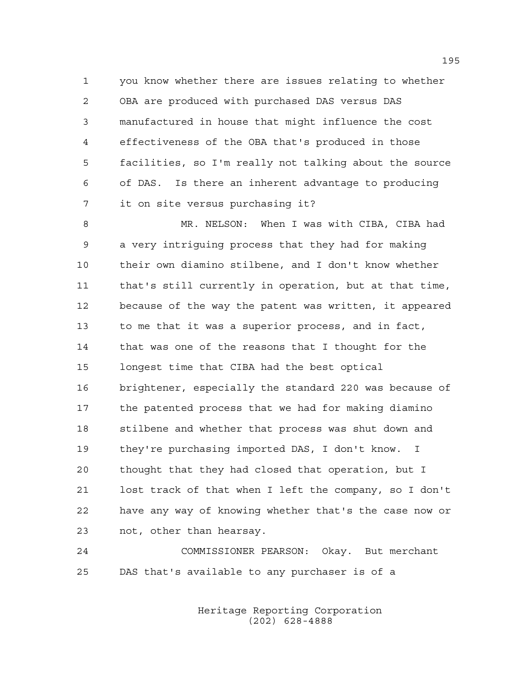1 you know whether there are issues relating to whether 2 OBA are produced with purchased DAS versus DAS 3 manufactured in house that might influence the cost 4 effectiveness of the OBA that's produced in those 5 facilities, so I'm really not talking about the source 6 of DAS. Is there an inherent advantage to producing 7 it on site versus purchasing it?

8 MR. NELSON: When I was with CIBA, CIBA had 9 a very intriguing process that they had for making 10 their own diamino stilbene, and I don't know whether 11 that's still currently in operation, but at that time, 12 because of the way the patent was written, it appeared 13 to me that it was a superior process, and in fact, 14 that was one of the reasons that I thought for the 15 longest time that CIBA had the best optical 16 brightener, especially the standard 220 was because of 17 the patented process that we had for making diamino 18 stilbene and whether that process was shut down and 19 they're purchasing imported DAS, I don't know. I 20 thought that they had closed that operation, but I 21 lost track of that when I left the company, so I don't 22 have any way of knowing whether that's the case now or 23 not, other than hearsay.

24 COMMISSIONER PEARSON: Okay. But merchant 25 DAS that's available to any purchaser is of a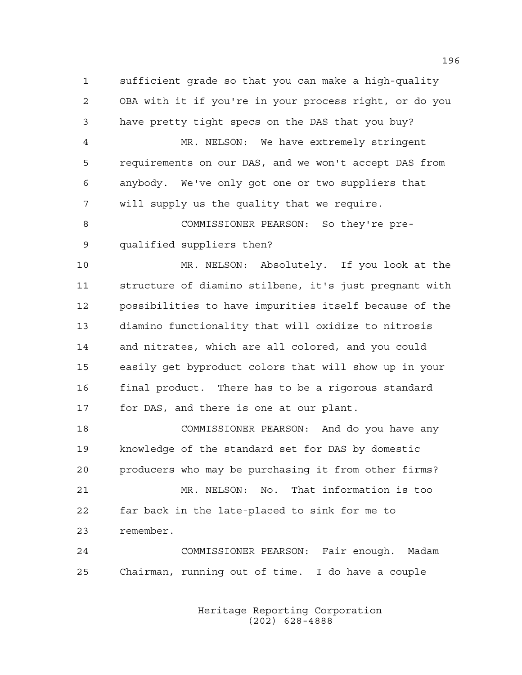1 sufficient grade so that you can make a high-quality 2 OBA with it if you're in your process right, or do you 3 have pretty tight specs on the DAS that you buy?

4 MR. NELSON: We have extremely stringent 5 requirements on our DAS, and we won't accept DAS from 6 anybody. We've only got one or two suppliers that 7 will supply us the quality that we require.

8 COMMISSIONER PEARSON: So they're pre-9 qualified suppliers then?

10 MR. NELSON: Absolutely. If you look at the 11 structure of diamino stilbene, it's just pregnant with 12 possibilities to have impurities itself because of the 13 diamino functionality that will oxidize to nitrosis 14 and nitrates, which are all colored, and you could 15 easily get byproduct colors that will show up in your 16 final product. There has to be a rigorous standard 17 for DAS, and there is one at our plant.

18 COMMISSIONER PEARSON: And do you have any 19 knowledge of the standard set for DAS by domestic 20 producers who may be purchasing it from other firms? 21 MR. NELSON: No. That information is too 22 far back in the late-placed to sink for me to 23 remember.

24 COMMISSIONER PEARSON: Fair enough. Madam 25 Chairman, running out of time. I do have a couple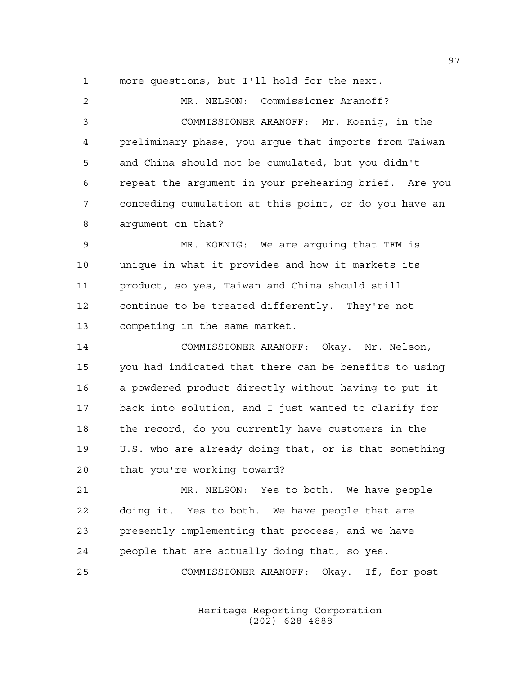1 more questions, but I'll hold for the next.

2 MR. NELSON: Commissioner Aranoff? 3 COMMISSIONER ARANOFF: Mr. Koenig, in the 4 preliminary phase, you argue that imports from Taiwan 5 and China should not be cumulated, but you didn't 6 repeat the argument in your prehearing brief. Are you 7 conceding cumulation at this point, or do you have an 8 argument on that? 9 MR. KOENIG: We are arguing that TFM is 10 unique in what it provides and how it markets its 11 product, so yes, Taiwan and China should still 12 continue to be treated differently. They're not 13 competing in the same market. 14 COMMISSIONER ARANOFF: Okay. Mr. Nelson, 15 you had indicated that there can be benefits to using 16 a powdered product directly without having to put it 17 back into solution, and I just wanted to clarify for 18 the record, do you currently have customers in the 19 U.S. who are already doing that, or is that something 20 that you're working toward? 21 MR. NELSON: Yes to both. We have people 22 doing it. Yes to both. We have people that are 23 presently implementing that process, and we have 24 people that are actually doing that, so yes. 25 COMMISSIONER ARANOFF: Okay. If, for post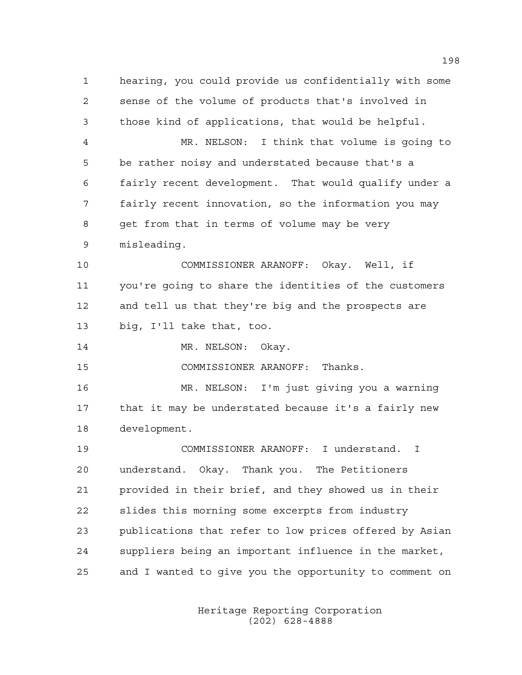1 hearing, you could provide us confidentially with some 2 sense of the volume of products that's involved in 3 those kind of applications, that would be helpful. 4 MR. NELSON: I think that volume is going to 5 be rather noisy and understated because that's a 6 fairly recent development. That would qualify under a 7 fairly recent innovation, so the information you may 8 get from that in terms of volume may be very 9 misleading. 10 COMMISSIONER ARANOFF: Okay. Well, if 11 you're going to share the identities of the customers 12 and tell us that they're big and the prospects are 13 big, I'll take that, too. 14 MR. NELSON: Okay. 15 COMMISSIONER ARANOFF: Thanks. 16 MR. NELSON: I'm just giving you a warning 17 that it may be understated because it's a fairly new 18 development. 19 COMMISSIONER ARANOFF: I understand. I 20 understand. Okay. Thank you. The Petitioners 21 provided in their brief, and they showed us in their 22 slides this morning some excerpts from industry 23 publications that refer to low prices offered by Asian 24 suppliers being an important influence in the market, 25 and I wanted to give you the opportunity to comment on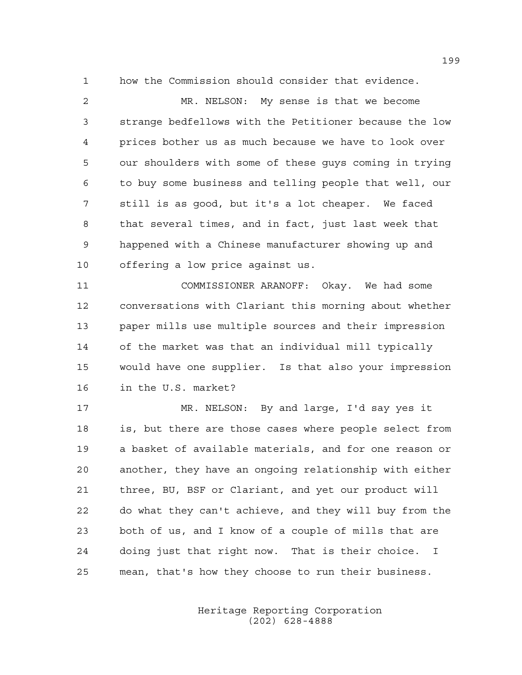1 how the Commission should consider that evidence.

2 MR. NELSON: My sense is that we become 3 strange bedfellows with the Petitioner because the low 4 prices bother us as much because we have to look over 5 our shoulders with some of these guys coming in trying 6 to buy some business and telling people that well, our 7 still is as good, but it's a lot cheaper. We faced 8 that several times, and in fact, just last week that 9 happened with a Chinese manufacturer showing up and 10 offering a low price against us.

11 COMMISSIONER ARANOFF: Okay. We had some 12 conversations with Clariant this morning about whether 13 paper mills use multiple sources and their impression 14 of the market was that an individual mill typically 15 would have one supplier. Is that also your impression 16 in the U.S. market?

17 MR. NELSON: By and large, I'd say yes it 18 is, but there are those cases where people select from 19 a basket of available materials, and for one reason or 20 another, they have an ongoing relationship with either 21 three, BU, BSF or Clariant, and yet our product will 22 do what they can't achieve, and they will buy from the 23 both of us, and I know of a couple of mills that are 24 doing just that right now. That is their choice. I 25 mean, that's how they choose to run their business.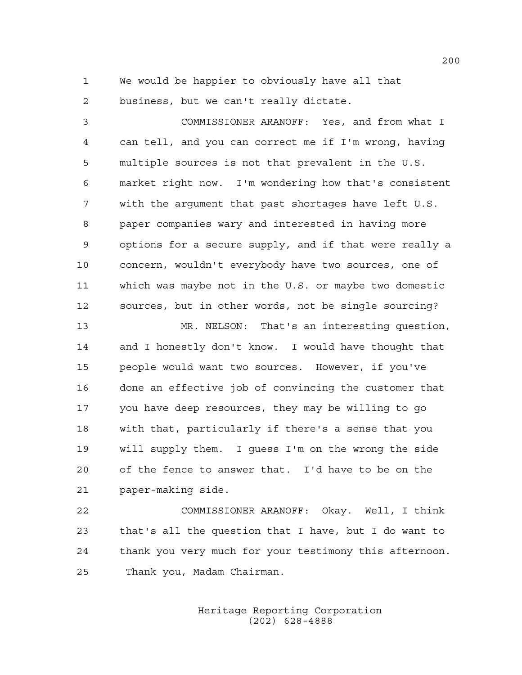1 We would be happier to obviously have all that 2 business, but we can't really dictate.

3 COMMISSIONER ARANOFF: Yes, and from what I 4 can tell, and you can correct me if I'm wrong, having 5 multiple sources is not that prevalent in the U.S. 6 market right now. I'm wondering how that's consistent 7 with the argument that past shortages have left U.S. 8 paper companies wary and interested in having more 9 options for a secure supply, and if that were really a 10 concern, wouldn't everybody have two sources, one of 11 which was maybe not in the U.S. or maybe two domestic 12 sources, but in other words, not be single sourcing?

13 MR. NELSON: That's an interesting question, 14 and I honestly don't know. I would have thought that 15 people would want two sources. However, if you've 16 done an effective job of convincing the customer that 17 you have deep resources, they may be willing to go 18 with that, particularly if there's a sense that you 19 will supply them. I guess I'm on the wrong the side 20 of the fence to answer that. I'd have to be on the 21 paper-making side.

22 COMMISSIONER ARANOFF: Okay. Well, I think 23 that's all the question that I have, but I do want to 24 thank you very much for your testimony this afternoon. 25 Thank you, Madam Chairman.

> Heritage Reporting Corporation (202) 628-4888

200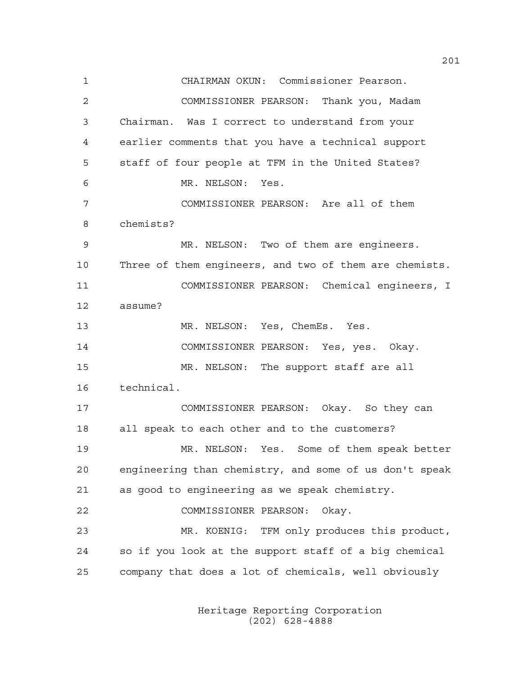1 CHAIRMAN OKUN: Commissioner Pearson. 2 COMMISSIONER PEARSON: Thank you, Madam 3 Chairman. Was I correct to understand from your 4 earlier comments that you have a technical support 5 staff of four people at TFM in the United States? 6 MR. NELSON: Yes. 7 COMMISSIONER PEARSON: Are all of them 8 chemists? 9 MR. NELSON: Two of them are engineers. 10 Three of them engineers, and two of them are chemists. 11 COMMISSIONER PEARSON: Chemical engineers, I 12 assume? 13 MR. NELSON: Yes, ChemEs. Yes. 14 COMMISSIONER PEARSON: Yes, yes. Okay. 15 MR. NELSON: The support staff are all 16 technical. 17 COMMISSIONER PEARSON: Okay. So they can 18 all speak to each other and to the customers? 19 MR. NELSON: Yes. Some of them speak better 20 engineering than chemistry, and some of us don't speak 21 as good to engineering as we speak chemistry. 22 COMMISSIONER PEARSON: Okay. 23 MR. KOENIG: TFM only produces this product, 24 so if you look at the support staff of a big chemical 25 company that does a lot of chemicals, well obviously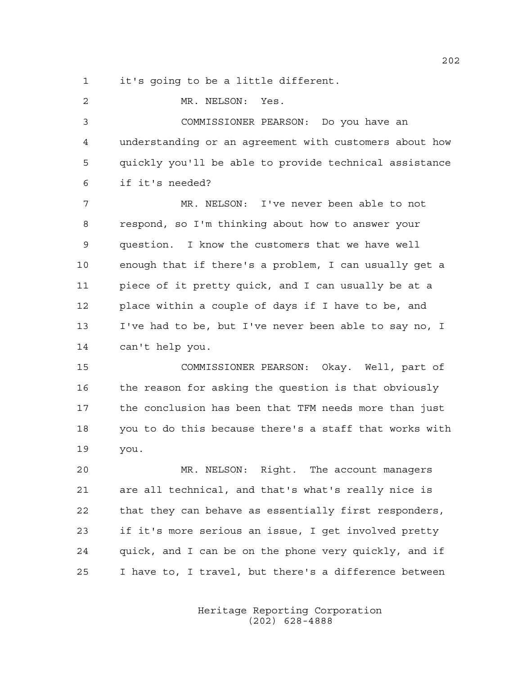1 it's going to be a little different.

2 MR. NELSON: Yes. 3 COMMISSIONER PEARSON: Do you have an 4 understanding or an agreement with customers about how 5 quickly you'll be able to provide technical assistance 6 if it's needed? 7 MR. NELSON: I've never been able to not 8 respond, so I'm thinking about how to answer your 9 question. I know the customers that we have well 10 enough that if there's a problem, I can usually get a 11 piece of it pretty quick, and I can usually be at a 12 place within a couple of days if I have to be, and 13 I've had to be, but I've never been able to say no, I 14 can't help you. 15 COMMISSIONER PEARSON: Okay. Well, part of 16 the reason for asking the question is that obviously 17 the conclusion has been that TFM needs more than just 18 you to do this because there's a staff that works with 19 you. 20 MR. NELSON: Right. The account managers 21 are all technical, and that's what's really nice is 22 that they can behave as essentially first responders,

24 quick, and I can be on the phone very quickly, and if 25 I have to, I travel, but there's a difference between

23 if it's more serious an issue, I get involved pretty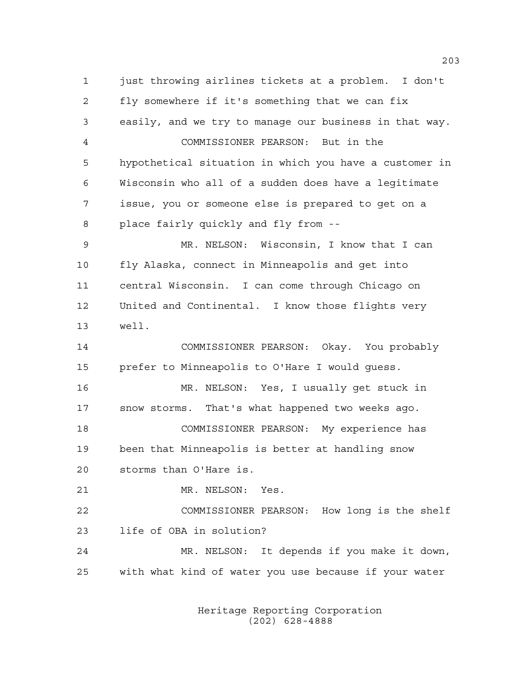1 just throwing airlines tickets at a problem. I don't 2 fly somewhere if it's something that we can fix 3 easily, and we try to manage our business in that way. 4 COMMISSIONER PEARSON: But in the 5 hypothetical situation in which you have a customer in 6 Wisconsin who all of a sudden does have a legitimate 7 issue, you or someone else is prepared to get on a 8 place fairly quickly and fly from -- 9 MR. NELSON: Wisconsin, I know that I can 10 fly Alaska, connect in Minneapolis and get into 11 central Wisconsin. I can come through Chicago on 12 United and Continental. I know those flights very 13 well. 14 COMMISSIONER PEARSON: Okay. You probably 15 prefer to Minneapolis to O'Hare I would guess. 16 MR. NELSON: Yes, I usually get stuck in 17 snow storms. That's what happened two weeks ago. 18 COMMISSIONER PEARSON: My experience has 19 been that Minneapolis is better at handling snow 20 storms than O'Hare is. 21 MR. NELSON: Yes. 22 COMMISSIONER PEARSON: How long is the shelf 23 life of OBA in solution? 24 MR. NELSON: It depends if you make it down, 25 with what kind of water you use because if your water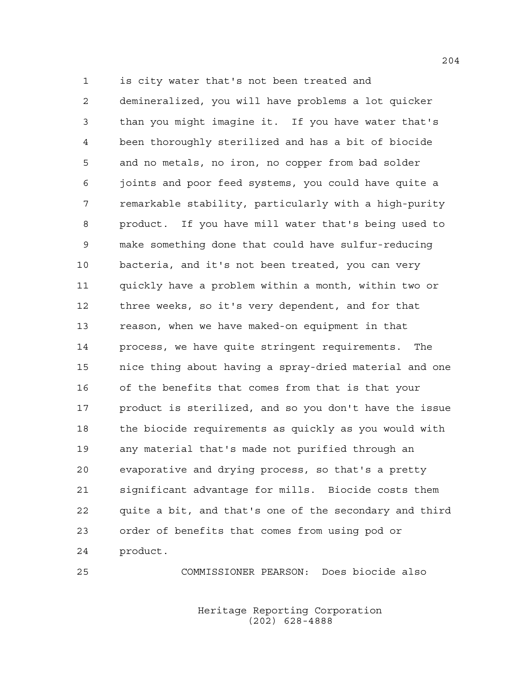1 is city water that's not been treated and 2 demineralized, you will have problems a lot quicker 3 than you might imagine it. If you have water that's 4 been thoroughly sterilized and has a bit of biocide 5 and no metals, no iron, no copper from bad solder 6 joints and poor feed systems, you could have quite a 7 remarkable stability, particularly with a high-purity 8 product. If you have mill water that's being used to 9 make something done that could have sulfur-reducing 10 bacteria, and it's not been treated, you can very 11 quickly have a problem within a month, within two or 12 three weeks, so it's very dependent, and for that 13 reason, when we have maked-on equipment in that 14 process, we have quite stringent requirements. The 15 nice thing about having a spray-dried material and one 16 of the benefits that comes from that is that your 17 product is sterilized, and so you don't have the issue 18 the biocide requirements as quickly as you would with 19 any material that's made not purified through an 20 evaporative and drying process, so that's a pretty 21 significant advantage for mills. Biocide costs them 22 quite a bit, and that's one of the secondary and third 23 order of benefits that comes from using pod or 24 product.

25 COMMISSIONER PEARSON: Does biocide also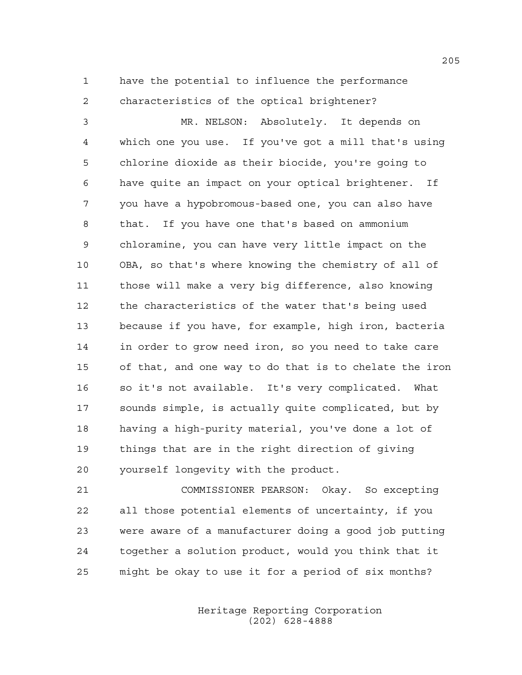1 have the potential to influence the performance 2 characteristics of the optical brightener?

3 MR. NELSON: Absolutely. It depends on 4 which one you use. If you've got a mill that's using 5 chlorine dioxide as their biocide, you're going to 6 have quite an impact on your optical brightener. If 7 you have a hypobromous-based one, you can also have 8 that. If you have one that's based on ammonium 9 chloramine, you can have very little impact on the 10 OBA, so that's where knowing the chemistry of all of 11 those will make a very big difference, also knowing 12 the characteristics of the water that's being used 13 because if you have, for example, high iron, bacteria 14 in order to grow need iron, so you need to take care 15 of that, and one way to do that is to chelate the iron 16 so it's not available. It's very complicated. What 17 sounds simple, is actually quite complicated, but by 18 having a high-purity material, you've done a lot of 19 things that are in the right direction of giving 20 yourself longevity with the product.

21 COMMISSIONER PEARSON: Okay. So excepting 22 all those potential elements of uncertainty, if you 23 were aware of a manufacturer doing a good job putting 24 together a solution product, would you think that it 25 might be okay to use it for a period of six months?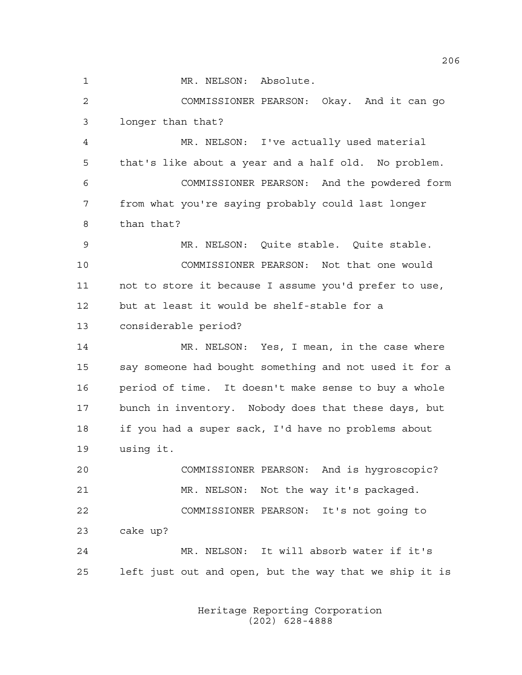1 MR. NELSON: Absolute.

2 COMMISSIONER PEARSON: Okay. And it can go 3 longer than that?

4 MR. NELSON: I've actually used material 5 that's like about a year and a half old. No problem. 6 COMMISSIONER PEARSON: And the powdered form 7 from what you're saying probably could last longer 8 than that?

9 MR. NELSON: Quite stable. Quite stable. 10 COMMISSIONER PEARSON: Not that one would 11 not to store it because I assume you'd prefer to use, 12 but at least it would be shelf-stable for a 13 considerable period?

14 MR. NELSON: Yes, I mean, in the case where 15 say someone had bought something and not used it for a 16 period of time. It doesn't make sense to buy a whole 17 bunch in inventory. Nobody does that these days, but 18 if you had a super sack, I'd have no problems about 19 using it.

20 COMMISSIONER PEARSON: And is hygroscopic? 21 MR. NELSON: Not the way it's packaged. 22 COMMISSIONER PEARSON: It's not going to 23 cake up? 24 MR. NELSON: It will absorb water if it's

25 left just out and open, but the way that we ship it is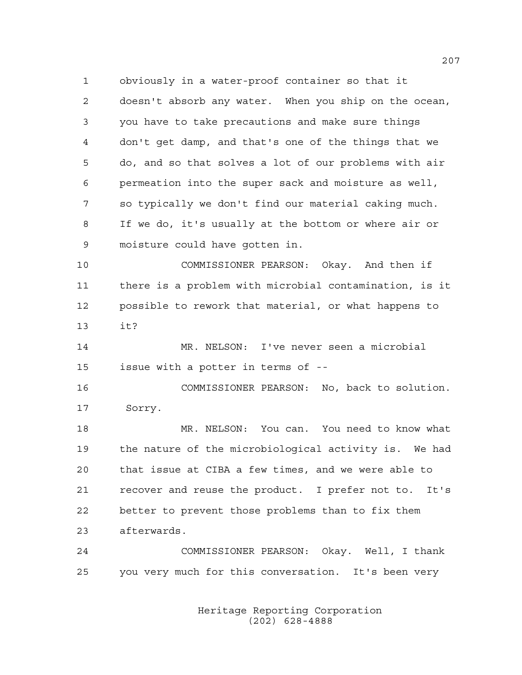1 obviously in a water-proof container so that it 2 doesn't absorb any water. When you ship on the ocean, 3 you have to take precautions and make sure things 4 don't get damp, and that's one of the things that we 5 do, and so that solves a lot of our problems with air 6 permeation into the super sack and moisture as well, 7 so typically we don't find our material caking much. 8 If we do, it's usually at the bottom or where air or 9 moisture could have gotten in.

10 COMMISSIONER PEARSON: Okay. And then if 11 there is a problem with microbial contamination, is it 12 possible to rework that material, or what happens to  $13$   $\text{if } 2$ 

14 MR. NELSON: I've never seen a microbial 15 issue with a potter in terms of --

16 COMMISSIONER PEARSON: No, back to solution. 17 Sorry.

18 MR. NELSON: You can. You need to know what 19 the nature of the microbiological activity is. We had 20 that issue at CIBA a few times, and we were able to 21 recover and reuse the product. I prefer not to. It's 22 better to prevent those problems than to fix them 23 afterwards.

24 COMMISSIONER PEARSON: Okay. Well, I thank 25 you very much for this conversation. It's been very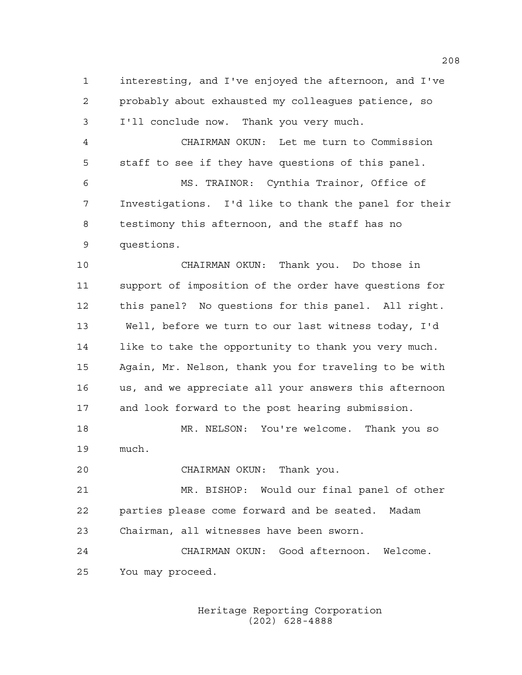1 interesting, and I've enjoyed the afternoon, and I've 2 probably about exhausted my colleagues patience, so 3 I'll conclude now. Thank you very much.

4 CHAIRMAN OKUN: Let me turn to Commission 5 staff to see if they have questions of this panel.

6 MS. TRAINOR: Cynthia Trainor, Office of 7 Investigations. I'd like to thank the panel for their 8 testimony this afternoon, and the staff has no 9 questions.

10 CHAIRMAN OKUN: Thank you. Do those in 11 support of imposition of the order have questions for 12 this panel? No questions for this panel. All right. 13 Well, before we turn to our last witness today, I'd 14 like to take the opportunity to thank you very much. 15 Again, Mr. Nelson, thank you for traveling to be with 16 us, and we appreciate all your answers this afternoon 17 and look forward to the post hearing submission.

18 MR. NELSON: You're welcome. Thank you so 19 much.

20 CHAIRMAN OKUN: Thank you.

21 MR. BISHOP: Would our final panel of other 22 parties please come forward and be seated. Madam 23 Chairman, all witnesses have been sworn.

24 CHAIRMAN OKUN: Good afternoon. Welcome. 25 You may proceed.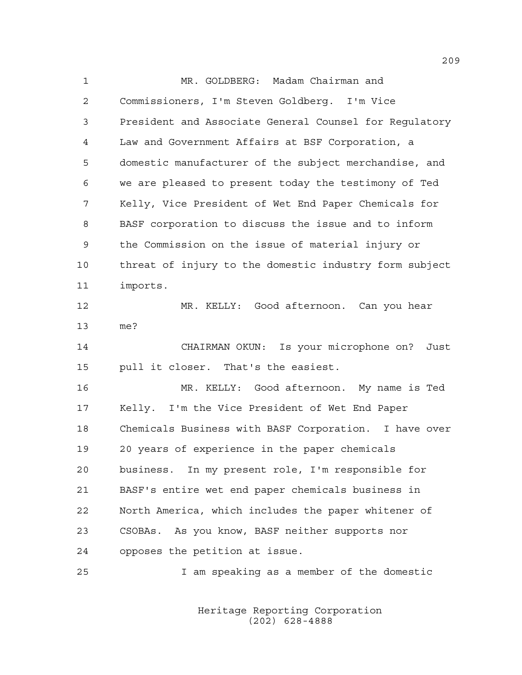1 MR. GOLDBERG: Madam Chairman and 2 Commissioners, I'm Steven Goldberg. I'm Vice 3 President and Associate General Counsel for Regulatory 4 Law and Government Affairs at BSF Corporation, a 5 domestic manufacturer of the subject merchandise, and 6 we are pleased to present today the testimony of Ted 7 Kelly, Vice President of Wet End Paper Chemicals for 8 BASF corporation to discuss the issue and to inform 9 the Commission on the issue of material injury or 10 threat of injury to the domestic industry form subject 11 imports. 12 MR. KELLY: Good afternoon. Can you hear 13 me? 14 CHAIRMAN OKUN: Is your microphone on? Just 15 pull it closer. That's the easiest. 16 MR. KELLY: Good afternoon. My name is Ted 17 Kelly. I'm the Vice President of Wet End Paper 18 Chemicals Business with BASF Corporation. I have over 19 20 years of experience in the paper chemicals 20 business. In my present role, I'm responsible for 21 BASF's entire wet end paper chemicals business in 22 North America, which includes the paper whitener of 23 CSOBAs. As you know, BASF neither supports nor 24 opposes the petition at issue. 25 I am speaking as a member of the domestic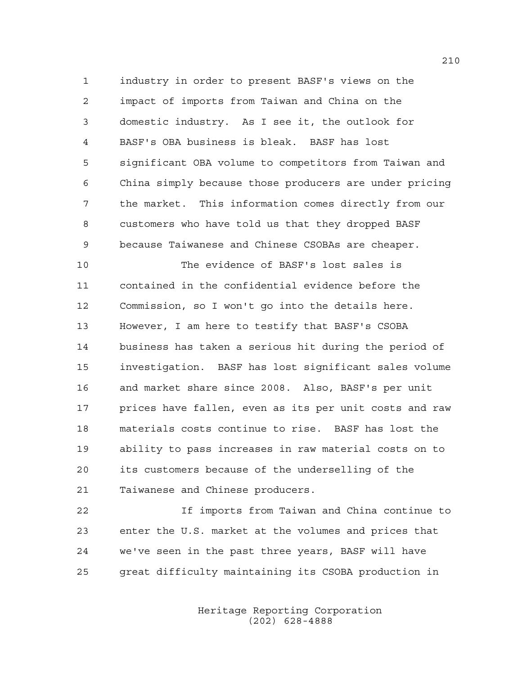1 industry in order to present BASF's views on the 2 impact of imports from Taiwan and China on the 3 domestic industry. As I see it, the outlook for 4 BASF's OBA business is bleak. BASF has lost 5 significant OBA volume to competitors from Taiwan and 6 China simply because those producers are under pricing 7 the market. This information comes directly from our 8 customers who have told us that they dropped BASF 9 because Taiwanese and Chinese CSOBAs are cheaper.

10 The evidence of BASF's lost sales is 11 contained in the confidential evidence before the 12 Commission, so I won't go into the details here. 13 However, I am here to testify that BASF's CSOBA 14 business has taken a serious hit during the period of 15 investigation. BASF has lost significant sales volume 16 and market share since 2008. Also, BASF's per unit 17 prices have fallen, even as its per unit costs and raw 18 materials costs continue to rise. BASF has lost the 19 ability to pass increases in raw material costs on to 20 its customers because of the underselling of the 21 Taiwanese and Chinese producers.

22 If imports from Taiwan and China continue to 23 enter the U.S. market at the volumes and prices that 24 we've seen in the past three years, BASF will have 25 great difficulty maintaining its CSOBA production in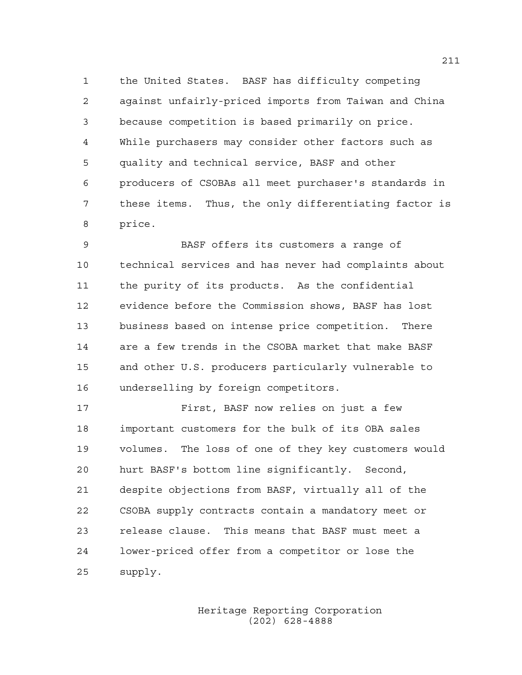1 the United States. BASF has difficulty competing 2 against unfairly-priced imports from Taiwan and China 3 because competition is based primarily on price. 4 While purchasers may consider other factors such as 5 quality and technical service, BASF and other 6 producers of CSOBAs all meet purchaser's standards in 7 these items. Thus, the only differentiating factor is 8 price.

9 BASF offers its customers a range of 10 technical services and has never had complaints about 11 the purity of its products. As the confidential 12 evidence before the Commission shows, BASF has lost 13 business based on intense price competition. There 14 are a few trends in the CSOBA market that make BASF 15 and other U.S. producers particularly vulnerable to 16 underselling by foreign competitors.

17 First, BASF now relies on just a few 18 important customers for the bulk of its OBA sales 19 volumes. The loss of one of they key customers would 20 hurt BASF's bottom line significantly. Second, 21 despite objections from BASF, virtually all of the 22 CSOBA supply contracts contain a mandatory meet or 23 release clause. This means that BASF must meet a 24 lower-priced offer from a competitor or lose the 25 supply.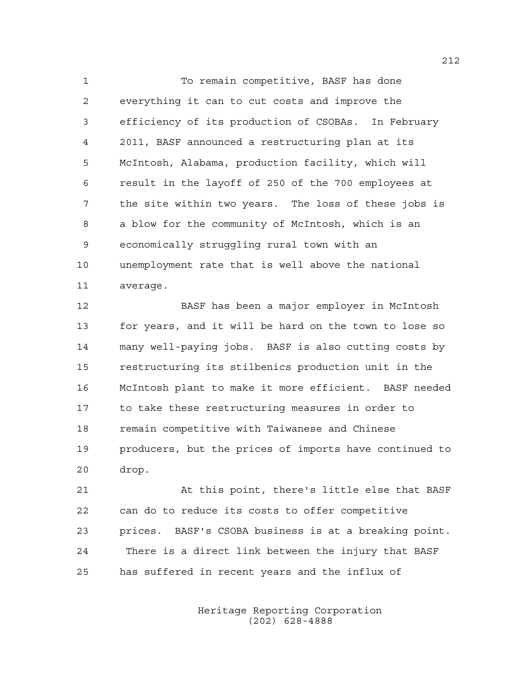1 To remain competitive, BASF has done 2 everything it can to cut costs and improve the 3 efficiency of its production of CSOBAs. In February 4 2011, BASF announced a restructuring plan at its 5 McIntosh, Alabama, production facility, which will 6 result in the layoff of 250 of the 700 employees at 7 the site within two years. The loss of these jobs is 8 a blow for the community of McIntosh, which is an 9 economically struggling rural town with an 10 unemployment rate that is well above the national 11 average.

12 BASF has been a major employer in McIntosh 13 for years, and it will be hard on the town to lose so 14 many well-paying jobs. BASF is also cutting costs by 15 restructuring its stilbenics production unit in the 16 McIntosh plant to make it more efficient. BASF needed 17 to take these restructuring measures in order to 18 remain competitive with Taiwanese and Chinese 19 producers, but the prices of imports have continued to 20 drop.

21 At this point, there's little else that BASF 22 can do to reduce its costs to offer competitive 23 prices. BASF's CSOBA business is at a breaking point. 24 There is a direct link between the injury that BASF 25 has suffered in recent years and the influx of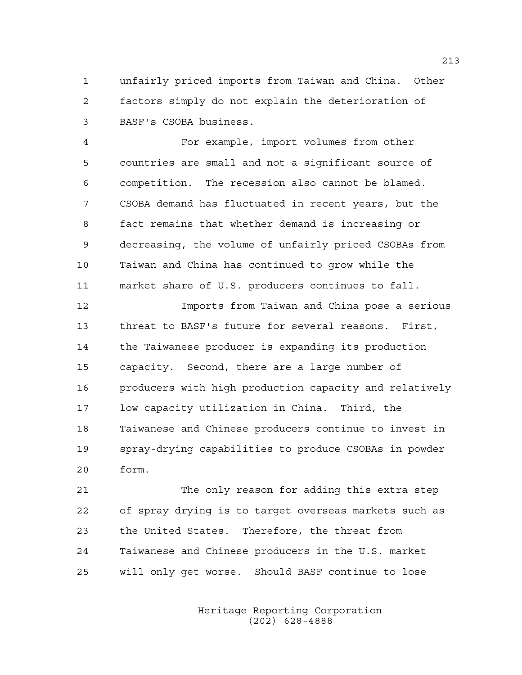1 unfairly priced imports from Taiwan and China. Other 2 factors simply do not explain the deterioration of 3 BASF's CSOBA business.

4 For example, import volumes from other 5 countries are small and not a significant source of 6 competition. The recession also cannot be blamed. 7 CSOBA demand has fluctuated in recent years, but the 8 fact remains that whether demand is increasing or 9 decreasing, the volume of unfairly priced CSOBAs from 10 Taiwan and China has continued to grow while the 11 market share of U.S. producers continues to fall.

12 Imports from Taiwan and China pose a serious 13 threat to BASF's future for several reasons. First, 14 the Taiwanese producer is expanding its production 15 capacity. Second, there are a large number of 16 producers with high production capacity and relatively 17 low capacity utilization in China. Third, the 18 Taiwanese and Chinese producers continue to invest in 19 spray-drying capabilities to produce CSOBAs in powder 20 form.

21 The only reason for adding this extra step 22 of spray drying is to target overseas markets such as 23 the United States. Therefore, the threat from 24 Taiwanese and Chinese producers in the U.S. market 25 will only get worse. Should BASF continue to lose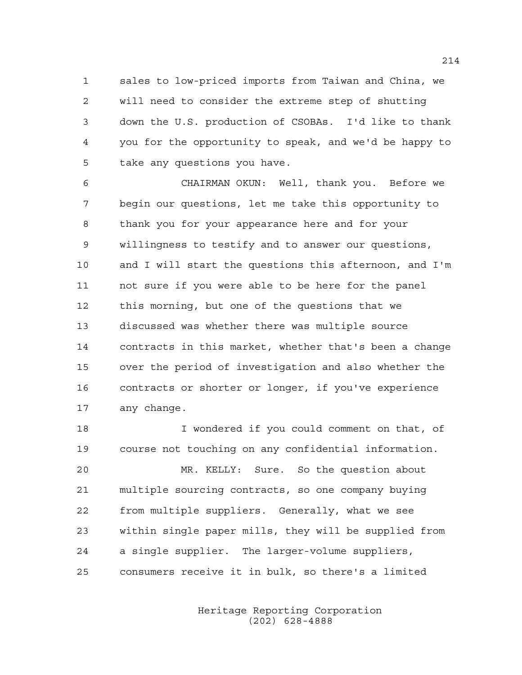1 sales to low-priced imports from Taiwan and China, we 2 will need to consider the extreme step of shutting 3 down the U.S. production of CSOBAs. I'd like to thank 4 you for the opportunity to speak, and we'd be happy to 5 take any questions you have.

6 CHAIRMAN OKUN: Well, thank you. Before we 7 begin our questions, let me take this opportunity to 8 thank you for your appearance here and for your 9 willingness to testify and to answer our questions, 10 and I will start the questions this afternoon, and I'm 11 not sure if you were able to be here for the panel 12 this morning, but one of the questions that we 13 discussed was whether there was multiple source 14 contracts in this market, whether that's been a change 15 over the period of investigation and also whether the 16 contracts or shorter or longer, if you've experience 17 any change.

18 I wondered if you could comment on that, of 19 course not touching on any confidential information.

20 MR. KELLY: Sure. So the question about 21 multiple sourcing contracts, so one company buying 22 from multiple suppliers. Generally, what we see 23 within single paper mills, they will be supplied from 24 a single supplier. The larger-volume suppliers, 25 consumers receive it in bulk, so there's a limited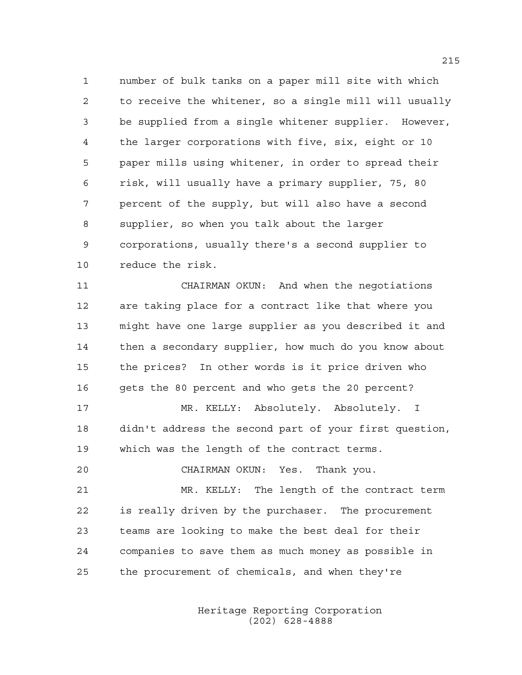1 number of bulk tanks on a paper mill site with which 2 to receive the whitener, so a single mill will usually 3 be supplied from a single whitener supplier. However, 4 the larger corporations with five, six, eight or 10 5 paper mills using whitener, in order to spread their 6 risk, will usually have a primary supplier, 75, 80 7 percent of the supply, but will also have a second 8 supplier, so when you talk about the larger 9 corporations, usually there's a second supplier to 10 reduce the risk.

11 CHAIRMAN OKUN: And when the negotiations 12 are taking place for a contract like that where you 13 might have one large supplier as you described it and 14 then a secondary supplier, how much do you know about 15 the prices? In other words is it price driven who 16 gets the 80 percent and who gets the 20 percent?

17 MR. KELLY: Absolutely. Absolutely. I 18 didn't address the second part of your first question, 19 which was the length of the contract terms.

20 CHAIRMAN OKUN: Yes. Thank you. 21 MR. KELLY: The length of the contract term 22 is really driven by the purchaser. The procurement 23 teams are looking to make the best deal for their 24 companies to save them as much money as possible in 25 the procurement of chemicals, and when they're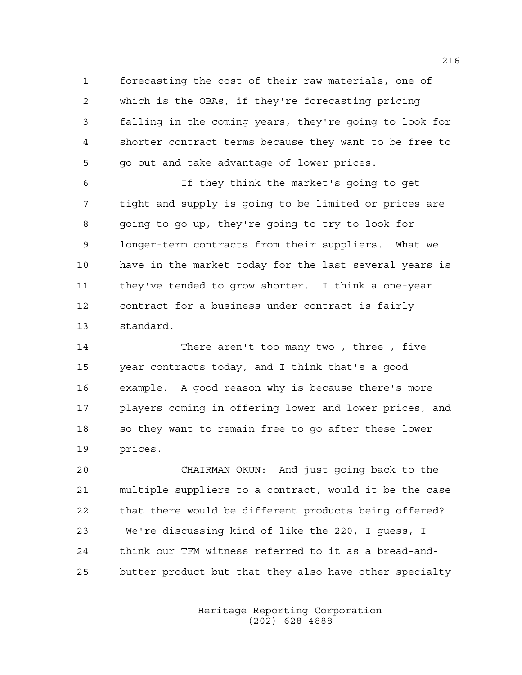1 forecasting the cost of their raw materials, one of 2 which is the OBAs, if they're forecasting pricing 3 falling in the coming years, they're going to look for 4 shorter contract terms because they want to be free to 5 go out and take advantage of lower prices.

6 If they think the market's going to get 7 tight and supply is going to be limited or prices are 8 going to go up, they're going to try to look for 9 longer-term contracts from their suppliers. What we 10 have in the market today for the last several years is 11 they've tended to grow shorter. I think a one-year 12 contract for a business under contract is fairly 13 standard.

14 There aren't too many two-, three-, five-15 year contracts today, and I think that's a good 16 example. A good reason why is because there's more 17 players coming in offering lower and lower prices, and 18 so they want to remain free to go after these lower 19 prices.

20 CHAIRMAN OKUN: And just going back to the 21 multiple suppliers to a contract, would it be the case 22 that there would be different products being offered? 23 We're discussing kind of like the 220, I guess, I 24 think our TFM witness referred to it as a bread-and-25 butter product but that they also have other specialty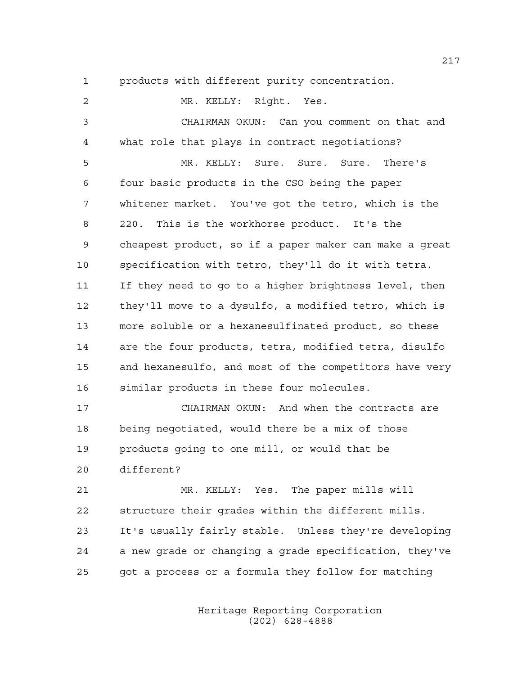1 products with different purity concentration.

2 MR. KELLY: Right. Yes. 3 CHAIRMAN OKUN: Can you comment on that and 4 what role that plays in contract negotiations? 5 MR. KELLY: Sure. Sure. Sure. There's 6 four basic products in the CSO being the paper 7 whitener market. You've got the tetro, which is the 8 220. This is the workhorse product. It's the 9 cheapest product, so if a paper maker can make a great 10 specification with tetro, they'll do it with tetra. 11 If they need to go to a higher brightness level, then 12 they'll move to a dysulfo, a modified tetro, which is 13 more soluble or a hexanesulfinated product, so these 14 are the four products, tetra, modified tetra, disulfo 15 and hexanesulfo, and most of the competitors have very 16 similar products in these four molecules. 17 CHAIRMAN OKUN: And when the contracts are 18 being negotiated, would there be a mix of those 19 products going to one mill, or would that be 20 different? 21 MR. KELLY: Yes. The paper mills will 22 structure their grades within the different mills. 23 It's usually fairly stable. Unless they're developing 24 a new grade or changing a grade specification, they've 25 got a process or a formula they follow for matching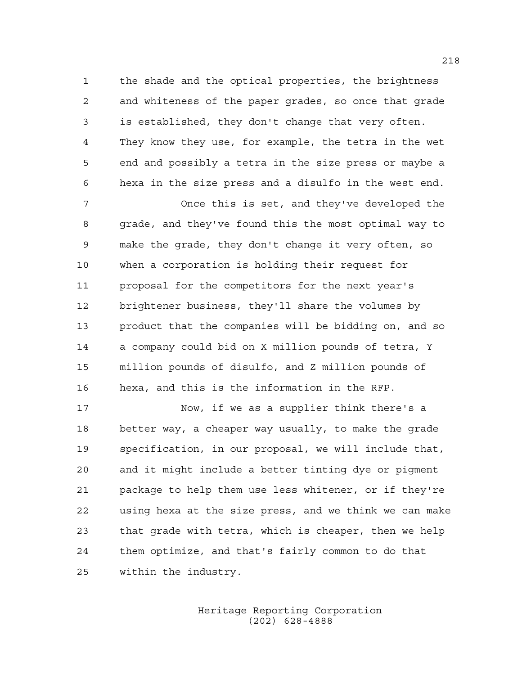1 the shade and the optical properties, the brightness 2 and whiteness of the paper grades, so once that grade 3 is established, they don't change that very often. 4 They know they use, for example, the tetra in the wet 5 end and possibly a tetra in the size press or maybe a 6 hexa in the size press and a disulfo in the west end.

7 Once this is set, and they've developed the 8 grade, and they've found this the most optimal way to 9 make the grade, they don't change it very often, so 10 when a corporation is holding their request for 11 proposal for the competitors for the next year's 12 brightener business, they'll share the volumes by 13 product that the companies will be bidding on, and so 14 a company could bid on X million pounds of tetra, Y 15 million pounds of disulfo, and Z million pounds of 16 hexa, and this is the information in the RFP.

17 Now, if we as a supplier think there's a 18 better way, a cheaper way usually, to make the grade 19 specification, in our proposal, we will include that, 20 and it might include a better tinting dye or pigment 21 package to help them use less whitener, or if they're 22 using hexa at the size press, and we think we can make 23 that grade with tetra, which is cheaper, then we help 24 them optimize, and that's fairly common to do that 25 within the industry.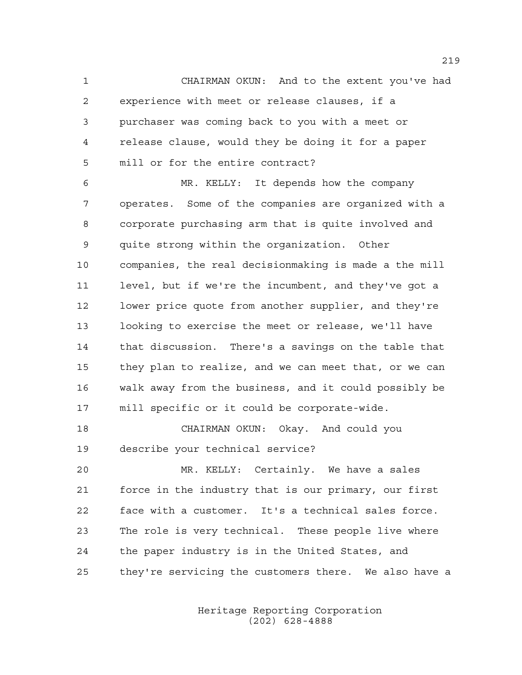1 CHAIRMAN OKUN: And to the extent you've had 2 experience with meet or release clauses, if a 3 purchaser was coming back to you with a meet or 4 release clause, would they be doing it for a paper 5 mill or for the entire contract?

6 MR. KELLY: It depends how the company 7 operates. Some of the companies are organized with a 8 corporate purchasing arm that is quite involved and 9 quite strong within the organization. Other 10 companies, the real decisionmaking is made a the mill 11 level, but if we're the incumbent, and they've got a 12 lower price quote from another supplier, and they're 13 looking to exercise the meet or release, we'll have 14 that discussion. There's a savings on the table that 15 they plan to realize, and we can meet that, or we can 16 walk away from the business, and it could possibly be 17 mill specific or it could be corporate-wide.

18 CHAIRMAN OKUN: Okay. And could you 19 describe your technical service?

20 MR. KELLY: Certainly. We have a sales 21 force in the industry that is our primary, our first 22 face with a customer. It's a technical sales force. 23 The role is very technical. These people live where 24 the paper industry is in the United States, and 25 they're servicing the customers there. We also have a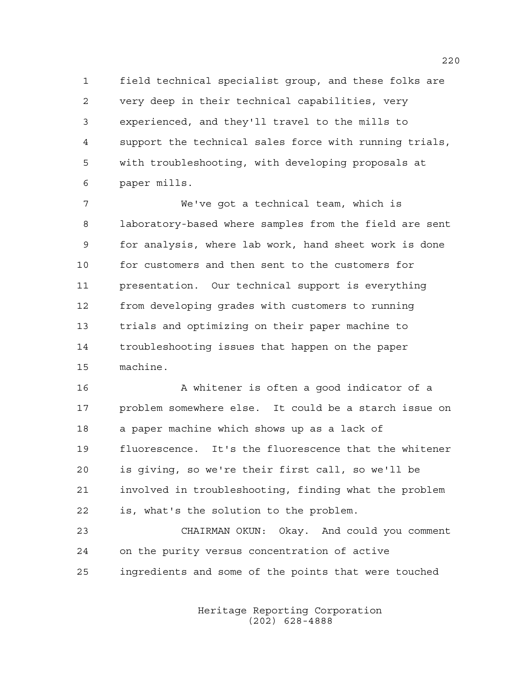1 field technical specialist group, and these folks are 2 very deep in their technical capabilities, very 3 experienced, and they'll travel to the mills to 4 support the technical sales force with running trials, 5 with troubleshooting, with developing proposals at 6 paper mills.

7 We've got a technical team, which is 8 laboratory-based where samples from the field are sent 9 for analysis, where lab work, hand sheet work is done 10 for customers and then sent to the customers for 11 presentation. Our technical support is everything 12 from developing grades with customers to running 13 trials and optimizing on their paper machine to 14 troubleshooting issues that happen on the paper 15 machine.

16 A whitener is often a good indicator of a 17 problem somewhere else. It could be a starch issue on 18 a paper machine which shows up as a lack of 19 fluorescence. It's the fluorescence that the whitener 20 is giving, so we're their first call, so we'll be 21 involved in troubleshooting, finding what the problem 22 is, what's the solution to the problem.

23 CHAIRMAN OKUN: Okay. And could you comment 24 on the purity versus concentration of active 25 ingredients and some of the points that were touched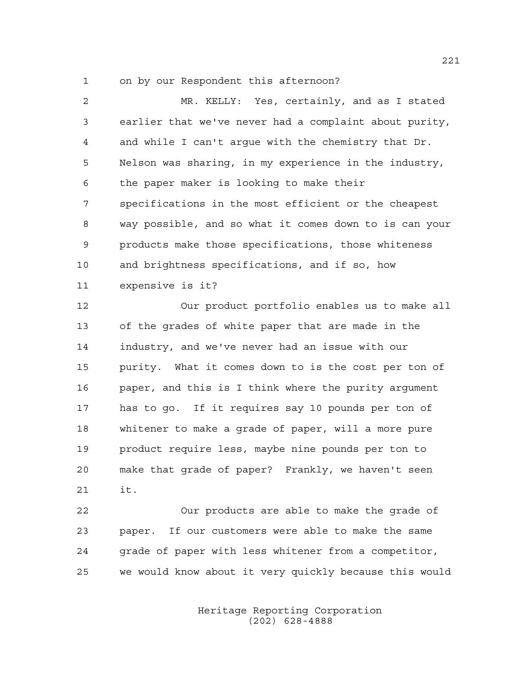1 on by our Respondent this afternoon?

| $\overline{2}$ | MR. KELLY: Yes, certainly, and as I stated             |
|----------------|--------------------------------------------------------|
| 3              | earlier that we've never had a complaint about purity, |
| $\overline{4}$ | and while I can't arque with the chemistry that Dr.    |
| 5              | Nelson was sharing, in my experience in the industry,  |
| 6              | the paper maker is looking to make their               |
| 7              | specifications in the most efficient or the cheapest   |
| 8              | way possible, and so what it comes down to is can your |
| 9              | products make those specifications, those whiteness    |
| 10             | and brightness specifications, and if so, how          |
| 11             | expensive is it?                                       |
| 12             | Our product portfolio enables us to make all           |
| 13             | of the grades of white paper that are made in the      |
| 14             | industry, and we've never had an issue with our        |
| 15             | purity. What it comes down to is the cost per ton of   |
| 16             | paper, and this is I think where the purity argument   |
| 17             | has to go. If it requires say 10 pounds per ton of     |
| 18             | whitener to make a grade of paper, will a more pure    |
| 19             | product require less, maybe nine pounds per ton to     |
| 20             | make that grade of paper? Frankly, we haven't seen     |

21 it.

22 Our products are able to make the grade of 23 paper. If our customers were able to make the same 24 grade of paper with less whitener from a competitor, 25 we would know about it very quickly because this would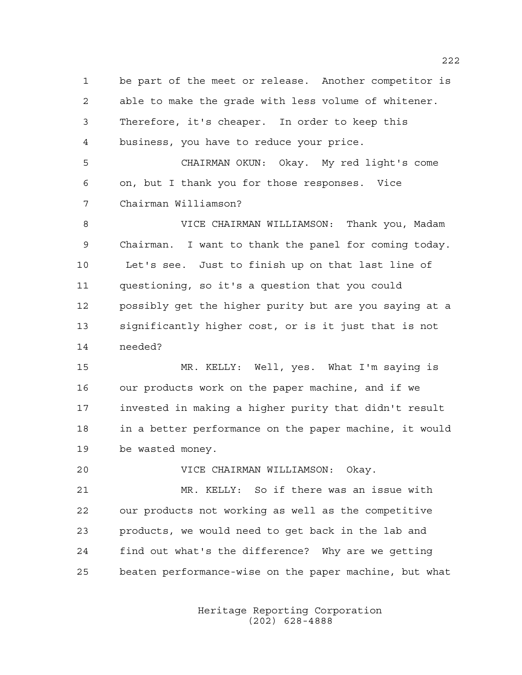1 be part of the meet or release. Another competitor is 2 able to make the grade with less volume of whitener. 3 Therefore, it's cheaper. In order to keep this 4 business, you have to reduce your price. 5 CHAIRMAN OKUN: Okay. My red light's come 6 on, but I thank you for those responses. Vice 7 Chairman Williamson? 8 VICE CHAIRMAN WILLIAMSON: Thank you, Madam 9 Chairman. I want to thank the panel for coming today. 10 Let's see. Just to finish up on that last line of 11 questioning, so it's a question that you could 12 possibly get the higher purity but are you saying at a 13 significantly higher cost, or is it just that is not 14 needed? 15 MR. KELLY: Well, yes. What I'm saying is 16 our products work on the paper machine, and if we 17 invested in making a higher purity that didn't result 18 in a better performance on the paper machine, it would 19 be wasted money. 20 VICE CHAIRMAN WILLIAMSON: Okay. 21 MR. KELLY: So if there was an issue with 22 our products not working as well as the competitive 23 products, we would need to get back in the lab and 24 find out what's the difference? Why are we getting

> Heritage Reporting Corporation (202) 628-4888

25 beaten performance-wise on the paper machine, but what

222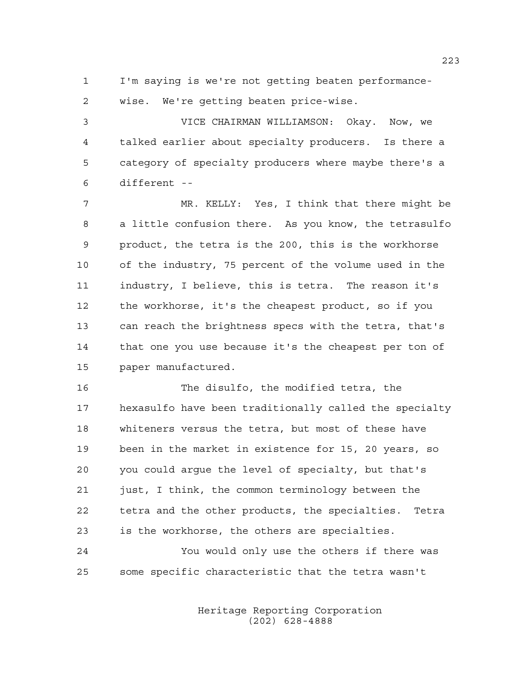1 I'm saying is we're not getting beaten performance-

2 wise. We're getting beaten price-wise.

3 VICE CHAIRMAN WILLIAMSON: Okay. Now, we 4 talked earlier about specialty producers. Is there a 5 category of specialty producers where maybe there's a 6 different --

7 MR. KELLY: Yes, I think that there might be 8 a little confusion there. As you know, the tetrasulfo 9 product, the tetra is the 200, this is the workhorse 10 of the industry, 75 percent of the volume used in the 11 industry, I believe, this is tetra. The reason it's 12 the workhorse, it's the cheapest product, so if you 13 can reach the brightness specs with the tetra, that's 14 that one you use because it's the cheapest per ton of 15 paper manufactured.

16 The disulfo, the modified tetra, the 17 hexasulfo have been traditionally called the specialty 18 whiteners versus the tetra, but most of these have 19 been in the market in existence for 15, 20 years, so 20 you could argue the level of specialty, but that's 21 just, I think, the common terminology between the 22 tetra and the other products, the specialties. Tetra 23 is the workhorse, the others are specialties.

24 You would only use the others if there was 25 some specific characteristic that the tetra wasn't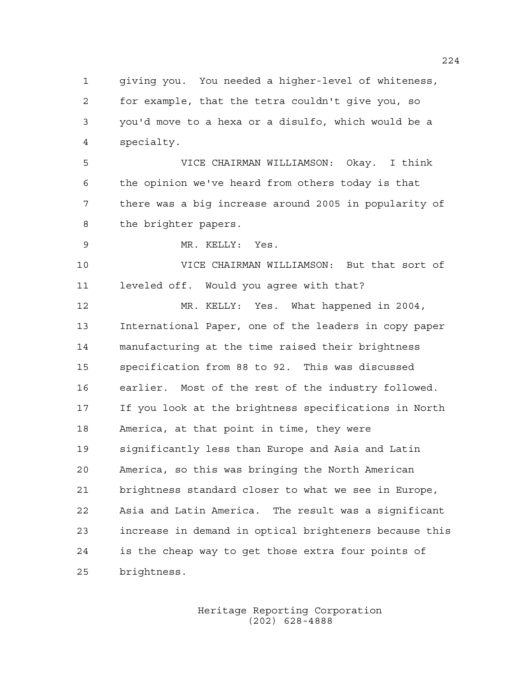1 giving you. You needed a higher-level of whiteness, 2 for example, that the tetra couldn't give you, so 3 you'd move to a hexa or a disulfo, which would be a 4 specialty.

5 VICE CHAIRMAN WILLIAMSON: Okay. I think 6 the opinion we've heard from others today is that 7 there was a big increase around 2005 in popularity of 8 the brighter papers.

9 MR. KELLY: Yes.

10 VICE CHAIRMAN WILLIAMSON: But that sort of 11 leveled off. Would you agree with that?

12 MR. KELLY: Yes. What happened in 2004, 13 International Paper, one of the leaders in copy paper 14 manufacturing at the time raised their brightness 15 specification from 88 to 92. This was discussed 16 earlier. Most of the rest of the industry followed. 17 If you look at the brightness specifications in North 18 America, at that point in time, they were 19 significantly less than Europe and Asia and Latin 20 America, so this was bringing the North American 21 brightness standard closer to what we see in Europe, 22 Asia and Latin America. The result was a significant 23 increase in demand in optical brighteners because this 24 is the cheap way to get those extra four points of 25 brightness.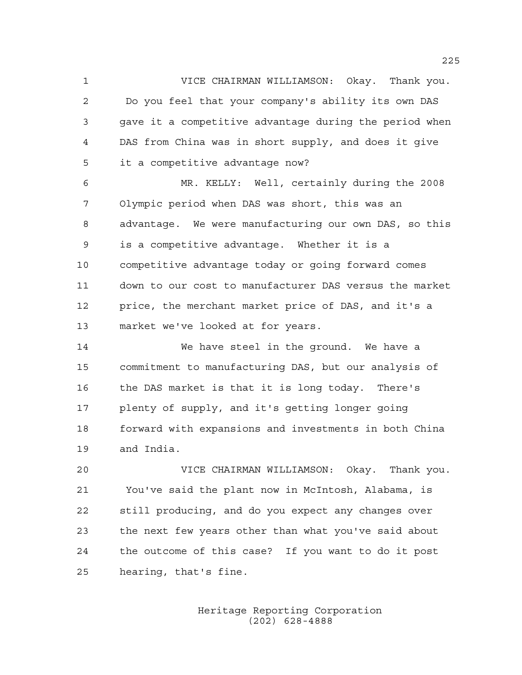1 VICE CHAIRMAN WILLIAMSON: Okay. Thank you. 2 Do you feel that your company's ability its own DAS 3 gave it a competitive advantage during the period when 4 DAS from China was in short supply, and does it give 5 it a competitive advantage now?

6 MR. KELLY: Well, certainly during the 2008 7 Olympic period when DAS was short, this was an 8 advantage. We were manufacturing our own DAS, so this 9 is a competitive advantage. Whether it is a 10 competitive advantage today or going forward comes 11 down to our cost to manufacturer DAS versus the market 12 price, the merchant market price of DAS, and it's a 13 market we've looked at for years.

14 We have steel in the ground. We have a 15 commitment to manufacturing DAS, but our analysis of 16 the DAS market is that it is long today. There's 17 plenty of supply, and it's getting longer going 18 forward with expansions and investments in both China 19 and India.

20 VICE CHAIRMAN WILLIAMSON: Okay. Thank you. 21 You've said the plant now in McIntosh, Alabama, is 22 still producing, and do you expect any changes over 23 the next few years other than what you've said about 24 the outcome of this case? If you want to do it post 25 hearing, that's fine.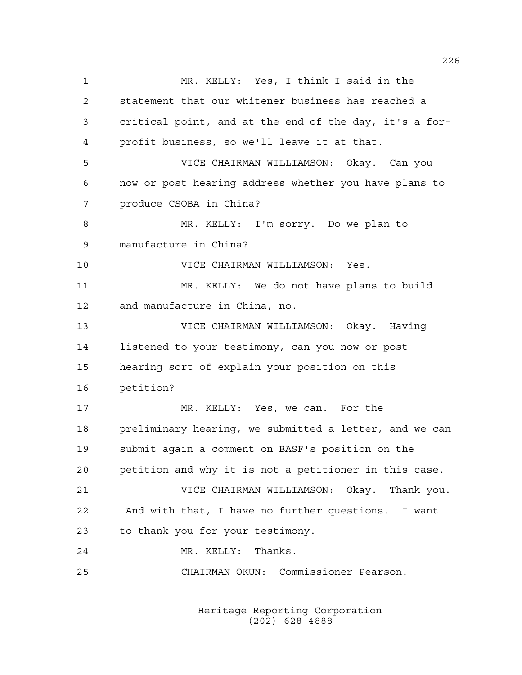1 MR. KELLY: Yes, I think I said in the 2 statement that our whitener business has reached a 3 critical point, and at the end of the day, it's a for-4 profit business, so we'll leave it at that. 5 VICE CHAIRMAN WILLIAMSON: Okay. Can you 6 now or post hearing address whether you have plans to 7 produce CSOBA in China? 8 MR. KELLY: I'm sorry. Do we plan to 9 manufacture in China? 10 VICE CHAIRMAN WILLIAMSON: Yes. 11 MR. KELLY: We do not have plans to build 12 and manufacture in China, no. 13 VICE CHAIRMAN WILLIAMSON: Okay. Having 14 listened to your testimony, can you now or post 15 hearing sort of explain your position on this 16 petition? 17 MR. KELLY: Yes, we can. For the 18 preliminary hearing, we submitted a letter, and we can 19 submit again a comment on BASF's position on the 20 petition and why it is not a petitioner in this case. 21 VICE CHAIRMAN WILLIAMSON: Okay. Thank you. 22 And with that, I have no further questions. I want 23 to thank you for your testimony. 24 MR. KELLY: Thanks. 25 CHAIRMAN OKUN: Commissioner Pearson.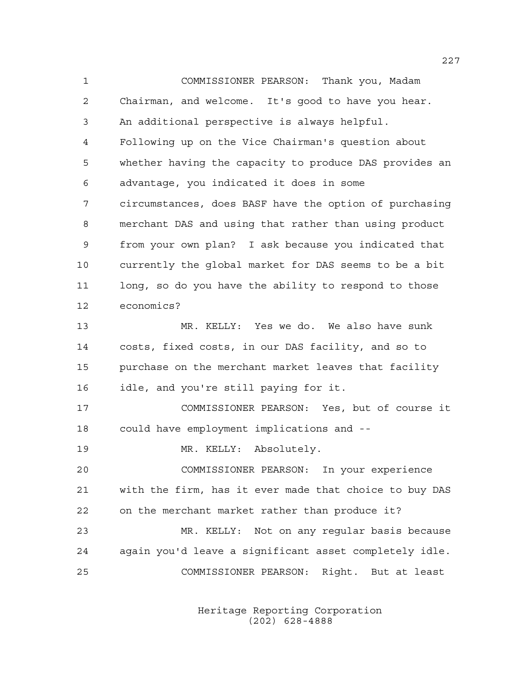1 COMMISSIONER PEARSON: Thank you, Madam 2 Chairman, and welcome. It's good to have you hear. 3 An additional perspective is always helpful. 4 Following up on the Vice Chairman's question about 5 whether having the capacity to produce DAS provides an 6 advantage, you indicated it does in some 7 circumstances, does BASF have the option of purchasing 8 merchant DAS and using that rather than using product 9 from your own plan? I ask because you indicated that 10 currently the global market for DAS seems to be a bit 11 long, so do you have the ability to respond to those 12 economics? 13 MR. KELLY: Yes we do. We also have sunk 14 costs, fixed costs, in our DAS facility, and so to 15 purchase on the merchant market leaves that facility 16 idle, and you're still paying for it. 17 COMMISSIONER PEARSON: Yes, but of course it 18 could have employment implications and -- 19 MR. KELLY: Absolutely. 20 COMMISSIONER PEARSON: In your experience 21 with the firm, has it ever made that choice to buy DAS 22 on the merchant market rather than produce it? 23 MR. KELLY: Not on any regular basis because 24 again you'd leave a significant asset completely idle. 25 COMMISSIONER PEARSON: Right. But at least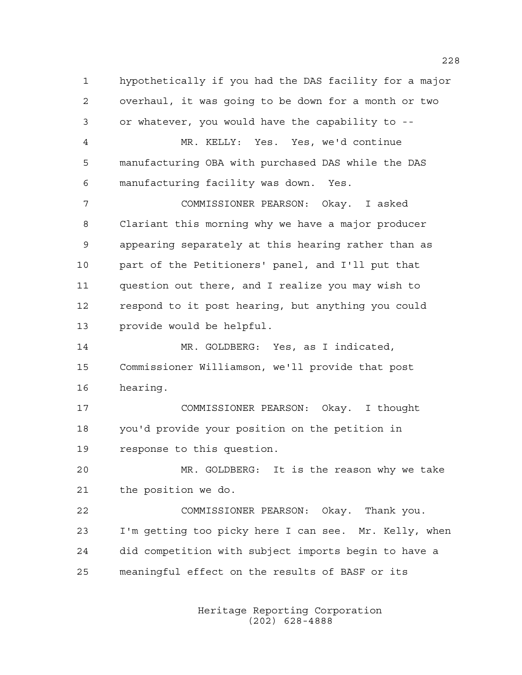1 hypothetically if you had the DAS facility for a major 2 overhaul, it was going to be down for a month or two 3 or whatever, you would have the capability to --

4 MR. KELLY: Yes. Yes, we'd continue 5 manufacturing OBA with purchased DAS while the DAS 6 manufacturing facility was down. Yes.

7 COMMISSIONER PEARSON: Okay. I asked 8 Clariant this morning why we have a major producer 9 appearing separately at this hearing rather than as 10 part of the Petitioners' panel, and I'll put that 11 question out there, and I realize you may wish to 12 respond to it post hearing, but anything you could 13 provide would be helpful.

14 MR. GOLDBERG: Yes, as I indicated, 15 Commissioner Williamson, we'll provide that post 16 hearing.

17 COMMISSIONER PEARSON: Okay. I thought 18 you'd provide your position on the petition in 19 response to this question.

20 MR. GOLDBERG: It is the reason why we take 21 the position we do.

22 COMMISSIONER PEARSON: Okay. Thank you. 23 I'm getting too picky here I can see. Mr. Kelly, when 24 did competition with subject imports begin to have a 25 meaningful effect on the results of BASF or its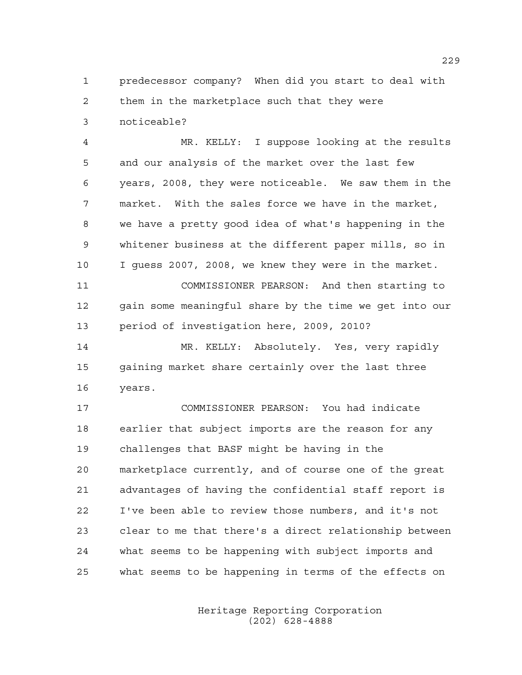1 predecessor company? When did you start to deal with 2 them in the marketplace such that they were 3 noticeable?

4 MR. KELLY: I suppose looking at the results 5 and our analysis of the market over the last few 6 years, 2008, they were noticeable. We saw them in the 7 market. With the sales force we have in the market, 8 we have a pretty good idea of what's happening in the 9 whitener business at the different paper mills, so in 10 I guess 2007, 2008, we knew they were in the market. 11 COMMISSIONER PEARSON: And then starting to

12 gain some meaningful share by the time we get into our 13 period of investigation here, 2009, 2010?

14 MR. KELLY: Absolutely. Yes, very rapidly 15 gaining market share certainly over the last three 16 years.

17 COMMISSIONER PEARSON: You had indicate 18 earlier that subject imports are the reason for any 19 challenges that BASF might be having in the 20 marketplace currently, and of course one of the great 21 advantages of having the confidential staff report is 22 I've been able to review those numbers, and it's not 23 clear to me that there's a direct relationship between 24 what seems to be happening with subject imports and 25 what seems to be happening in terms of the effects on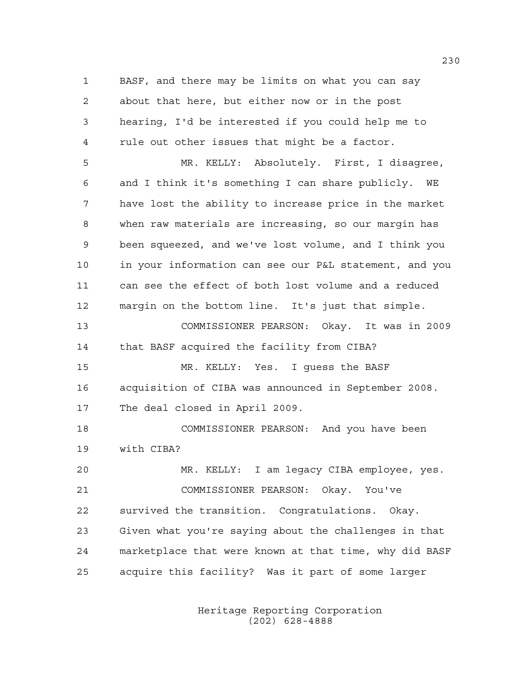1 BASF, and there may be limits on what you can say 2 about that here, but either now or in the post 3 hearing, I'd be interested if you could help me to 4 rule out other issues that might be a factor. 5 MR. KELLY: Absolutely. First, I disagree, 6 and I think it's something I can share publicly. WE 7 have lost the ability to increase price in the market 8 when raw materials are increasing, so our margin has 9 been squeezed, and we've lost volume, and I think you 10 in your information can see our P&L statement, and you 11 can see the effect of both lost volume and a reduced 12 margin on the bottom line. It's just that simple. 13 COMMISSIONER PEARSON: Okay. It was in 2009 14 that BASF acquired the facility from CIBA? 15 MR. KELLY: Yes. I guess the BASF 16 acquisition of CIBA was announced in September 2008. 17 The deal closed in April 2009. 18 COMMISSIONER PEARSON: And you have been 19 with CIBA? 20 MR. KELLY: I am legacy CIBA employee, yes. 21 COMMISSIONER PEARSON: Okay. You've 22 survived the transition. Congratulations. Okay. 23 Given what you're saying about the challenges in that 24 marketplace that were known at that time, why did BASF 25 acquire this facility? Was it part of some larger

> Heritage Reporting Corporation (202) 628-4888

230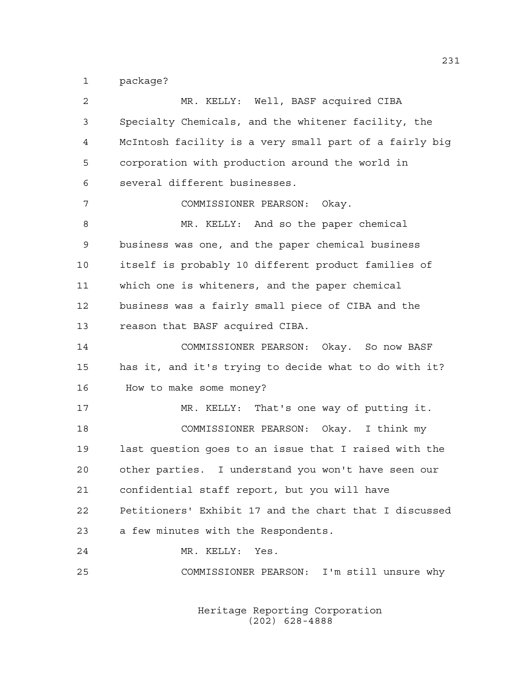1 package?

| 2  | MR. KELLY: Well, BASF acquired CIBA                    |
|----|--------------------------------------------------------|
| 3  | Specialty Chemicals, and the whitener facility, the    |
| 4  | McIntosh facility is a very small part of a fairly big |
| 5  | corporation with production around the world in        |
| 6  | several different businesses.                          |
| 7  | COMMISSIONER PEARSON: Okay.                            |
| 8  | MR. KELLY: And so the paper chemical                   |
| 9  | business was one, and the paper chemical business      |
| 10 | itself is probably 10 different product families of    |
| 11 | which one is whiteners, and the paper chemical         |
| 12 | business was a fairly small piece of CIBA and the      |
| 13 | reason that BASF acquired CIBA.                        |
| 14 | COMMISSIONER PEARSON: Okay. So now BASF                |
| 15 | has it, and it's trying to decide what to do with it?  |
| 16 | How to make some money?                                |
| 17 | MR. KELLY: That's one way of putting it.               |
| 18 | COMMISSIONER PEARSON: Okay. I think my                 |
| 19 | last question goes to an issue that I raised with the  |
| 20 | other parties. I understand you won't have seen our    |
| 21 | confidential staff report, but you will have           |
| 22 | Petitioners' Exhibit 17 and the chart that I discussed |
| 23 | a few minutes with the Respondents.                    |
| 24 | MR. KELLY: Yes.                                        |
| 25 | COMMISSIONER PEARSON: I'm still unsure why             |
|    |                                                        |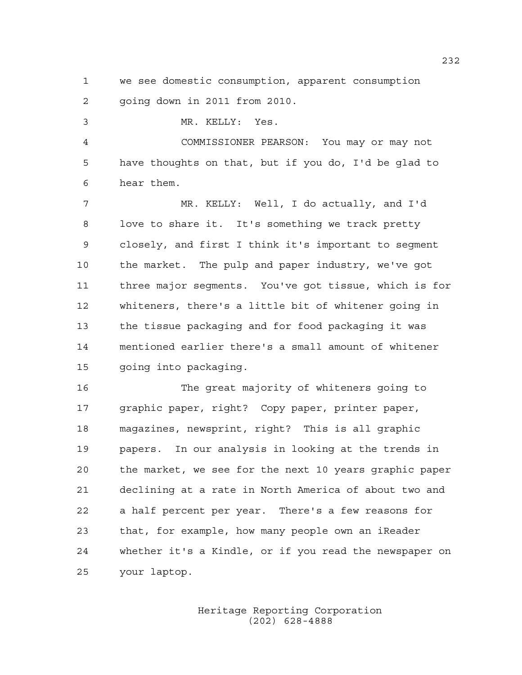1 we see domestic consumption, apparent consumption 2 going down in 2011 from 2010.

3 MR. KELLY: Yes.

4 COMMISSIONER PEARSON: You may or may not 5 have thoughts on that, but if you do, I'd be glad to 6 hear them.

7 MR. KELLY: Well, I do actually, and I'd 8 love to share it. It's something we track pretty 9 closely, and first I think it's important to segment 10 the market. The pulp and paper industry, we've got 11 three major segments. You've got tissue, which is for 12 whiteners, there's a little bit of whitener going in 13 the tissue packaging and for food packaging it was 14 mentioned earlier there's a small amount of whitener 15 going into packaging.

16 The great majority of whiteners going to 17 graphic paper, right? Copy paper, printer paper, 18 magazines, newsprint, right? This is all graphic 19 papers. In our analysis in looking at the trends in 20 the market, we see for the next 10 years graphic paper 21 declining at a rate in North America of about two and 22 a half percent per year. There's a few reasons for 23 that, for example, how many people own an iReader 24 whether it's a Kindle, or if you read the newspaper on 25 your laptop.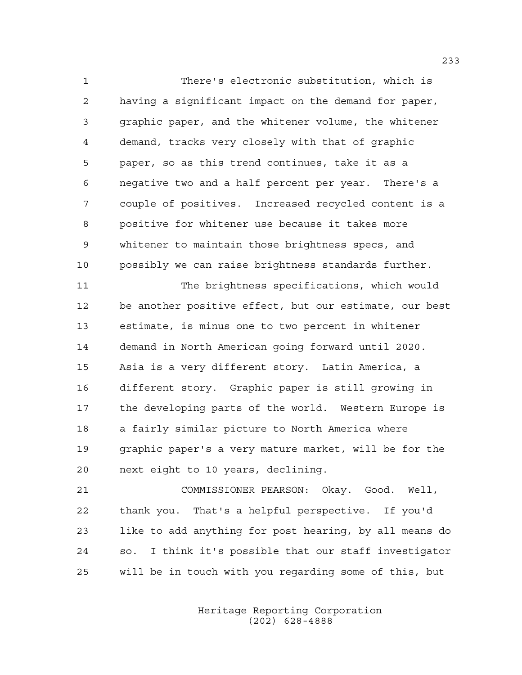1 There's electronic substitution, which is 2 having a significant impact on the demand for paper, 3 graphic paper, and the whitener volume, the whitener 4 demand, tracks very closely with that of graphic 5 paper, so as this trend continues, take it as a 6 negative two and a half percent per year. There's a 7 couple of positives. Increased recycled content is a 8 positive for whitener use because it takes more 9 whitener to maintain those brightness specs, and 10 possibly we can raise brightness standards further.

11 The brightness specifications, which would 12 be another positive effect, but our estimate, our best 13 estimate, is minus one to two percent in whitener 14 demand in North American going forward until 2020. 15 Asia is a very different story. Latin America, a 16 different story. Graphic paper is still growing in 17 the developing parts of the world. Western Europe is 18 a fairly similar picture to North America where 19 graphic paper's a very mature market, will be for the 20 next eight to 10 years, declining.

21 COMMISSIONER PEARSON: Okay. Good. Well, 22 thank you. That's a helpful perspective. If you'd 23 like to add anything for post hearing, by all means do 24 so. I think it's possible that our staff investigator 25 will be in touch with you regarding some of this, but

> Heritage Reporting Corporation (202) 628-4888

233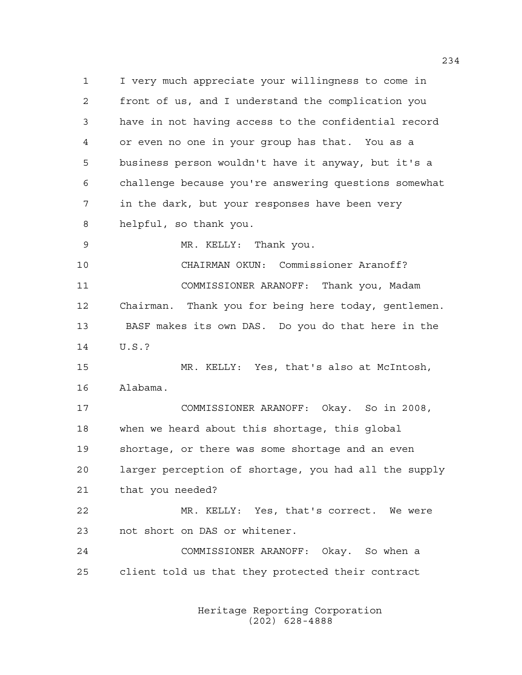1 I very much appreciate your willingness to come in 2 front of us, and I understand the complication you 3 have in not having access to the confidential record 4 or even no one in your group has that. You as a 5 business person wouldn't have it anyway, but it's a 6 challenge because you're answering questions somewhat 7 in the dark, but your responses have been very 8 helpful, so thank you.

9 MR. KELLY: Thank you.

10 CHAIRMAN OKUN: Commissioner Aranoff? 11 COMMISSIONER ARANOFF: Thank you, Madam 12 Chairman. Thank you for being here today, gentlemen. 13 BASF makes its own DAS. Do you do that here in the 14 U.S.?

15 MR. KELLY: Yes, that's also at McIntosh, 16 Alabama.

17 COMMISSIONER ARANOFF: Okay. So in 2008, 18 when we heard about this shortage, this global 19 shortage, or there was some shortage and an even 20 larger perception of shortage, you had all the supply 21 that you needed?

22 MR. KELLY: Yes, that's correct. We were 23 not short on DAS or whitener.

24 COMMISSIONER ARANOFF: Okay. So when a 25 client told us that they protected their contract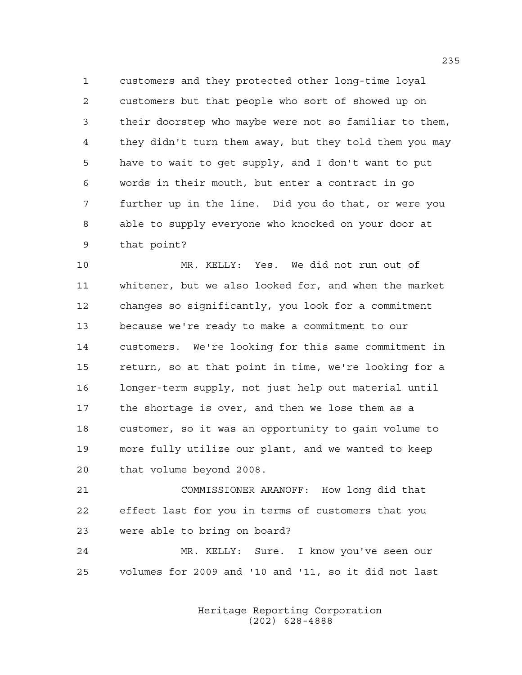1 customers and they protected other long-time loyal 2 customers but that people who sort of showed up on 3 their doorstep who maybe were not so familiar to them, 4 they didn't turn them away, but they told them you may 5 have to wait to get supply, and I don't want to put 6 words in their mouth, but enter a contract in go 7 further up in the line. Did you do that, or were you 8 able to supply everyone who knocked on your door at 9 that point?

10 MR. KELLY: Yes. We did not run out of 11 whitener, but we also looked for, and when the market 12 changes so significantly, you look for a commitment 13 because we're ready to make a commitment to our 14 customers. We're looking for this same commitment in 15 return, so at that point in time, we're looking for a 16 longer-term supply, not just help out material until 17 the shortage is over, and then we lose them as a 18 customer, so it was an opportunity to gain volume to 19 more fully utilize our plant, and we wanted to keep 20 that volume beyond 2008.

21 COMMISSIONER ARANOFF: How long did that 22 effect last for you in terms of customers that you 23 were able to bring on board?

24 MR. KELLY: Sure. I know you've seen our 25 volumes for 2009 and '10 and '11, so it did not last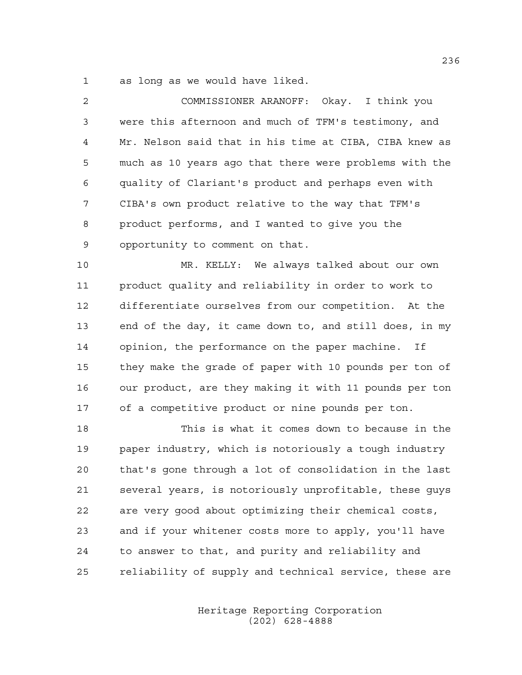1 as long as we would have liked.

| 2            | COMMISSIONER ARANOFF: Okay. I think you                |
|--------------|--------------------------------------------------------|
| $\mathsf{3}$ | were this afternoon and much of TFM's testimony, and   |
| 4            | Mr. Nelson said that in his time at CIBA, CIBA knew as |
| 5            | much as 10 years ago that there were problems with the |
| 6            | quality of Clariant's product and perhaps even with    |
| 7            | CIBA's own product relative to the way that TFM's      |
| 8            | product performs, and I wanted to give you the         |
| 9            | opportunity to comment on that.                        |
| 10           | MR. KELLY: We always talked about our own              |
| 11           | product quality and reliability in order to work to    |
| 12           | differentiate ourselves from our competition. At the   |
| 13           | end of the day, it came down to, and still does, in my |
| 14           | opinion, the performance on the paper machine. If      |

15 they make the grade of paper with 10 pounds per ton of 16 our product, are they making it with 11 pounds per ton 17 of a competitive product or nine pounds per ton.

18 This is what it comes down to because in the 19 paper industry, which is notoriously a tough industry 20 that's gone through a lot of consolidation in the last 21 several years, is notoriously unprofitable, these guys 22 are very good about optimizing their chemical costs, 23 and if your whitener costs more to apply, you'll have 24 to answer to that, and purity and reliability and 25 reliability of supply and technical service, these are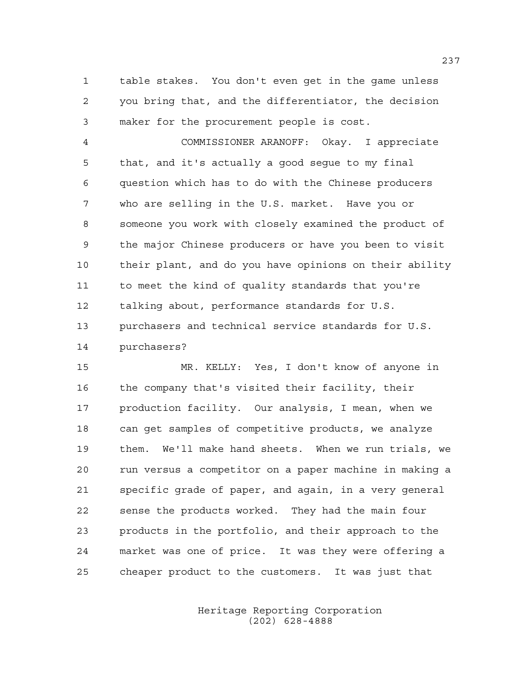1 table stakes. You don't even get in the game unless 2 you bring that, and the differentiator, the decision 3 maker for the procurement people is cost.

4 COMMISSIONER ARANOFF: Okay. I appreciate 5 that, and it's actually a good segue to my final 6 question which has to do with the Chinese producers 7 who are selling in the U.S. market. Have you or 8 someone you work with closely examined the product of 9 the major Chinese producers or have you been to visit 10 their plant, and do you have opinions on their ability 11 to meet the kind of quality standards that you're 12 talking about, performance standards for U.S. 13 purchasers and technical service standards for U.S. 14 purchasers?

15 MR. KELLY: Yes, I don't know of anyone in 16 the company that's visited their facility, their 17 production facility. Our analysis, I mean, when we 18 can get samples of competitive products, we analyze 19 them. We'll make hand sheets. When we run trials, we 20 run versus a competitor on a paper machine in making a 21 specific grade of paper, and again, in a very general 22 sense the products worked. They had the main four 23 products in the portfolio, and their approach to the 24 market was one of price. It was they were offering a 25 cheaper product to the customers. It was just that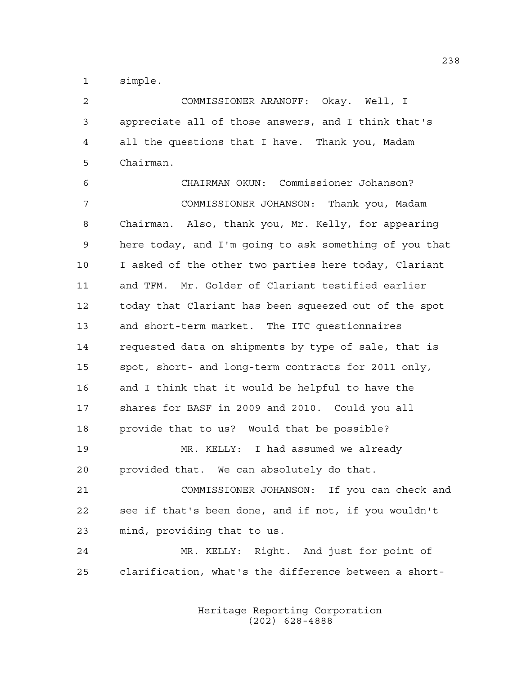1 simple.

2 COMMISSIONER ARANOFF: Okay. Well, I 3 appreciate all of those answers, and I think that's 4 all the questions that I have. Thank you, Madam 5 Chairman.

6 CHAIRMAN OKUN: Commissioner Johanson? 7 COMMISSIONER JOHANSON: Thank you, Madam 8 Chairman. Also, thank you, Mr. Kelly, for appearing 9 here today, and I'm going to ask something of you that 10 I asked of the other two parties here today, Clariant 11 and TFM. Mr. Golder of Clariant testified earlier 12 today that Clariant has been squeezed out of the spot 13 and short-term market. The ITC questionnaires 14 requested data on shipments by type of sale, that is 15 spot, short- and long-term contracts for 2011 only, 16 and I think that it would be helpful to have the 17 shares for BASF in 2009 and 2010. Could you all 18 provide that to us? Would that be possible? 19 MR. KELLY: I had assumed we already 20 provided that. We can absolutely do that. 21 COMMISSIONER JOHANSON: If you can check and 22 see if that's been done, and if not, if you wouldn't 23 mind, providing that to us. 24 MR. KELLY: Right. And just for point of 25 clarification, what's the difference between a short-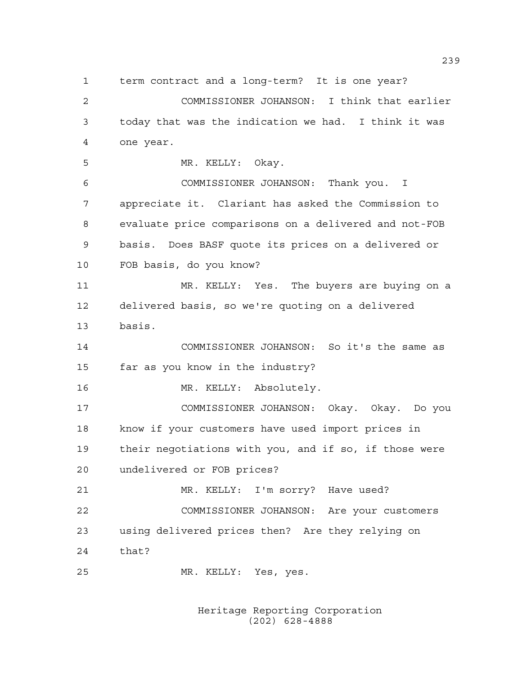1 term contract and a long-term? It is one year? 2 COMMISSIONER JOHANSON: I think that earlier 3 today that was the indication we had. I think it was 4 one year. 5 MR. KELLY: Okay. 6 COMMISSIONER JOHANSON: Thank you. I 7 appreciate it. Clariant has asked the Commission to 8 evaluate price comparisons on a delivered and not-FOB 9 basis. Does BASF quote its prices on a delivered or 10 FOB basis, do you know? 11 MR. KELLY: Yes. The buyers are buying on a 12 delivered basis, so we're quoting on a delivered 13 basis. 14 COMMISSIONER JOHANSON: So it's the same as 15 far as you know in the industry? 16 MR. KELLY: Absolutely. 17 COMMISSIONER JOHANSON: Okay. Okay. Do you 18 know if your customers have used import prices in 19 their negotiations with you, and if so, if those were 20 undelivered or FOB prices? 21 MR. KELLY: I'm sorry? Have used? 22 COMMISSIONER JOHANSON: Are your customers 23 using delivered prices then? Are they relying on 24 that? 25 MR. KELLY: Yes, yes.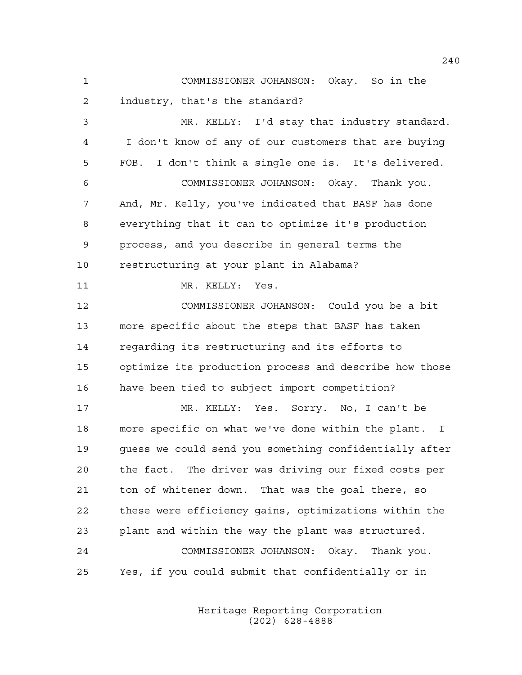1 COMMISSIONER JOHANSON: Okay. So in the 2 industry, that's the standard?

3 MR. KELLY: I'd stay that industry standard. 4 I don't know of any of our customers that are buying 5 FOB. I don't think a single one is. It's delivered. 6 COMMISSIONER JOHANSON: Okay. Thank you. 7 And, Mr. Kelly, you've indicated that BASF has done 8 everything that it can to optimize it's production 9 process, and you describe in general terms the 10 restructuring at your plant in Alabama? 11 MR. KELLY: Yes. 12 COMMISSIONER JOHANSON: Could you be a bit 13 more specific about the steps that BASF has taken 14 regarding its restructuring and its efforts to 15 optimize its production process and describe how those 16 have been tied to subject import competition? 17 MR. KELLY: Yes. Sorry. No, I can't be 18 more specific on what we've done within the plant. I

19 guess we could send you something confidentially after 20 the fact. The driver was driving our fixed costs per 21 ton of whitener down. That was the goal there, so 22 these were efficiency gains, optimizations within the 23 plant and within the way the plant was structured. 24 COMMISSIONER JOHANSON: Okay. Thank you. 25 Yes, if you could submit that confidentially or in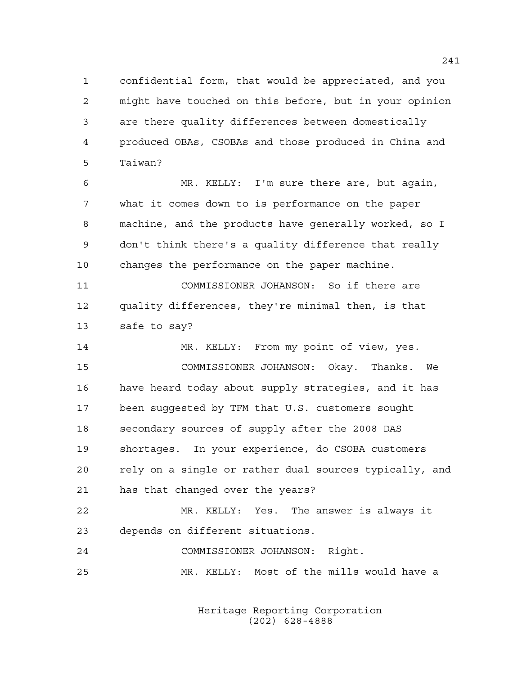1 confidential form, that would be appreciated, and you 2 might have touched on this before, but in your opinion 3 are there quality differences between domestically 4 produced OBAs, CSOBAs and those produced in China and 5 Taiwan?

6 MR. KELLY: I'm sure there are, but again, 7 what it comes down to is performance on the paper 8 machine, and the products have generally worked, so I 9 don't think there's a quality difference that really 10 changes the performance on the paper machine.

11 COMMISSIONER JOHANSON: So if there are 12 quality differences, they're minimal then, is that 13 safe to say?

14 MR. KELLY: From my point of view, yes. 15 COMMISSIONER JOHANSON: Okay. Thanks. We 16 have heard today about supply strategies, and it has 17 been suggested by TFM that U.S. customers sought 18 secondary sources of supply after the 2008 DAS 19 shortages. In your experience, do CSOBA customers 20 rely on a single or rather dual sources typically, and 21 has that changed over the years?

22 MR. KELLY: Yes. The answer is always it 23 depends on different situations.

24 COMMISSIONER JOHANSON: Right. 25 MR. KELLY: Most of the mills would have a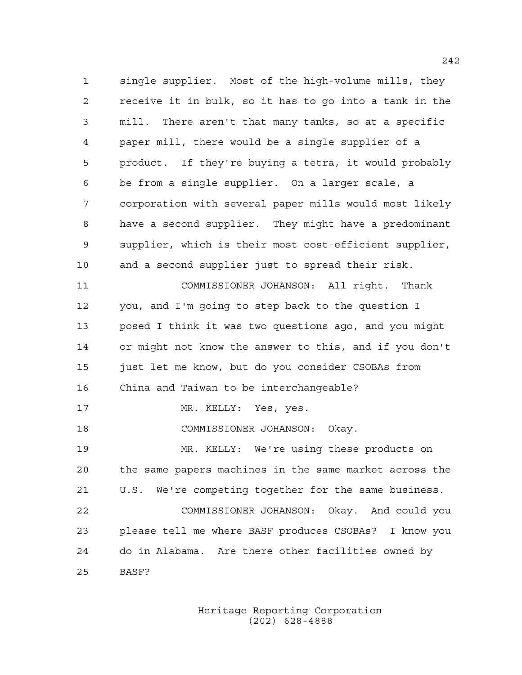1 single supplier. Most of the high-volume mills, they 2 receive it in bulk, so it has to go into a tank in the 3 mill. There aren't that many tanks, so at a specific 4 paper mill, there would be a single supplier of a 5 product. If they're buying a tetra, it would probably 6 be from a single supplier. On a larger scale, a 7 corporation with several paper mills would most likely 8 have a second supplier. They might have a predominant 9 supplier, which is their most cost-efficient supplier, 10 and a second supplier just to spread their risk. 11 COMMISSIONER JOHANSON: All right. Thank 12 you, and I'm going to step back to the question I 13 posed I think it was two questions ago, and you might 14 or might not know the answer to this, and if you don't 15 just let me know, but do you consider CSOBAs from 16 China and Taiwan to be interchangeable? 17 MR. KELLY: Yes, yes. 18 COMMISSIONER JOHANSON: Okay. 19 MR. KELLY: We're using these products on 20 the same papers machines in the same market across the 21 U.S. We're competing together for the same business. 22 COMMISSIONER JOHANSON: Okay. And could you 23 please tell me where BASF produces CSOBAs? I know you 24 do in Alabama. Are there other facilities owned by 25 BASF?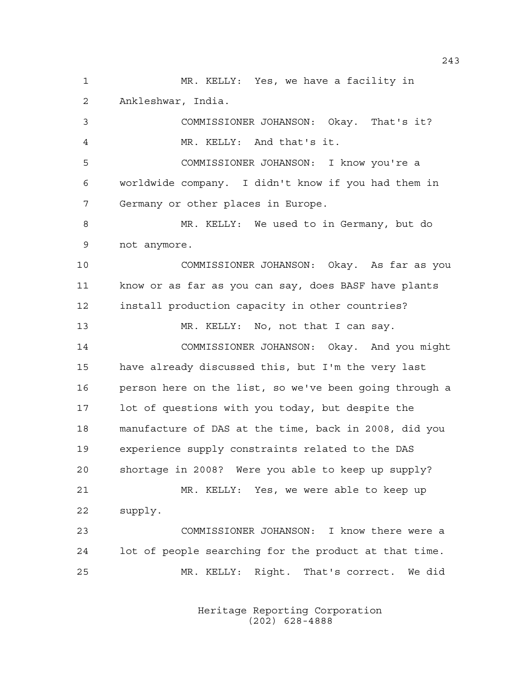1 MR. KELLY: Yes, we have a facility in 2 Ankleshwar, India. 3 COMMISSIONER JOHANSON: Okay. That's it? 4 MR. KELLY: And that's it. 5 COMMISSIONER JOHANSON: I know you're a 6 worldwide company. I didn't know if you had them in 7 Germany or other places in Europe. 8 MR. KELLY: We used to in Germany, but do 9 not anymore. 10 COMMISSIONER JOHANSON: Okay. As far as you 11 know or as far as you can say, does BASF have plants 12 install production capacity in other countries? 13 MR. KELLY: No, not that I can say. 14 COMMISSIONER JOHANSON: Okay. And you might 15 have already discussed this, but I'm the very last 16 person here on the list, so we've been going through a 17 lot of questions with you today, but despite the 18 manufacture of DAS at the time, back in 2008, did you 19 experience supply constraints related to the DAS 20 shortage in 2008? Were you able to keep up supply? 21 MR. KELLY: Yes, we were able to keep up 22 supply. 23 COMMISSIONER JOHANSON: I know there were a 24 lot of people searching for the product at that time. 25 MR. KELLY: Right. That's correct. We did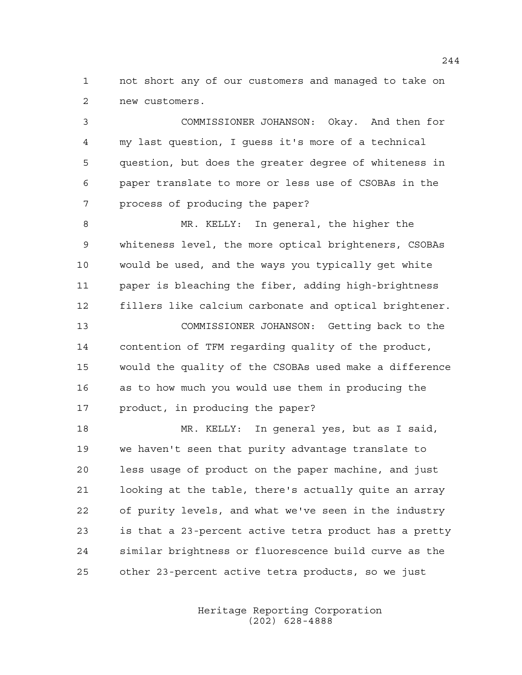1 not short any of our customers and managed to take on 2 new customers.

3 COMMISSIONER JOHANSON: Okay. And then for 4 my last question, I guess it's more of a technical 5 question, but does the greater degree of whiteness in 6 paper translate to more or less use of CSOBAs in the 7 process of producing the paper?

8 MR. KELLY: In general, the higher the 9 whiteness level, the more optical brighteners, CSOBAs 10 would be used, and the ways you typically get white 11 paper is bleaching the fiber, adding high-brightness 12 fillers like calcium carbonate and optical brightener.

13 COMMISSIONER JOHANSON: Getting back to the 14 contention of TFM regarding quality of the product, 15 would the quality of the CSOBAs used make a difference 16 as to how much you would use them in producing the 17 product, in producing the paper?

18 MR. KELLY: In general yes, but as I said, 19 we haven't seen that purity advantage translate to 20 less usage of product on the paper machine, and just 21 looking at the table, there's actually quite an array 22 of purity levels, and what we've seen in the industry 23 is that a 23-percent active tetra product has a pretty 24 similar brightness or fluorescence build curve as the 25 other 23-percent active tetra products, so we just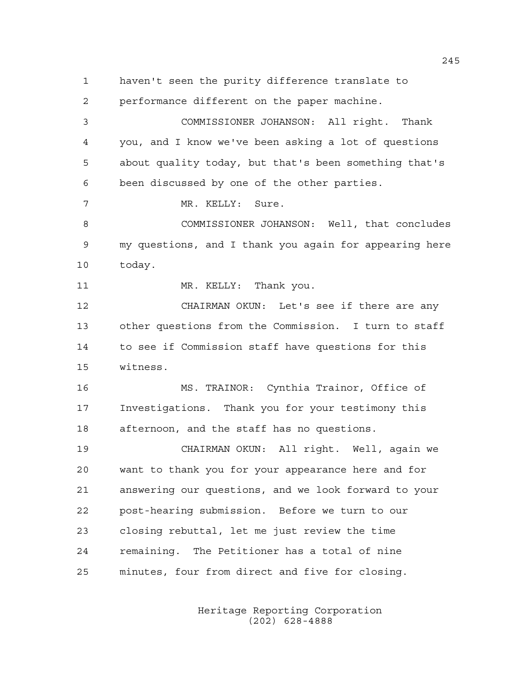1 haven't seen the purity difference translate to 2 performance different on the paper machine. 3 COMMISSIONER JOHANSON: All right. Thank 4 you, and I know we've been asking a lot of questions 5 about quality today, but that's been something that's 6 been discussed by one of the other parties. 7 MR. KELLY: Sure. 8 COMMISSIONER JOHANSON: Well, that concludes 9 my questions, and I thank you again for appearing here 10 today. 11 MR. KELLY: Thank you. 12 CHAIRMAN OKUN: Let's see if there are any 13 other questions from the Commission. I turn to staff 14 to see if Commission staff have questions for this 15 witness. 16 MS. TRAINOR: Cynthia Trainor, Office of 17 Investigations. Thank you for your testimony this 18 afternoon, and the staff has no questions. 19 CHAIRMAN OKUN: All right. Well, again we 20 want to thank you for your appearance here and for 21 answering our questions, and we look forward to your 22 post-hearing submission. Before we turn to our 23 closing rebuttal, let me just review the time 24 remaining. The Petitioner has a total of nine 25 minutes, four from direct and five for closing.

> Heritage Reporting Corporation (202) 628-4888

245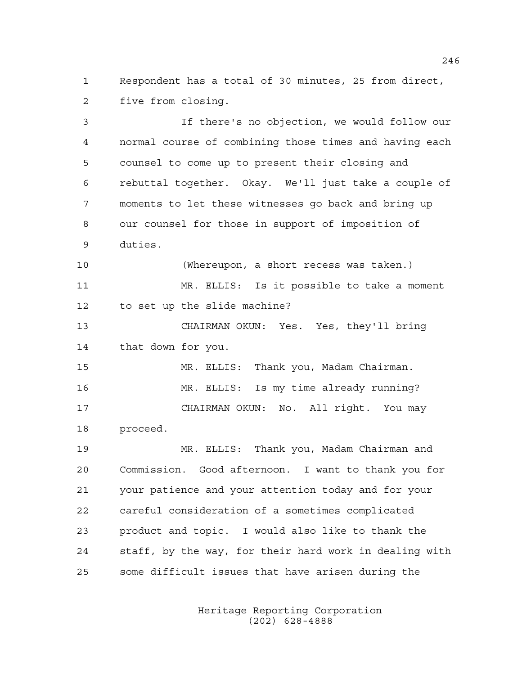1 Respondent has a total of 30 minutes, 25 from direct, 2 five from closing.

3 If there's no objection, we would follow our 4 normal course of combining those times and having each 5 counsel to come up to present their closing and 6 rebuttal together. Okay. We'll just take a couple of 7 moments to let these witnesses go back and bring up 8 our counsel for those in support of imposition of 9 duties. 10 (Whereupon, a short recess was taken.) 11 MR. ELLIS: Is it possible to take a moment 12 to set up the slide machine? 13 CHAIRMAN OKUN: Yes. Yes, they'll bring 14 that down for you. 15 MR. ELLIS: Thank you, Madam Chairman. 16 MR. ELLIS: Is my time already running? 17 CHAIRMAN OKUN: No. All right. You may 18 proceed. 19 MR. ELLIS: Thank you, Madam Chairman and 20 Commission. Good afternoon. I want to thank you for 21 your patience and your attention today and for your 22 careful consideration of a sometimes complicated 23 product and topic. I would also like to thank the 24 staff, by the way, for their hard work in dealing with 25 some difficult issues that have arisen during the

> Heritage Reporting Corporation (202) 628-4888

246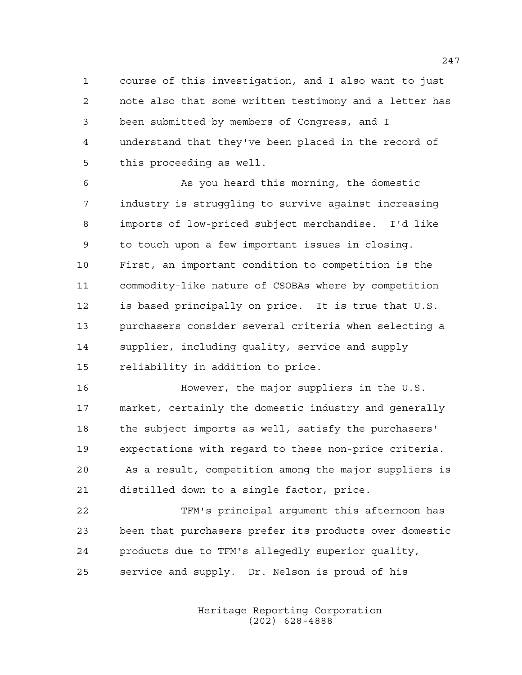1 course of this investigation, and I also want to just 2 note also that some written testimony and a letter has 3 been submitted by members of Congress, and I 4 understand that they've been placed in the record of 5 this proceeding as well.

6 As you heard this morning, the domestic 7 industry is struggling to survive against increasing 8 imports of low-priced subject merchandise. I'd like 9 to touch upon a few important issues in closing. 10 First, an important condition to competition is the 11 commodity-like nature of CSOBAs where by competition 12 is based principally on price. It is true that U.S. 13 purchasers consider several criteria when selecting a 14 supplier, including quality, service and supply 15 reliability in addition to price.

16 However, the major suppliers in the U.S. 17 market, certainly the domestic industry and generally 18 the subject imports as well, satisfy the purchasers' 19 expectations with regard to these non-price criteria. 20 As a result, competition among the major suppliers is 21 distilled down to a single factor, price.

22 TFM's principal argument this afternoon has 23 been that purchasers prefer its products over domestic 24 products due to TFM's allegedly superior quality, 25 service and supply. Dr. Nelson is proud of his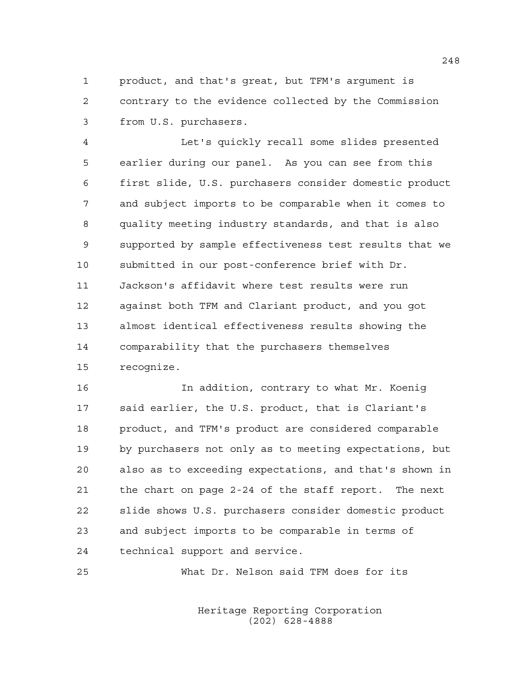1 product, and that's great, but TFM's argument is 2 contrary to the evidence collected by the Commission 3 from U.S. purchasers.

4 Let's quickly recall some slides presented 5 earlier during our panel. As you can see from this 6 first slide, U.S. purchasers consider domestic product 7 and subject imports to be comparable when it comes to 8 quality meeting industry standards, and that is also 9 supported by sample effectiveness test results that we 10 submitted in our post-conference brief with Dr. 11 Jackson's affidavit where test results were run 12 against both TFM and Clariant product, and you got 13 almost identical effectiveness results showing the 14 comparability that the purchasers themselves 15 recognize.

16 In addition, contrary to what Mr. Koenig 17 said earlier, the U.S. product, that is Clariant's 18 product, and TFM's product are considered comparable 19 by purchasers not only as to meeting expectations, but 20 also as to exceeding expectations, and that's shown in 21 the chart on page 2-24 of the staff report. The next 22 slide shows U.S. purchasers consider domestic product 23 and subject imports to be comparable in terms of 24 technical support and service.

25 What Dr. Nelson said TFM does for its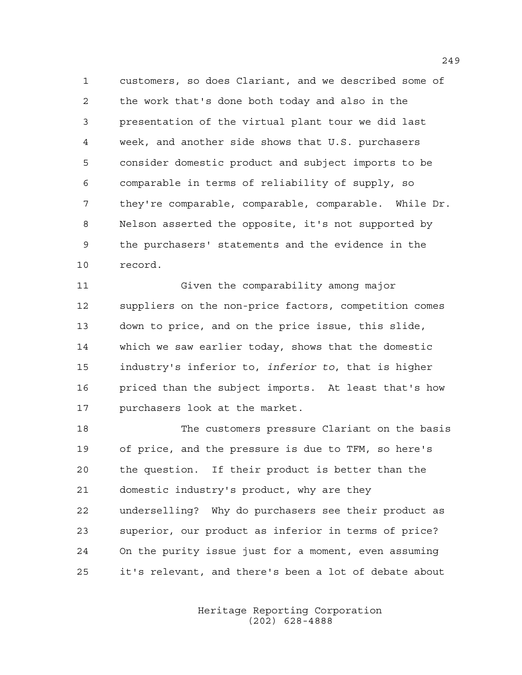1 customers, so does Clariant, and we described some of 2 the work that's done both today and also in the 3 presentation of the virtual plant tour we did last 4 week, and another side shows that U.S. purchasers 5 consider domestic product and subject imports to be 6 comparable in terms of reliability of supply, so 7 they're comparable, comparable, comparable. While Dr. 8 Nelson asserted the opposite, it's not supported by 9 the purchasers' statements and the evidence in the 10 record.

11 Given the comparability among major 12 suppliers on the non-price factors, competition comes 13 down to price, and on the price issue, this slide, 14 which we saw earlier today, shows that the domestic 15 industry's inferior to, *inferior to*, that is higher 16 priced than the subject imports. At least that's how 17 purchasers look at the market.

18 The customers pressure Clariant on the basis 19 of price, and the pressure is due to TFM, so here's 20 the question. If their product is better than the 21 domestic industry's product, why are they 22 underselling? Why do purchasers see their product as 23 superior, our product as inferior in terms of price? 24 On the purity issue just for a moment, even assuming 25 it's relevant, and there's been a lot of debate about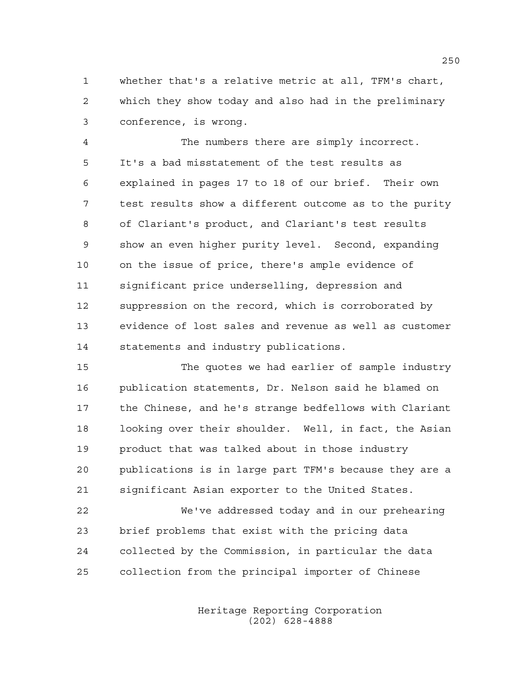1 whether that's a relative metric at all, TFM's chart, 2 which they show today and also had in the preliminary 3 conference, is wrong.

4 The numbers there are simply incorrect. 5 It's a bad misstatement of the test results as 6 explained in pages 17 to 18 of our brief. Their own 7 test results show a different outcome as to the purity 8 of Clariant's product, and Clariant's test results 9 show an even higher purity level. Second, expanding 10 on the issue of price, there's ample evidence of 11 significant price underselling, depression and 12 suppression on the record, which is corroborated by 13 evidence of lost sales and revenue as well as customer 14 statements and industry publications.

15 The quotes we had earlier of sample industry 16 publication statements, Dr. Nelson said he blamed on 17 the Chinese, and he's strange bedfellows with Clariant 18 looking over their shoulder. Well, in fact, the Asian 19 product that was talked about in those industry 20 publications is in large part TFM's because they are a 21 significant Asian exporter to the United States.

22 We've addressed today and in our prehearing 23 brief problems that exist with the pricing data 24 collected by the Commission, in particular the data 25 collection from the principal importer of Chinese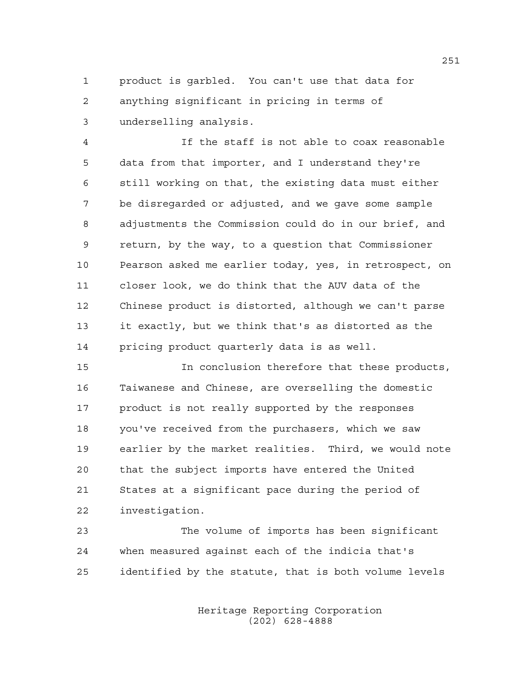1 product is garbled. You can't use that data for 2 anything significant in pricing in terms of 3 underselling analysis.

4 If the staff is not able to coax reasonable 5 data from that importer, and I understand they're 6 still working on that, the existing data must either 7 be disregarded or adjusted, and we gave some sample 8 adjustments the Commission could do in our brief, and 9 return, by the way, to a question that Commissioner 10 Pearson asked me earlier today, yes, in retrospect, on 11 closer look, we do think that the AUV data of the 12 Chinese product is distorted, although we can't parse 13 it exactly, but we think that's as distorted as the 14 pricing product quarterly data is as well.

15 In conclusion therefore that these products, 16 Taiwanese and Chinese, are overselling the domestic 17 product is not really supported by the responses 18 you've received from the purchasers, which we saw 19 earlier by the market realities. Third, we would note 20 that the subject imports have entered the United 21 States at a significant pace during the period of 22 investigation.

23 The volume of imports has been significant 24 when measured against each of the indicia that's 25 identified by the statute, that is both volume levels

> Heritage Reporting Corporation (202) 628-4888

251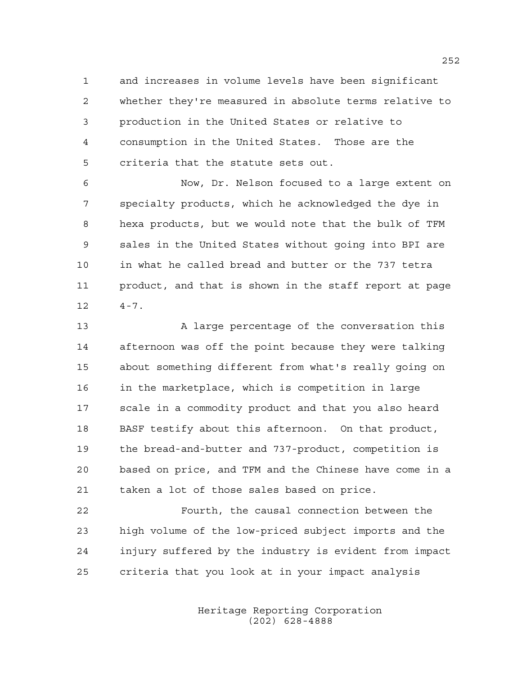1 and increases in volume levels have been significant 2 whether they're measured in absolute terms relative to 3 production in the United States or relative to 4 consumption in the United States. Those are the 5 criteria that the statute sets out.

6 Now, Dr. Nelson focused to a large extent on 7 specialty products, which he acknowledged the dye in 8 hexa products, but we would note that the bulk of TFM 9 sales in the United States without going into BPI are 10 in what he called bread and butter or the 737 tetra 11 product, and that is shown in the staff report at page  $12 \t 4-7$ .

13 A large percentage of the conversation this 14 afternoon was off the point because they were talking 15 about something different from what's really going on 16 in the marketplace, which is competition in large 17 scale in a commodity product and that you also heard 18 BASF testify about this afternoon. On that product, 19 the bread-and-butter and 737-product, competition is 20 based on price, and TFM and the Chinese have come in a 21 taken a lot of those sales based on price.

22 Fourth, the causal connection between the 23 high volume of the low-priced subject imports and the 24 injury suffered by the industry is evident from impact 25 criteria that you look at in your impact analysis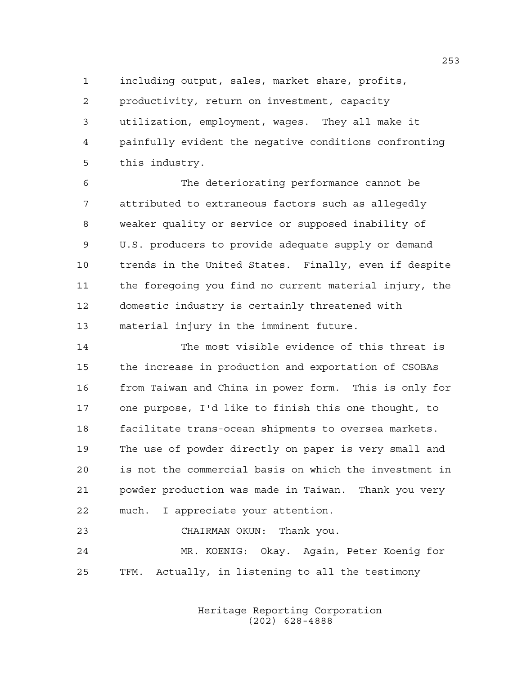1 including output, sales, market share, profits,

2 productivity, return on investment, capacity

3 utilization, employment, wages. They all make it 4 painfully evident the negative conditions confronting 5 this industry.

6 The deteriorating performance cannot be 7 attributed to extraneous factors such as allegedly 8 weaker quality or service or supposed inability of 9 U.S. producers to provide adequate supply or demand 10 trends in the United States. Finally, even if despite 11 the foregoing you find no current material injury, the 12 domestic industry is certainly threatened with 13 material injury in the imminent future.

14 The most visible evidence of this threat is 15 the increase in production and exportation of CSOBAs 16 from Taiwan and China in power form. This is only for 17 one purpose, I'd like to finish this one thought, to 18 facilitate trans-ocean shipments to oversea markets. 19 The use of powder directly on paper is very small and 20 is not the commercial basis on which the investment in 21 powder production was made in Taiwan. Thank you very 22 much. I appreciate your attention.

23 CHAIRMAN OKUN: Thank you. 24 MR. KOENIG: Okay. Again, Peter Koenig for 25 TFM. Actually, in listening to all the testimony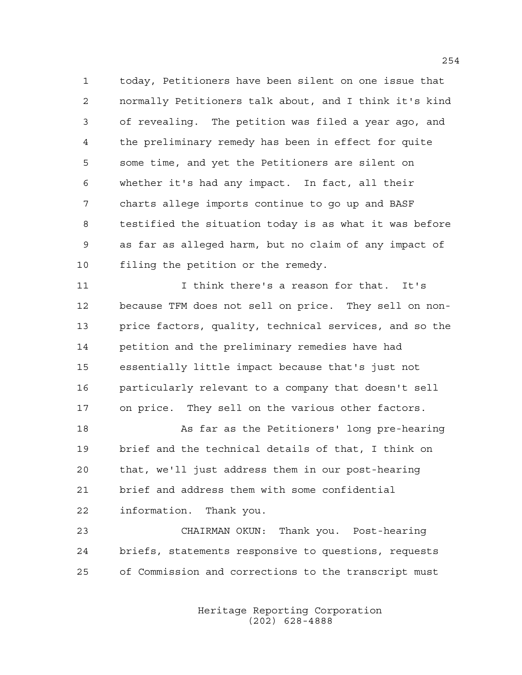1 today, Petitioners have been silent on one issue that 2 normally Petitioners talk about, and I think it's kind 3 of revealing. The petition was filed a year ago, and 4 the preliminary remedy has been in effect for quite 5 some time, and yet the Petitioners are silent on 6 whether it's had any impact. In fact, all their 7 charts allege imports continue to go up and BASF 8 testified the situation today is as what it was before 9 as far as alleged harm, but no claim of any impact of 10 filing the petition or the remedy.

11 I think there's a reason for that. It's 12 because TFM does not sell on price. They sell on non-13 price factors, quality, technical services, and so the 14 petition and the preliminary remedies have had 15 essentially little impact because that's just not 16 particularly relevant to a company that doesn't sell 17 on price. They sell on the various other factors.

18 As far as the Petitioners' long pre-hearing 19 brief and the technical details of that, I think on 20 that, we'll just address them in our post-hearing 21 brief and address them with some confidential 22 information. Thank you.

23 CHAIRMAN OKUN: Thank you. Post-hearing 24 briefs, statements responsive to questions, requests 25 of Commission and corrections to the transcript must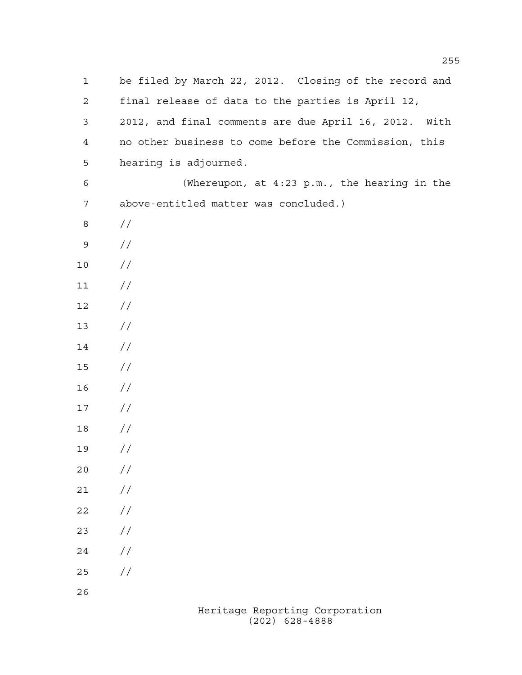1 be filed by March 22, 2012. Closing of the record and 2 final release of data to the parties is April 12, 3 2012, and final comments are due April 16, 2012. With 4 no other business to come before the Commission, this 5 hearing is adjourned. 6 (Whereupon, at 4:23 p.m., the hearing in the 7 above-entitled matter was concluded.) 8 // 9 // 10 //  $11 /$ 12 // 13 //  $14 /$ 15 // 16 // 17 // 18 // 19 // 20 //  $21 /$  $22 / /$ 23 // 24 // 25 // 26